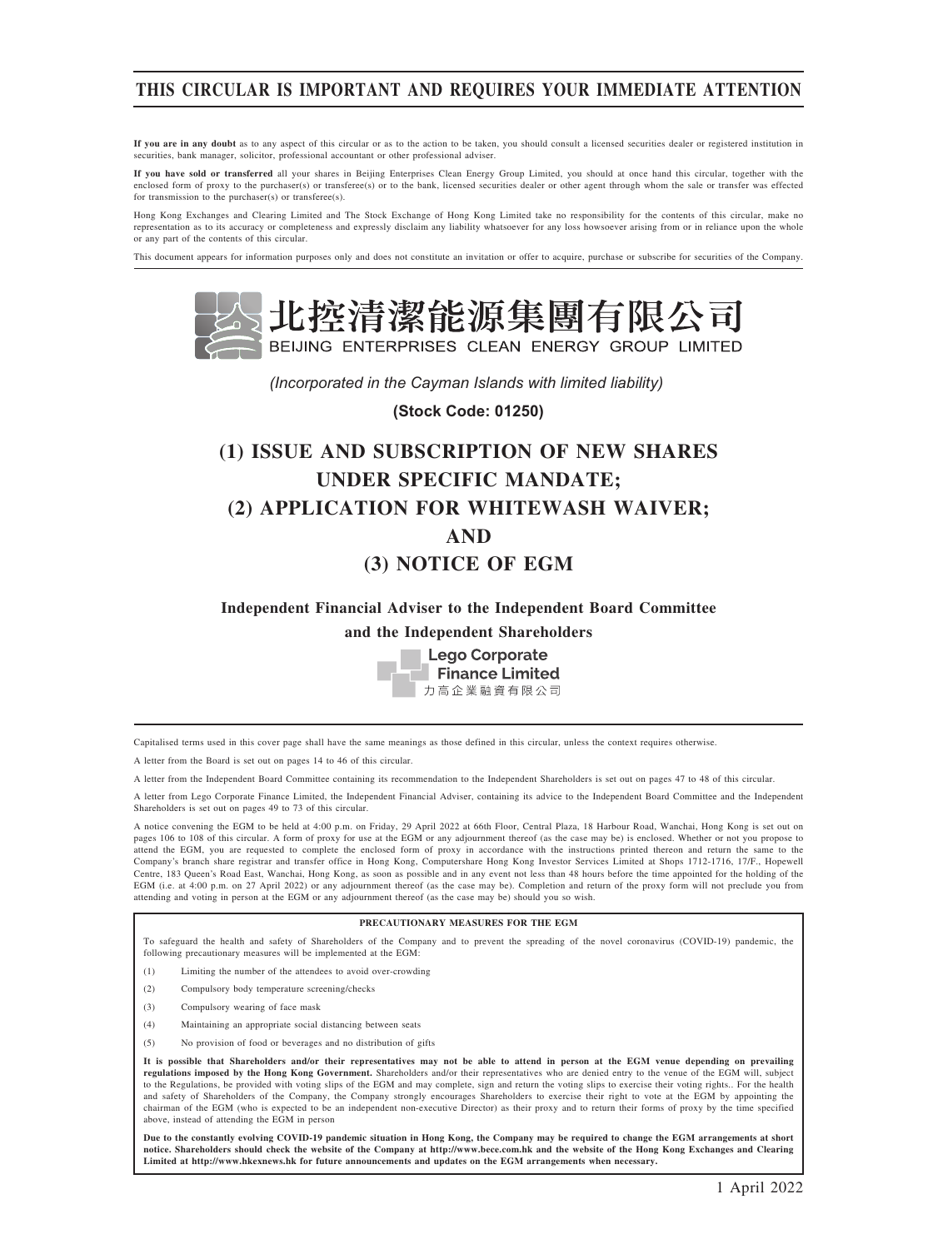# THIS CIRCULAR IS IMPORTANT AND REQUIRES YOUR IMMEDIATE ATTENTION

If you are in any doubt as to any aspect of this circular or as to the action to be taken, you should consult a licensed securities dealer or registered institution in securities, bank manager, solicitor, professional accountant or other professional adviser.

If you have sold or transferred all your shares in Beijing Enterprises Clean Energy Group Limited, you should at once hand this circular, together with the enclosed form of proxy to the purchaser(s) or transferee(s) or to the bank, licensed securities dealer or other agent through whom the sale or transfer was effected for transmission to the purchaser(s) or transferee(s).

Hong Kong Exchanges and Clearing Limited and The Stock Exchange of Hong Kong Limited take no responsibility for the contents of this circular, make no representation as to its accuracy or completeness and expressly disclaim any liability whatsoever for any loss howsoever arising from or in reliance upon the whole or any part of the contents of this circular.

This document appears for information purposes only and does not constitute an invitation or offer to acquire, purchase or subscribe for securities of the Company.



*(Incorporated in the Cayman Islands with limited liability)* 

**(Stock Code: 01250)**

# (1) ISSUE AND SUBSCRIPTION OF NEW SHARES UNDER SPECIFIC MANDATE; (2) APPLICATION FOR WHITEWASH WAIVER; AND (3) NOTICE OF EGM

Independent Financial Adviser to the Independent Board Committee and the Independent Shareholders



Capitalised terms used in this cover page shall have the same meanings as those defined in this circular, unless the context requires otherwise.

A letter from the Board is set out on pages 14 to 46 of this circular.

A letter from the Independent Board Committee containing its recommendation to the Independent Shareholders is set out on pages 47 to 48 of this circular.

A letter from Lego Corporate Finance Limited, the Independent Financial Adviser, containing its advice to the Independent Board Committee and the Independent Shareholders is set out on pages 49 to 73 of this circular.

A notice convening the EGM to be held at 4:00 p.m. on Friday, 29 April 2022 at 66th Floor, Central Plaza, 18 Harbour Road, Wanchai, Hong Kong is set out on pages 106 to 108 of this circular. A form of proxy for use at the EGM or any adjournment thereof (as the case may be) is enclosed. Whether or not you propose to attend the EGM, you are requested to complete the enclosed form of proxy in accordance with the instructions printed thereon and return the same to the Company's branch share registrar and transfer office in Hong Kong, Computershare Hong Kong Investor Services Limited at Shops 1712-1716, 17/F., Hopewell Centre, 183 Queen's Road East, Wanchai, Hong Kong, as soon as possible and in any event not less than 48 hours before the time appointed for the holding of the EGM (i.e. at 4:00 p.m. on 27 April 2022) or any adjournment thereof (as the case may be). Completion and return of the proxy form will not preclude you from attending and voting in person at the EGM or any adjournment thereof (as the case may be) should you so wish.

#### PRECAUTIONARY MEASURES FOR THE EGM

To safeguard the health and safety of Shareholders of the Company and to prevent the spreading of the novel coronavirus (COVID-19) pandemic, the following precautionary measures will be implemented at the EGM:

(1) Limiting the number of the attendees to avoid over-crowding

- (2) Compulsory body temperature screening/checks
- (3) Compulsory wearing of face mask
- (4) Maintaining an appropriate social distancing between seats
- (5) No provision of food or beverages and no distribution of gifts

It is possible that Shareholders and/or their representatives may not be able to attend in person at the EGM venue depending on prevailing regulations imposed by the Hong Kong Government. Shareholders and/or their representatives who are denied entry to the venue of the EGM will, subject to the Regulations, be provided with voting slips of the EGM and may complete, sign and return the voting slips to exercise their voting rights.. For the health and safety of Shareholders of the Company, the Company strongly encourages Shareholders to exercise their right to vote at the EGM by appointing the chairman of the EGM (who is expected to be an independent non-executive Director) as their proxy and to return their forms of proxy by the time specified above, instead of attending the EGM in person

Due to the constantly evolving COVID-19 pandemic situation in Hong Kong, the Company may be required to change the EGM arrangements at short notice. Shareholders should check the website of the Company at http://www.bece.com.hk and the website of the Hong Kong Exchanges and Clearing Limited at http://www.hkexnews.hk for future announcements and updates on the EGM arrangements when necessary.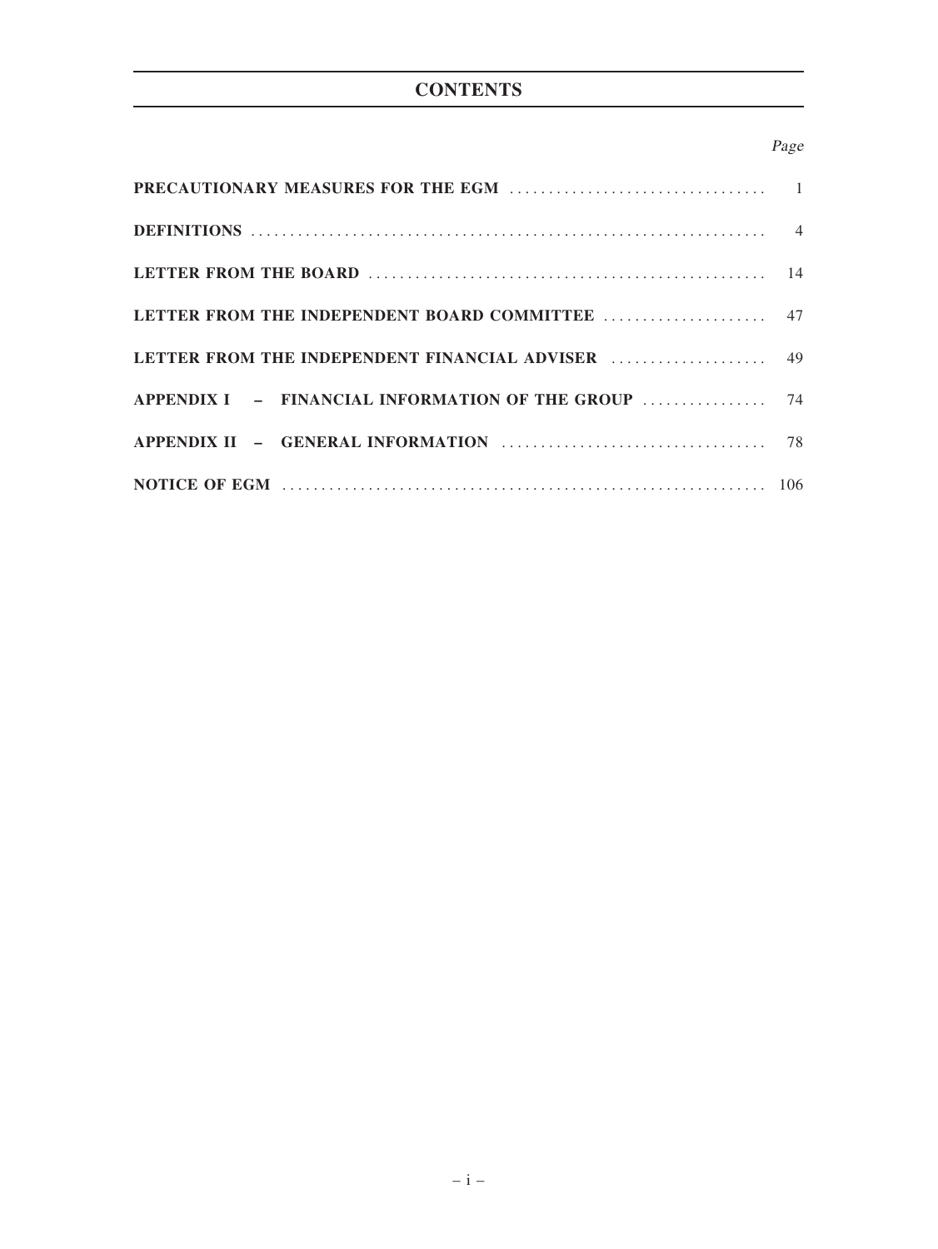# **CONTENTS**

# Page

| APPENDIX I - FINANCIAL INFORMATION OF THE GROUP  74 |  |
|-----------------------------------------------------|--|
|                                                     |  |
|                                                     |  |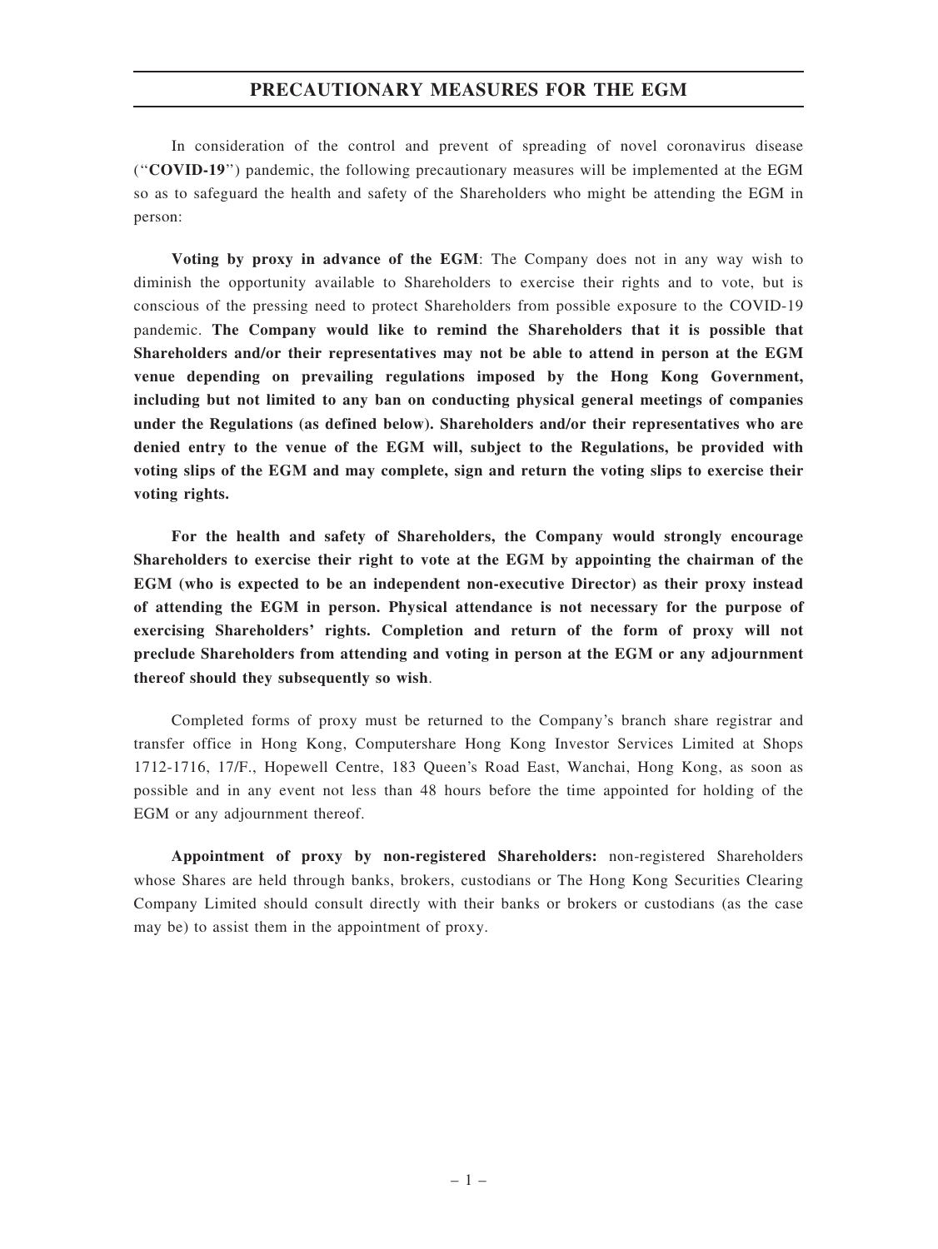### PRECAUTIONARY MEASURES FOR THE EGM

In consideration of the control and prevent of spreading of novel coronavirus disease (''COVID-19'') pandemic, the following precautionary measures will be implemented at the EGM so as to safeguard the health and safety of the Shareholders who might be attending the EGM in person:

Voting by proxy in advance of the EGM: The Company does not in any way wish to diminish the opportunity available to Shareholders to exercise their rights and to vote, but is conscious of the pressing need to protect Shareholders from possible exposure to the COVID-19 pandemic. The Company would like to remind the Shareholders that it is possible that Shareholders and/or their representatives may not be able to attend in person at the EGM venue depending on prevailing regulations imposed by the Hong Kong Government, including but not limited to any ban on conducting physical general meetings of companies under the Regulations (as defined below). Shareholders and/or their representatives who are denied entry to the venue of the EGM will, subject to the Regulations, be provided with voting slips of the EGM and may complete, sign and return the voting slips to exercise their voting rights.

For the health and safety of Shareholders, the Company would strongly encourage Shareholders to exercise their right to vote at the EGM by appointing the chairman of the EGM (who is expected to be an independent non-executive Director) as their proxy instead of attending the EGM in person. Physical attendance is not necessary for the purpose of exercising Shareholders' rights. Completion and return of the form of proxy will not preclude Shareholders from attending and voting in person at the EGM or any adjournment thereof should they subsequently so wish.

Completed forms of proxy must be returned to the Company's branch share registrar and transfer office in Hong Kong, Computershare Hong Kong Investor Services Limited at Shops 1712-1716, 17/F., Hopewell Centre, 183 Queen's Road East, Wanchai, Hong Kong, as soon as possible and in any event not less than 48 hours before the time appointed for holding of the EGM or any adjournment thereof.

Appointment of proxy by non-registered Shareholders: non-registered Shareholders whose Shares are held through banks, brokers, custodians or The Hong Kong Securities Clearing Company Limited should consult directly with their banks or brokers or custodians (as the case may be) to assist them in the appointment of proxy.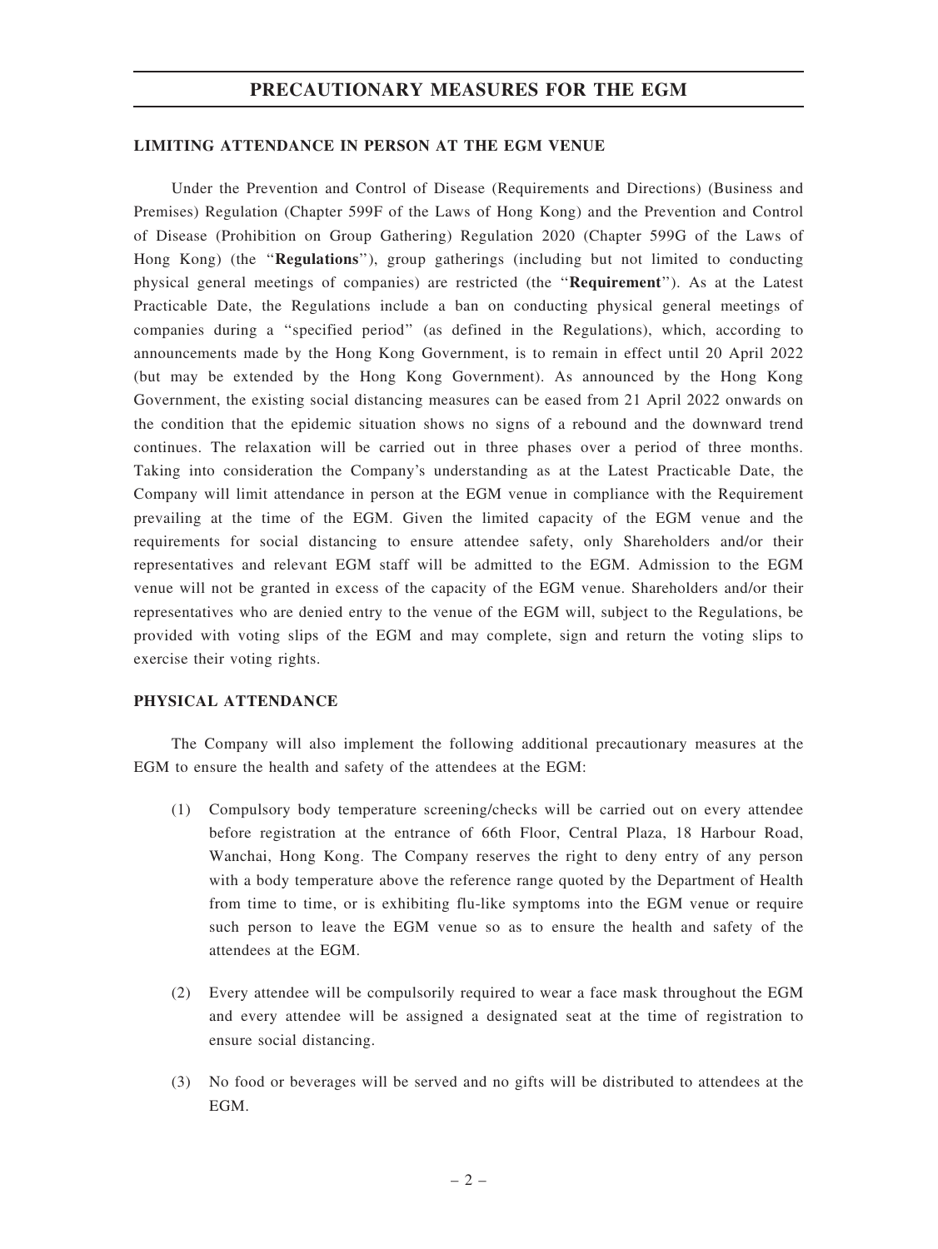## PRECAUTIONARY MEASURES FOR THE EGM

#### LIMITING ATTENDANCE IN PERSON AT THE EGM VENUE

Under the Prevention and Control of Disease (Requirements and Directions) (Business and Premises) Regulation (Chapter 599F of the Laws of Hong Kong) and the Prevention and Control of Disease (Prohibition on Group Gathering) Regulation 2020 (Chapter 599G of the Laws of Hong Kong) (the "Regulations"), group gatherings (including but not limited to conducting physical general meetings of companies) are restricted (the ''Requirement''). As at the Latest Practicable Date, the Regulations include a ban on conducting physical general meetings of companies during a ''specified period'' (as defined in the Regulations), which, according to announcements made by the Hong Kong Government, is to remain in effect until 20 April 2022 (but may be extended by the Hong Kong Government). As announced by the Hong Kong Government, the existing social distancing measures can be eased from 21 April 2022 onwards on the condition that the epidemic situation shows no signs of a rebound and the downward trend continues. The relaxation will be carried out in three phases over a period of three months. Taking into consideration the Company's understanding as at the Latest Practicable Date, the Company will limit attendance in person at the EGM venue in compliance with the Requirement prevailing at the time of the EGM. Given the limited capacity of the EGM venue and the requirements for social distancing to ensure attendee safety, only Shareholders and/or their representatives and relevant EGM staff will be admitted to the EGM. Admission to the EGM venue will not be granted in excess of the capacity of the EGM venue. Shareholders and/or their representatives who are denied entry to the venue of the EGM will, subject to the Regulations, be provided with voting slips of the EGM and may complete, sign and return the voting slips to exercise their voting rights.

### PHYSICAL ATTENDANCE

The Company will also implement the following additional precautionary measures at the EGM to ensure the health and safety of the attendees at the EGM:

- (1) Compulsory body temperature screening/checks will be carried out on every attendee before registration at the entrance of 66th Floor, Central Plaza, 18 Harbour Road, Wanchai, Hong Kong. The Company reserves the right to deny entry of any person with a body temperature above the reference range quoted by the Department of Health from time to time, or is exhibiting flu-like symptoms into the EGM venue or require such person to leave the EGM venue so as to ensure the health and safety of the attendees at the EGM.
- (2) Every attendee will be compulsorily required to wear a face mask throughout the EGM and every attendee will be assigned a designated seat at the time of registration to ensure social distancing.
- (3) No food or beverages will be served and no gifts will be distributed to attendees at the EGM.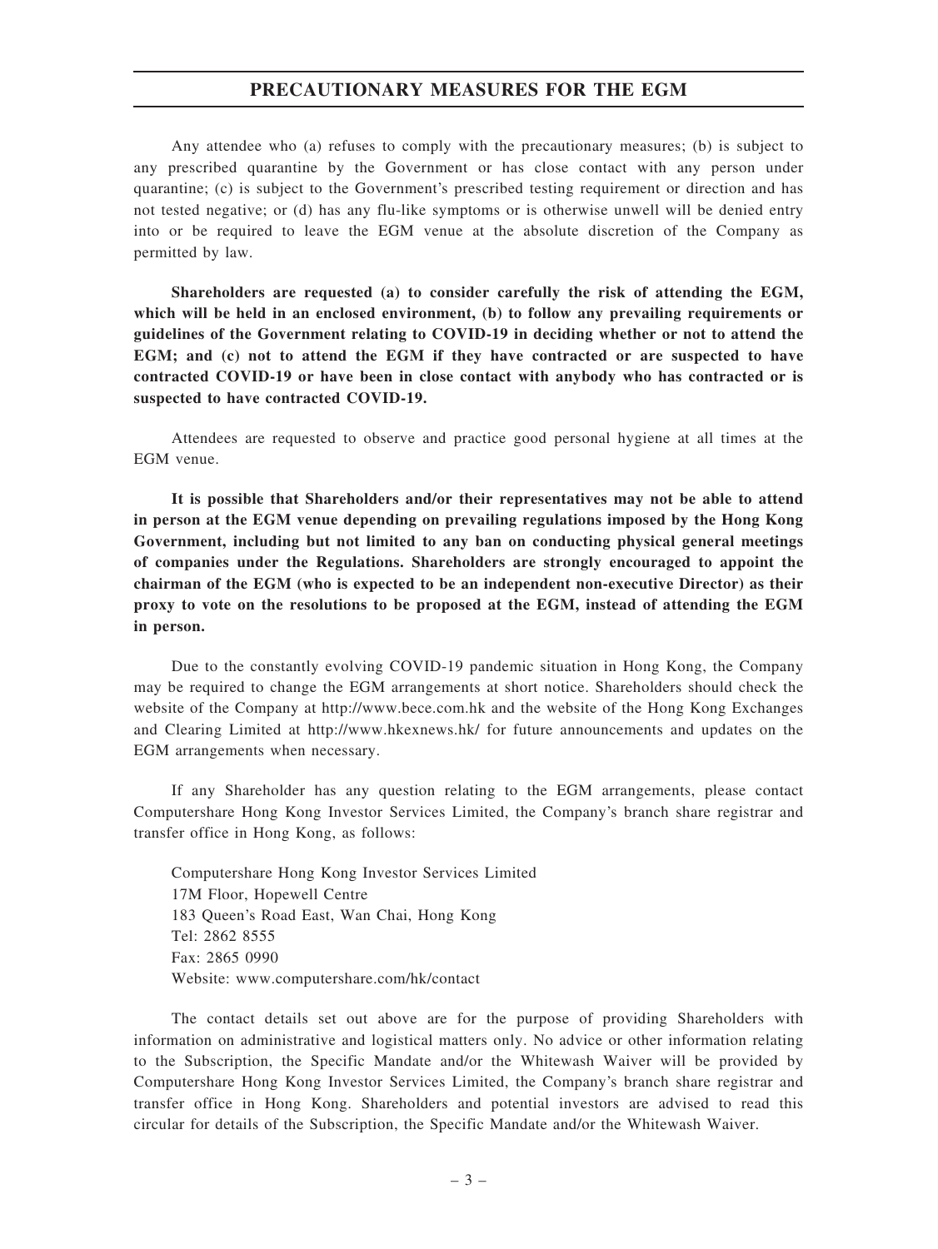## PRECAUTIONARY MEASURES FOR THE EGM

Any attendee who (a) refuses to comply with the precautionary measures; (b) is subject to any prescribed quarantine by the Government or has close contact with any person under quarantine; (c) is subject to the Government's prescribed testing requirement or direction and has not tested negative; or (d) has any flu-like symptoms or is otherwise unwell will be denied entry into or be required to leave the EGM venue at the absolute discretion of the Company as permitted by law.

Shareholders are requested (a) to consider carefully the risk of attending the EGM, which will be held in an enclosed environment, (b) to follow any prevailing requirements or guidelines of the Government relating to COVID-19 in deciding whether or not to attend the EGM; and (c) not to attend the EGM if they have contracted or are suspected to have contracted COVID-19 or have been in close contact with anybody who has contracted or is suspected to have contracted COVID-19.

Attendees are requested to observe and practice good personal hygiene at all times at the EGM venue.

It is possible that Shareholders and/or their representatives may not be able to attend in person at the EGM venue depending on prevailing regulations imposed by the Hong Kong Government, including but not limited to any ban on conducting physical general meetings of companies under the Regulations. Shareholders are strongly encouraged to appoint the chairman of the EGM (who is expected to be an independent non-executive Director) as their proxy to vote on the resolutions to be proposed at the EGM, instead of attending the EGM in person.

Due to the constantly evolving COVID-19 pandemic situation in Hong Kong, the Company may be required to change the EGM arrangements at short notice. Shareholders should check the website of the Company at http://www.bece.com.hk and the website of the Hong Kong Exchanges and Clearing Limited at http://www.hkexnews.hk/ for future announcements and updates on the EGM arrangements when necessary.

If any Shareholder has any question relating to the EGM arrangements, please contact Computershare Hong Kong Investor Services Limited, the Company's branch share registrar and transfer office in Hong Kong, as follows:

Computershare Hong Kong Investor Services Limited 17M Floor, Hopewell Centre 183 Queen's Road East, Wan Chai, Hong Kong Tel: 2862 8555 Fax: 2865 0990 Website: www.computershare.com/hk/contact

The contact details set out above are for the purpose of providing Shareholders with information on administrative and logistical matters only. No advice or other information relating to the Subscription, the Specific Mandate and/or the Whitewash Waiver will be provided by Computershare Hong Kong Investor Services Limited, the Company's branch share registrar and transfer office in Hong Kong. Shareholders and potential investors are advised to read this circular for details of the Subscription, the Specific Mandate and/or the Whitewash Waiver.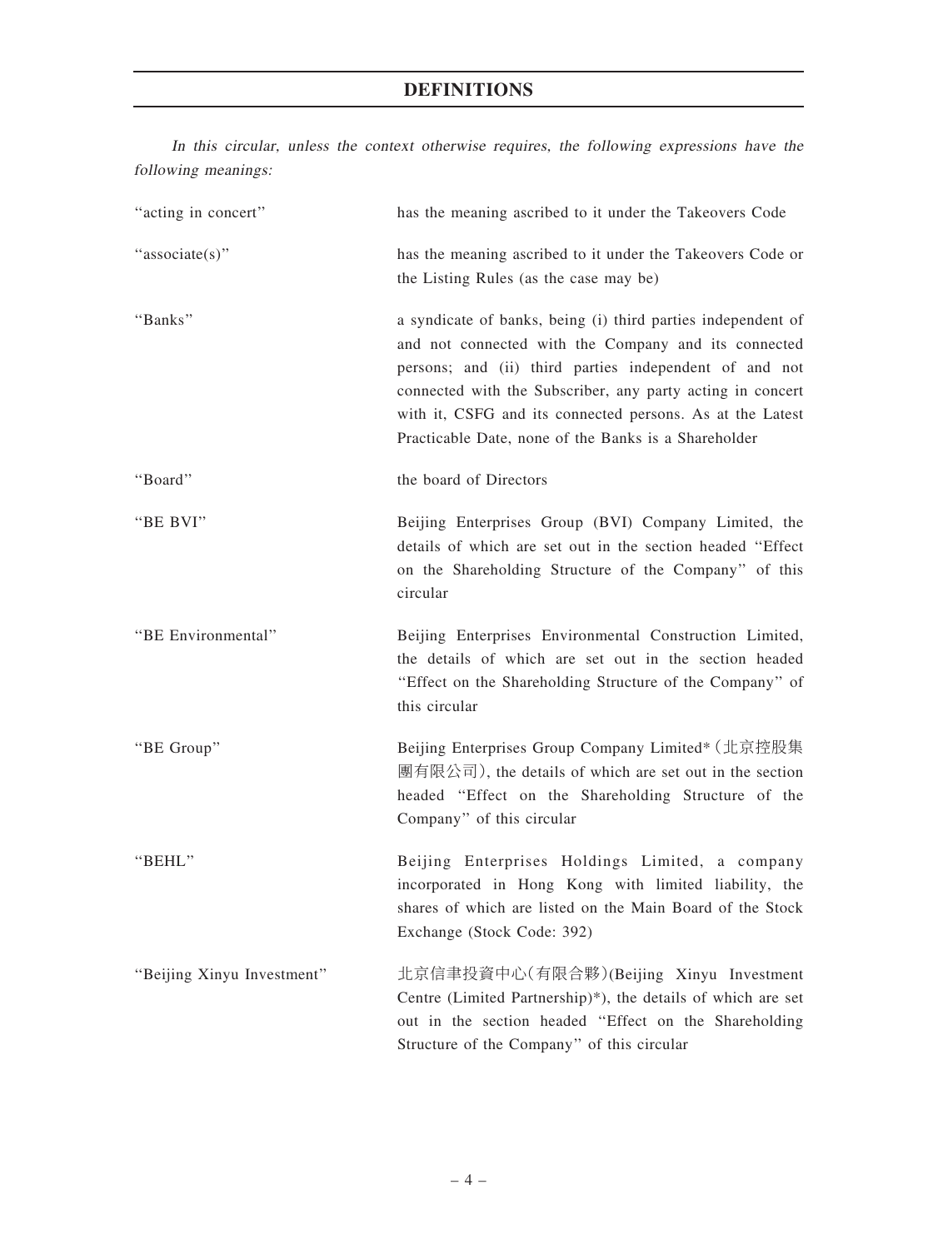In this circular, unless the context otherwise requires, the following expressions have the following meanings:

| "acting in concert"        | has the meaning ascribed to it under the Takeovers Code                                                                                                                                                                                                                                                                                                           |
|----------------------------|-------------------------------------------------------------------------------------------------------------------------------------------------------------------------------------------------------------------------------------------------------------------------------------------------------------------------------------------------------------------|
| "associate(s)"             | has the meaning ascribed to it under the Takeovers Code or<br>the Listing Rules (as the case may be)                                                                                                                                                                                                                                                              |
| "Banks"                    | a syndicate of banks, being (i) third parties independent of<br>and not connected with the Company and its connected<br>persons; and (ii) third parties independent of and not<br>connected with the Subscriber, any party acting in concert<br>with it, CSFG and its connected persons. As at the Latest<br>Practicable Date, none of the Banks is a Shareholder |
| "Board"                    | the board of Directors                                                                                                                                                                                                                                                                                                                                            |
| "BE BVI"                   | Beijing Enterprises Group (BVI) Company Limited, the<br>details of which are set out in the section headed "Effect<br>on the Shareholding Structure of the Company" of this<br>circular                                                                                                                                                                           |
| "BE Environmental"         | Beijing Enterprises Environmental Construction Limited,<br>the details of which are set out in the section headed<br>"Effect on the Shareholding Structure of the Company" of<br>this circular                                                                                                                                                                    |
| "BE Group"                 | Beijing Enterprises Group Company Limited* (北京控股集<br>團有限公司), the details of which are set out in the section<br>headed "Effect on the Shareholding Structure of the<br>Company" of this circular                                                                                                                                                                  |
| "BEHL"                     | Beijing Enterprises Holdings Limited, a company<br>incorporated in Hong Kong with limited liability, the<br>shares of which are listed on the Main Board of the Stock<br>Exchange (Stock Code: 392)                                                                                                                                                               |
| "Beijing Xinyu Investment" | 北京信聿投資中心(有限合夥)(Beijing Xinyu Investment<br>Centre (Limited Partnership)*), the details of which are set<br>out in the section headed "Effect on the Shareholding<br>Structure of the Company" of this circular                                                                                                                                                    |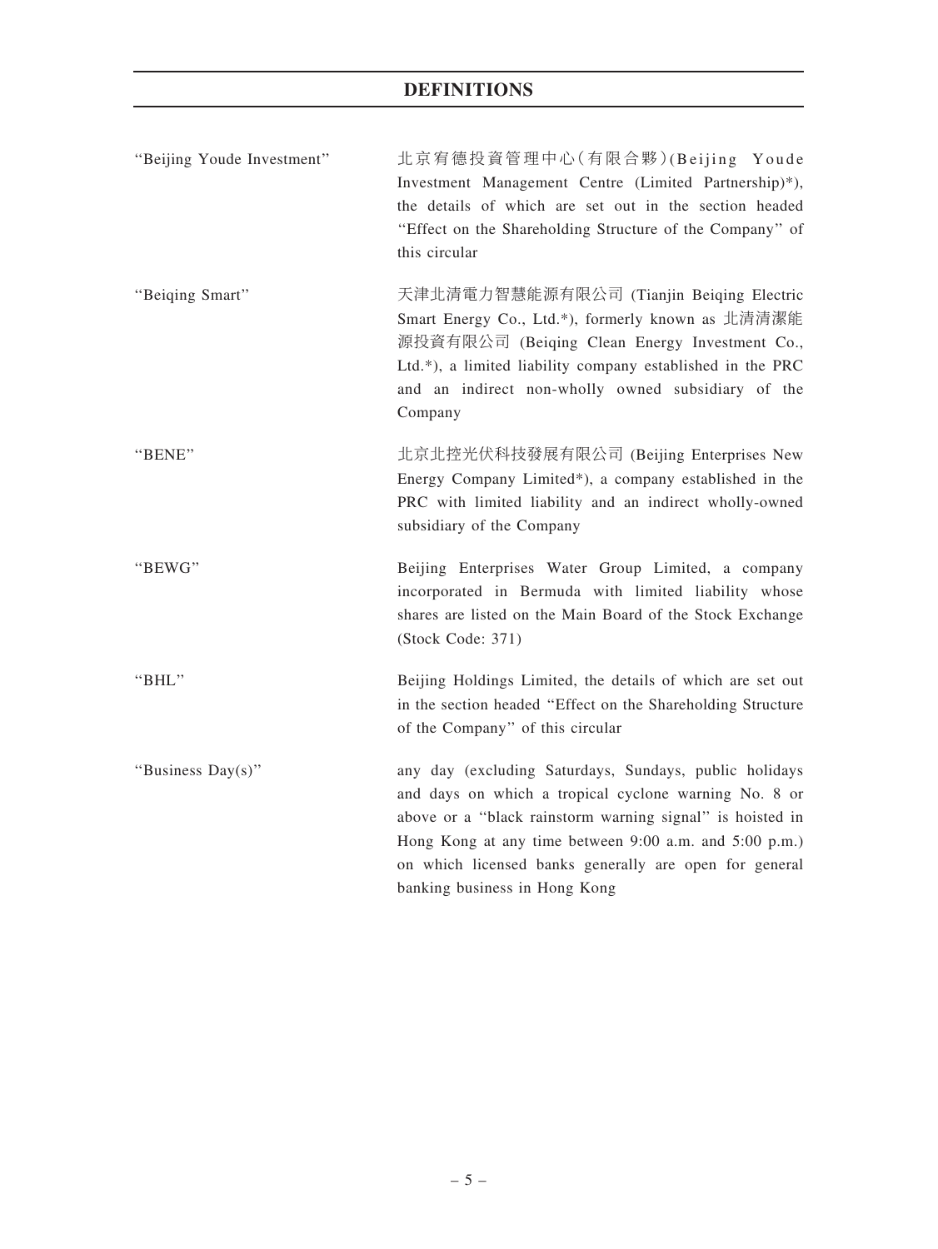| "Beijing Youde Investment" | 北京宥德投資管理中心(有限合夥)(Beijing Youde<br>Investment Management Centre (Limited Partnership)*),<br>the details of which are set out in the section headed<br>"Effect on the Shareholding Structure of the Company" of<br>this circular                                                                                                    |
|----------------------------|-----------------------------------------------------------------------------------------------------------------------------------------------------------------------------------------------------------------------------------------------------------------------------------------------------------------------------------|
| "Beiging Smart"            | 天津北清電力智慧能源有限公司 (Tianjin Beiqing Electric<br>Smart Energy Co., Ltd.*), formerly known as 北清清潔能<br>源投資有限公司 (Beiqing Clean Energy Investment Co.,<br>Ltd.*), a limited liability company established in the PRC<br>and an indirect non-wholly owned subsidiary of the<br>Company                                                     |
| "BENE"                     | 北京北控光伏科技發展有限公司 (Beijing Enterprises New<br>Energy Company Limited*), a company established in the<br>PRC with limited liability and an indirect wholly-owned<br>subsidiary of the Company                                                                                                                                         |
| "BEWG"                     | Beijing Enterprises Water Group Limited, a company<br>incorporated in Bermuda with limited liability whose<br>shares are listed on the Main Board of the Stock Exchange<br>(Stock Code: 371)                                                                                                                                      |
| "BHL"                      | Beijing Holdings Limited, the details of which are set out<br>in the section headed "Effect on the Shareholding Structure<br>of the Company" of this circular                                                                                                                                                                     |
| "Business Day(s)"          | any day (excluding Saturdays, Sundays, public holidays<br>and days on which a tropical cyclone warning No. 8 or<br>above or a "black rainstorm warning signal" is hoisted in<br>Hong Kong at any time between 9:00 a.m. and 5:00 p.m.)<br>on which licensed banks generally are open for general<br>banking business in Hong Kong |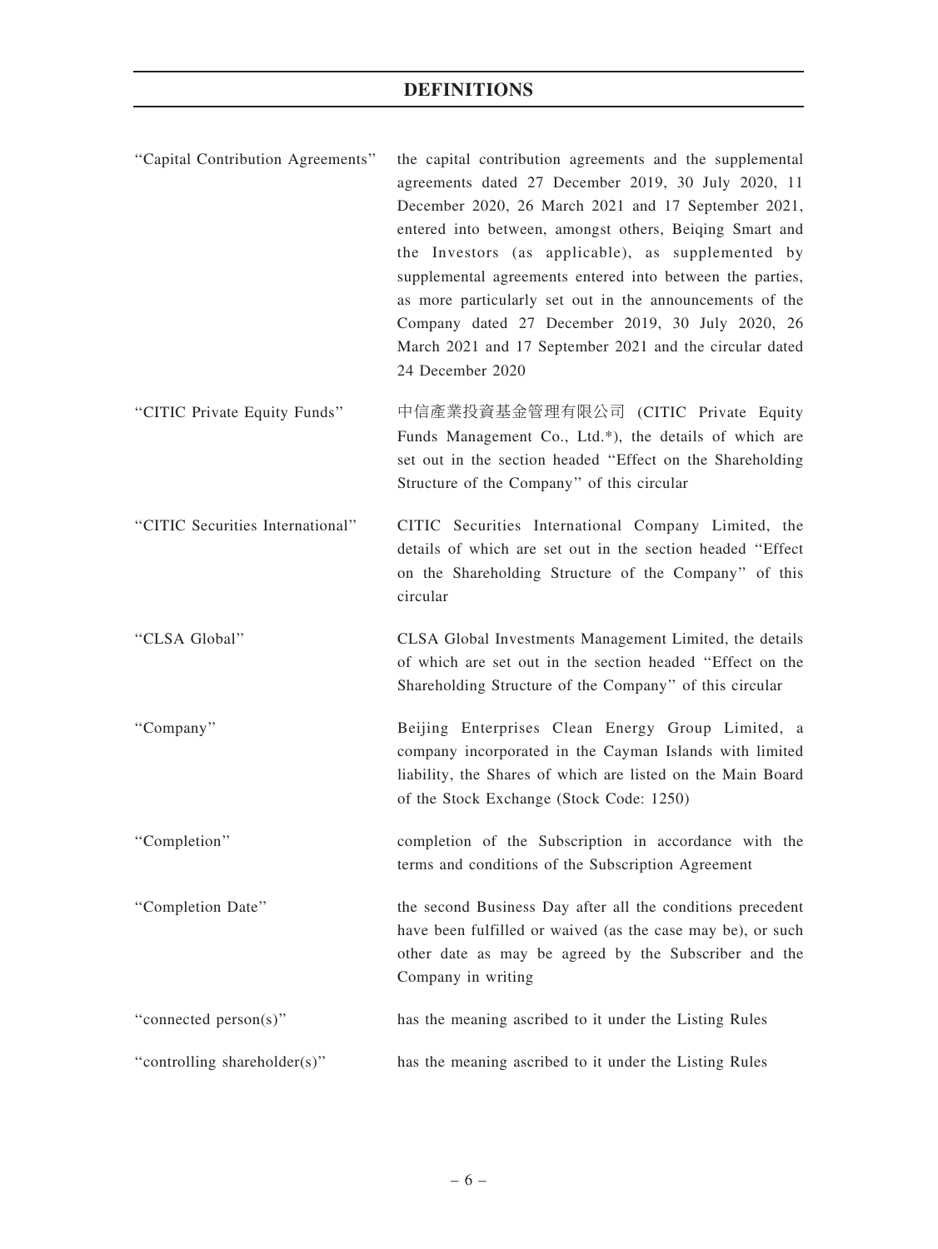| "Capital Contribution Agreements" | the capital contribution agreements and the supplemental<br>agreements dated 27 December 2019, 30 July 2020, 11<br>December 2020, 26 March 2021 and 17 September 2021,<br>entered into between, amongst others, Beiqing Smart and<br>the Investors (as applicable), as supplemented by<br>supplemental agreements entered into between the parties,<br>as more particularly set out in the announcements of the<br>Company dated 27 December 2019, 30 July 2020, 26<br>March 2021 and 17 September 2021 and the circular dated<br>24 December 2020 |
|-----------------------------------|----------------------------------------------------------------------------------------------------------------------------------------------------------------------------------------------------------------------------------------------------------------------------------------------------------------------------------------------------------------------------------------------------------------------------------------------------------------------------------------------------------------------------------------------------|
| "CITIC Private Equity Funds"      | 中信產業投資基金管理有限公司 (CITIC Private Equity<br>Funds Management Co., Ltd.*), the details of which are<br>set out in the section headed "Effect on the Shareholding<br>Structure of the Company" of this circular                                                                                                                                                                                                                                                                                                                                          |
| "CITIC Securities International"  | CITIC Securities International Company Limited, the<br>details of which are set out in the section headed "Effect<br>on the Shareholding Structure of the Company" of this<br>circular                                                                                                                                                                                                                                                                                                                                                             |
| "CLSA Global"                     | CLSA Global Investments Management Limited, the details<br>of which are set out in the section headed "Effect on the<br>Shareholding Structure of the Company" of this circular                                                                                                                                                                                                                                                                                                                                                                    |
| "Company"                         | Beijing Enterprises Clean Energy Group Limited, a<br>company incorporated in the Cayman Islands with limited<br>liability, the Shares of which are listed on the Main Board<br>of the Stock Exchange (Stock Code: 1250)                                                                                                                                                                                                                                                                                                                            |
| "Completion"                      | completion of the Subscription in accordance with the<br>terms and conditions of the Subscription Agreement                                                                                                                                                                                                                                                                                                                                                                                                                                        |
| "Completion Date"                 | the second Business Day after all the conditions precedent<br>have been fulfilled or waived (as the case may be), or such<br>other date as may be agreed by the Subscriber and the<br>Company in writing                                                                                                                                                                                                                                                                                                                                           |
| "connected person(s)"             | has the meaning ascribed to it under the Listing Rules                                                                                                                                                                                                                                                                                                                                                                                                                                                                                             |
| "controlling shareholder(s)"      | has the meaning ascribed to it under the Listing Rules                                                                                                                                                                                                                                                                                                                                                                                                                                                                                             |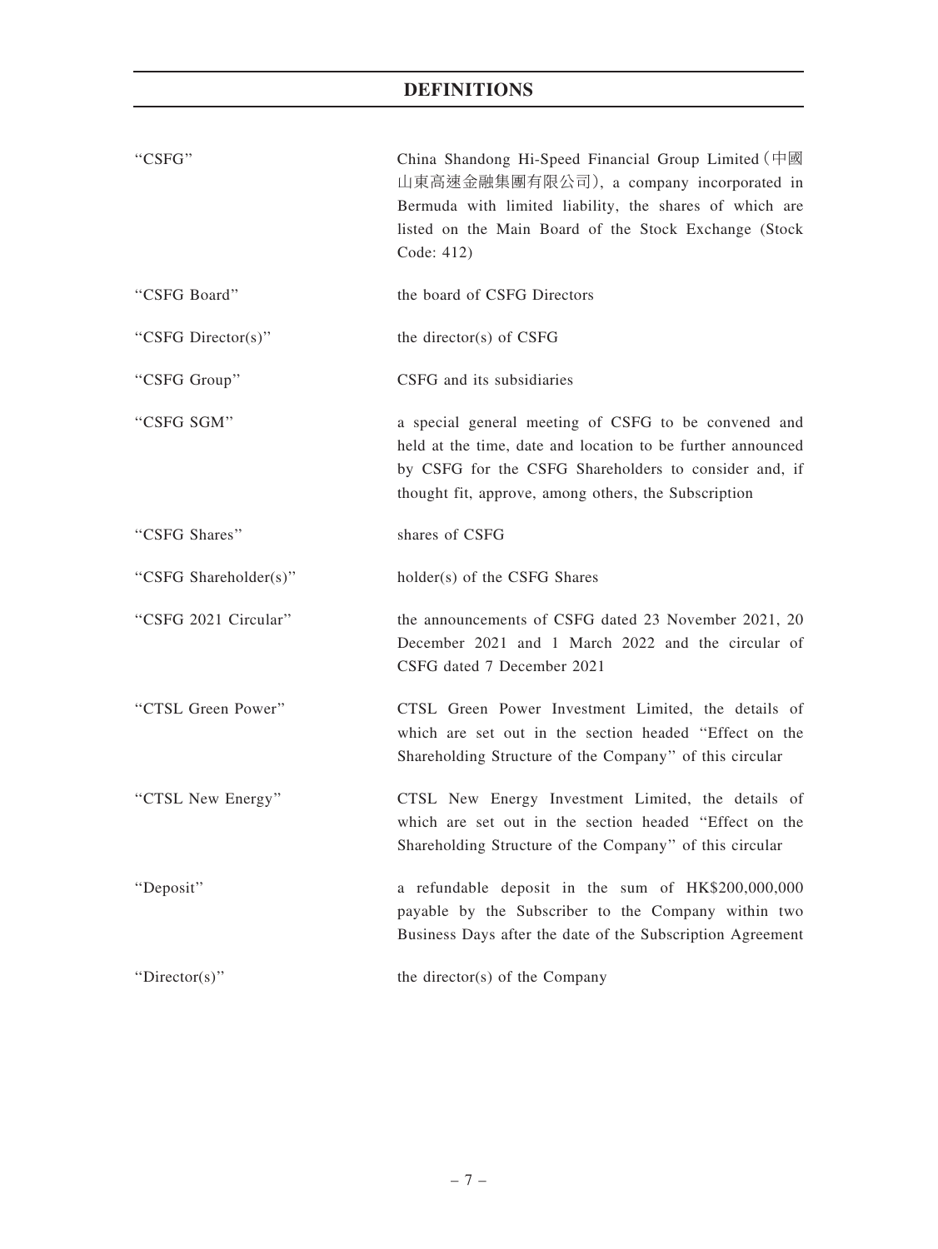| "CSFG"                | China Shandong Hi-Speed Financial Group Limited (中國<br>山東高速金融集團有限公司), a company incorporated in<br>Bermuda with limited liability, the shares of which are<br>listed on the Main Board of the Stock Exchange (Stock<br>Code: 412)    |
|-----------------------|--------------------------------------------------------------------------------------------------------------------------------------------------------------------------------------------------------------------------------------|
| "CSFG Board"          | the board of CSFG Directors                                                                                                                                                                                                          |
| "CSFG Director(s)"    | the director(s) of CSFG                                                                                                                                                                                                              |
| "CSFG Group"          | CSFG and its subsidiaries                                                                                                                                                                                                            |
| "CSFG SGM"            | a special general meeting of CSFG to be convened and<br>held at the time, date and location to be further announced<br>by CSFG for the CSFG Shareholders to consider and, if<br>thought fit, approve, among others, the Subscription |
| "CSFG Shares"         | shares of CSFG                                                                                                                                                                                                                       |
| "CSFG Shareholder(s)" | holder(s) of the CSFG Shares                                                                                                                                                                                                         |
| "CSFG 2021 Circular"  | the announcements of CSFG dated 23 November 2021, 20<br>December 2021 and 1 March 2022 and the circular of<br>CSFG dated 7 December 2021                                                                                             |
| "CTSL Green Power"    | CTSL Green Power Investment Limited, the details of<br>which are set out in the section headed "Effect on the<br>Shareholding Structure of the Company" of this circular                                                             |
| "CTSL New Energy"     | CTSL New Energy Investment Limited, the details of<br>which are set out in the section headed "Effect on the<br>Shareholding Structure of the Company" of this circular                                                              |
| "Deposit"             | a refundable deposit in the sum of HK\$200,000,000<br>payable by the Subscriber to the Company within two<br>Business Days after the date of the Subscription Agreement                                                              |
| " $Directory$ "       | the director(s) of the Company                                                                                                                                                                                                       |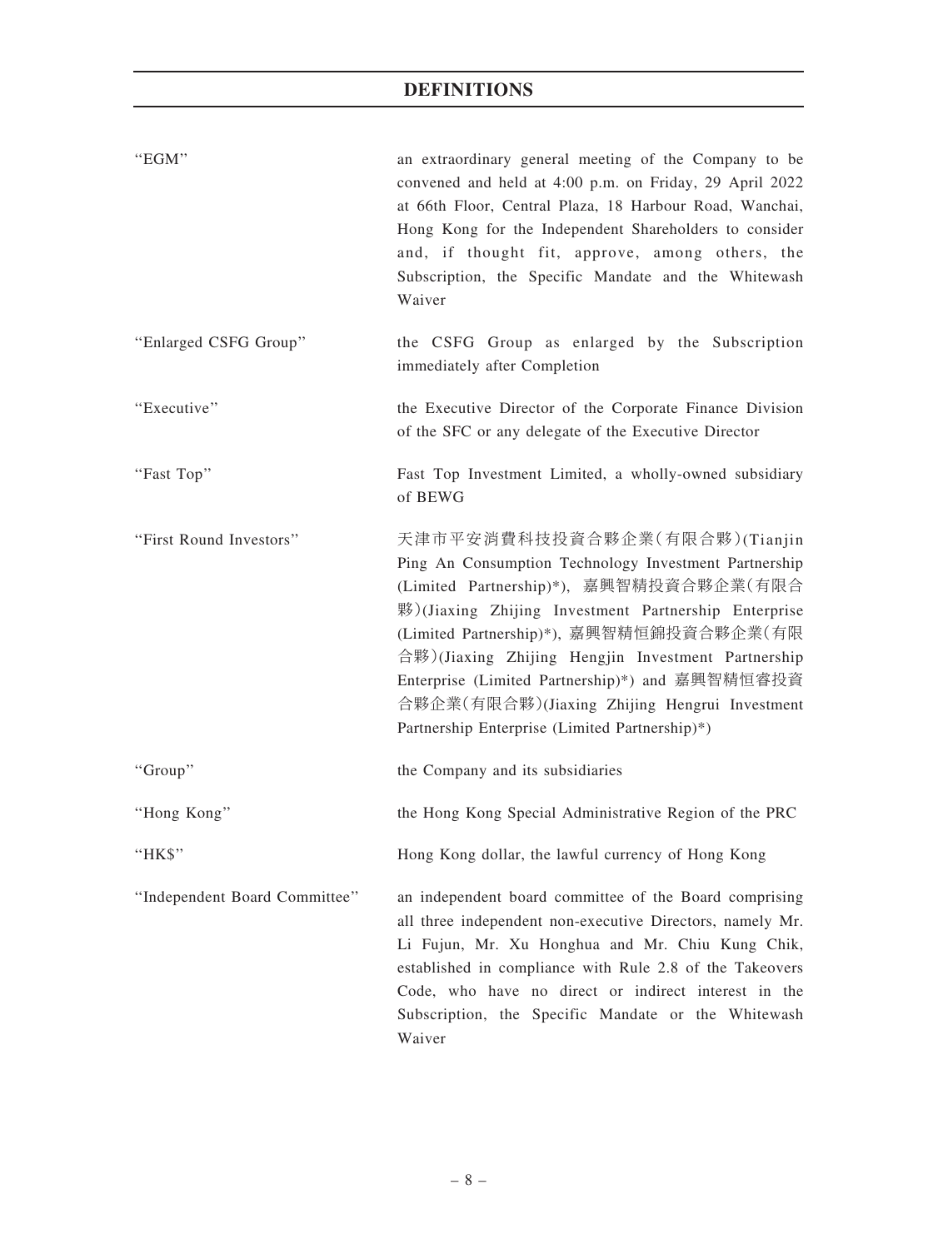| "EGM"                         | an extraordinary general meeting of the Company to be<br>convened and held at 4:00 p.m. on Friday, 29 April 2022<br>at 66th Floor, Central Plaza, 18 Harbour Road, Wanchai,<br>Hong Kong for the Independent Shareholders to consider<br>and, if thought fit, approve, among others, the<br>Subscription, the Specific Mandate and the Whitewash<br>Waiver                                                                                        |
|-------------------------------|---------------------------------------------------------------------------------------------------------------------------------------------------------------------------------------------------------------------------------------------------------------------------------------------------------------------------------------------------------------------------------------------------------------------------------------------------|
| "Enlarged CSFG Group"         | the CSFG Group as enlarged by the Subscription<br>immediately after Completion                                                                                                                                                                                                                                                                                                                                                                    |
| "Executive"                   | the Executive Director of the Corporate Finance Division<br>of the SFC or any delegate of the Executive Director                                                                                                                                                                                                                                                                                                                                  |
| "Fast Top"                    | Fast Top Investment Limited, a wholly-owned subsidiary<br>of BEWG                                                                                                                                                                                                                                                                                                                                                                                 |
| "First Round Investors"       | 天津市平安消費科技投資合夥企業(有限合夥)(Tianjin<br>Ping An Consumption Technology Investment Partnership<br>(Limited Partnership)*), 嘉興智精投資合夥企業(有限合<br>夥)(Jiaxing Zhijing Investment Partnership Enterprise<br>(Limited Partnership)*), 嘉興智精恒錦投資合夥企業(有限<br>合夥)(Jiaxing Zhijing Hengjin Investment Partnership<br>Enterprise (Limited Partnership)*) and 嘉興智精恒睿投資<br>合夥企業(有限合夥)(Jiaxing Zhijing Hengrui Investment<br>Partnership Enterprise (Limited Partnership)*) |
| "Group"                       | the Company and its subsidiaries                                                                                                                                                                                                                                                                                                                                                                                                                  |
| "Hong Kong"                   | the Hong Kong Special Administrative Region of the PRC                                                                                                                                                                                                                                                                                                                                                                                            |
| "HK\$"                        | Hong Kong dollar, the lawful currency of Hong Kong                                                                                                                                                                                                                                                                                                                                                                                                |
| "Independent Board Committee" | an independent board committee of the Board comprising<br>all three independent non-executive Directors, namely Mr.<br>Li Fujun, Mr. Xu Honghua and Mr. Chiu Kung Chik,<br>established in compliance with Rule 2.8 of the Takeovers<br>Code, who have no direct or indirect interest in the<br>Subscription, the Specific Mandate or the Whitewash<br>Waiver                                                                                      |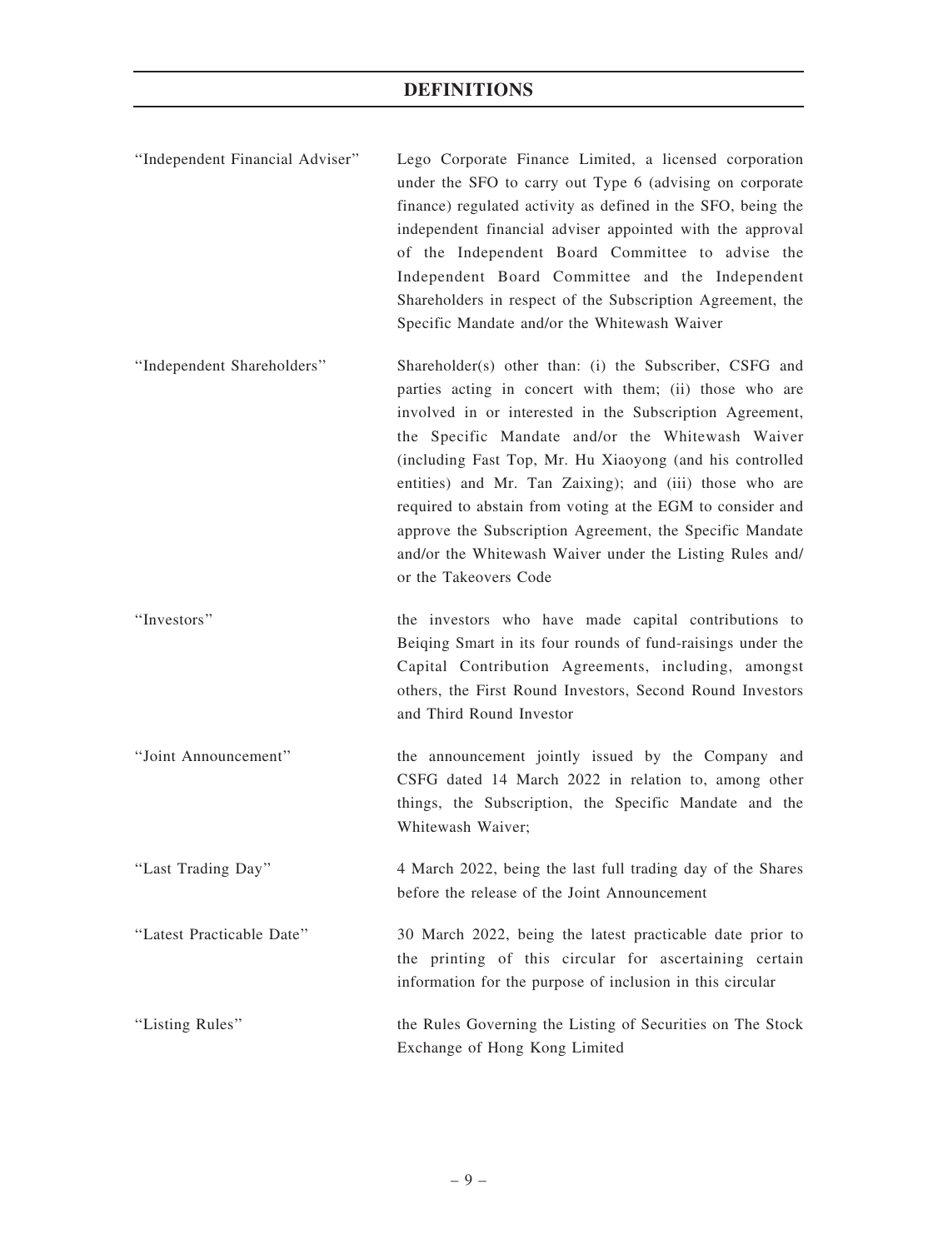- ''Independent Financial Adviser'' Lego Corporate Finance Limited, a licensed corporation under the SFO to carry out Type 6 (advising on corporate finance) regulated activity as defined in the SFO, being the independent financial adviser appointed with the approval of the Independent Board Committee to advise the Independent Board Committee and the Independent Shareholders in respect of the Subscription Agreement, the Specific Mandate and/or the Whitewash Waiver
- ''Independent Shareholders'' Shareholder(s) other than: (i) the Subscriber, CSFG and parties acting in concert with them; (ii) those who are involved in or interested in the Subscription Agreement, the Specific Mandate and/or the Whitewash Waiver (including Fast Top, Mr. Hu Xiaoyong (and his controlled entities) and Mr. Tan Zaixing); and (iii) those who are required to abstain from voting at the EGM to consider and approve the Subscription Agreement, the Specific Mandate and/or the Whitewash Waiver under the Listing Rules and/ or the Takeovers Code
- ''Investors'' the investors who have made capital contributions to Beiqing Smart in its four rounds of fund-raisings under the Capital Contribution Agreements, including, amongst others, the First Round Investors, Second Round Investors and Third Round Investor
- ''Joint Announcement'' the announcement jointly issued by the Company and CSFG dated 14 March 2022 in relation to, among other things, the Subscription, the Specific Mandate and the Whitewash Waiver;
- ''Last Trading Day'' 4 March 2022, being the last full trading day of the Shares before the release of the Joint Announcement
- ''Latest Practicable Date'' 30 March 2022, being the latest practicable date prior to the printing of this circular for ascertaining certain information for the purpose of inclusion in this circular
- ''Listing Rules'' the Rules Governing the Listing of Securities on The Stock Exchange of Hong Kong Limited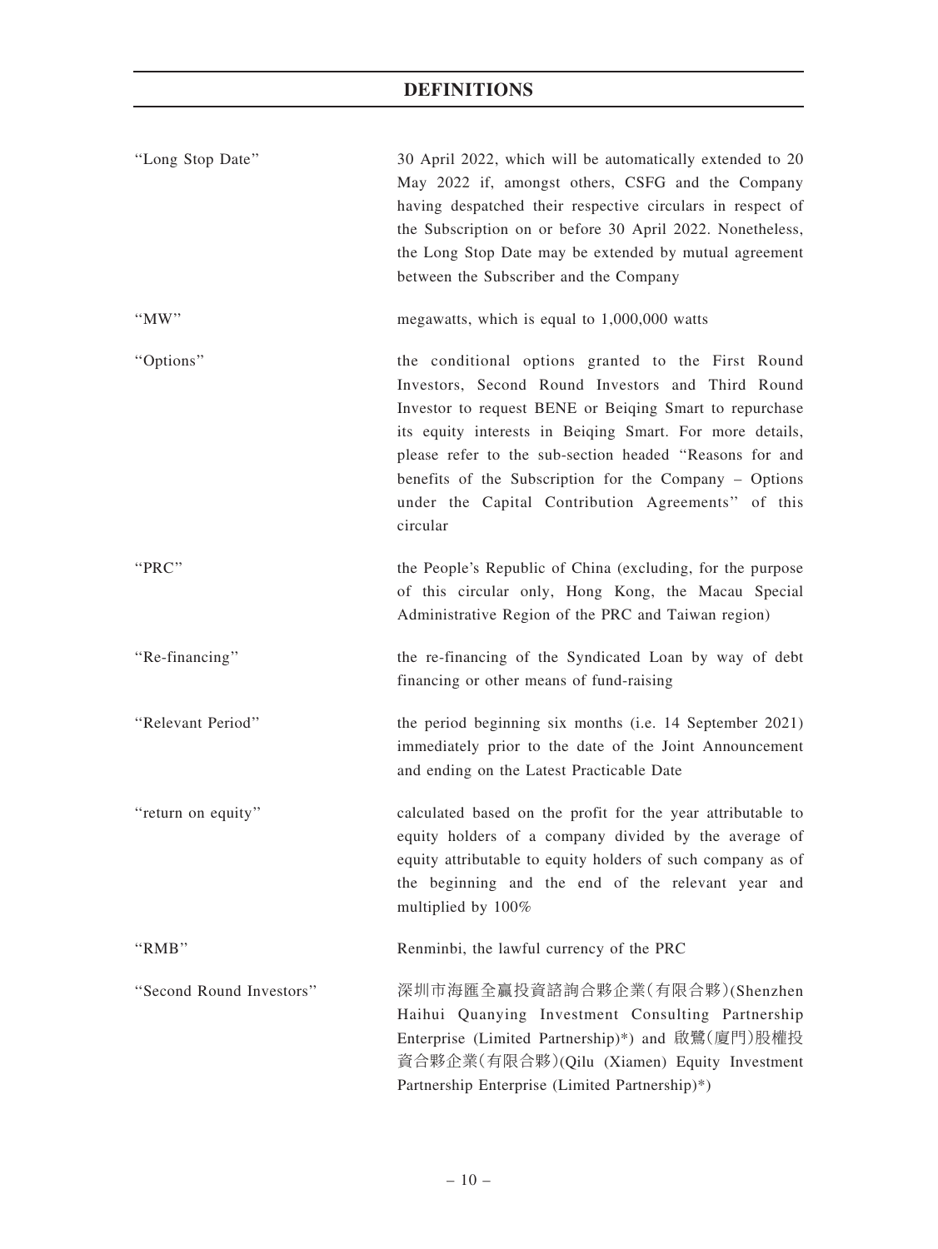| "Long Stop Date"         | 30 April 2022, which will be automatically extended to 20<br>May 2022 if, amongst others, CSFG and the Company<br>having despatched their respective circulars in respect of<br>the Subscription on or before 30 April 2022. Nonetheless,<br>the Long Stop Date may be extended by mutual agreement<br>between the Subscriber and the Company                                                                         |
|--------------------------|-----------------------------------------------------------------------------------------------------------------------------------------------------------------------------------------------------------------------------------------------------------------------------------------------------------------------------------------------------------------------------------------------------------------------|
| $\lq M$ W"               | megawatts, which is equal to 1,000,000 watts                                                                                                                                                                                                                                                                                                                                                                          |
| "Options"                | the conditional options granted to the First Round<br>Investors, Second Round Investors and Third Round<br>Investor to request BENE or Beiging Smart to repurchase<br>its equity interests in Beiqing Smart. For more details,<br>please refer to the sub-section headed "Reasons for and<br>benefits of the Subscription for the Company - Options<br>under the Capital Contribution Agreements" of this<br>circular |
| "PRC"                    | the People's Republic of China (excluding, for the purpose<br>of this circular only, Hong Kong, the Macau Special<br>Administrative Region of the PRC and Taiwan region)                                                                                                                                                                                                                                              |
| "Re-financing"           | the re-financing of the Syndicated Loan by way of debt<br>financing or other means of fund-raising                                                                                                                                                                                                                                                                                                                    |
| "Relevant Period"        | the period beginning six months (i.e. 14 September 2021)<br>immediately prior to the date of the Joint Announcement<br>and ending on the Latest Practicable Date                                                                                                                                                                                                                                                      |
| "return on equity"       | calculated based on the profit for the year attributable to<br>equity holders of a company divided by the average of<br>equity attributable to equity holders of such company as of<br>the beginning and the end of the relevant year and<br>multiplied by 100%                                                                                                                                                       |
| "RMB"                    | Renminbi, the lawful currency of the PRC                                                                                                                                                                                                                                                                                                                                                                              |
| "Second Round Investors" | 深圳市海匯全贏投資諮詢合夥企業(有限合夥)(Shenzhen<br>Haihui Quanying Investment Consulting Partnership<br>Enterprise (Limited Partnership)*) and 啟鷺(廈門)股權投<br>資合夥企業(有限合夥)(Qilu (Xiamen) Equity Investment<br>Partnership Enterprise (Limited Partnership)*)                                                                                                                                                                              |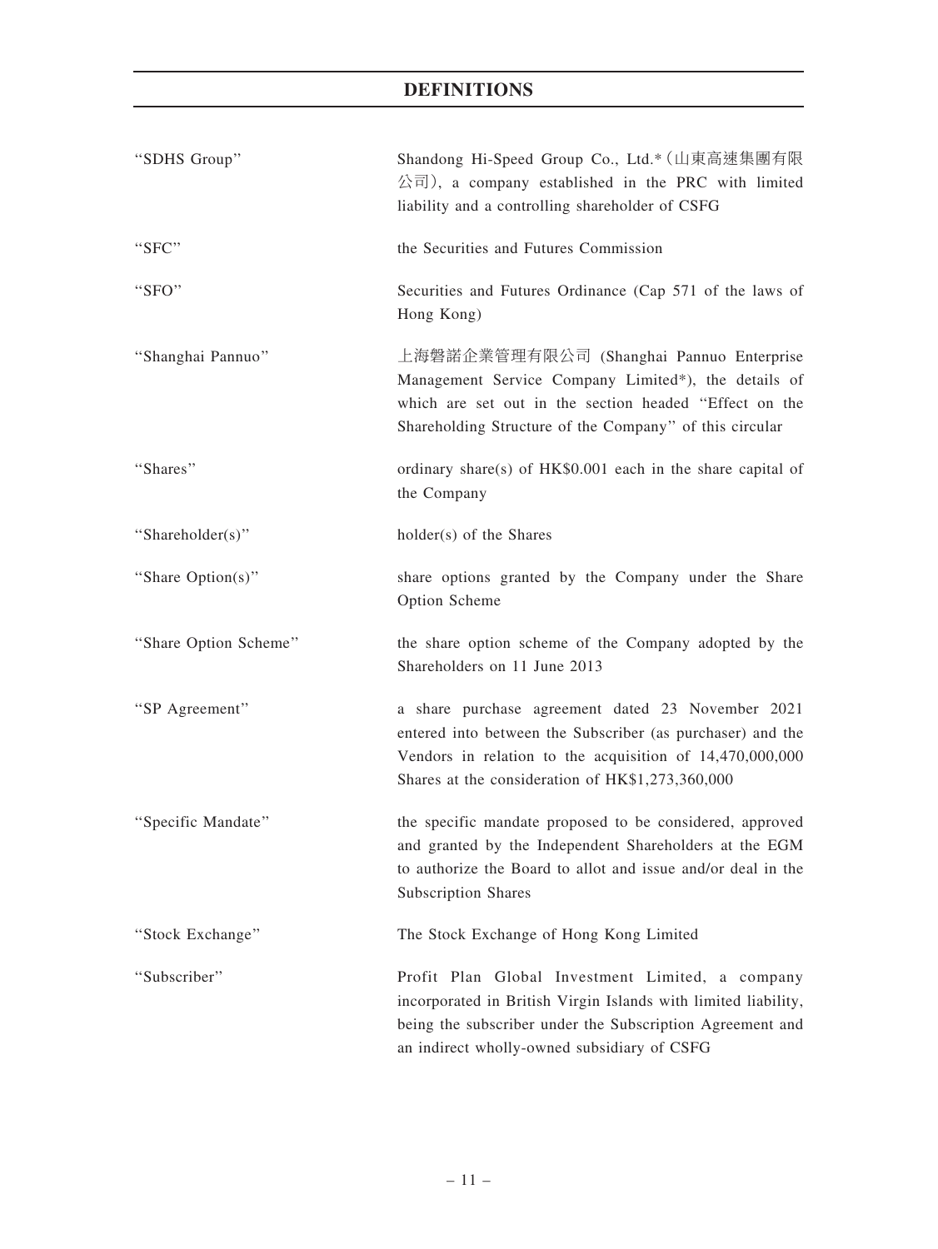| "SDHS Group"          | Shandong Hi-Speed Group Co., Ltd.* (山東高速集團有限<br>公司), a company established in the PRC with limited<br>liability and a controlling shareholder of CSFG                                                                           |
|-----------------------|---------------------------------------------------------------------------------------------------------------------------------------------------------------------------------------------------------------------------------|
| "SFC"                 | the Securities and Futures Commission                                                                                                                                                                                           |
| "SFO"                 | Securities and Futures Ordinance (Cap 571 of the laws of<br>Hong Kong)                                                                                                                                                          |
| "Shanghai Pannuo"     | 上海磐諾企業管理有限公司 (Shanghai Pannuo Enterprise<br>Management Service Company Limited*), the details of<br>which are set out in the section headed "Effect on the<br>Shareholding Structure of the Company" of this circular           |
| "Shares"              | ordinary share(s) of HK\$0.001 each in the share capital of<br>the Company                                                                                                                                                      |
| "Shareholder(s)"      | holder(s) of the Shares                                                                                                                                                                                                         |
| "Share Option(s)"     | share options granted by the Company under the Share<br>Option Scheme                                                                                                                                                           |
| "Share Option Scheme" | the share option scheme of the Company adopted by the<br>Shareholders on 11 June 2013                                                                                                                                           |
| "SP Agreement"        | a share purchase agreement dated 23 November 2021<br>entered into between the Subscriber (as purchaser) and the<br>Vendors in relation to the acquisition of 14,470,000,000<br>Shares at the consideration of HK\$1,273,360,000 |
| "Specific Mandate"    | the specific mandate proposed to be considered, approved<br>and granted by the Independent Shareholders at the EGM<br>to authorize the Board to allot and issue and/or deal in the<br><b>Subscription Shares</b>                |
| "Stock Exchange"      | The Stock Exchange of Hong Kong Limited                                                                                                                                                                                         |
| "Subscriber"          | Profit Plan Global Investment Limited, a company<br>incorporated in British Virgin Islands with limited liability,<br>being the subscriber under the Subscription Agreement and<br>an indirect wholly-owned subsidiary of CSFG  |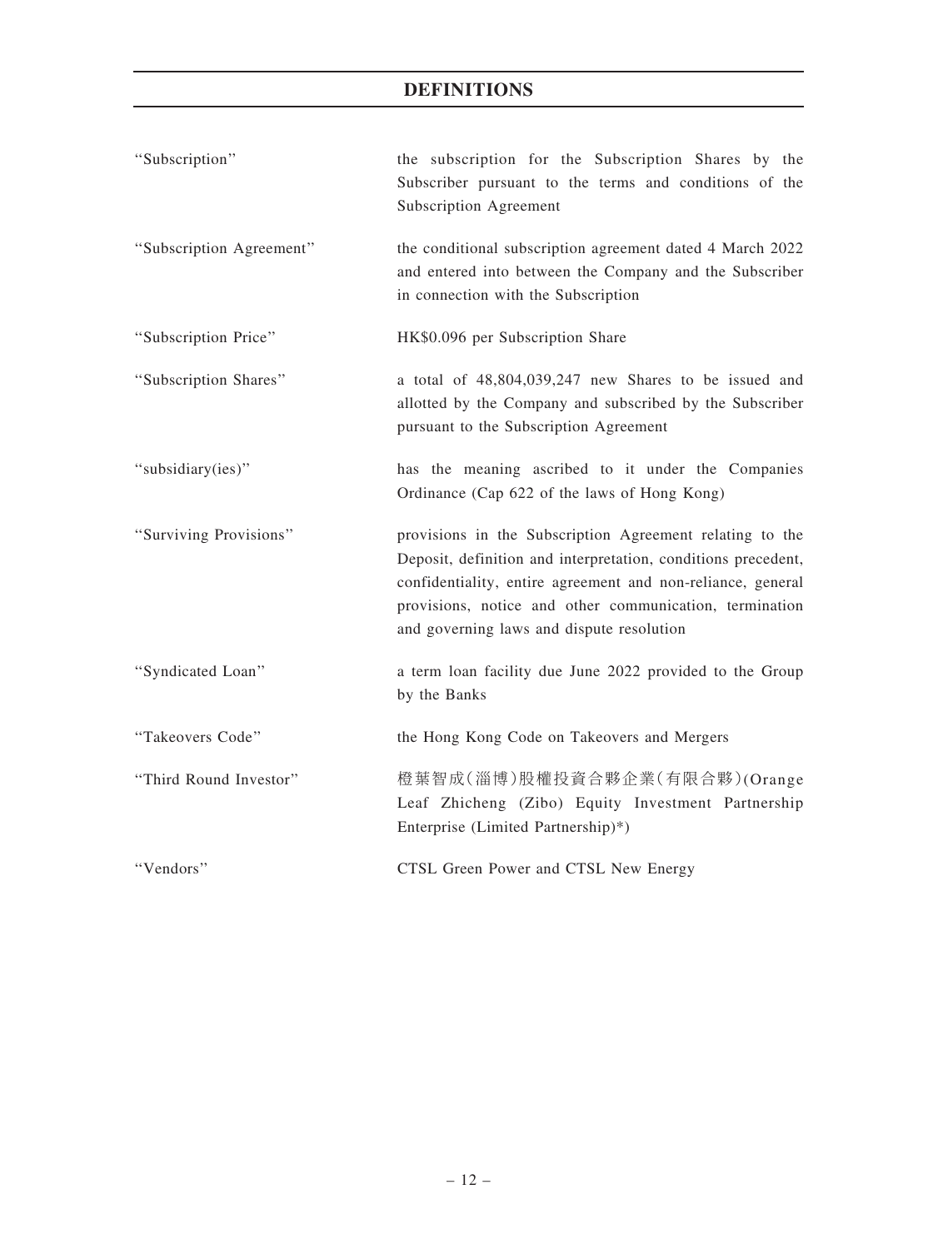| "Subscription"           | the subscription for the Subscription Shares by the<br>Subscriber pursuant to the terms and conditions of the<br>Subscription Agreement                                                                                                                                                          |
|--------------------------|--------------------------------------------------------------------------------------------------------------------------------------------------------------------------------------------------------------------------------------------------------------------------------------------------|
| "Subscription Agreement" | the conditional subscription agreement dated 4 March 2022<br>and entered into between the Company and the Subscriber<br>in connection with the Subscription                                                                                                                                      |
| "Subscription Price"     | HK\$0.096 per Subscription Share                                                                                                                                                                                                                                                                 |
| "Subscription Shares"    | a total of 48,804,039,247 new Shares to be issued and<br>allotted by the Company and subscribed by the Subscriber<br>pursuant to the Subscription Agreement                                                                                                                                      |
| "subsidiary(ies)"        | has the meaning ascribed to it under the Companies<br>Ordinance (Cap 622 of the laws of Hong Kong)                                                                                                                                                                                               |
| "Surviving Provisions"   | provisions in the Subscription Agreement relating to the<br>Deposit, definition and interpretation, conditions precedent,<br>confidentiality, entire agreement and non-reliance, general<br>provisions, notice and other communication, termination<br>and governing laws and dispute resolution |
| "Syndicated Loan"        | a term loan facility due June 2022 provided to the Group<br>by the Banks                                                                                                                                                                                                                         |
| "Takeovers Code"         | the Hong Kong Code on Takeovers and Mergers                                                                                                                                                                                                                                                      |
| "Third Round Investor"   | 橙葉智成(淄博)股權投資合夥企業(有限合夥)(Orange<br>Leaf Zhicheng (Zibo) Equity Investment Partnership<br>Enterprise (Limited Partnership)*)                                                                                                                                                                        |
| "Vendors"                | CTSL Green Power and CTSL New Energy                                                                                                                                                                                                                                                             |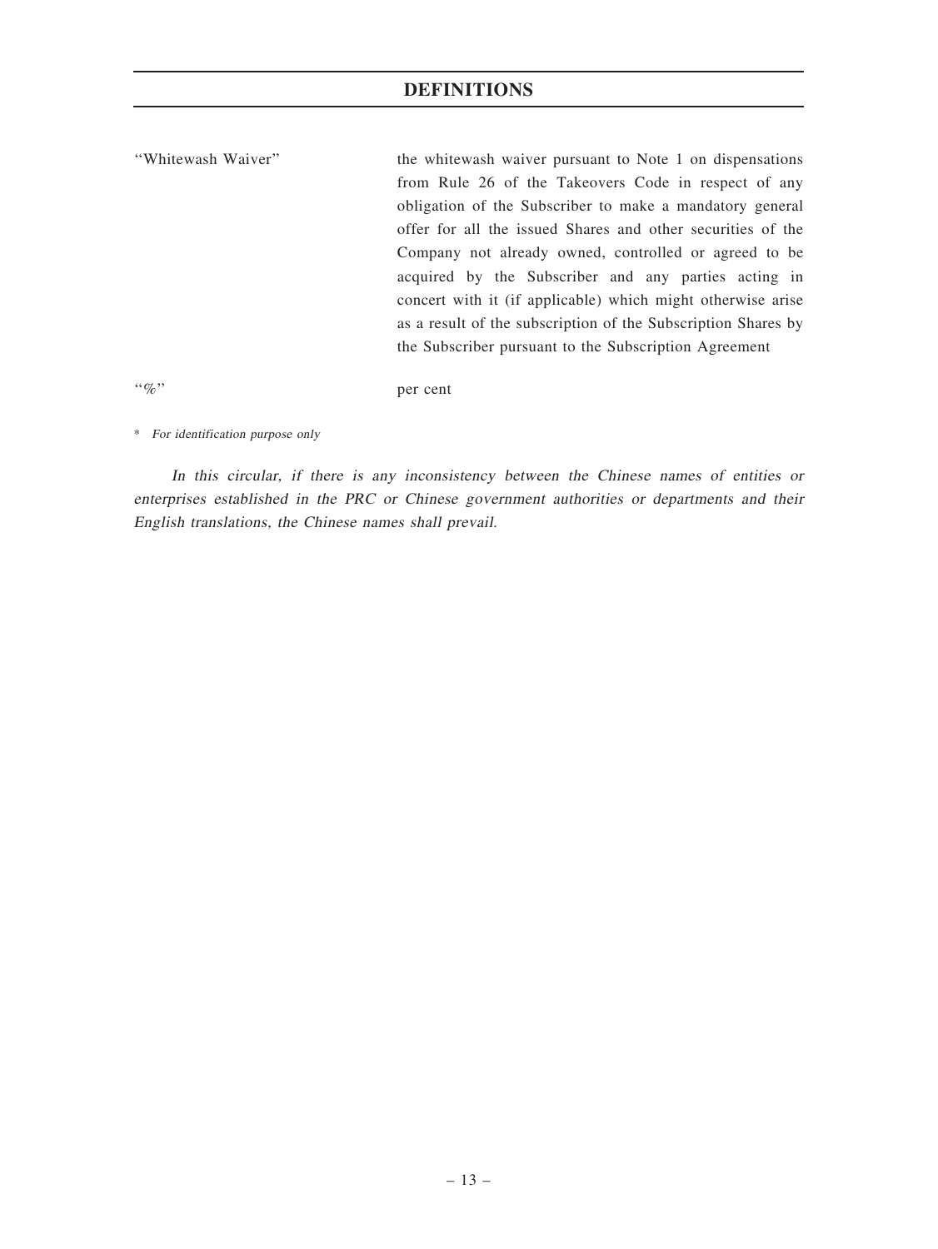''Whitewash Waiver'' the whitewash waiver pursuant to Note 1 on dispensations from Rule 26 of the Takeovers Code in respect of any obligation of the Subscriber to make a mandatory general offer for all the issued Shares and other securities of the Company not already owned, controlled or agreed to be acquired by the Subscriber and any parties acting in concert with it (if applicable) which might otherwise arise as a result of the subscription of the Subscription Shares by the Subscriber pursuant to the Subscription Agreement

''%'' per cent

\* For identification purpose only

In this circular, if there is any inconsistency between the Chinese names of entities or enterprises established in the PRC or Chinese government authorities or departments and their English translations, the Chinese names shall prevail.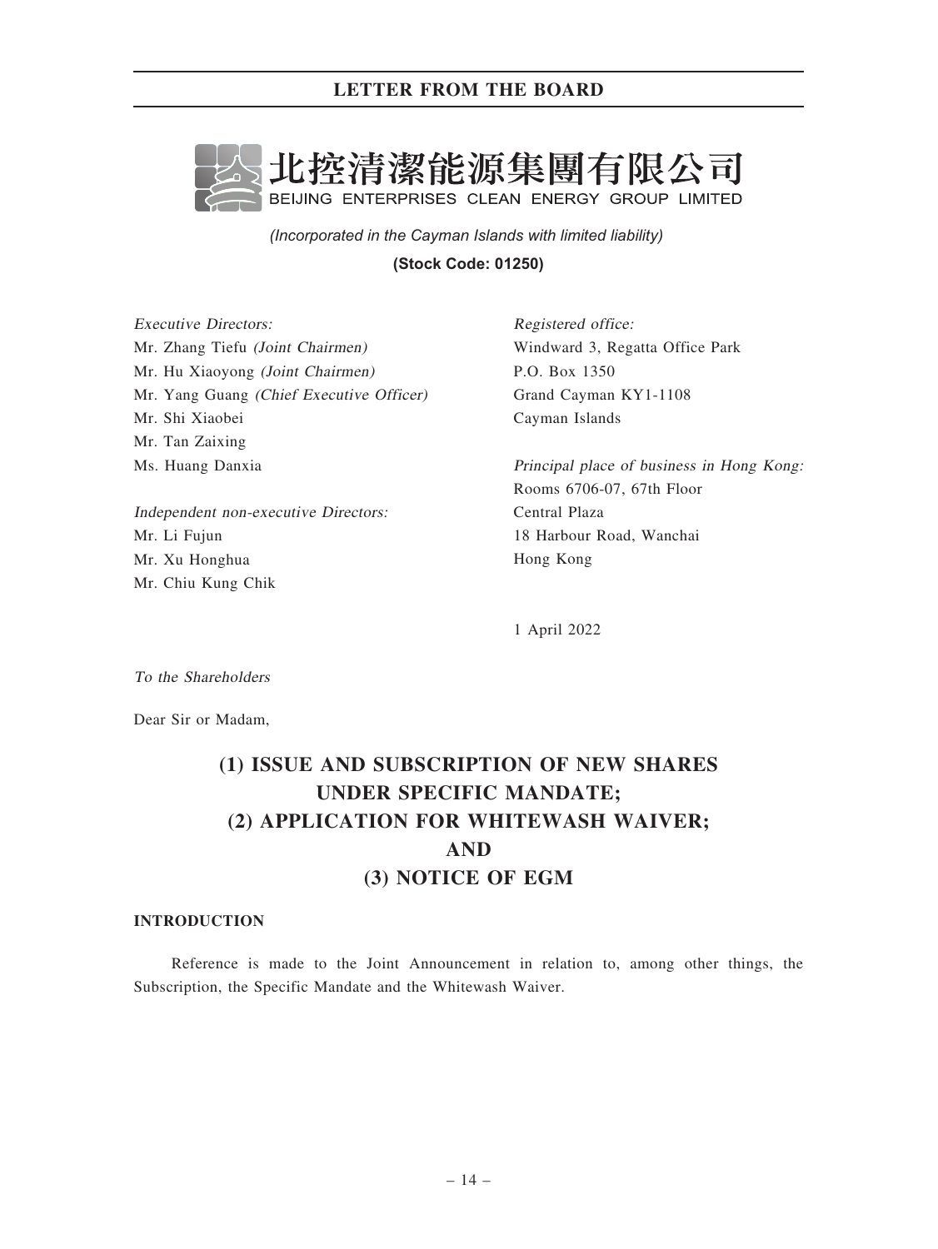

*(Incorporated in the Cayman Islands with limited liability)* 

**(Stock Code: 01250)**

Executive Directors: Mr. Zhang Tiefu (Joint Chairmen) Mr. Hu Xiaoyong (Joint Chairmen) Mr. Yang Guang (Chief Executive Officer) Mr. Shi Xiaobei Mr. Tan Zaixing Ms. Huang Danxia

Independent non-executive Directors: Mr. Li Fujun Mr. Xu Honghua Mr. Chiu Kung Chik

Registered office: Windward 3, Regatta Office Park P.O. Box 1350 Grand Cayman KY1-1108 Cayman Islands

Principal place of business in Hong Kong: Rooms 6706-07, 67th Floor Central Plaza 18 Harbour Road, Wanchai Hong Kong

1 April 2022

To the Shareholders

Dear Sir or Madam,

# (1) ISSUE AND SUBSCRIPTION OF NEW SHARES UNDER SPECIFIC MANDATE; (2) APPLICATION FOR WHITEWASH WAIVER; AND (3) NOTICE OF EGM

## INTRODUCTION

Reference is made to the Joint Announcement in relation to, among other things, the Subscription, the Specific Mandate and the Whitewash Waiver.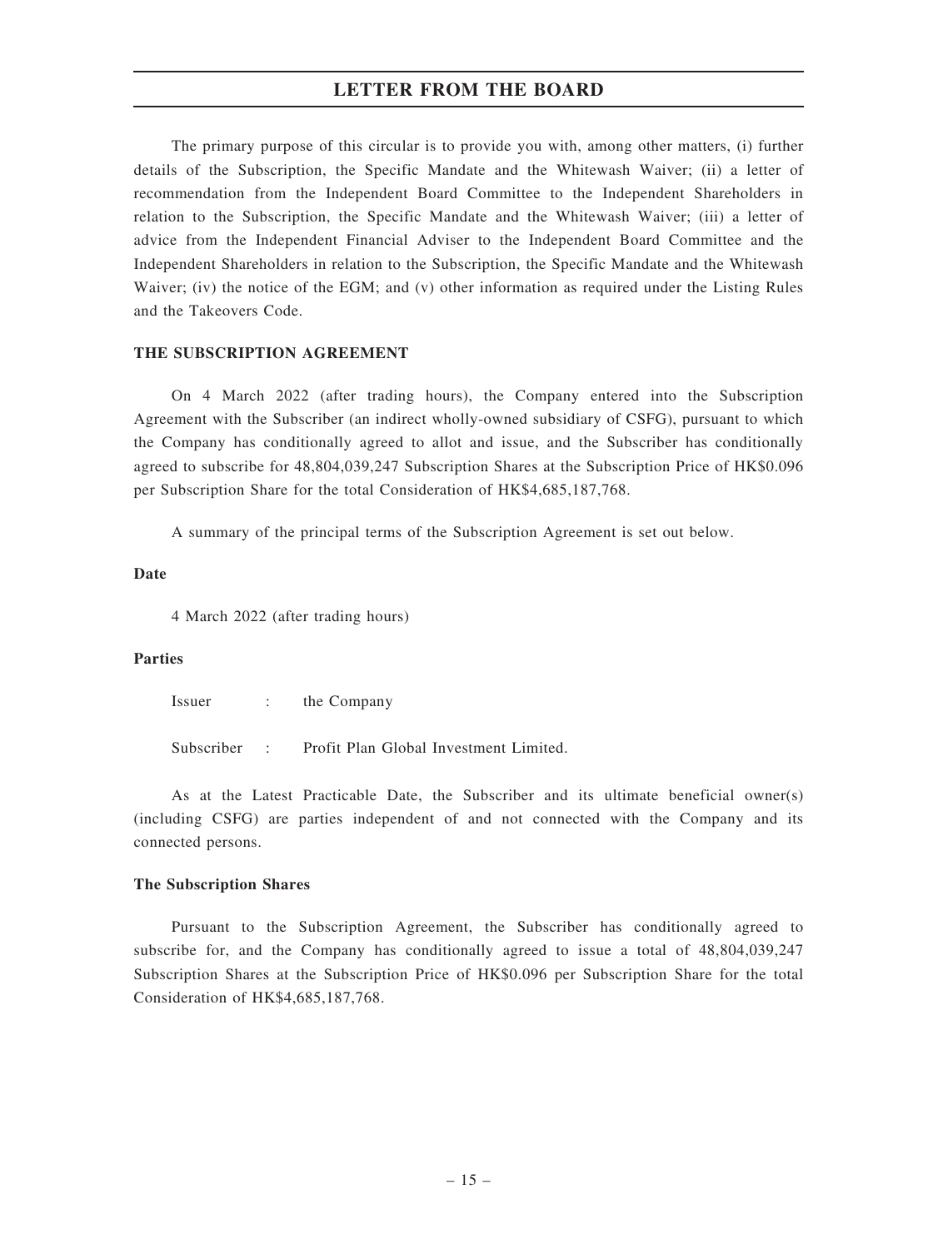The primary purpose of this circular is to provide you with, among other matters, (i) further details of the Subscription, the Specific Mandate and the Whitewash Waiver; (ii) a letter of recommendation from the Independent Board Committee to the Independent Shareholders in relation to the Subscription, the Specific Mandate and the Whitewash Waiver; (iii) a letter of advice from the Independent Financial Adviser to the Independent Board Committee and the Independent Shareholders in relation to the Subscription, the Specific Mandate and the Whitewash Waiver; (iv) the notice of the EGM; and (v) other information as required under the Listing Rules and the Takeovers Code.

#### THE SUBSCRIPTION AGREEMENT

On 4 March 2022 (after trading hours), the Company entered into the Subscription Agreement with the Subscriber (an indirect wholly-owned subsidiary of CSFG), pursuant to which the Company has conditionally agreed to allot and issue, and the Subscriber has conditionally agreed to subscribe for 48,804,039,247 Subscription Shares at the Subscription Price of HK\$0.096 per Subscription Share for the total Consideration of HK\$4,685,187,768.

A summary of the principal terms of the Subscription Agreement is set out below.

#### Date

4 March 2022 (after trading hours)

#### Parties

Issuer : the Company

Subscriber : Profit Plan Global Investment Limited.

As at the Latest Practicable Date, the Subscriber and its ultimate beneficial owner(s) (including CSFG) are parties independent of and not connected with the Company and its connected persons.

#### The Subscription Shares

Pursuant to the Subscription Agreement, the Subscriber has conditionally agreed to subscribe for, and the Company has conditionally agreed to issue a total of 48,804,039,247 Subscription Shares at the Subscription Price of HK\$0.096 per Subscription Share for the total Consideration of HK\$4,685,187,768.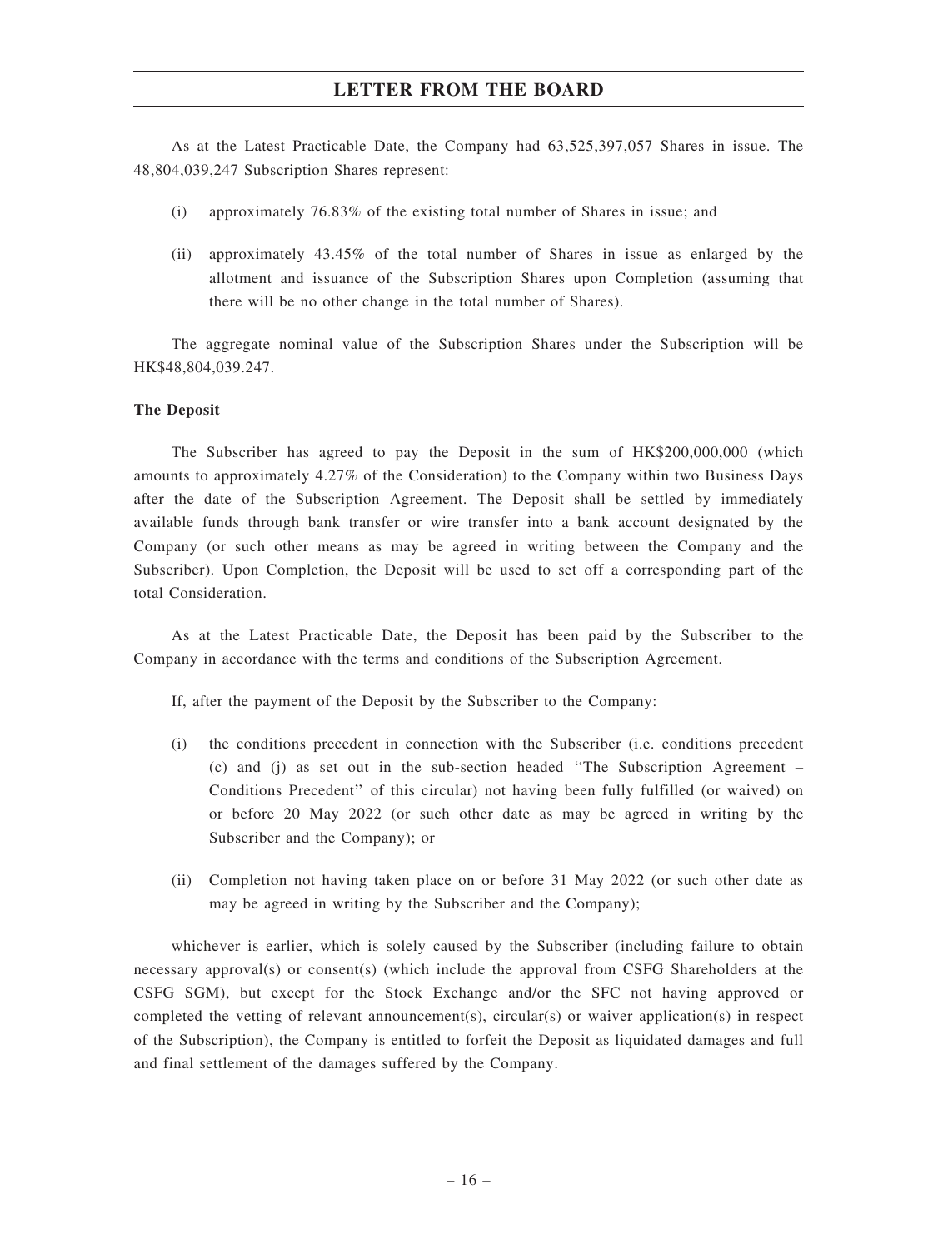As at the Latest Practicable Date, the Company had 63,525,397,057 Shares in issue. The 48,804,039,247 Subscription Shares represent:

- (i) approximately 76.83% of the existing total number of Shares in issue; and
- (ii) approximately 43.45% of the total number of Shares in issue as enlarged by the allotment and issuance of the Subscription Shares upon Completion (assuming that there will be no other change in the total number of Shares).

The aggregate nominal value of the Subscription Shares under the Subscription will be HK\$48,804,039.247.

#### The Deposit

The Subscriber has agreed to pay the Deposit in the sum of HK\$200,000,000 (which amounts to approximately 4.27% of the Consideration) to the Company within two Business Days after the date of the Subscription Agreement. The Deposit shall be settled by immediately available funds through bank transfer or wire transfer into a bank account designated by the Company (or such other means as may be agreed in writing between the Company and the Subscriber). Upon Completion, the Deposit will be used to set off a corresponding part of the total Consideration.

As at the Latest Practicable Date, the Deposit has been paid by the Subscriber to the Company in accordance with the terms and conditions of the Subscription Agreement.

If, after the payment of the Deposit by the Subscriber to the Company:

- (i) the conditions precedent in connection with the Subscriber (i.e. conditions precedent (c) and (j) as set out in the sub-section headed ''The Subscription Agreement – Conditions Precedent'' of this circular) not having been fully fulfilled (or waived) on or before 20 May 2022 (or such other date as may be agreed in writing by the Subscriber and the Company); or
- (ii) Completion not having taken place on or before 31 May 2022 (or such other date as may be agreed in writing by the Subscriber and the Company);

whichever is earlier, which is solely caused by the Subscriber (including failure to obtain necessary approval(s) or consent(s) (which include the approval from CSFG Shareholders at the CSFG SGM), but except for the Stock Exchange and/or the SFC not having approved or completed the vetting of relevant announcement(s), circular(s) or waiver application(s) in respect of the Subscription), the Company is entitled to forfeit the Deposit as liquidated damages and full and final settlement of the damages suffered by the Company.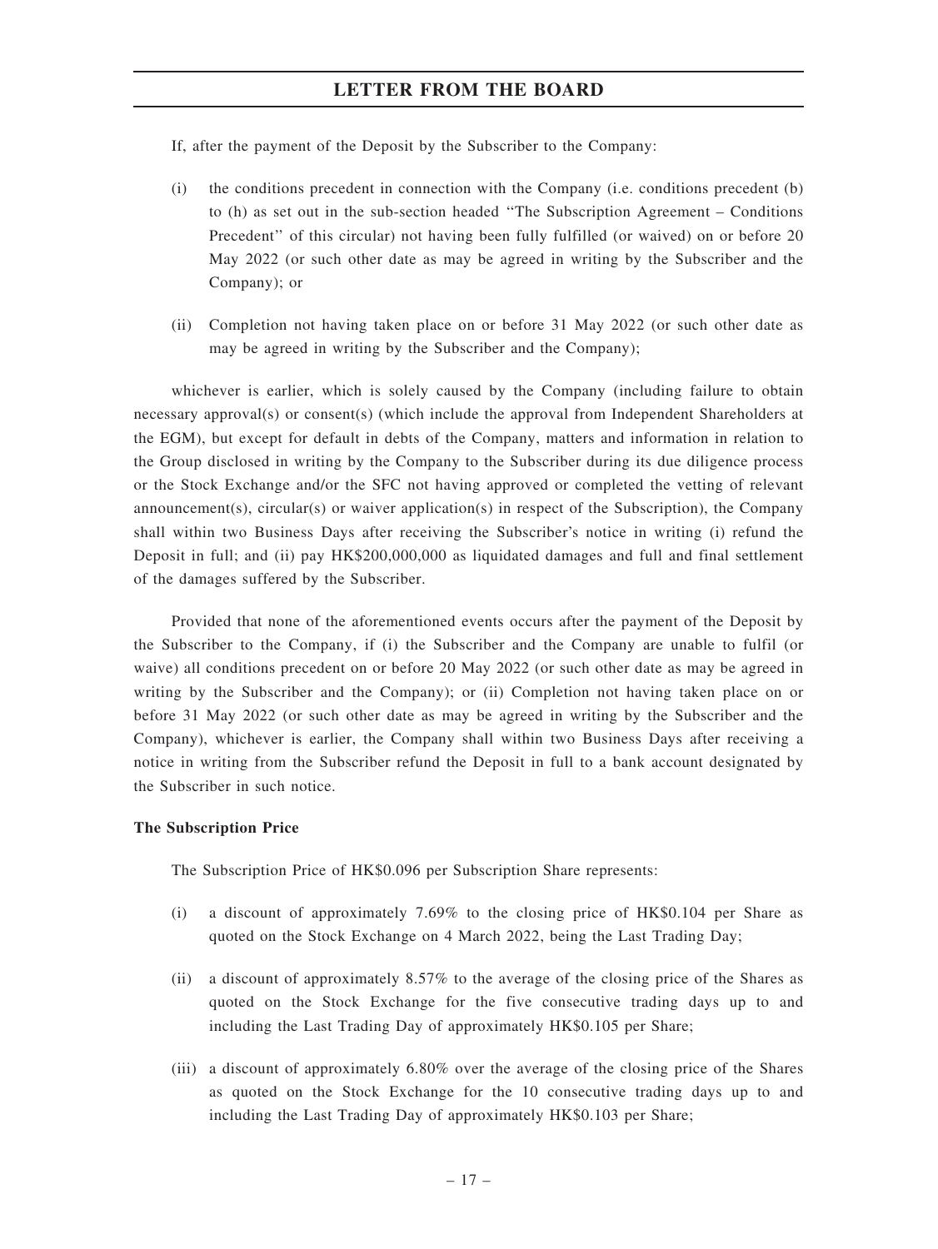If, after the payment of the Deposit by the Subscriber to the Company:

- (i) the conditions precedent in connection with the Company (i.e. conditions precedent (b) to (h) as set out in the sub-section headed ''The Subscription Agreement – Conditions Precedent'' of this circular) not having been fully fulfilled (or waived) on or before 20 May 2022 (or such other date as may be agreed in writing by the Subscriber and the Company); or
- (ii) Completion not having taken place on or before 31 May 2022 (or such other date as may be agreed in writing by the Subscriber and the Company);

whichever is earlier, which is solely caused by the Company (including failure to obtain necessary approval(s) or consent(s) (which include the approval from Independent Shareholders at the EGM), but except for default in debts of the Company, matters and information in relation to the Group disclosed in writing by the Company to the Subscriber during its due diligence process or the Stock Exchange and/or the SFC not having approved or completed the vetting of relevant announcement(s), circular(s) or waiver application(s) in respect of the Subscription), the Company shall within two Business Days after receiving the Subscriber's notice in writing (i) refund the Deposit in full; and (ii) pay HK\$200,000,000 as liquidated damages and full and final settlement of the damages suffered by the Subscriber.

Provided that none of the aforementioned events occurs after the payment of the Deposit by the Subscriber to the Company, if (i) the Subscriber and the Company are unable to fulfil (or waive) all conditions precedent on or before 20 May 2022 (or such other date as may be agreed in writing by the Subscriber and the Company); or (ii) Completion not having taken place on or before 31 May 2022 (or such other date as may be agreed in writing by the Subscriber and the Company), whichever is earlier, the Company shall within two Business Days after receiving a notice in writing from the Subscriber refund the Deposit in full to a bank account designated by the Subscriber in such notice.

#### The Subscription Price

The Subscription Price of HK\$0.096 per Subscription Share represents:

- (i) a discount of approximately 7.69% to the closing price of HK\$0.104 per Share as quoted on the Stock Exchange on 4 March 2022, being the Last Trading Day;
- (ii) a discount of approximately 8.57% to the average of the closing price of the Shares as quoted on the Stock Exchange for the five consecutive trading days up to and including the Last Trading Day of approximately HK\$0.105 per Share;
- (iii) a discount of approximately 6.80% over the average of the closing price of the Shares as quoted on the Stock Exchange for the 10 consecutive trading days up to and including the Last Trading Day of approximately HK\$0.103 per Share;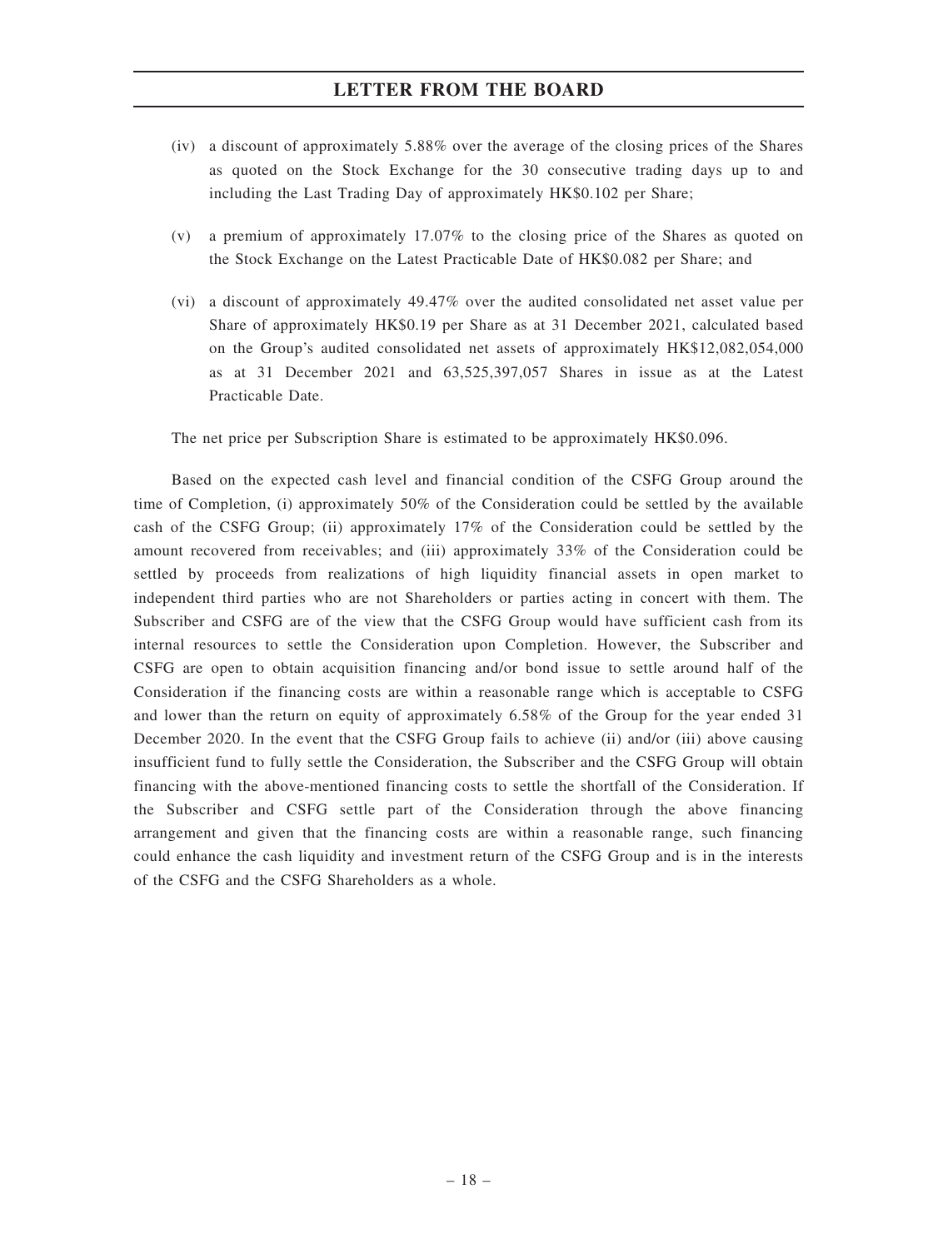- (iv) a discount of approximately 5.88% over the average of the closing prices of the Shares as quoted on the Stock Exchange for the 30 consecutive trading days up to and including the Last Trading Day of approximately HK\$0.102 per Share;
- (v) a premium of approximately 17.07% to the closing price of the Shares as quoted on the Stock Exchange on the Latest Practicable Date of HK\$0.082 per Share; and
- (vi) a discount of approximately 49.47% over the audited consolidated net asset value per Share of approximately HK\$0.19 per Share as at 31 December 2021, calculated based on the Group's audited consolidated net assets of approximately HK\$12,082,054,000 as at 31 December 2021 and 63,525,397,057 Shares in issue as at the Latest Practicable Date.

The net price per Subscription Share is estimated to be approximately HK\$0.096.

Based on the expected cash level and financial condition of the CSFG Group around the time of Completion, (i) approximately 50% of the Consideration could be settled by the available cash of the CSFG Group; (ii) approximately 17% of the Consideration could be settled by the amount recovered from receivables; and (iii) approximately 33% of the Consideration could be settled by proceeds from realizations of high liquidity financial assets in open market to independent third parties who are not Shareholders or parties acting in concert with them. The Subscriber and CSFG are of the view that the CSFG Group would have sufficient cash from its internal resources to settle the Consideration upon Completion. However, the Subscriber and CSFG are open to obtain acquisition financing and/or bond issue to settle around half of the Consideration if the financing costs are within a reasonable range which is acceptable to CSFG and lower than the return on equity of approximately 6.58% of the Group for the year ended 31 December 2020. In the event that the CSFG Group fails to achieve (ii) and/or (iii) above causing insufficient fund to fully settle the Consideration, the Subscriber and the CSFG Group will obtain financing with the above-mentioned financing costs to settle the shortfall of the Consideration. If the Subscriber and CSFG settle part of the Consideration through the above financing arrangement and given that the financing costs are within a reasonable range, such financing could enhance the cash liquidity and investment return of the CSFG Group and is in the interests of the CSFG and the CSFG Shareholders as a whole.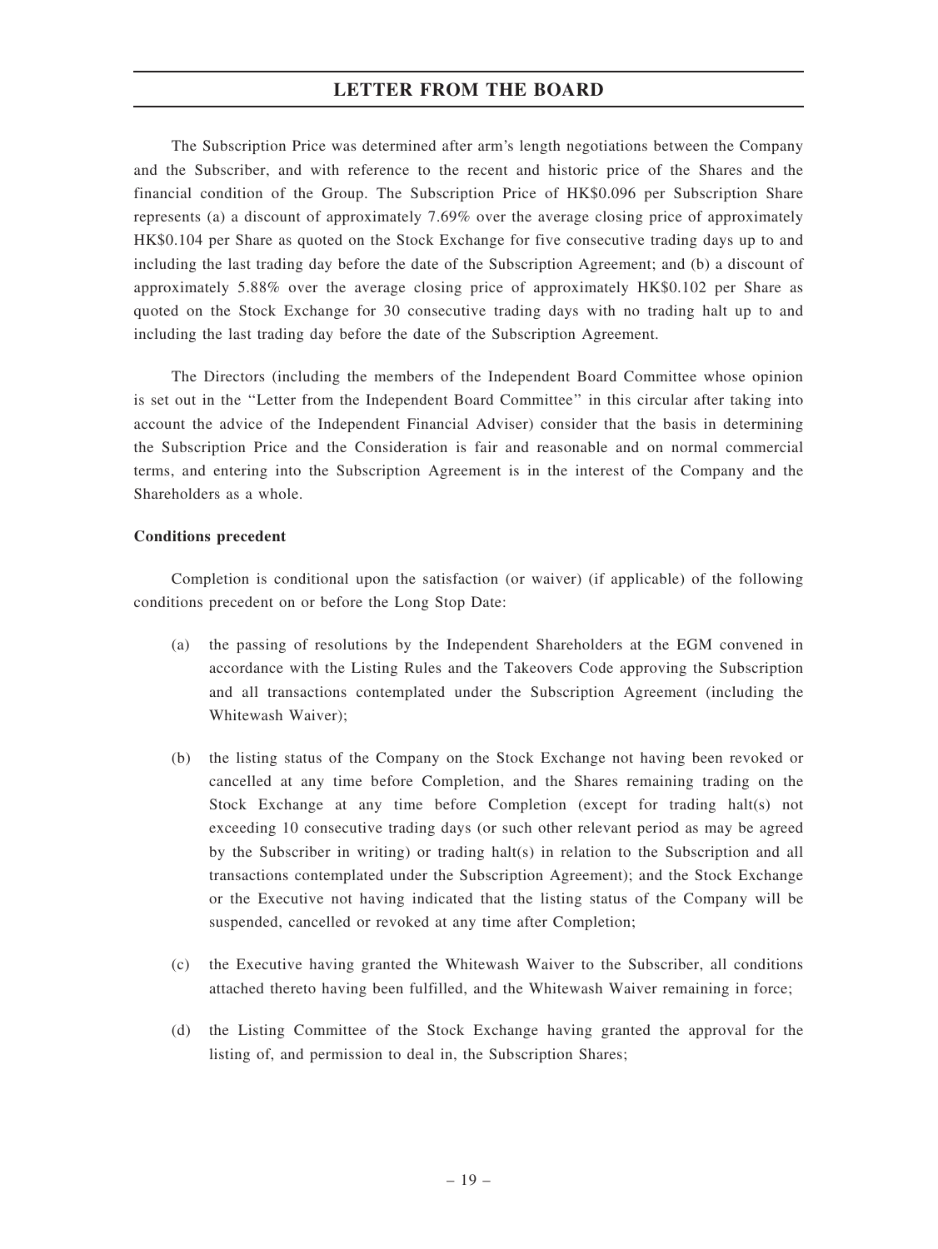The Subscription Price was determined after arm's length negotiations between the Company and the Subscriber, and with reference to the recent and historic price of the Shares and the financial condition of the Group. The Subscription Price of HK\$0.096 per Subscription Share represents (a) a discount of approximately 7.69% over the average closing price of approximately HK\$0.104 per Share as quoted on the Stock Exchange for five consecutive trading days up to and including the last trading day before the date of the Subscription Agreement; and (b) a discount of approximately 5.88% over the average closing price of approximately HK\$0.102 per Share as quoted on the Stock Exchange for 30 consecutive trading days with no trading halt up to and including the last trading day before the date of the Subscription Agreement.

The Directors (including the members of the Independent Board Committee whose opinion is set out in the ''Letter from the Independent Board Committee'' in this circular after taking into account the advice of the Independent Financial Adviser) consider that the basis in determining the Subscription Price and the Consideration is fair and reasonable and on normal commercial terms, and entering into the Subscription Agreement is in the interest of the Company and the Shareholders as a whole.

#### Conditions precedent

Completion is conditional upon the satisfaction (or waiver) (if applicable) of the following conditions precedent on or before the Long Stop Date:

- (a) the passing of resolutions by the Independent Shareholders at the EGM convened in accordance with the Listing Rules and the Takeovers Code approving the Subscription and all transactions contemplated under the Subscription Agreement (including the Whitewash Waiver);
- (b) the listing status of the Company on the Stock Exchange not having been revoked or cancelled at any time before Completion, and the Shares remaining trading on the Stock Exchange at any time before Completion (except for trading halt(s) not exceeding 10 consecutive trading days (or such other relevant period as may be agreed by the Subscriber in writing) or trading halt(s) in relation to the Subscription and all transactions contemplated under the Subscription Agreement); and the Stock Exchange or the Executive not having indicated that the listing status of the Company will be suspended, cancelled or revoked at any time after Completion;
- (c) the Executive having granted the Whitewash Waiver to the Subscriber, all conditions attached thereto having been fulfilled, and the Whitewash Waiver remaining in force;
- (d) the Listing Committee of the Stock Exchange having granted the approval for the listing of, and permission to deal in, the Subscription Shares;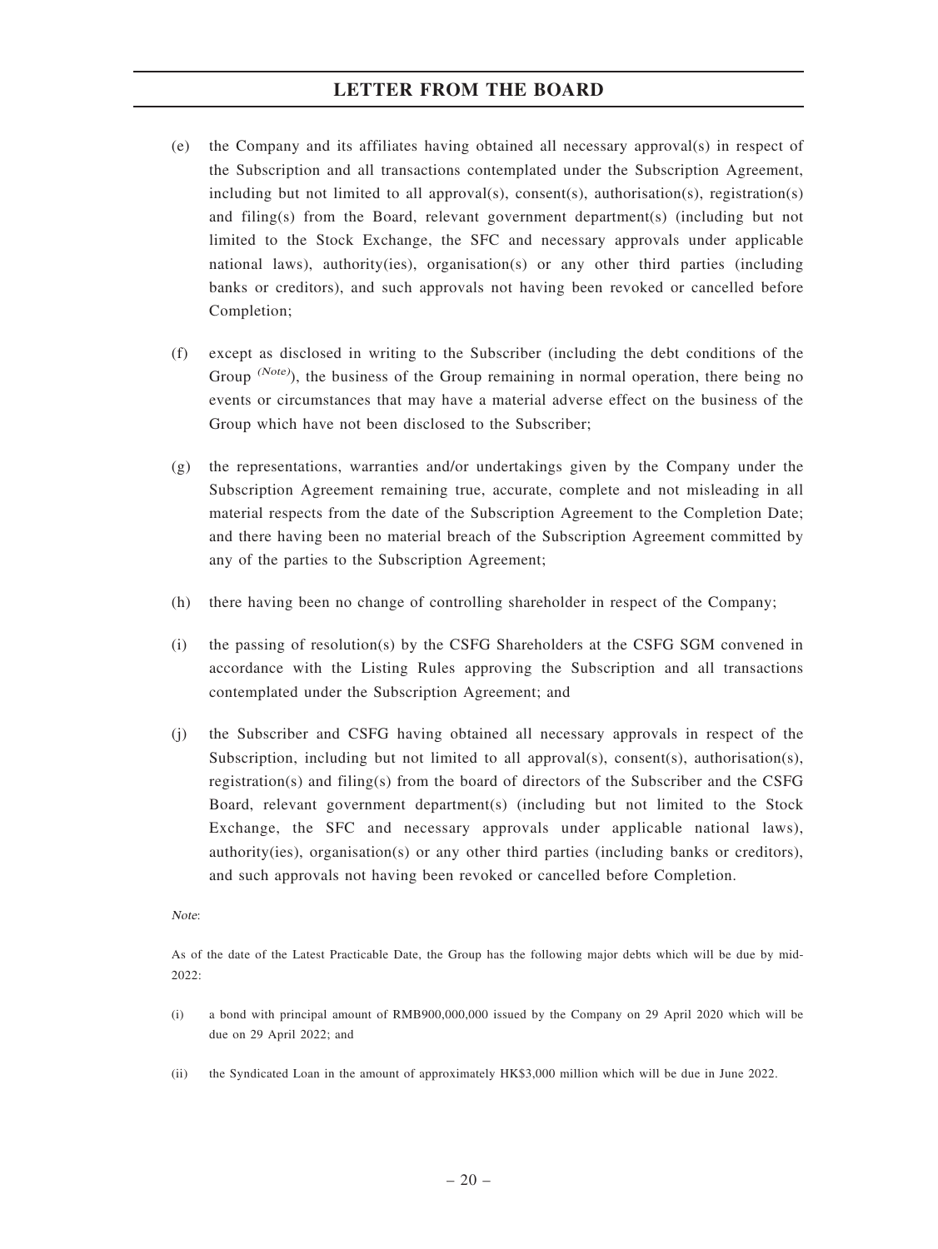- (e) the Company and its affiliates having obtained all necessary approval(s) in respect of the Subscription and all transactions contemplated under the Subscription Agreement, including but not limited to all approval(s), consent(s), authorisation(s), registration(s) and filing(s) from the Board, relevant government department(s) (including but not limited to the Stock Exchange, the SFC and necessary approvals under applicable national laws), authority(ies), organisation(s) or any other third parties (including banks or creditors), and such approvals not having been revoked or cancelled before Completion;
- (f) except as disclosed in writing to the Subscriber (including the debt conditions of the Group (Note), the business of the Group remaining in normal operation, there being no events or circumstances that may have a material adverse effect on the business of the Group which have not been disclosed to the Subscriber;
- (g) the representations, warranties and/or undertakings given by the Company under the Subscription Agreement remaining true, accurate, complete and not misleading in all material respects from the date of the Subscription Agreement to the Completion Date; and there having been no material breach of the Subscription Agreement committed by any of the parties to the Subscription Agreement;
- (h) there having been no change of controlling shareholder in respect of the Company;
- (i) the passing of resolution(s) by the CSFG Shareholders at the CSFG SGM convened in accordance with the Listing Rules approving the Subscription and all transactions contemplated under the Subscription Agreement; and
- (j) the Subscriber and CSFG having obtained all necessary approvals in respect of the Subscription, including but not limited to all approval(s), consent(s), authorisation(s), registration(s) and filing(s) from the board of directors of the Subscriber and the CSFG Board, relevant government department(s) (including but not limited to the Stock Exchange, the SFC and necessary approvals under applicable national laws), authority(ies), organisation(s) or any other third parties (including banks or creditors), and such approvals not having been revoked or cancelled before Completion.

Note:

As of the date of the Latest Practicable Date, the Group has the following major debts which will be due by mid- $2022.$ 

- (i) a bond with principal amount of RMB900,000,000 issued by the Company on 29 April 2020 which will be due on 29 April 2022; and
- (ii) the Syndicated Loan in the amount of approximately HK\$3,000 million which will be due in June 2022.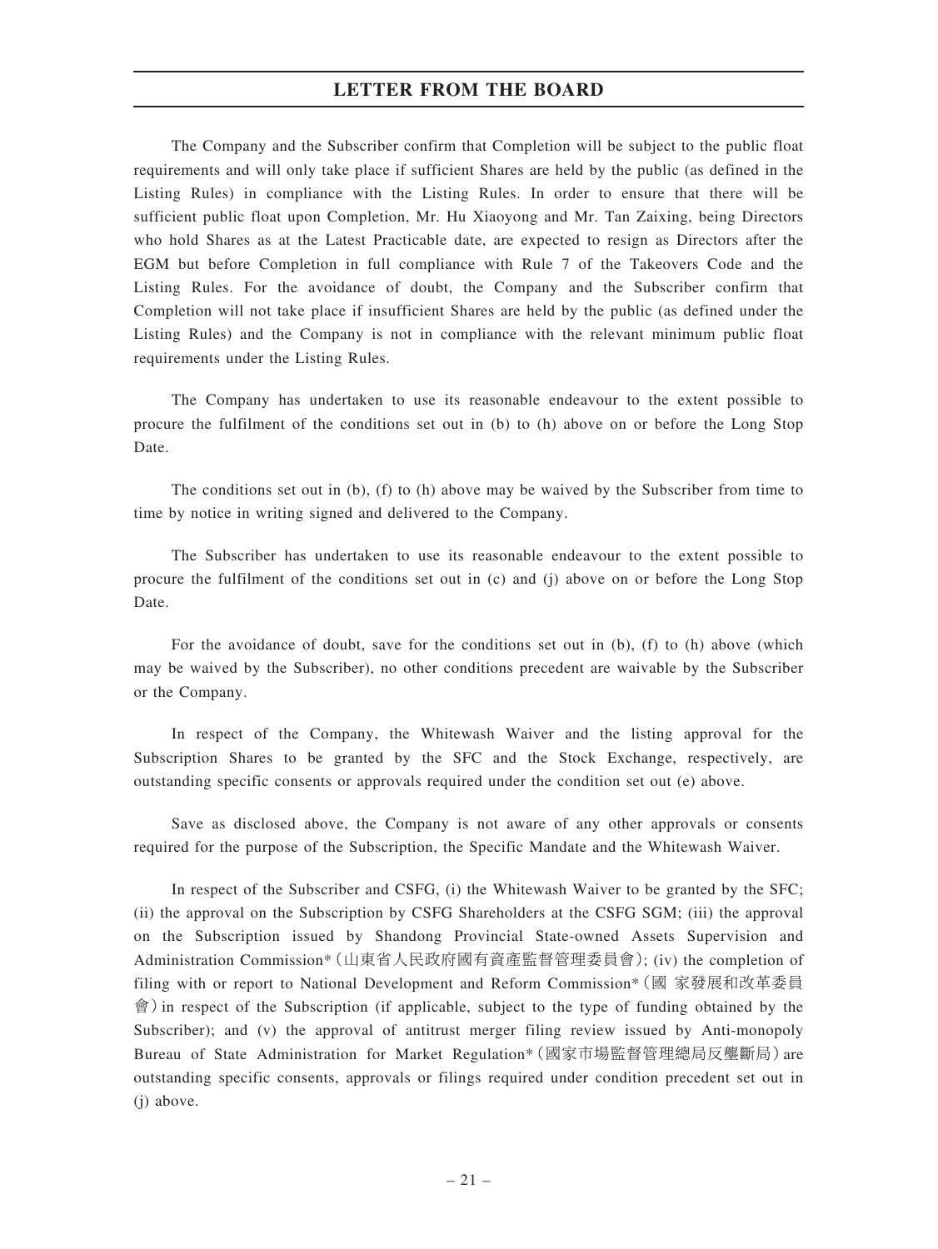The Company and the Subscriber confirm that Completion will be subject to the public float requirements and will only take place if sufficient Shares are held by the public (as defined in the Listing Rules) in compliance with the Listing Rules. In order to ensure that there will be sufficient public float upon Completion, Mr. Hu Xiaoyong and Mr. Tan Zaixing, being Directors who hold Shares as at the Latest Practicable date, are expected to resign as Directors after the EGM but before Completion in full compliance with Rule 7 of the Takeovers Code and the Listing Rules. For the avoidance of doubt, the Company and the Subscriber confirm that Completion will not take place if insufficient Shares are held by the public (as defined under the Listing Rules) and the Company is not in compliance with the relevant minimum public float requirements under the Listing Rules.

The Company has undertaken to use its reasonable endeavour to the extent possible to procure the fulfilment of the conditions set out in (b) to (h) above on or before the Long Stop Date.

The conditions set out in (b), (f) to (h) above may be waived by the Subscriber from time to time by notice in writing signed and delivered to the Company.

The Subscriber has undertaken to use its reasonable endeavour to the extent possible to procure the fulfilment of the conditions set out in (c) and (j) above on or before the Long Stop Date.

For the avoidance of doubt, save for the conditions set out in (b), (f) to (h) above (which may be waived by the Subscriber), no other conditions precedent are waivable by the Subscriber or the Company.

In respect of the Company, the Whitewash Waiver and the listing approval for the Subscription Shares to be granted by the SFC and the Stock Exchange, respectively, are outstanding specific consents or approvals required under the condition set out (e) above.

Save as disclosed above, the Company is not aware of any other approvals or consents required for the purpose of the Subscription, the Specific Mandate and the Whitewash Waiver.

In respect of the Subscriber and CSFG, (i) the Whitewash Waiver to be granted by the SFC; (ii) the approval on the Subscription by CSFG Shareholders at the CSFG SGM; (iii) the approval on the Subscription issued by Shandong Provincial State-owned Assets Supervision and Administration Commission\*(山東省人民政府國有資產監督管理委員會); (iv) the completion of filing with or report to National Development and Reform Commission\*(國 家發展和改革委員 會)in respect of the Subscription (if applicable, subject to the type of funding obtained by the Subscriber); and (v) the approval of antitrust merger filing review issued by Anti-monopoly Bureau of State Administration for Market Regulation\*(國家市場監督管理總局反壟斷局)are outstanding specific consents, approvals or filings required under condition precedent set out in (j) above.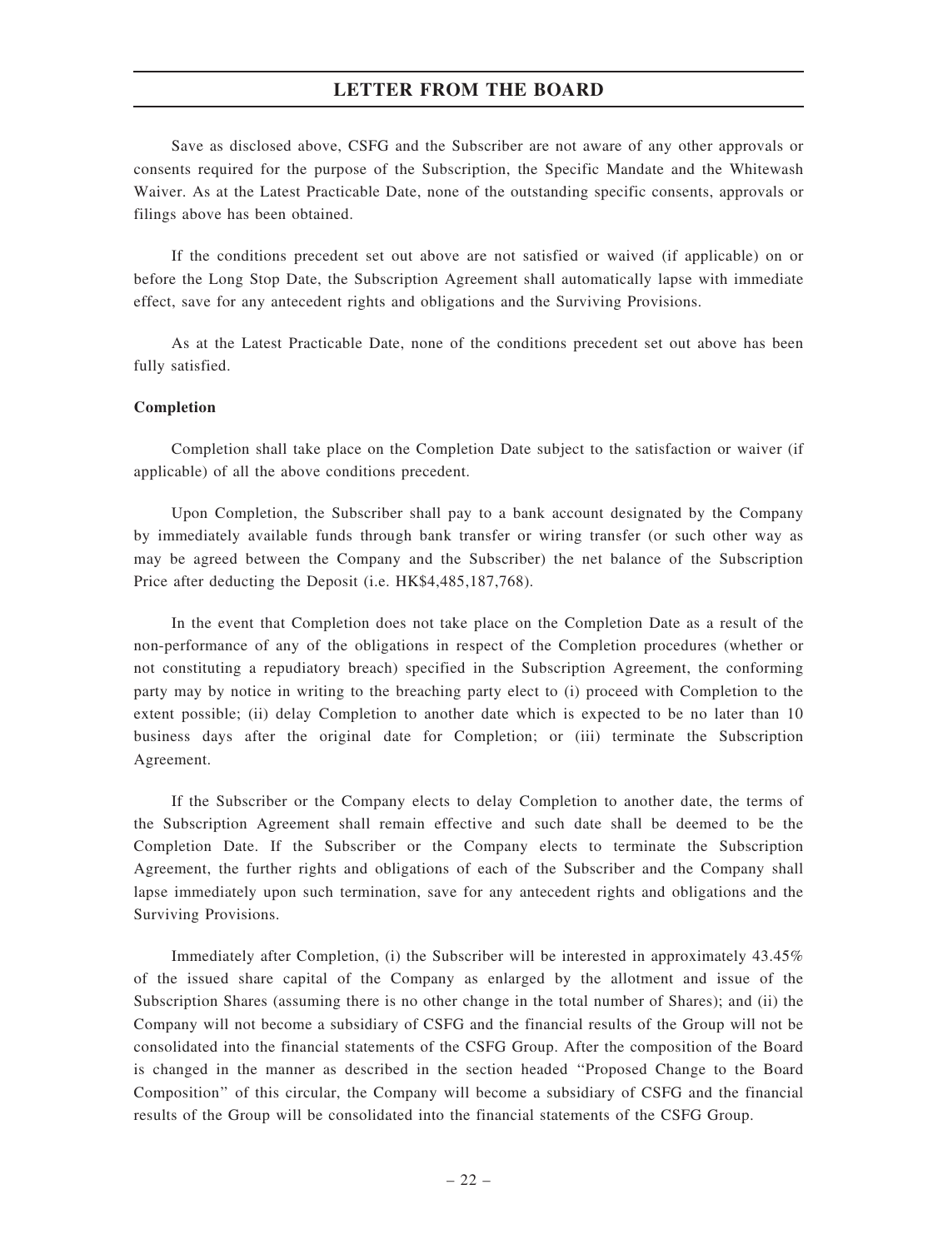Save as disclosed above, CSFG and the Subscriber are not aware of any other approvals or consents required for the purpose of the Subscription, the Specific Mandate and the Whitewash Waiver. As at the Latest Practicable Date, none of the outstanding specific consents, approvals or filings above has been obtained.

If the conditions precedent set out above are not satisfied or waived (if applicable) on or before the Long Stop Date, the Subscription Agreement shall automatically lapse with immediate effect, save for any antecedent rights and obligations and the Surviving Provisions.

As at the Latest Practicable Date, none of the conditions precedent set out above has been fully satisfied.

#### Completion

Completion shall take place on the Completion Date subject to the satisfaction or waiver (if applicable) of all the above conditions precedent.

Upon Completion, the Subscriber shall pay to a bank account designated by the Company by immediately available funds through bank transfer or wiring transfer (or such other way as may be agreed between the Company and the Subscriber) the net balance of the Subscription Price after deducting the Deposit (i.e. HK\$4,485,187,768).

In the event that Completion does not take place on the Completion Date as a result of the non-performance of any of the obligations in respect of the Completion procedures (whether or not constituting a repudiatory breach) specified in the Subscription Agreement, the conforming party may by notice in writing to the breaching party elect to (i) proceed with Completion to the extent possible; (ii) delay Completion to another date which is expected to be no later than 10 business days after the original date for Completion; or (iii) terminate the Subscription Agreement.

If the Subscriber or the Company elects to delay Completion to another date, the terms of the Subscription Agreement shall remain effective and such date shall be deemed to be the Completion Date. If the Subscriber or the Company elects to terminate the Subscription Agreement, the further rights and obligations of each of the Subscriber and the Company shall lapse immediately upon such termination, save for any antecedent rights and obligations and the Surviving Provisions.

Immediately after Completion, (i) the Subscriber will be interested in approximately 43.45% of the issued share capital of the Company as enlarged by the allotment and issue of the Subscription Shares (assuming there is no other change in the total number of Shares); and (ii) the Company will not become a subsidiary of CSFG and the financial results of the Group will not be consolidated into the financial statements of the CSFG Group. After the composition of the Board is changed in the manner as described in the section headed ''Proposed Change to the Board Composition'' of this circular, the Company will become a subsidiary of CSFG and the financial results of the Group will be consolidated into the financial statements of the CSFG Group.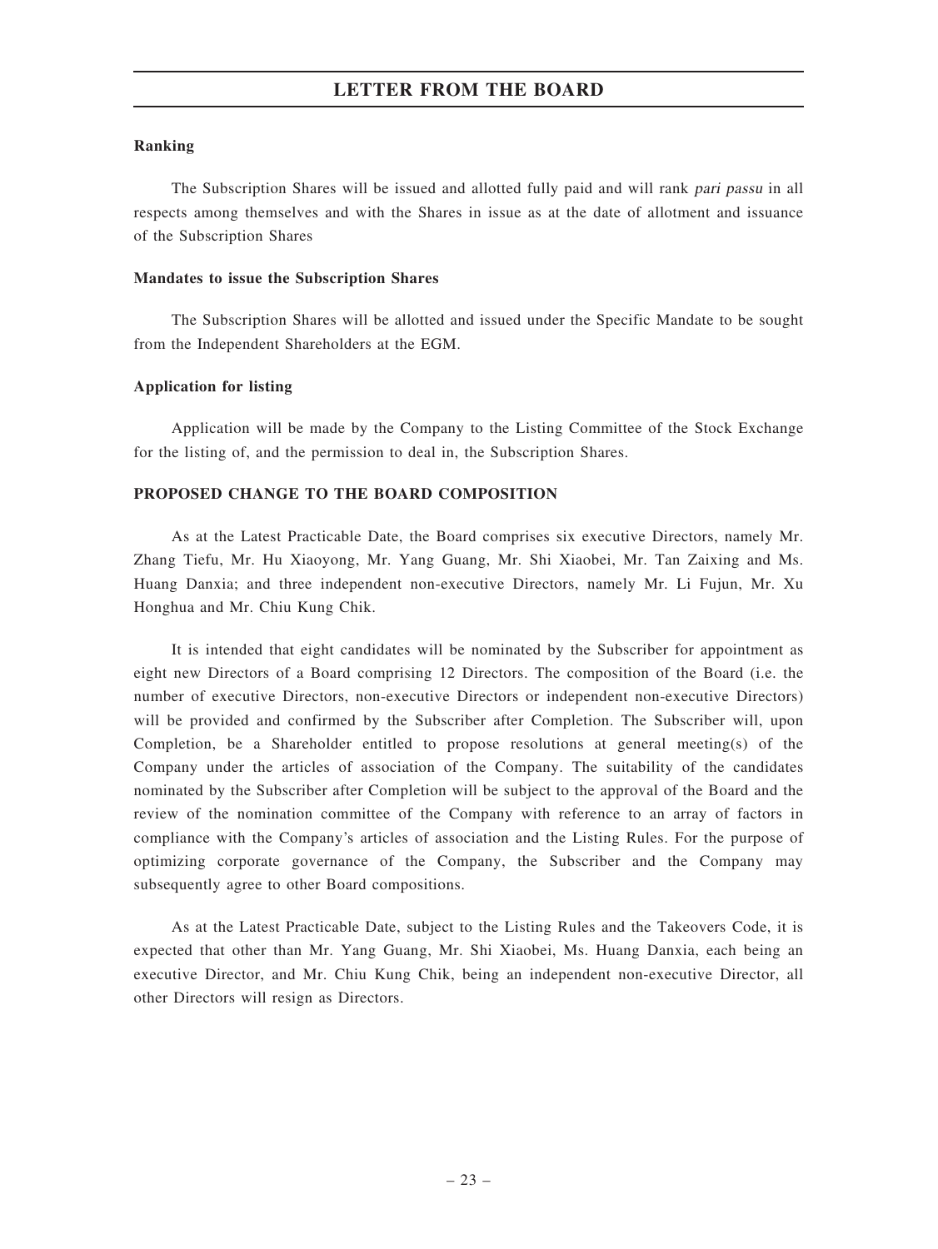#### Ranking

The Subscription Shares will be issued and allotted fully paid and will rank pari passu in all respects among themselves and with the Shares in issue as at the date of allotment and issuance of the Subscription Shares

#### Mandates to issue the Subscription Shares

The Subscription Shares will be allotted and issued under the Specific Mandate to be sought from the Independent Shareholders at the EGM.

#### Application for listing

Application will be made by the Company to the Listing Committee of the Stock Exchange for the listing of, and the permission to deal in, the Subscription Shares.

#### PROPOSED CHANGE TO THE BOARD COMPOSITION

As at the Latest Practicable Date, the Board comprises six executive Directors, namely Mr. Zhang Tiefu, Mr. Hu Xiaoyong, Mr. Yang Guang, Mr. Shi Xiaobei, Mr. Tan Zaixing and Ms. Huang Danxia; and three independent non-executive Directors, namely Mr. Li Fujun, Mr. Xu Honghua and Mr. Chiu Kung Chik.

It is intended that eight candidates will be nominated by the Subscriber for appointment as eight new Directors of a Board comprising 12 Directors. The composition of the Board (i.e. the number of executive Directors, non-executive Directors or independent non-executive Directors) will be provided and confirmed by the Subscriber after Completion. The Subscriber will, upon Completion, be a Shareholder entitled to propose resolutions at general meeting(s) of the Company under the articles of association of the Company. The suitability of the candidates nominated by the Subscriber after Completion will be subject to the approval of the Board and the review of the nomination committee of the Company with reference to an array of factors in compliance with the Company's articles of association and the Listing Rules. For the purpose of optimizing corporate governance of the Company, the Subscriber and the Company may subsequently agree to other Board compositions.

As at the Latest Practicable Date, subject to the Listing Rules and the Takeovers Code, it is expected that other than Mr. Yang Guang, Mr. Shi Xiaobei, Ms. Huang Danxia, each being an executive Director, and Mr. Chiu Kung Chik, being an independent non-executive Director, all other Directors will resign as Directors.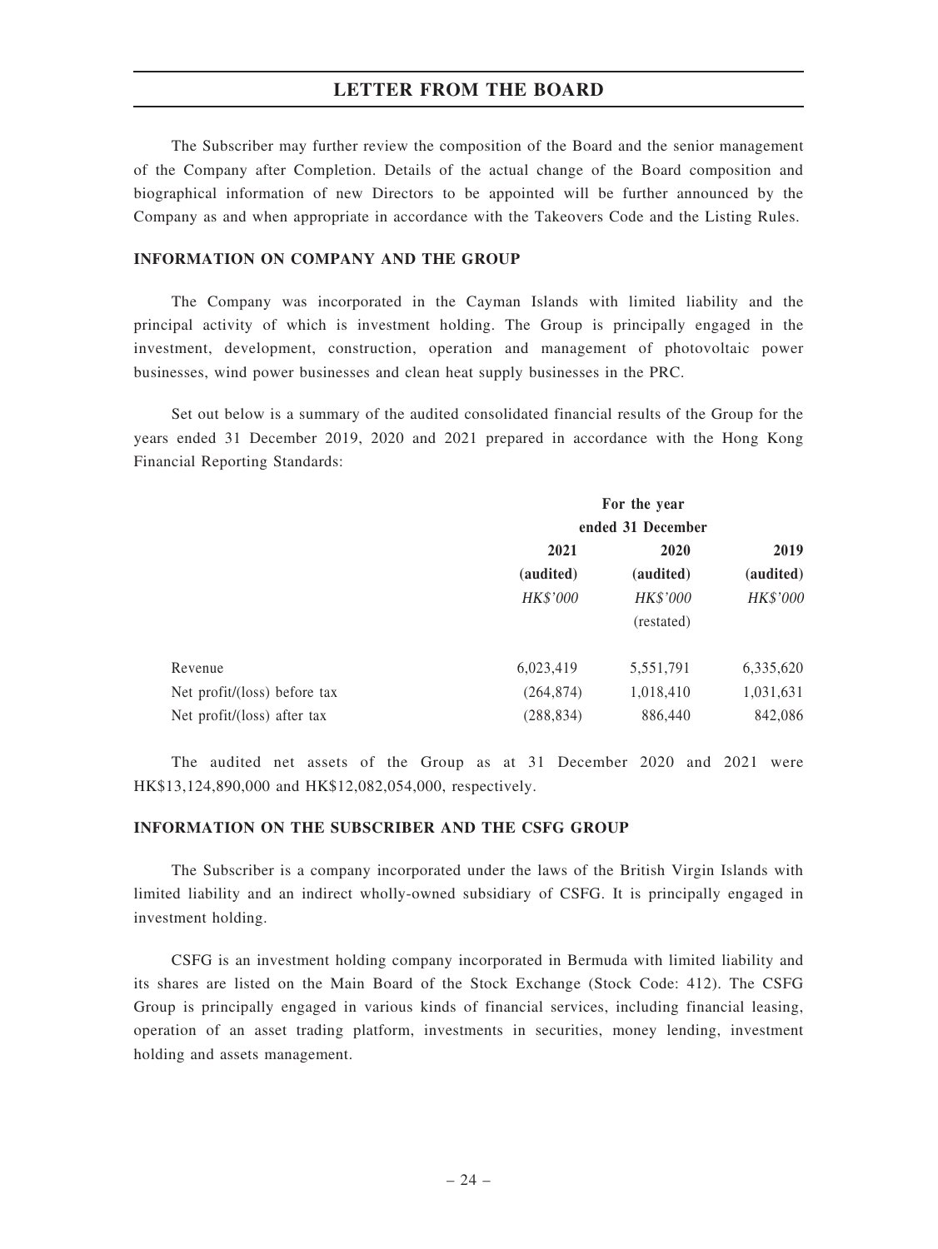The Subscriber may further review the composition of the Board and the senior management of the Company after Completion. Details of the actual change of the Board composition and biographical information of new Directors to be appointed will be further announced by the Company as and when appropriate in accordance with the Takeovers Code and the Listing Rules.

#### INFORMATION ON COMPANY AND THE GROUP

The Company was incorporated in the Cayman Islands with limited liability and the principal activity of which is investment holding. The Group is principally engaged in the investment, development, construction, operation and management of photovoltaic power businesses, wind power businesses and clean heat supply businesses in the PRC.

Set out below is a summary of the audited consolidated financial results of the Group for the years ended 31 December 2019, 2020 and 2021 prepared in accordance with the Hong Kong Financial Reporting Standards:

|                              | For the year<br>ended 31 December |                 |           |
|------------------------------|-----------------------------------|-----------------|-----------|
|                              |                                   |                 |           |
|                              | 2021                              | 2020            | 2019      |
|                              | (audited)                         | (audited)       | (audited) |
|                              | HK\$'000                          | <b>HK\$'000</b> | HK\$'000  |
|                              |                                   | (restated)      |           |
| Revenue                      | 6,023,419                         | 5,551,791       | 6,335,620 |
| Net profit/(loss) before tax | (264, 874)                        | 1,018,410       | 1,031,631 |
| Net profit/(loss) after tax  | (288, 834)                        | 886,440         | 842,086   |

The audited net assets of the Group as at 31 December 2020 and 2021 were HK\$13,124,890,000 and HK\$12,082,054,000, respectively.

#### INFORMATION ON THE SUBSCRIBER AND THE CSFG GROUP

The Subscriber is a company incorporated under the laws of the British Virgin Islands with limited liability and an indirect wholly-owned subsidiary of CSFG. It is principally engaged in investment holding.

CSFG is an investment holding company incorporated in Bermuda with limited liability and its shares are listed on the Main Board of the Stock Exchange (Stock Code: 412). The CSFG Group is principally engaged in various kinds of financial services, including financial leasing, operation of an asset trading platform, investments in securities, money lending, investment holding and assets management.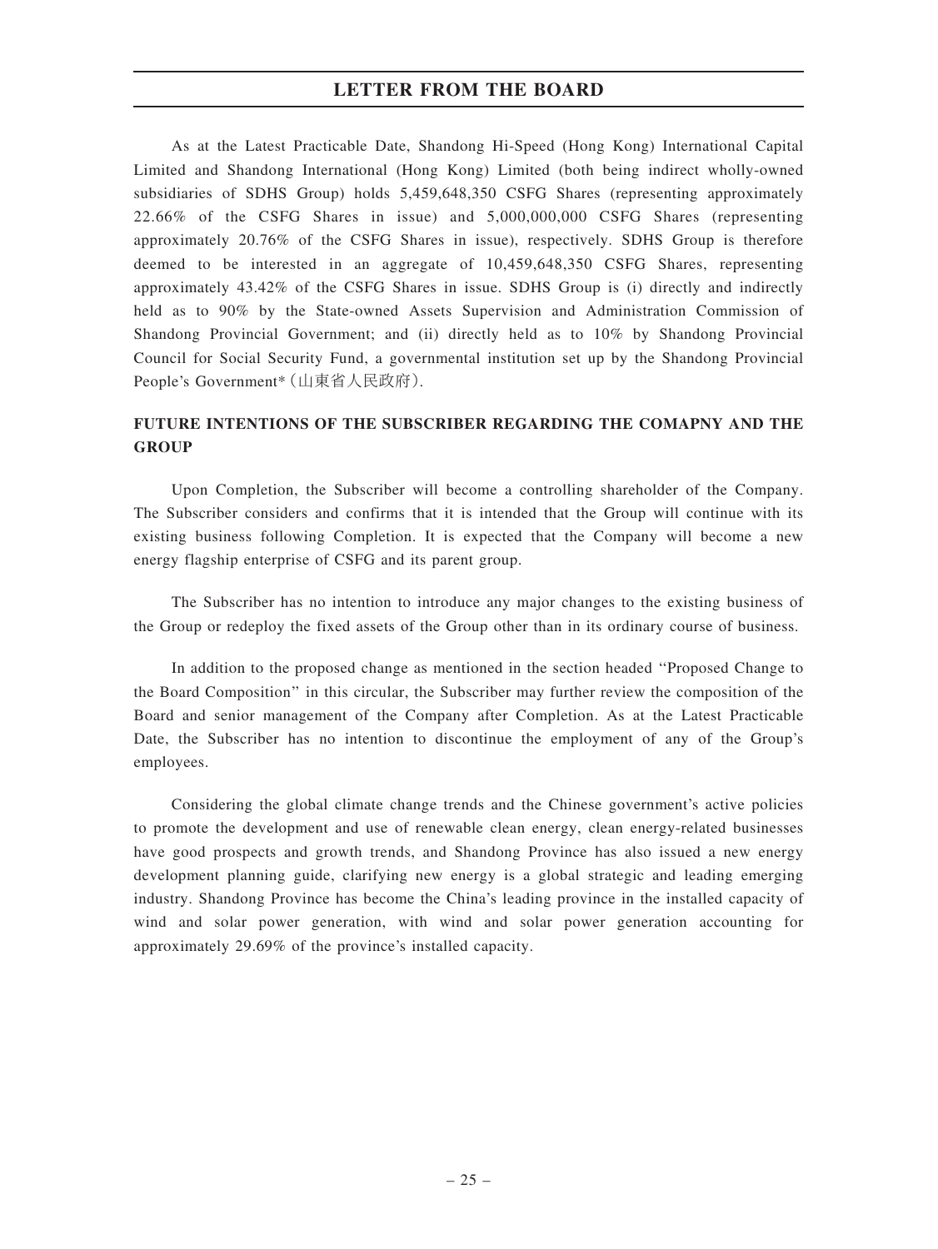As at the Latest Practicable Date, Shandong Hi-Speed (Hong Kong) International Capital Limited and Shandong International (Hong Kong) Limited (both being indirect wholly-owned subsidiaries of SDHS Group) holds 5,459,648,350 CSFG Shares (representing approximately 22.66% of the CSFG Shares in issue) and 5,000,000,000 CSFG Shares (representing approximately 20.76% of the CSFG Shares in issue), respectively. SDHS Group is therefore deemed to be interested in an aggregate of 10,459,648,350 CSFG Shares, representing approximately 43.42% of the CSFG Shares in issue. SDHS Group is (i) directly and indirectly held as to 90% by the State-owned Assets Supervision and Administration Commission of Shandong Provincial Government; and (ii) directly held as to 10% by Shandong Provincial Council for Social Security Fund, a governmental institution set up by the Shandong Provincial People's Government\*(山東省人民政府).

# FUTURE INTENTIONS OF THE SUBSCRIBER REGARDING THE COMAPNY AND THE **GROUP**

Upon Completion, the Subscriber will become a controlling shareholder of the Company. The Subscriber considers and confirms that it is intended that the Group will continue with its existing business following Completion. It is expected that the Company will become a new energy flagship enterprise of CSFG and its parent group.

The Subscriber has no intention to introduce any major changes to the existing business of the Group or redeploy the fixed assets of the Group other than in its ordinary course of business.

In addition to the proposed change as mentioned in the section headed ''Proposed Change to the Board Composition'' in this circular, the Subscriber may further review the composition of the Board and senior management of the Company after Completion. As at the Latest Practicable Date, the Subscriber has no intention to discontinue the employment of any of the Group's employees.

Considering the global climate change trends and the Chinese government's active policies to promote the development and use of renewable clean energy, clean energy-related businesses have good prospects and growth trends, and Shandong Province has also issued a new energy development planning guide, clarifying new energy is a global strategic and leading emerging industry. Shandong Province has become the China's leading province in the installed capacity of wind and solar power generation, with wind and solar power generation accounting for approximately 29.69% of the province's installed capacity.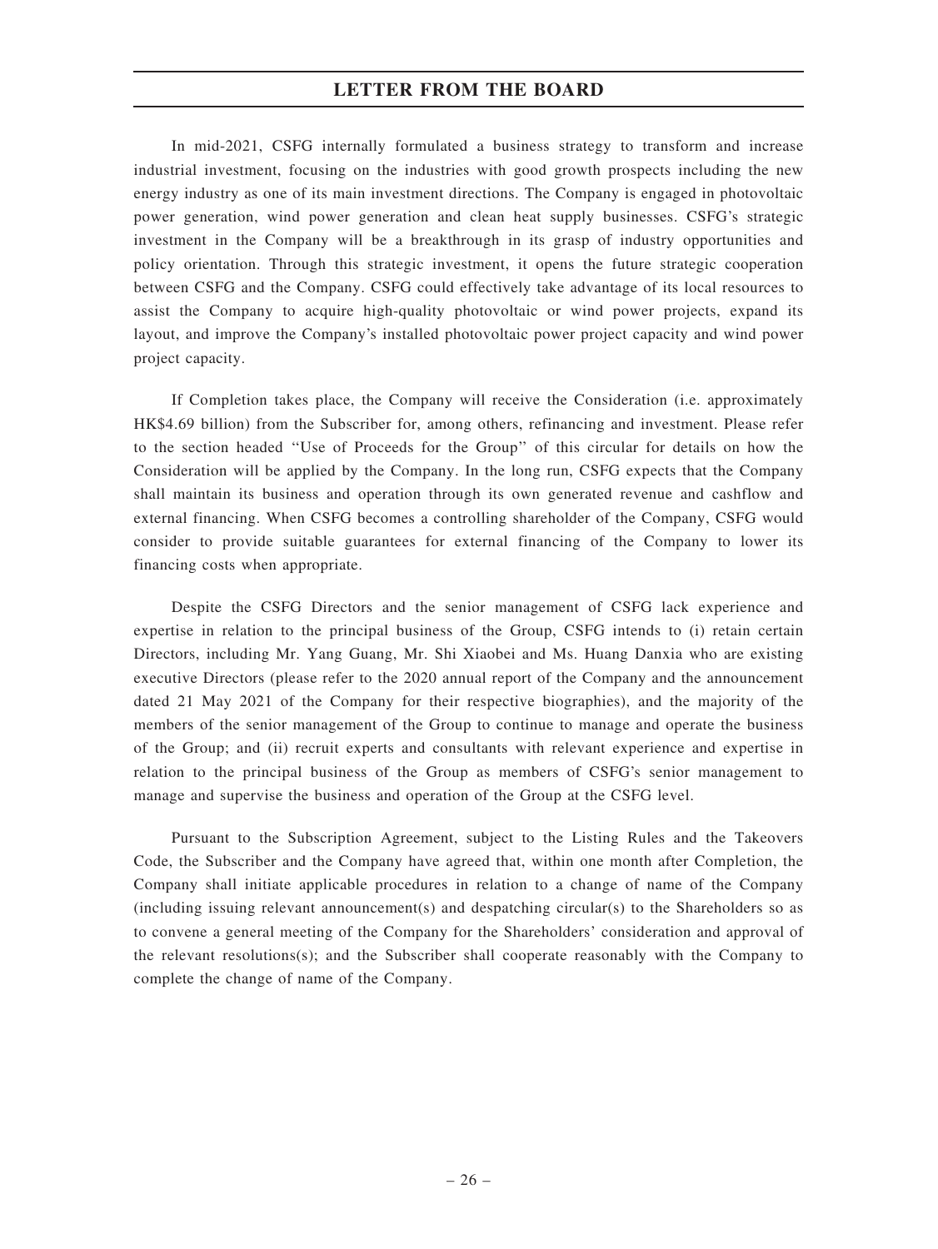In mid-2021, CSFG internally formulated a business strategy to transform and increase industrial investment, focusing on the industries with good growth prospects including the new energy industry as one of its main investment directions. The Company is engaged in photovoltaic power generation, wind power generation and clean heat supply businesses. CSFG's strategic investment in the Company will be a breakthrough in its grasp of industry opportunities and policy orientation. Through this strategic investment, it opens the future strategic cooperation between CSFG and the Company. CSFG could effectively take advantage of its local resources to assist the Company to acquire high-quality photovoltaic or wind power projects, expand its layout, and improve the Company's installed photovoltaic power project capacity and wind power project capacity.

If Completion takes place, the Company will receive the Consideration (i.e. approximately HK\$4.69 billion) from the Subscriber for, among others, refinancing and investment. Please refer to the section headed ''Use of Proceeds for the Group'' of this circular for details on how the Consideration will be applied by the Company. In the long run, CSFG expects that the Company shall maintain its business and operation through its own generated revenue and cashflow and external financing. When CSFG becomes a controlling shareholder of the Company, CSFG would consider to provide suitable guarantees for external financing of the Company to lower its financing costs when appropriate.

Despite the CSFG Directors and the senior management of CSFG lack experience and expertise in relation to the principal business of the Group, CSFG intends to (i) retain certain Directors, including Mr. Yang Guang, Mr. Shi Xiaobei and Ms. Huang Danxia who are existing executive Directors (please refer to the 2020 annual report of the Company and the announcement dated 21 May 2021 of the Company for their respective biographies), and the majority of the members of the senior management of the Group to continue to manage and operate the business of the Group; and (ii) recruit experts and consultants with relevant experience and expertise in relation to the principal business of the Group as members of CSFG's senior management to manage and supervise the business and operation of the Group at the CSFG level.

Pursuant to the Subscription Agreement, subject to the Listing Rules and the Takeovers Code, the Subscriber and the Company have agreed that, within one month after Completion, the Company shall initiate applicable procedures in relation to a change of name of the Company (including issuing relevant announcement(s) and despatching circular(s) to the Shareholders so as to convene a general meeting of the Company for the Shareholders' consideration and approval of the relevant resolutions(s); and the Subscriber shall cooperate reasonably with the Company to complete the change of name of the Company.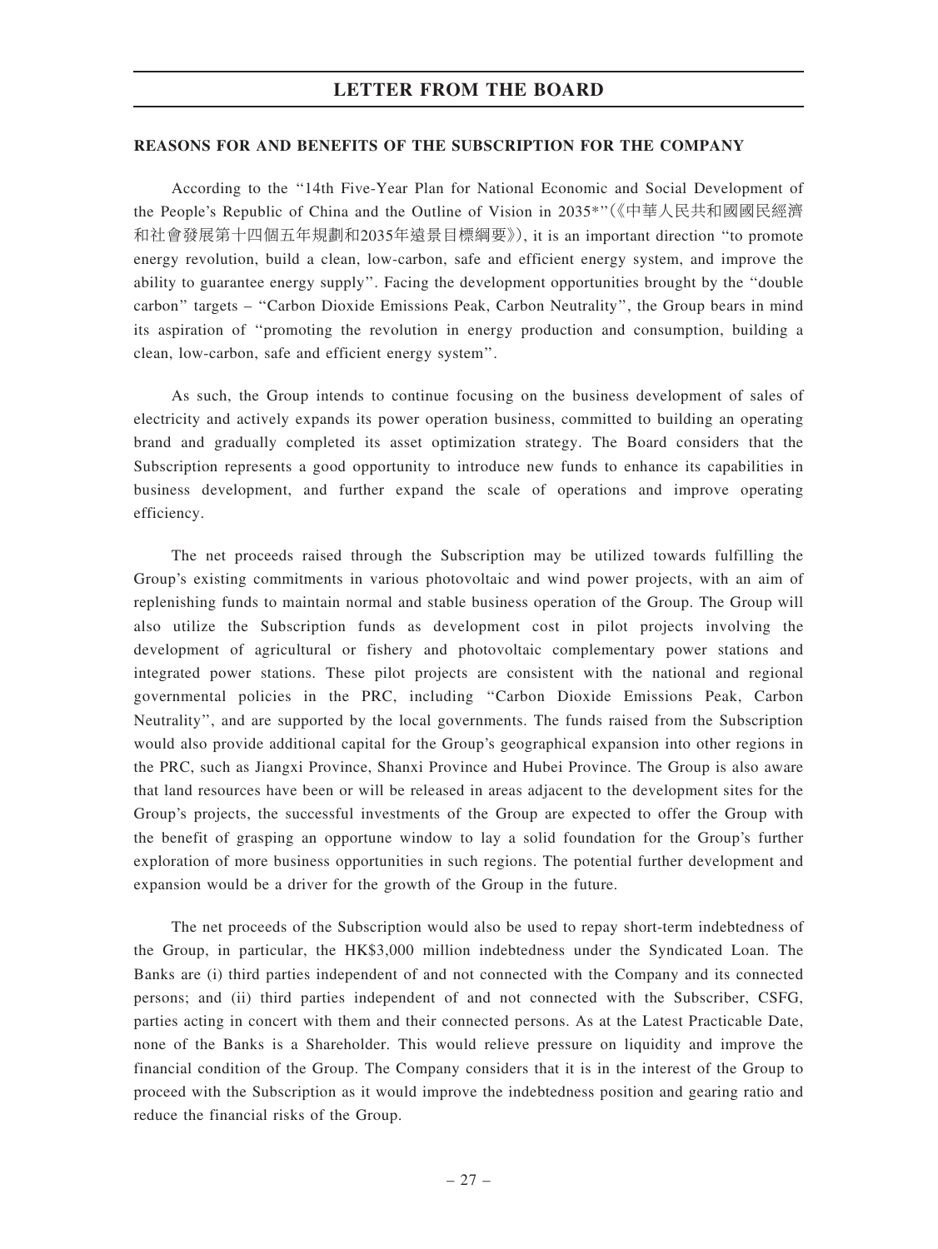#### REASONS FOR AND BENEFITS OF THE SUBSCRIPTION FOR THE COMPANY

According to the ''14th Five-Year Plan for National Economic and Social Development of the People's Republic of China and the Outline of Vision in 2035\*''(《中華人民共和國國民經濟 和社會發展第十四個五年規劃和2035年遠景目標綱要》), it is an important direction ''to promote energy revolution, build a clean, low-carbon, safe and efficient energy system, and improve the ability to guarantee energy supply''. Facing the development opportunities brought by the ''double carbon'' targets – ''Carbon Dioxide Emissions Peak, Carbon Neutrality'', the Group bears in mind its aspiration of ''promoting the revolution in energy production and consumption, building a clean, low-carbon, safe and efficient energy system''.

As such, the Group intends to continue focusing on the business development of sales of electricity and actively expands its power operation business, committed to building an operating brand and gradually completed its asset optimization strategy. The Board considers that the Subscription represents a good opportunity to introduce new funds to enhance its capabilities in business development, and further expand the scale of operations and improve operating efficiency.

The net proceeds raised through the Subscription may be utilized towards fulfilling the Group's existing commitments in various photovoltaic and wind power projects, with an aim of replenishing funds to maintain normal and stable business operation of the Group. The Group will also utilize the Subscription funds as development cost in pilot projects involving the development of agricultural or fishery and photovoltaic complementary power stations and integrated power stations. These pilot projects are consistent with the national and regional governmental policies in the PRC, including ''Carbon Dioxide Emissions Peak, Carbon Neutrality'', and are supported by the local governments. The funds raised from the Subscription would also provide additional capital for the Group's geographical expansion into other regions in the PRC, such as Jiangxi Province, Shanxi Province and Hubei Province. The Group is also aware that land resources have been or will be released in areas adjacent to the development sites for the Group's projects, the successful investments of the Group are expected to offer the Group with the benefit of grasping an opportune window to lay a solid foundation for the Group's further exploration of more business opportunities in such regions. The potential further development and expansion would be a driver for the growth of the Group in the future.

The net proceeds of the Subscription would also be used to repay short-term indebtedness of the Group, in particular, the HK\$3,000 million indebtedness under the Syndicated Loan. The Banks are (i) third parties independent of and not connected with the Company and its connected persons; and (ii) third parties independent of and not connected with the Subscriber, CSFG, parties acting in concert with them and their connected persons. As at the Latest Practicable Date, none of the Banks is a Shareholder. This would relieve pressure on liquidity and improve the financial condition of the Group. The Company considers that it is in the interest of the Group to proceed with the Subscription as it would improve the indebtedness position and gearing ratio and reduce the financial risks of the Group.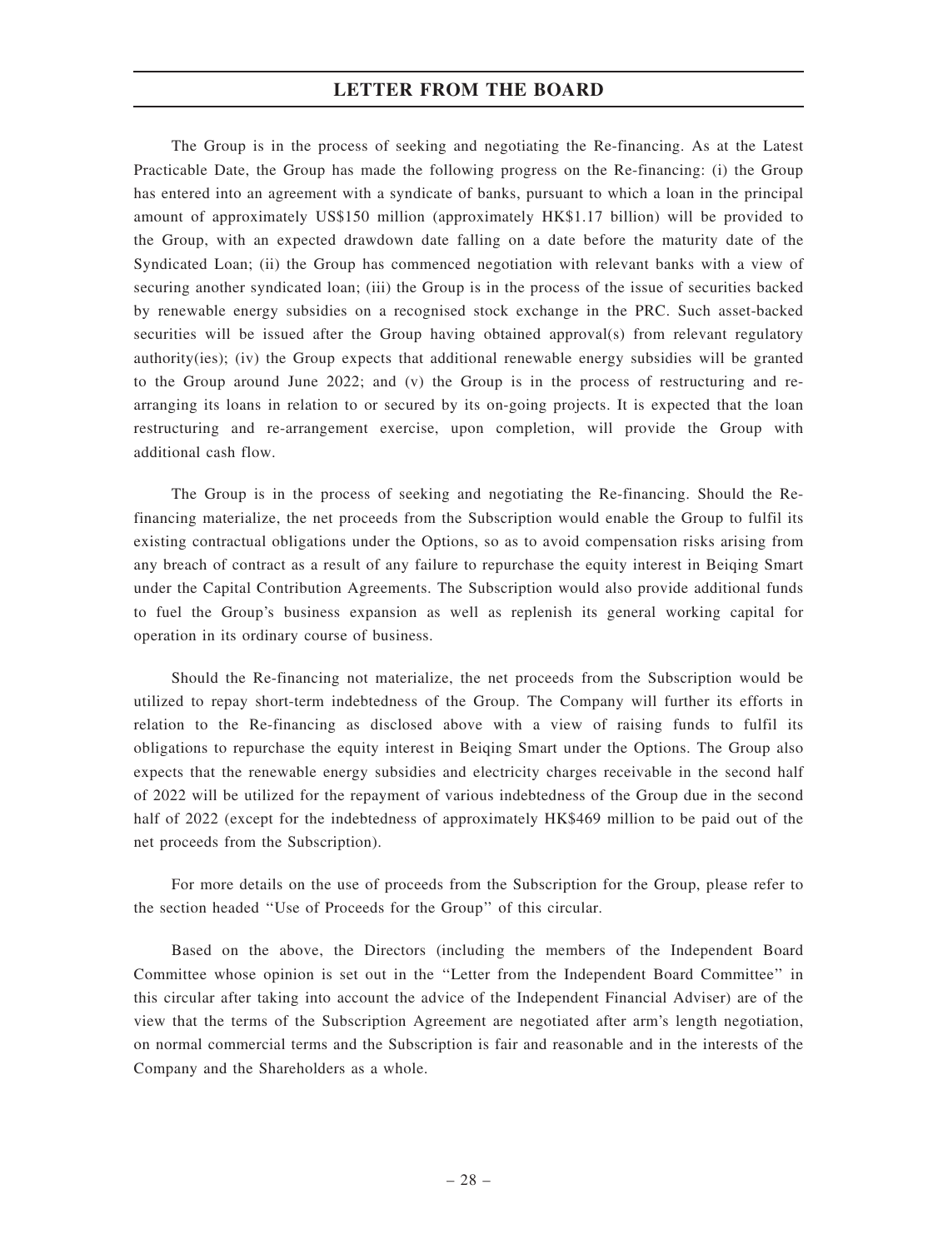The Group is in the process of seeking and negotiating the Re-financing. As at the Latest Practicable Date, the Group has made the following progress on the Re-financing: (i) the Group has entered into an agreement with a syndicate of banks, pursuant to which a loan in the principal amount of approximately US\$150 million (approximately HK\$1.17 billion) will be provided to the Group, with an expected drawdown date falling on a date before the maturity date of the Syndicated Loan; (ii) the Group has commenced negotiation with relevant banks with a view of securing another syndicated loan; (iii) the Group is in the process of the issue of securities backed by renewable energy subsidies on a recognised stock exchange in the PRC. Such asset-backed securities will be issued after the Group having obtained approval(s) from relevant regulatory authority(ies); (iv) the Group expects that additional renewable energy subsidies will be granted to the Group around June 2022; and (v) the Group is in the process of restructuring and rearranging its loans in relation to or secured by its on-going projects. It is expected that the loan restructuring and re-arrangement exercise, upon completion, will provide the Group with additional cash flow.

The Group is in the process of seeking and negotiating the Re-financing. Should the Refinancing materialize, the net proceeds from the Subscription would enable the Group to fulfil its existing contractual obligations under the Options, so as to avoid compensation risks arising from any breach of contract as a result of any failure to repurchase the equity interest in Beiqing Smart under the Capital Contribution Agreements. The Subscription would also provide additional funds to fuel the Group's business expansion as well as replenish its general working capital for operation in its ordinary course of business.

Should the Re-financing not materialize, the net proceeds from the Subscription would be utilized to repay short-term indebtedness of the Group. The Company will further its efforts in relation to the Re-financing as disclosed above with a view of raising funds to fulfil its obligations to repurchase the equity interest in Beiqing Smart under the Options. The Group also expects that the renewable energy subsidies and electricity charges receivable in the second half of 2022 will be utilized for the repayment of various indebtedness of the Group due in the second half of 2022 (except for the indebtedness of approximately HK\$469 million to be paid out of the net proceeds from the Subscription).

For more details on the use of proceeds from the Subscription for the Group, please refer to the section headed ''Use of Proceeds for the Group'' of this circular.

Based on the above, the Directors (including the members of the Independent Board Committee whose opinion is set out in the ''Letter from the Independent Board Committee'' in this circular after taking into account the advice of the Independent Financial Adviser) are of the view that the terms of the Subscription Agreement are negotiated after arm's length negotiation, on normal commercial terms and the Subscription is fair and reasonable and in the interests of the Company and the Shareholders as a whole.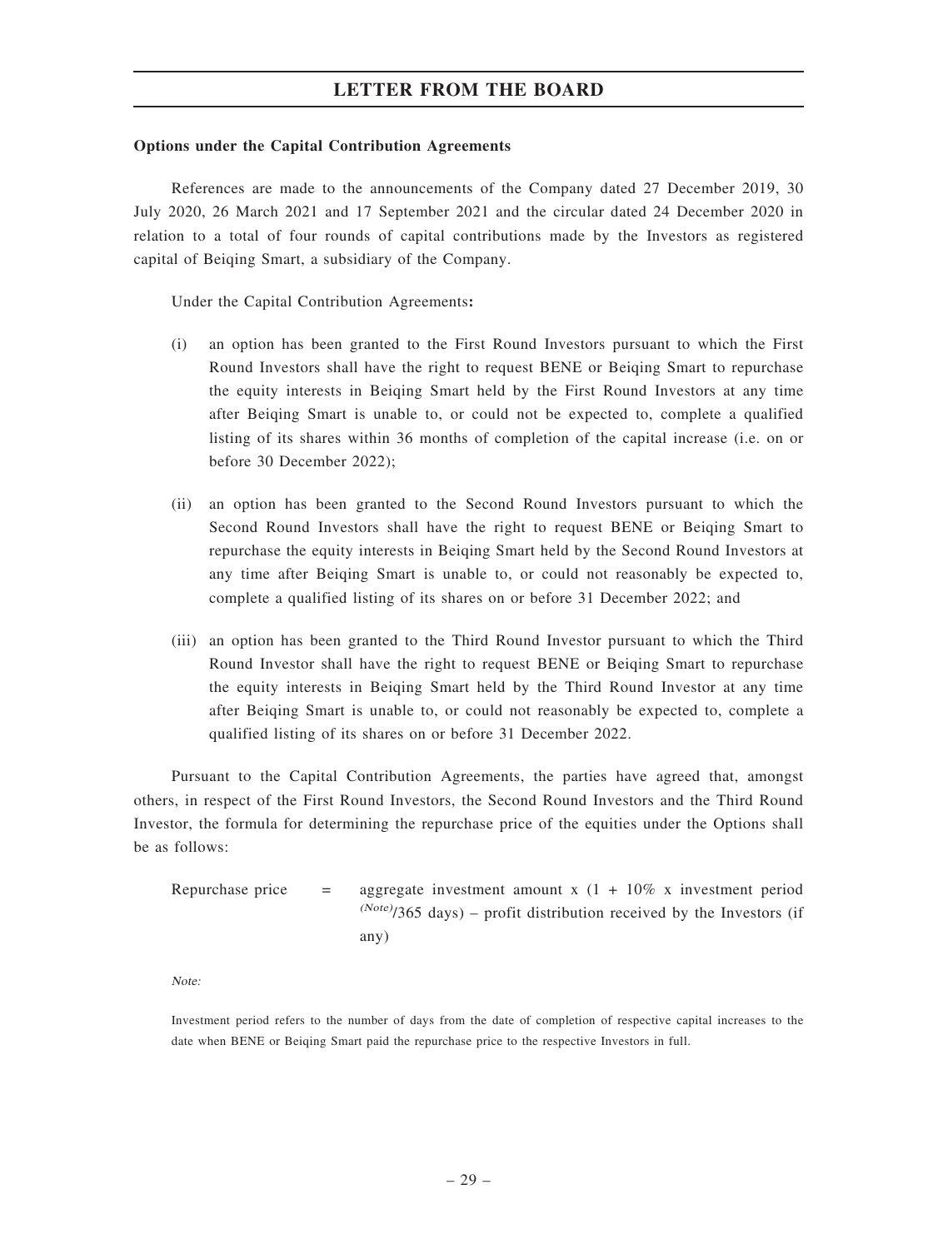#### Options under the Capital Contribution Agreements

References are made to the announcements of the Company dated 27 December 2019, 30 July 2020, 26 March 2021 and 17 September 2021 and the circular dated 24 December 2020 in relation to a total of four rounds of capital contributions made by the Investors as registered capital of Beiqing Smart, a subsidiary of the Company.

Under the Capital Contribution Agreements:

- (i) an option has been granted to the First Round Investors pursuant to which the First Round Investors shall have the right to request BENE or Beiqing Smart to repurchase the equity interests in Beiqing Smart held by the First Round Investors at any time after Beiqing Smart is unable to, or could not be expected to, complete a qualified listing of its shares within 36 months of completion of the capital increase (i.e. on or before 30 December 2022);
- (ii) an option has been granted to the Second Round Investors pursuant to which the Second Round Investors shall have the right to request BENE or Beiqing Smart to repurchase the equity interests in Beiqing Smart held by the Second Round Investors at any time after Beiqing Smart is unable to, or could not reasonably be expected to, complete a qualified listing of its shares on or before 31 December 2022; and
- (iii) an option has been granted to the Third Round Investor pursuant to which the Third Round Investor shall have the right to request BENE or Beiqing Smart to repurchase the equity interests in Beiqing Smart held by the Third Round Investor at any time after Beiqing Smart is unable to, or could not reasonably be expected to, complete a qualified listing of its shares on or before 31 December 2022.

Pursuant to the Capital Contribution Agreements, the parties have agreed that, amongst others, in respect of the First Round Investors, the Second Round Investors and the Third Round Investor, the formula for determining the repurchase price of the equities under the Options shall be as follows:

| Repurchase price | $=$ $-$ | aggregate investment amount x $(1 + 10\%$ x investment period              |
|------------------|---------|----------------------------------------------------------------------------|
|                  |         | $^{(Note)}$ /365 days) – profit distribution received by the Investors (if |
|                  |         | any)                                                                       |

Note:

Investment period refers to the number of days from the date of completion of respective capital increases to the date when BENE or Beiqing Smart paid the repurchase price to the respective Investors in full.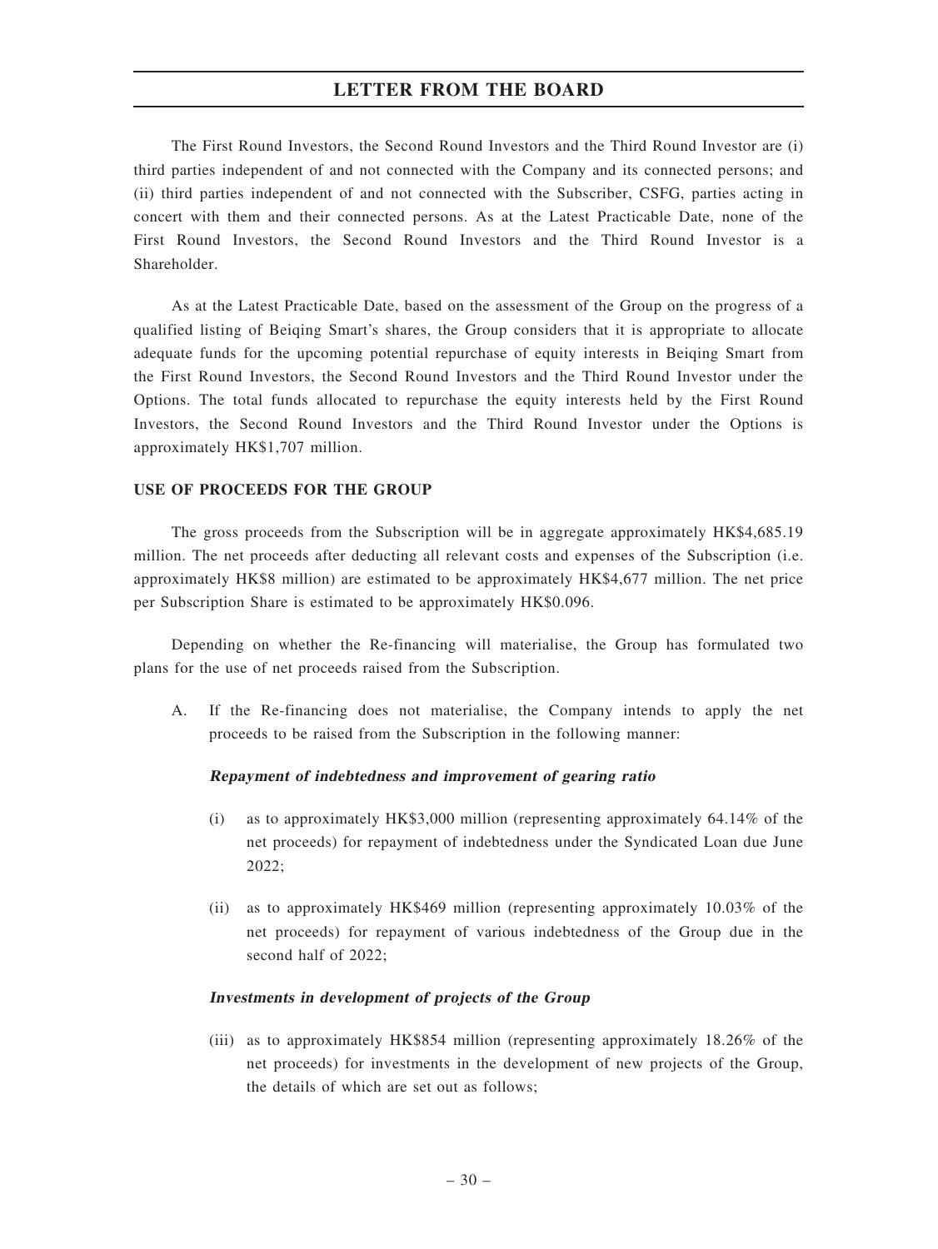The First Round Investors, the Second Round Investors and the Third Round Investor are (i) third parties independent of and not connected with the Company and its connected persons; and (ii) third parties independent of and not connected with the Subscriber, CSFG, parties acting in concert with them and their connected persons. As at the Latest Practicable Date, none of the First Round Investors, the Second Round Investors and the Third Round Investor is a Shareholder.

As at the Latest Practicable Date, based on the assessment of the Group on the progress of a qualified listing of Beiqing Smart's shares, the Group considers that it is appropriate to allocate adequate funds for the upcoming potential repurchase of equity interests in Beiqing Smart from the First Round Investors, the Second Round Investors and the Third Round Investor under the Options. The total funds allocated to repurchase the equity interests held by the First Round Investors, the Second Round Investors and the Third Round Investor under the Options is approximately HK\$1,707 million.

#### USE OF PROCEEDS FOR THE GROUP

The gross proceeds from the Subscription will be in aggregate approximately HK\$4,685.19 million. The net proceeds after deducting all relevant costs and expenses of the Subscription (i.e. approximately HK\$8 million) are estimated to be approximately HK\$4,677 million. The net price per Subscription Share is estimated to be approximately HK\$0.096.

Depending on whether the Re-financing will materialise, the Group has formulated two plans for the use of net proceeds raised from the Subscription.

A. If the Re-financing does not materialise, the Company intends to apply the net proceeds to be raised from the Subscription in the following manner:

#### Repayment of indebtedness and improvement of gearing ratio

- (i) as to approximately HK\$3,000 million (representing approximately 64.14% of the net proceeds) for repayment of indebtedness under the Syndicated Loan due June 2022;
- (ii) as to approximately HK\$469 million (representing approximately 10.03% of the net proceeds) for repayment of various indebtedness of the Group due in the second half of 2022;

#### Investments in development of projects of the Group

(iii) as to approximately HK\$854 million (representing approximately 18.26% of the net proceeds) for investments in the development of new projects of the Group, the details of which are set out as follows;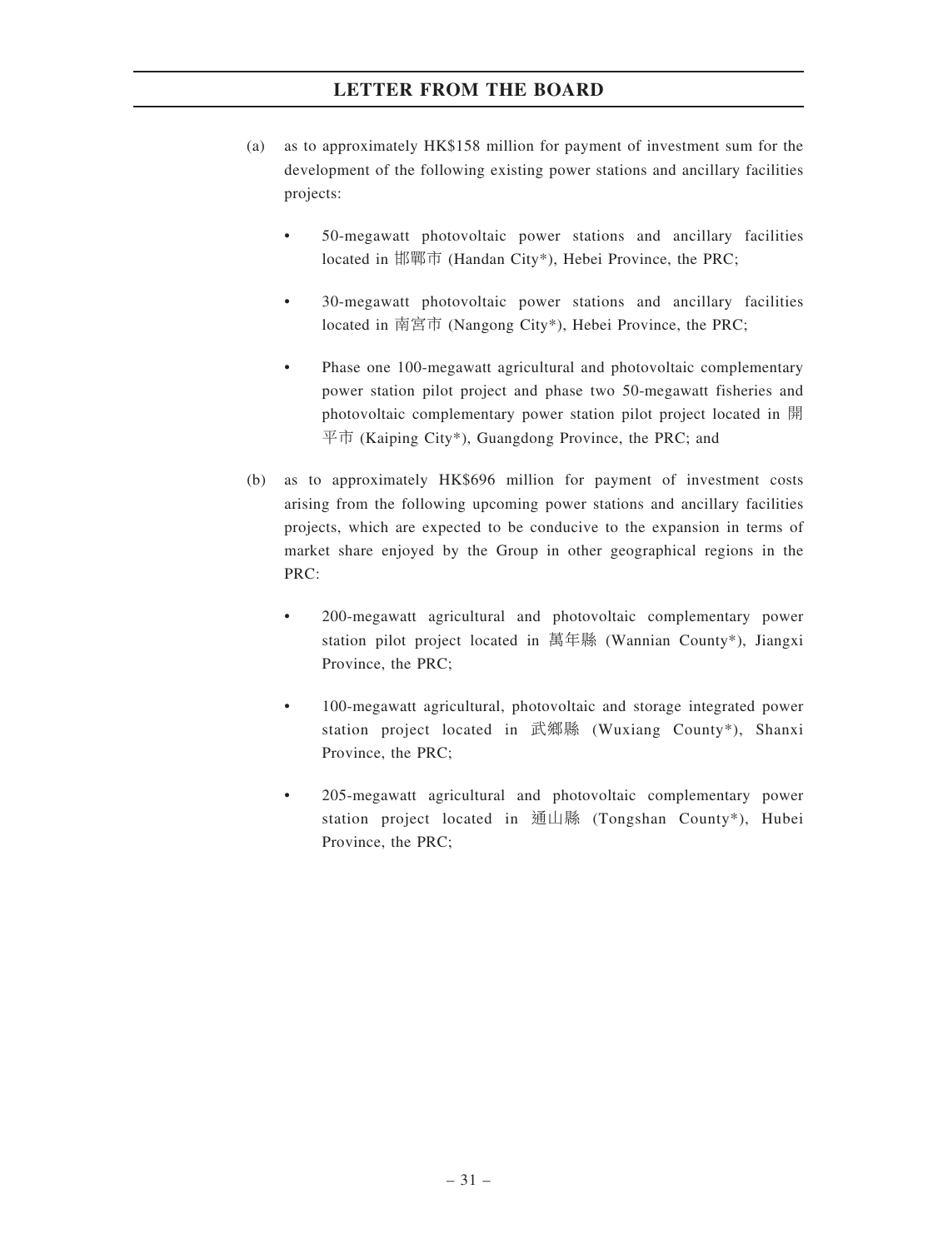- (a) as to approximately HK\$158 million for payment of investment sum for the development of the following existing power stations and ancillary facilities projects:
	- 50-megawatt photovoltaic power stations and ancillary facilities located in 邯鄲市 (Handan City\*), Hebei Province, the PRC;
	- 30-megawatt photovoltaic power stations and ancillary facilities located in 南宮市 (Nangong City\*), Hebei Province, the PRC;
	- Phase one 100-megawatt agricultural and photovoltaic complementary power station pilot project and phase two 50-megawatt fisheries and photovoltaic complementary power station pilot project located in 開 平市 (Kaiping City\*), Guangdong Province, the PRC; and
- (b) as to approximately HK\$696 million for payment of investment costs arising from the following upcoming power stations and ancillary facilities projects, which are expected to be conducive to the expansion in terms of market share enjoyed by the Group in other geographical regions in the PRC:
	- 200-megawatt agricultural and photovoltaic complementary power station pilot project located in 萬年縣 (Wannian County\*), Jiangxi Province, the PRC;
	- 100-megawatt agricultural, photovoltaic and storage integrated power station project located in 武鄉縣 (Wuxiang County\*), Shanxi Province, the PRC;
	- 205-megawatt agricultural and photovoltaic complementary power station project located in 通山縣 (Tongshan County\*), Hubei Province, the PRC;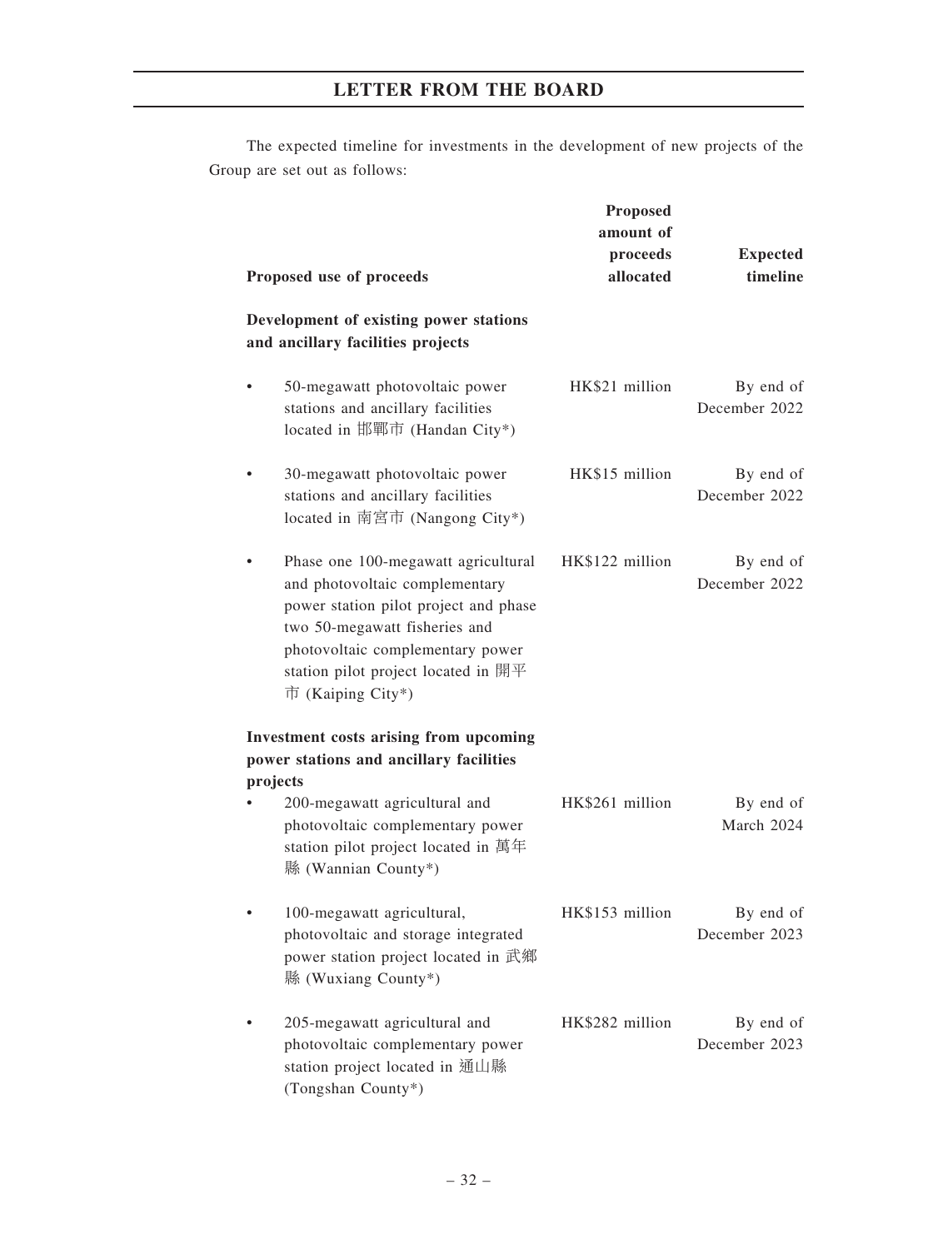The expected timeline for investments in the development of new projects of the Group are set out as follows:

|           | Proposed use of proceeds                                                                                                                                                                                                                        | Proposed<br>amount of<br>proceeds<br>allocated | <b>Expected</b><br>timeline |
|-----------|-------------------------------------------------------------------------------------------------------------------------------------------------------------------------------------------------------------------------------------------------|------------------------------------------------|-----------------------------|
|           | Development of existing power stations<br>and ancillary facilities projects                                                                                                                                                                     |                                                |                             |
|           | 50-megawatt photovoltaic power<br>stations and ancillary facilities<br>located in 邯鄲市 (Handan City*)                                                                                                                                            | HK\$21 million                                 | By end of<br>December 2022  |
|           | 30-megawatt photovoltaic power<br>stations and ancillary facilities<br>located in 南宮市 (Nangong City*)                                                                                                                                           | HK\$15 million                                 | By end of<br>December 2022  |
|           | Phase one 100-megawatt agricultural<br>and photovoltaic complementary<br>power station pilot project and phase<br>two 50-megawatt fisheries and<br>photovoltaic complementary power<br>station pilot project located in 開平<br>市 (Kaiping City*) | HK\$122 million                                | By end of<br>December 2022  |
| projects  | <b>Investment costs arising from upcoming</b><br>power stations and ancillary facilities                                                                                                                                                        |                                                |                             |
|           | 200-megawatt agricultural and<br>photovoltaic complementary power<br>station pilot project located in 萬年<br>縣 (Wannian County*)                                                                                                                 | HK\$261 million                                | By end of<br>March 2024     |
| $\bullet$ | 100-megawatt agricultural,<br>photovoltaic and storage integrated<br>power station project located in 武鄉<br>縣 (Wuxiang County*)                                                                                                                 | HK\$153 million                                | By end of<br>December 2023  |
|           | 205-megawatt agricultural and<br>photovoltaic complementary power<br>station project located in 通山縣<br>(Tongshan County*)                                                                                                                       | HK\$282 million                                | By end of<br>December 2023  |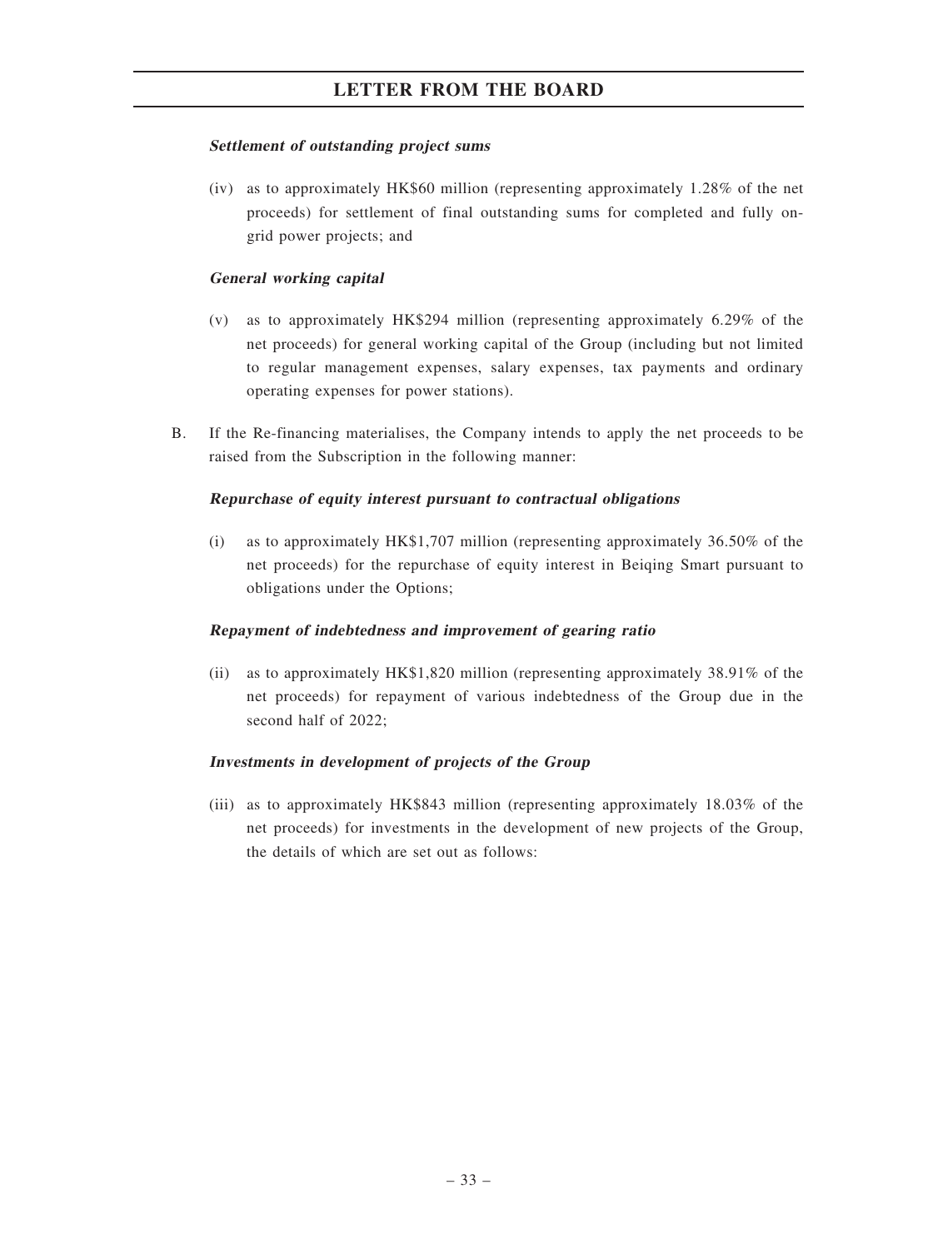#### Settlement of outstanding project sums

(iv) as to approximately HK\$60 million (representing approximately 1.28% of the net proceeds) for settlement of final outstanding sums for completed and fully ongrid power projects; and

## General working capital

- (v) as to approximately HK\$294 million (representing approximately 6.29% of the net proceeds) for general working capital of the Group (including but not limited to regular management expenses, salary expenses, tax payments and ordinary operating expenses for power stations).
- B. If the Re-financing materialises, the Company intends to apply the net proceeds to be raised from the Subscription in the following manner:

## Repurchase of equity interest pursuant to contractual obligations

(i) as to approximately HK\$1,707 million (representing approximately 36.50% of the net proceeds) for the repurchase of equity interest in Beiqing Smart pursuant to obligations under the Options;

## Repayment of indebtedness and improvement of gearing ratio

(ii) as to approximately HK\$1,820 million (representing approximately 38.91% of the net proceeds) for repayment of various indebtedness of the Group due in the second half of 2022;

# Investments in development of projects of the Group

(iii) as to approximately HK\$843 million (representing approximately 18.03% of the net proceeds) for investments in the development of new projects of the Group, the details of which are set out as follows: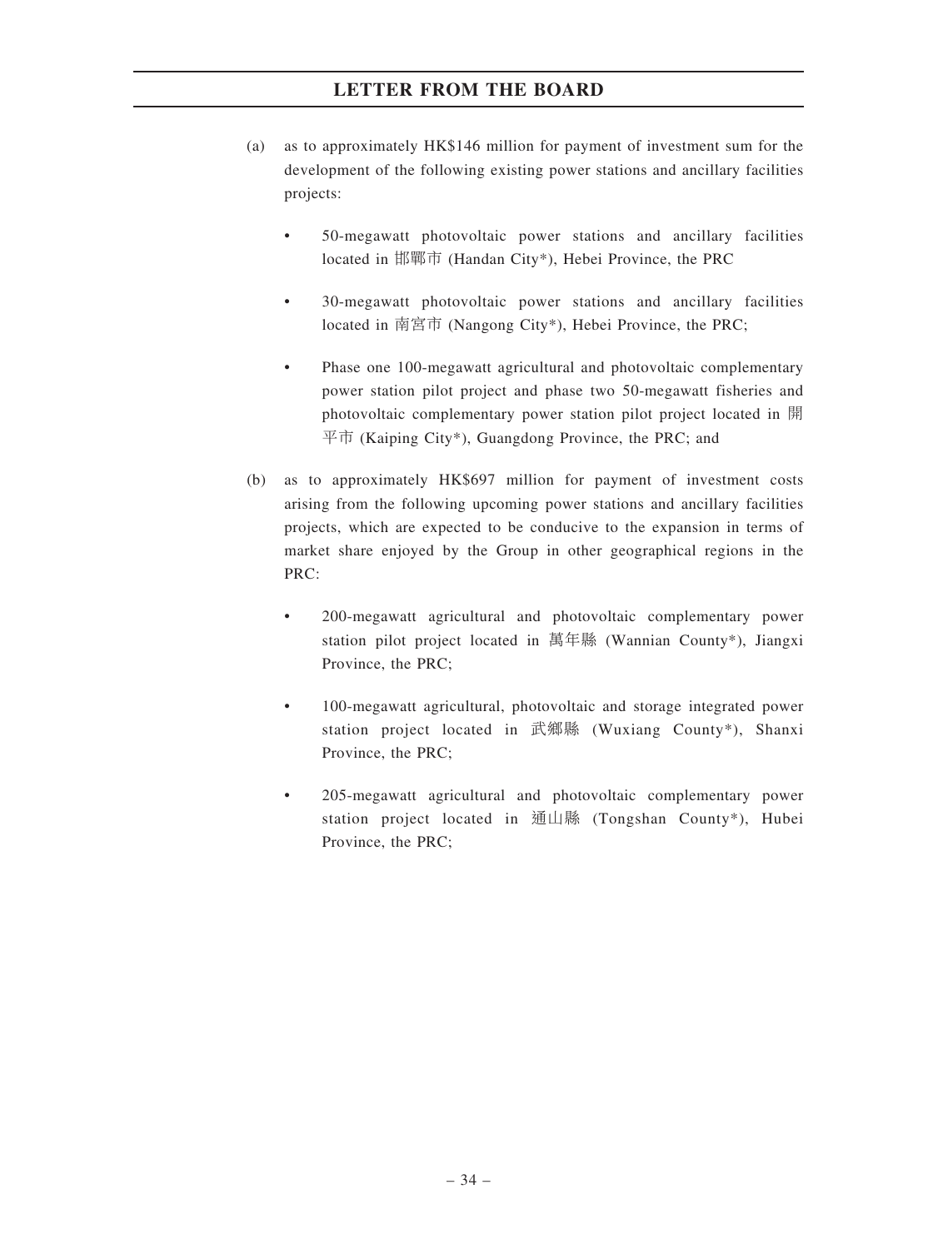- (a) as to approximately HK\$146 million for payment of investment sum for the development of the following existing power stations and ancillary facilities projects:
	- 50-megawatt photovoltaic power stations and ancillary facilities located in 邯鄲市 (Handan City\*), Hebei Province, the PRC
	- 30-megawatt photovoltaic power stations and ancillary facilities located in 南宮市 (Nangong City\*), Hebei Province, the PRC;
	- Phase one 100-megawatt agricultural and photovoltaic complementary power station pilot project and phase two 50-megawatt fisheries and photovoltaic complementary power station pilot project located in 開 平市 (Kaiping City\*), Guangdong Province, the PRC; and
- (b) as to approximately HK\$697 million for payment of investment costs arising from the following upcoming power stations and ancillary facilities projects, which are expected to be conducive to the expansion in terms of market share enjoyed by the Group in other geographical regions in the PRC:
	- 200-megawatt agricultural and photovoltaic complementary power station pilot project located in 萬年縣 (Wannian County\*), Jiangxi Province, the PRC;
	- 100-megawatt agricultural, photovoltaic and storage integrated power station project located in 武鄉縣 (Wuxiang County\*), Shanxi Province, the PRC;
	- 205-megawatt agricultural and photovoltaic complementary power station project located in 通山縣 (Tongshan County\*), Hubei Province, the PRC;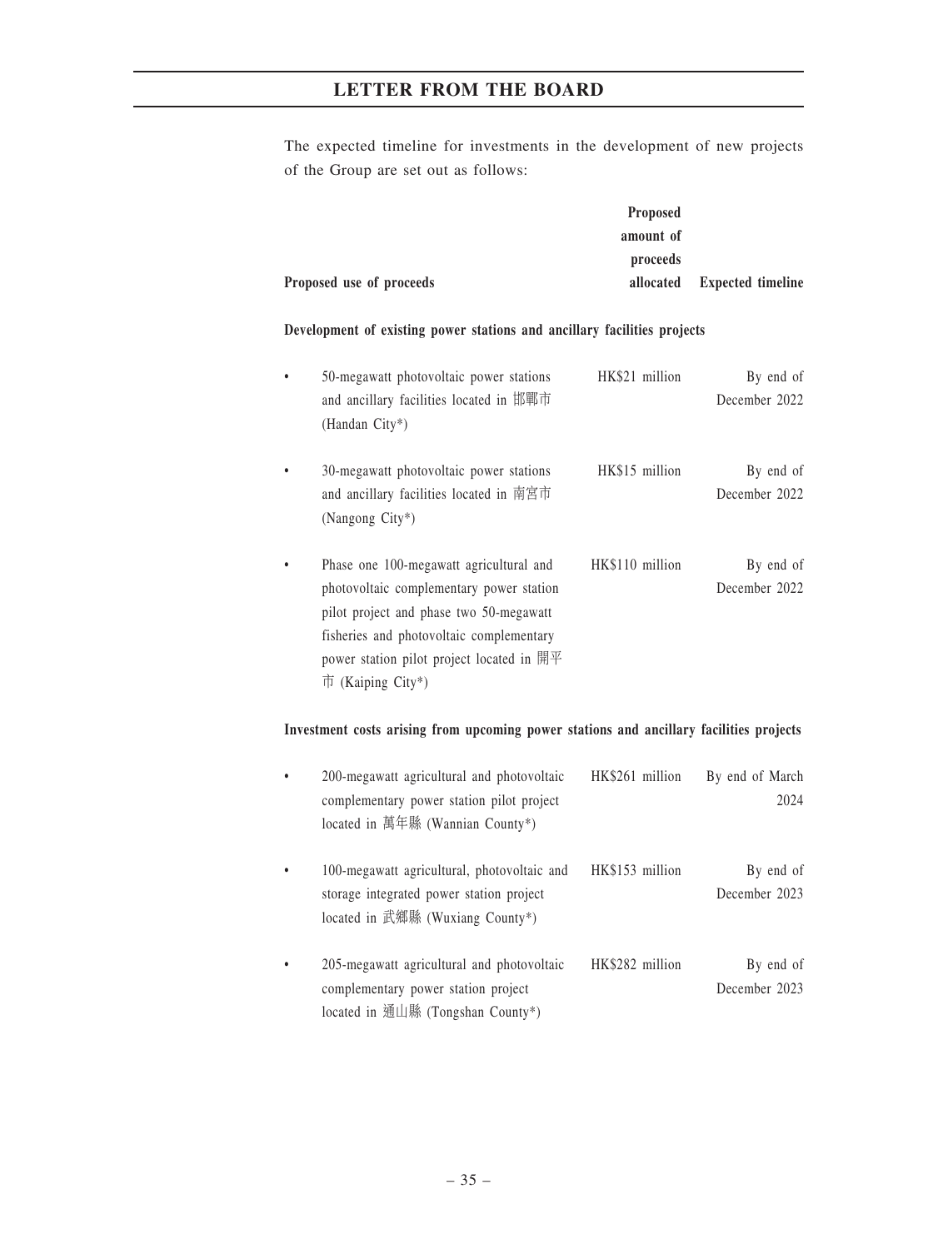The expected timeline for investments in the development of new projects of the Group are set out as follows:

|                          | <b>Proposed</b> |                             |
|--------------------------|-----------------|-----------------------------|
|                          | amount of       |                             |
|                          | proceeds        |                             |
| Proposed use of proceeds |                 | allocated Expected timeline |

### Development of existing power stations and ancillary facilities projects

| 50-megawatt photovoltaic power stations<br>and ancillary facilities located in 邯鄲市<br>(Handan City*)                                                                                                                                                                            | HK\$21 million  | By end of<br>December 2022 |
|---------------------------------------------------------------------------------------------------------------------------------------------------------------------------------------------------------------------------------------------------------------------------------|-----------------|----------------------------|
| 30-megawatt photovoltaic power stations<br>and ancillary facilities located in 南宮市<br>(Nangong City*)                                                                                                                                                                           | HK\$15 million  | By end of<br>December 2022 |
| Phase one 100-megawatt agricultural and<br>photovoltaic complementary power station<br>pilot project and phase two 50-megawatt<br>fisheries and photovoltaic complementary<br>power station pilot project located in $\mathbb{H}\mathbb{F}$<br>$\overline{\Pi}$ (Kaiping City*) | HK\$110 million | By end of<br>December 2022 |

### Investment costs arising from upcoming power stations and ancillary facilities projects

| $\bullet$ | 200-megawatt agricultural and photovoltaic<br>complementary power station pilot project<br>located in 萬年縣 (Wannian County*) | HK\$261 million | By end of March<br>2024    |
|-----------|-----------------------------------------------------------------------------------------------------------------------------|-----------------|----------------------------|
|           | 100-megawatt agricultural, photovoltaic and<br>storage integrated power station project<br>located in 武鄉縣 (Wuxiang County*) | HK\$153 million | By end of<br>December 2023 |
|           | 205-megawatt agricultural and photovoltaic<br>complementary power station project<br>located in 通山縣 (Tongshan County*)      | HK\$282 million | By end of<br>December 2023 |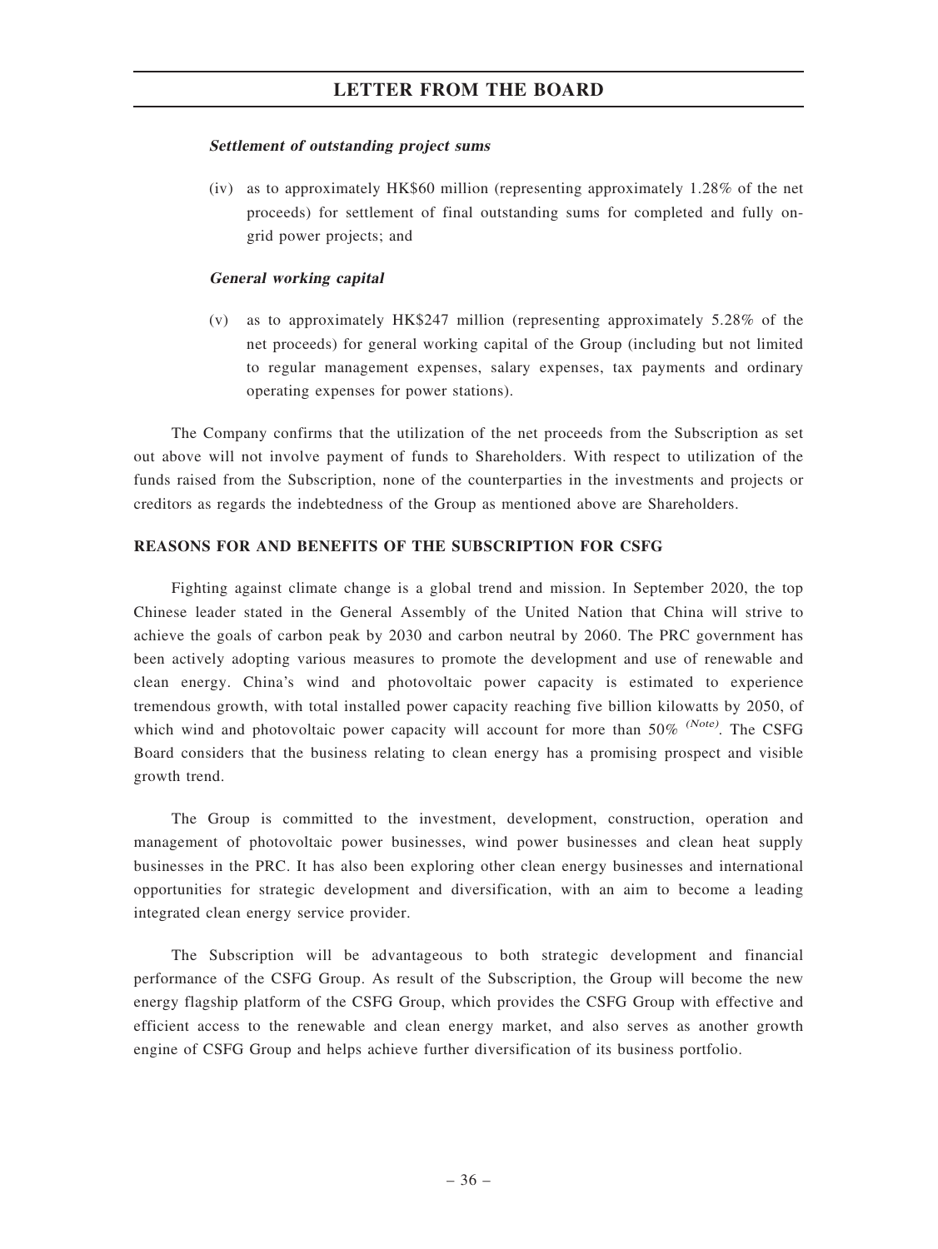### Settlement of outstanding project sums

(iv) as to approximately HK\$60 million (representing approximately 1.28% of the net proceeds) for settlement of final outstanding sums for completed and fully ongrid power projects; and

### General working capital

(v) as to approximately HK\$247 million (representing approximately 5.28% of the net proceeds) for general working capital of the Group (including but not limited to regular management expenses, salary expenses, tax payments and ordinary operating expenses for power stations).

The Company confirms that the utilization of the net proceeds from the Subscription as set out above will not involve payment of funds to Shareholders. With respect to utilization of the funds raised from the Subscription, none of the counterparties in the investments and projects or creditors as regards the indebtedness of the Group as mentioned above are Shareholders.

### REASONS FOR AND BENEFITS OF THE SUBSCRIPTION FOR CSFG

Fighting against climate change is a global trend and mission. In September 2020, the top Chinese leader stated in the General Assembly of the United Nation that China will strive to achieve the goals of carbon peak by 2030 and carbon neutral by 2060. The PRC government has been actively adopting various measures to promote the development and use of renewable and clean energy. China's wind and photovoltaic power capacity is estimated to experience tremendous growth, with total installed power capacity reaching five billion kilowatts by 2050, of which wind and photovoltaic power capacity will account for more than  $50\%$  (Note). The CSFG Board considers that the business relating to clean energy has a promising prospect and visible growth trend.

The Group is committed to the investment, development, construction, operation and management of photovoltaic power businesses, wind power businesses and clean heat supply businesses in the PRC. It has also been exploring other clean energy businesses and international opportunities for strategic development and diversification, with an aim to become a leading integrated clean energy service provider.

The Subscription will be advantageous to both strategic development and financial performance of the CSFG Group. As result of the Subscription, the Group will become the new energy flagship platform of the CSFG Group, which provides the CSFG Group with effective and efficient access to the renewable and clean energy market, and also serves as another growth engine of CSFG Group and helps achieve further diversification of its business portfolio.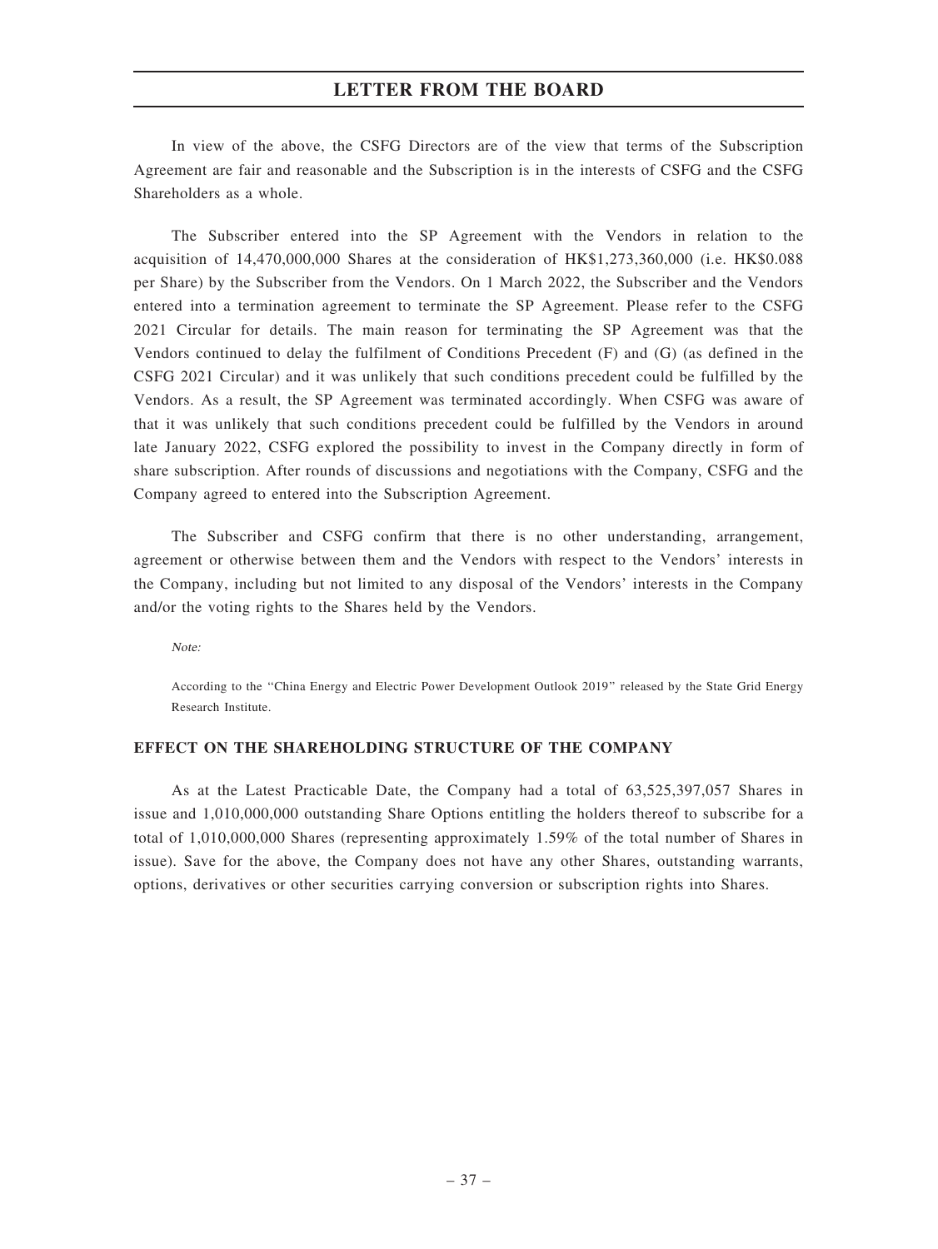In view of the above, the CSFG Directors are of the view that terms of the Subscription Agreement are fair and reasonable and the Subscription is in the interests of CSFG and the CSFG Shareholders as a whole.

The Subscriber entered into the SP Agreement with the Vendors in relation to the acquisition of 14,470,000,000 Shares at the consideration of HK\$1,273,360,000 (i.e. HK\$0.088 per Share) by the Subscriber from the Vendors. On 1 March 2022, the Subscriber and the Vendors entered into a termination agreement to terminate the SP Agreement. Please refer to the CSFG 2021 Circular for details. The main reason for terminating the SP Agreement was that the Vendors continued to delay the fulfilment of Conditions Precedent (F) and (G) (as defined in the CSFG 2021 Circular) and it was unlikely that such conditions precedent could be fulfilled by the Vendors. As a result, the SP Agreement was terminated accordingly. When CSFG was aware of that it was unlikely that such conditions precedent could be fulfilled by the Vendors in around late January 2022, CSFG explored the possibility to invest in the Company directly in form of share subscription. After rounds of discussions and negotiations with the Company, CSFG and the Company agreed to entered into the Subscription Agreement.

The Subscriber and CSFG confirm that there is no other understanding, arrangement, agreement or otherwise between them and the Vendors with respect to the Vendors' interests in the Company, including but not limited to any disposal of the Vendors' interests in the Company and/or the voting rights to the Shares held by the Vendors.

Note:

According to the ''China Energy and Electric Power Development Outlook 2019'' released by the State Grid Energy Research Institute.

#### EFFECT ON THE SHAREHOLDING STRUCTURE OF THE COMPANY

As at the Latest Practicable Date, the Company had a total of 63,525,397,057 Shares in issue and 1,010,000,000 outstanding Share Options entitling the holders thereof to subscribe for a total of 1,010,000,000 Shares (representing approximately 1.59% of the total number of Shares in issue). Save for the above, the Company does not have any other Shares, outstanding warrants, options, derivatives or other securities carrying conversion or subscription rights into Shares.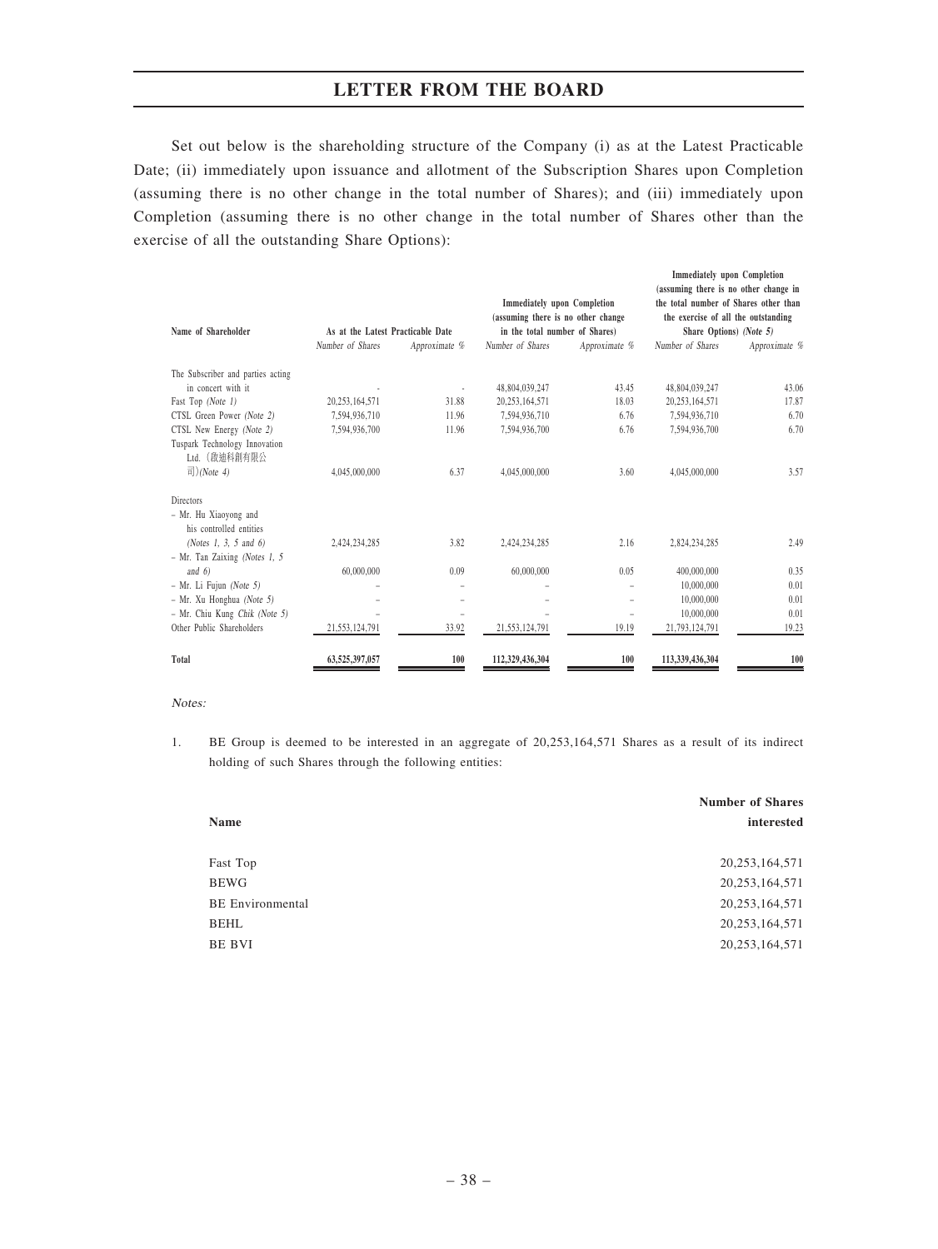Set out below is the shareholding structure of the Company (i) as at the Latest Practicable Date; (ii) immediately upon issuance and allotment of the Subscription Shares upon Completion (assuming there is no other change in the total number of Shares); and (iii) immediately upon Completion (assuming there is no other change in the total number of Shares other than the exercise of all the outstanding Share Options):

|                                                  |                                   |               |                                                                          |               | <b>Immediately</b> upon Completion<br>(assuming there is no other change in  |               |
|--------------------------------------------------|-----------------------------------|---------------|--------------------------------------------------------------------------|---------------|------------------------------------------------------------------------------|---------------|
|                                                  |                                   |               | <b>Immediately upon Completion</b><br>(assuming there is no other change |               | the total number of Shares other than<br>the exercise of all the outstanding |               |
| Name of Shareholder                              | As at the Latest Practicable Date |               | in the total number of Shares)                                           |               | Share Options) (Note 5)                                                      |               |
|                                                  | Number of Shares                  | Approximate % | Number of Shares                                                         | Approximate % | Number of Shares                                                             | Approximate % |
| The Subscriber and parties acting                |                                   |               |                                                                          |               |                                                                              |               |
| in concert with it                               |                                   |               | 48,804,039,247                                                           | 43.45         | 48,804,039,247                                                               | 43.06         |
| Fast Top (Note 1)                                | 20,253,164,571                    | 31.88         | 20,253,164,571                                                           | 18.03         | 20,253,164,571                                                               | 17.87         |
| CTSL Green Power (Note 2)                        | 7,594,936,710                     | 11.96         | 7,594,936,710                                                            | 6.76          | 7,594,936,710                                                                | 6.70          |
| CTSL New Energy (Note 2)                         | 7,594,936,700                     | 11.96         | 7.594.936.700                                                            | 6.76          | 7.594.936.700                                                                | 6.70          |
| Tuspark Technology Innovation<br>Ltd. (啟油科創有限公   |                                   |               |                                                                          |               |                                                                              |               |
| 司)(Note 4)                                       | 4,045,000,000                     | 6.37          | 4,045,000,000                                                            | 3.60          | 4,045,000,000                                                                | 3.57          |
| <b>Directors</b>                                 |                                   |               |                                                                          |               |                                                                              |               |
| - Mr. Hu Xiaoyong and<br>his controlled entities |                                   |               |                                                                          |               |                                                                              |               |
| (Notes 1, 3, 5 and 6)                            | 2,424,234,285                     | 3.82          | 2,424,234,285                                                            | 2.16          | 2,824,234,285                                                                | 2.49          |
| $-$ Mr. Tan Zaixing (Notes 1, 5                  |                                   |               |                                                                          |               |                                                                              |               |
| and $6$                                          | 60,000,000                        | 0.09          | 60,000,000                                                               | 0.05          | 400,000,000                                                                  | 0.35          |
| - Mr. Li Fujun (Note 5)                          |                                   |               |                                                                          |               | 10,000,000                                                                   | 0.01          |
| - Mr. Xu Honghua (Note 5)                        |                                   | ۰             |                                                                          | -             | 10,000,000                                                                   | 0.01          |
| - Mr. Chiu Kung Chik (Note 5)                    |                                   |               |                                                                          |               | 10,000,000                                                                   | 0.01          |
| Other Public Shareholders                        | 21,553,124,791                    | 33.92         | 21,553,124,791                                                           | 19.19         | 21,793,124,791                                                               | 19.23         |
| Total                                            | 63,525,397,057                    | 100           | 112,329,436,304                                                          | 100           | 113,339,436,304                                                              | 100           |

#### Notes:

1. BE Group is deemed to be interested in an aggregate of 20,253,164,571 Shares as a result of its indirect holding of such Shares through the following entities:

|                         | <b>Number of Shares</b> |
|-------------------------|-------------------------|
| <b>Name</b>             | interested              |
|                         |                         |
| Fast Top                | 20, 253, 164, 571       |
| <b>BEWG</b>             | 20, 253, 164, 571       |
| <b>BE</b> Environmental | 20, 253, 164, 571       |
| <b>BEHL</b>             | 20, 253, 164, 571       |
| BE BVI                  | 20, 253, 164, 571       |
|                         |                         |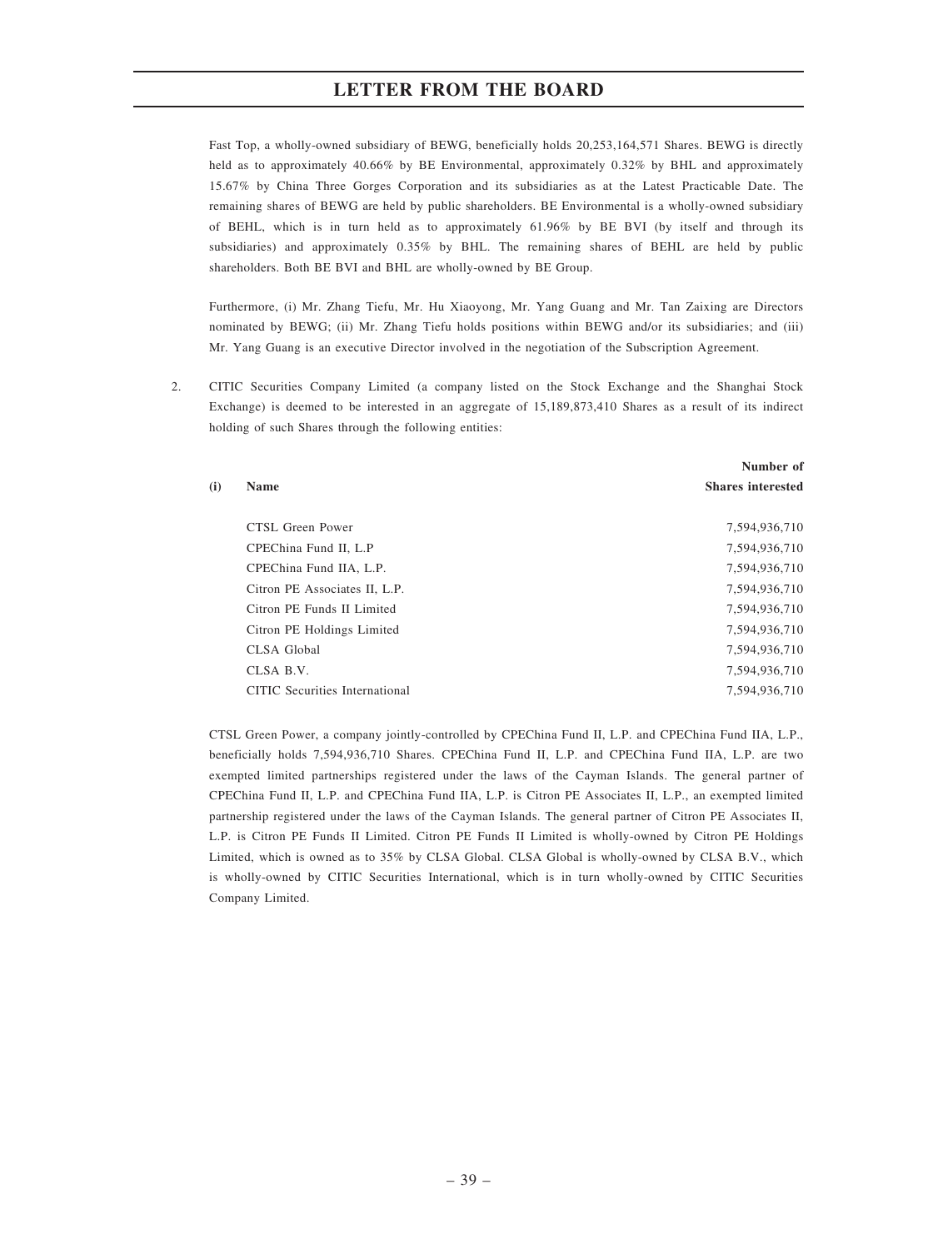Fast Top, a wholly-owned subsidiary of BEWG, beneficially holds 20,253,164,571 Shares. BEWG is directly held as to approximately 40.66% by BE Environmental, approximately 0.32% by BHL and approximately 15.67% by China Three Gorges Corporation and its subsidiaries as at the Latest Practicable Date. The remaining shares of BEWG are held by public shareholders. BE Environmental is a wholly-owned subsidiary of BEHL, which is in turn held as to approximately 61.96% by BE BVI (by itself and through its subsidiaries) and approximately 0.35% by BHL. The remaining shares of BEHL are held by public shareholders. Both BE BVI and BHL are wholly-owned by BE Group.

Furthermore, (i) Mr. Zhang Tiefu, Mr. Hu Xiaoyong, Mr. Yang Guang and Mr. Tan Zaixing are Directors nominated by BEWG; (ii) Mr. Zhang Tiefu holds positions within BEWG and/or its subsidiaries; and (iii) Mr. Yang Guang is an executive Director involved in the negotiation of the Subscription Agreement.

2. CITIC Securities Company Limited (a company listed on the Stock Exchange and the Shanghai Stock Exchange) is deemed to be interested in an aggregate of 15,189,873,410 Shares as a result of its indirect holding of such Shares through the following entities:

 $(i)$ 

|                                | Number of                |
|--------------------------------|--------------------------|
| <b>Name</b>                    | <b>Shares interested</b> |
| CTSL Green Power               | 7,594,936,710            |
| CPEChina Fund II, L.P          | 7,594,936,710            |
| CPEChina Fund IIA, L.P.        | 7,594,936,710            |
| Citron PE Associates II, L.P.  | 7,594,936,710            |
| Citron PE Funds II Limited     | 7,594,936,710            |
| Citron PE Holdings Limited     | 7,594,936,710            |
| CLSA Global                    | 7,594,936,710            |
| CLSA B.V.                      | 7,594,936,710            |
| CITIC Securities International | 7.594.936.710            |
|                                |                          |

CTSL Green Power, a company jointly-controlled by CPEChina Fund II, L.P. and CPEChina Fund IIA, L.P., beneficially holds 7,594,936,710 Shares. CPEChina Fund II, L.P. and CPEChina Fund IIA, L.P. are two exempted limited partnerships registered under the laws of the Cayman Islands. The general partner of CPEChina Fund II, L.P. and CPEChina Fund IIA, L.P. is Citron PE Associates II, L.P., an exempted limited partnership registered under the laws of the Cayman Islands. The general partner of Citron PE Associates II, L.P. is Citron PE Funds II Limited. Citron PE Funds II Limited is wholly-owned by Citron PE Holdings Limited, which is owned as to 35% by CLSA Global. CLSA Global is wholly-owned by CLSA B.V., which is wholly-owned by CITIC Securities International, which is in turn wholly-owned by CITIC Securities Company Limited.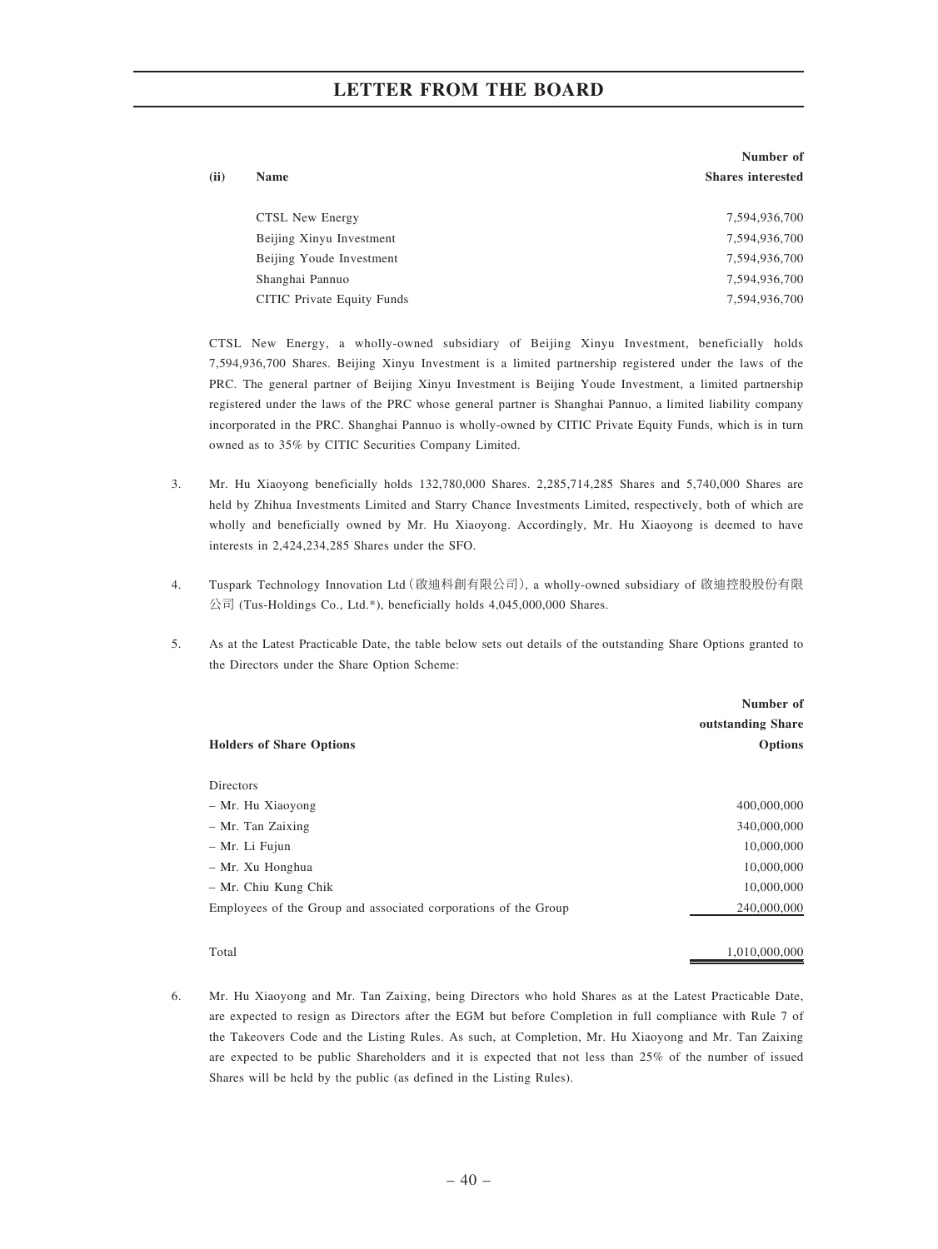|      |                            | Number of                |
|------|----------------------------|--------------------------|
| (ii) | <b>Name</b>                | <b>Shares interested</b> |
|      |                            |                          |
|      | CTSL New Energy            | 7,594,936,700            |
|      | Beijing Xinyu Investment   | 7,594,936,700            |
|      | Beijing Youde Investment   | 7,594,936,700            |
|      | Shanghai Pannuo            | 7,594,936,700            |
|      | CITIC Private Equity Funds | 7,594,936,700            |

CTSL New Energy, a wholly-owned subsidiary of Beijing Xinyu Investment, beneficially holds 7,594,936,700 Shares. Beijing Xinyu Investment is a limited partnership registered under the laws of the PRC. The general partner of Beijing Xinyu Investment is Beijing Youde Investment, a limited partnership registered under the laws of the PRC whose general partner is Shanghai Pannuo, a limited liability company incorporated in the PRC. Shanghai Pannuo is wholly-owned by CITIC Private Equity Funds, which is in turn owned as to 35% by CITIC Securities Company Limited.

- 3. Mr. Hu Xiaoyong beneficially holds 132,780,000 Shares. 2,285,714,285 Shares and 5,740,000 Shares are held by Zhihua Investments Limited and Starry Chance Investments Limited, respectively, both of which are wholly and beneficially owned by Mr. Hu Xiaoyong. Accordingly, Mr. Hu Xiaoyong is deemed to have interests in 2,424,234,285 Shares under the SFO.
- 4. Tuspark Technology Innovation Ltd(啟迪科創有限公司), a wholly-owned subsidiary of 啟迪控股股份有限 公司 (Tus-Holdings Co., Ltd.\*), beneficially holds 4,045,000,000 Shares.
- 5. As at the Latest Practicable Date, the table below sets out details of the outstanding Share Options granted to the Directors under the Share Option Scheme:

|                                                                 | Number of         |
|-----------------------------------------------------------------|-------------------|
|                                                                 | outstanding Share |
| <b>Holders of Share Options</b>                                 | <b>Options</b>    |
|                                                                 |                   |
| <b>Directors</b>                                                |                   |
| - Mr. Hu Xiaoyong                                               | 400,000,000       |
| - Mr. Tan Zaixing                                               | 340,000,000       |
| - Mr. Li Fujun                                                  | 10,000,000        |
| - Mr. Xu Honghua                                                | 10,000,000        |
| - Mr. Chiu Kung Chik                                            | 10,000,000        |
| Employees of the Group and associated corporations of the Group | 240,000,000       |
|                                                                 |                   |

Total 1,010,000,000

6. Mr. Hu Xiaoyong and Mr. Tan Zaixing, being Directors who hold Shares as at the Latest Practicable Date, are expected to resign as Directors after the EGM but before Completion in full compliance with Rule 7 of the Takeovers Code and the Listing Rules. As such, at Completion, Mr. Hu Xiaoyong and Mr. Tan Zaixing are expected to be public Shareholders and it is expected that not less than 25% of the number of issued Shares will be held by the public (as defined in the Listing Rules).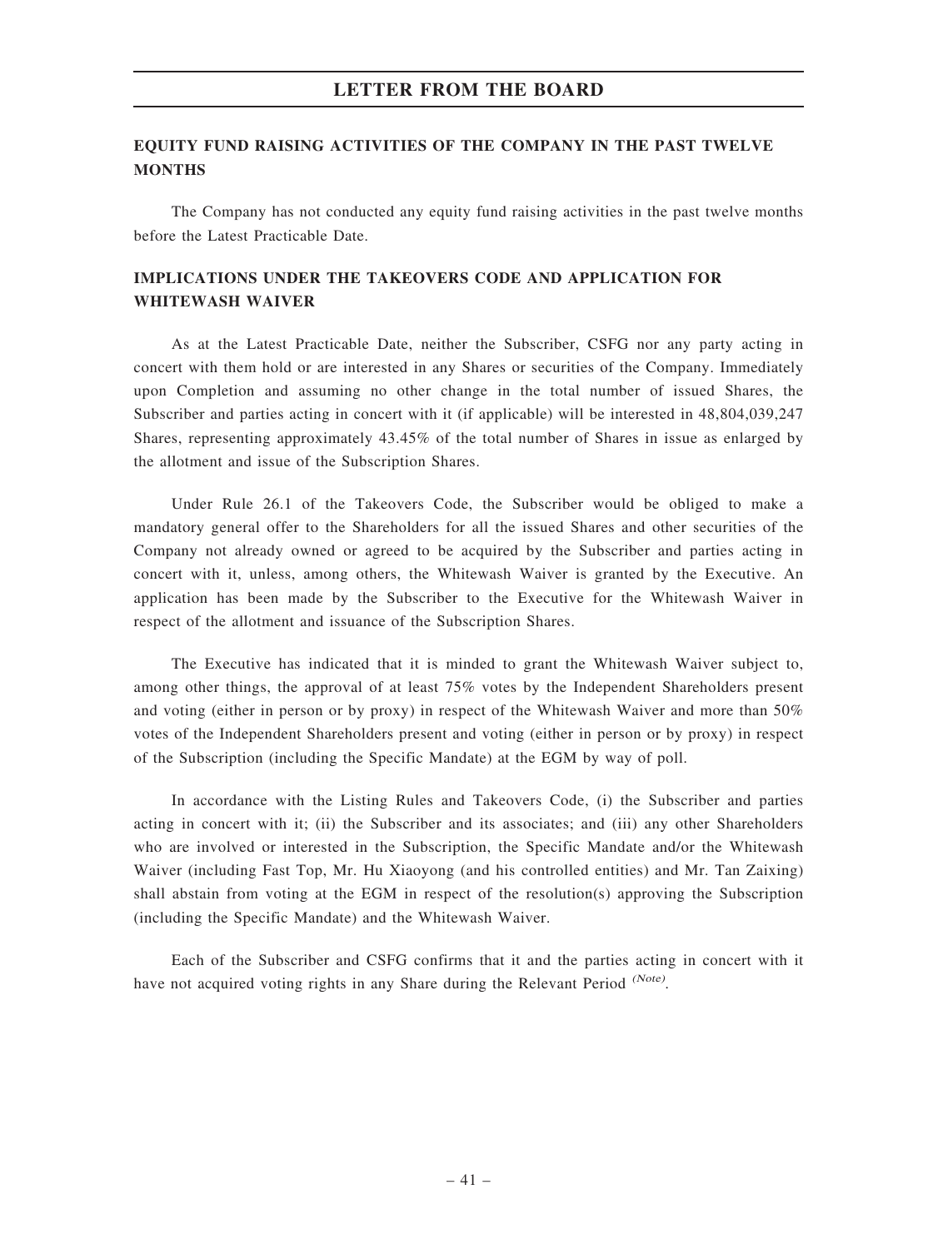### EQUITY FUND RAISING ACTIVITIES OF THE COMPANY IN THE PAST TWELVE **MONTHS**

The Company has not conducted any equity fund raising activities in the past twelve months before the Latest Practicable Date.

# IMPLICATIONS UNDER THE TAKEOVERS CODE AND APPLICATION FOR WHITEWASH WAIVER

As at the Latest Practicable Date, neither the Subscriber, CSFG nor any party acting in concert with them hold or are interested in any Shares or securities of the Company. Immediately upon Completion and assuming no other change in the total number of issued Shares, the Subscriber and parties acting in concert with it (if applicable) will be interested in 48,804,039,247 Shares, representing approximately 43.45% of the total number of Shares in issue as enlarged by the allotment and issue of the Subscription Shares.

Under Rule 26.1 of the Takeovers Code, the Subscriber would be obliged to make a mandatory general offer to the Shareholders for all the issued Shares and other securities of the Company not already owned or agreed to be acquired by the Subscriber and parties acting in concert with it, unless, among others, the Whitewash Waiver is granted by the Executive. An application has been made by the Subscriber to the Executive for the Whitewash Waiver in respect of the allotment and issuance of the Subscription Shares.

The Executive has indicated that it is minded to grant the Whitewash Waiver subject to, among other things, the approval of at least 75% votes by the Independent Shareholders present and voting (either in person or by proxy) in respect of the Whitewash Waiver and more than 50% votes of the Independent Shareholders present and voting (either in person or by proxy) in respect of the Subscription (including the Specific Mandate) at the EGM by way of poll.

In accordance with the Listing Rules and Takeovers Code, (i) the Subscriber and parties acting in concert with it; (ii) the Subscriber and its associates; and (iii) any other Shareholders who are involved or interested in the Subscription, the Specific Mandate and/or the Whitewash Waiver (including Fast Top, Mr. Hu Xiaoyong (and his controlled entities) and Mr. Tan Zaixing) shall abstain from voting at the EGM in respect of the resolution(s) approving the Subscription (including the Specific Mandate) and the Whitewash Waiver.

Each of the Subscriber and CSFG confirms that it and the parties acting in concert with it have not acquired voting rights in any Share during the Relevant Period <sup>(Note)</sup>.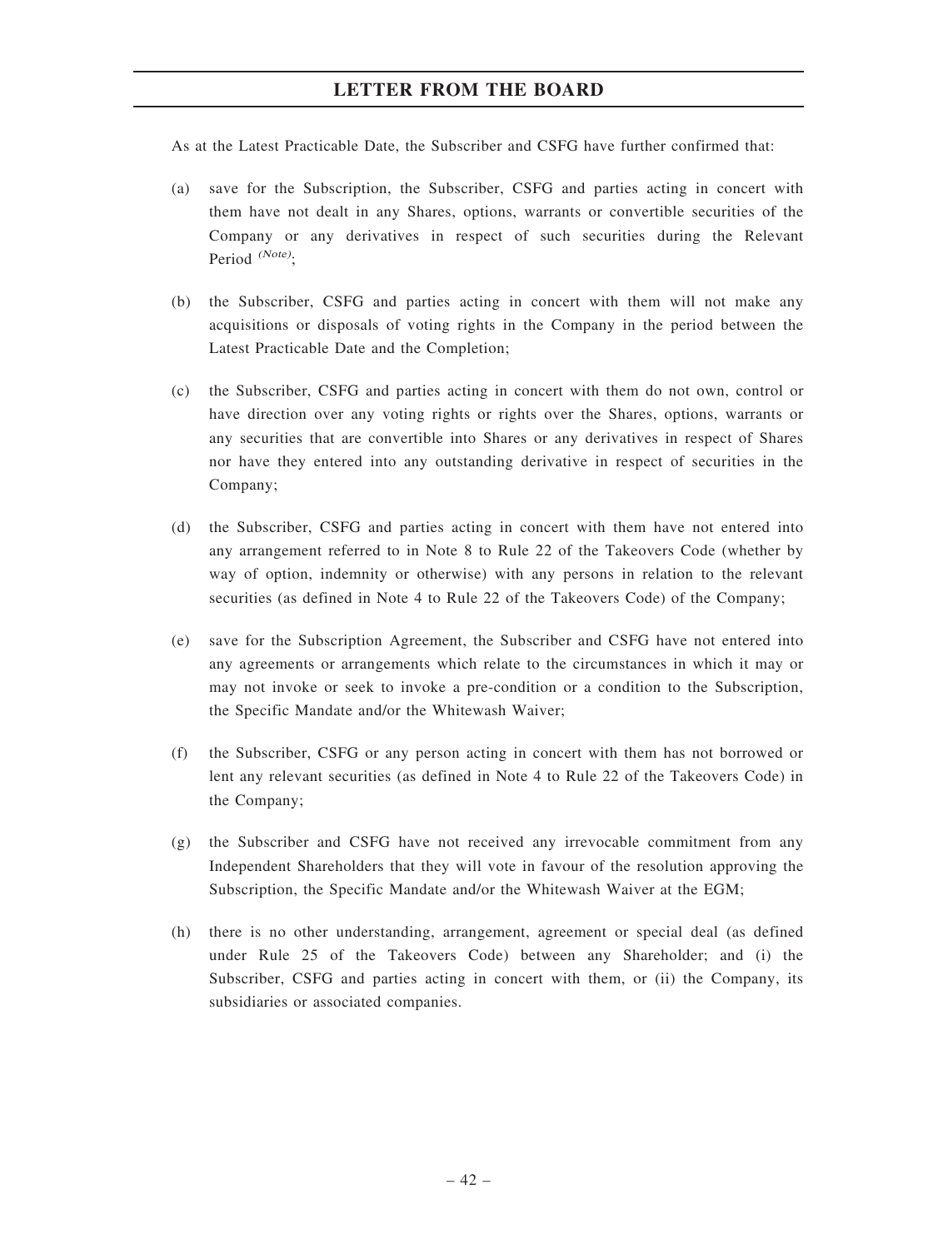As at the Latest Practicable Date, the Subscriber and CSFG have further confirmed that:

- (a) save for the Subscription, the Subscriber, CSFG and parties acting in concert with them have not dealt in any Shares, options, warrants or convertible securities of the Company or any derivatives in respect of such securities during the Relevant Period  $^{(Note)}$ :
- (b) the Subscriber, CSFG and parties acting in concert with them will not make any acquisitions or disposals of voting rights in the Company in the period between the Latest Practicable Date and the Completion;
- (c) the Subscriber, CSFG and parties acting in concert with them do not own, control or have direction over any voting rights or rights over the Shares, options, warrants or any securities that are convertible into Shares or any derivatives in respect of Shares nor have they entered into any outstanding derivative in respect of securities in the Company;
- (d) the Subscriber, CSFG and parties acting in concert with them have not entered into any arrangement referred to in Note 8 to Rule 22 of the Takeovers Code (whether by way of option, indemnity or otherwise) with any persons in relation to the relevant securities (as defined in Note 4 to Rule 22 of the Takeovers Code) of the Company;
- (e) save for the Subscription Agreement, the Subscriber and CSFG have not entered into any agreements or arrangements which relate to the circumstances in which it may or may not invoke or seek to invoke a pre-condition or a condition to the Subscription, the Specific Mandate and/or the Whitewash Waiver;
- (f) the Subscriber, CSFG or any person acting in concert with them has not borrowed or lent any relevant securities (as defined in Note 4 to Rule 22 of the Takeovers Code) in the Company;
- (g) the Subscriber and CSFG have not received any irrevocable commitment from any Independent Shareholders that they will vote in favour of the resolution approving the Subscription, the Specific Mandate and/or the Whitewash Waiver at the EGM;
- (h) there is no other understanding, arrangement, agreement or special deal (as defined under Rule 25 of the Takeovers Code) between any Shareholder; and (i) the Subscriber, CSFG and parties acting in concert with them, or (ii) the Company, its subsidiaries or associated companies.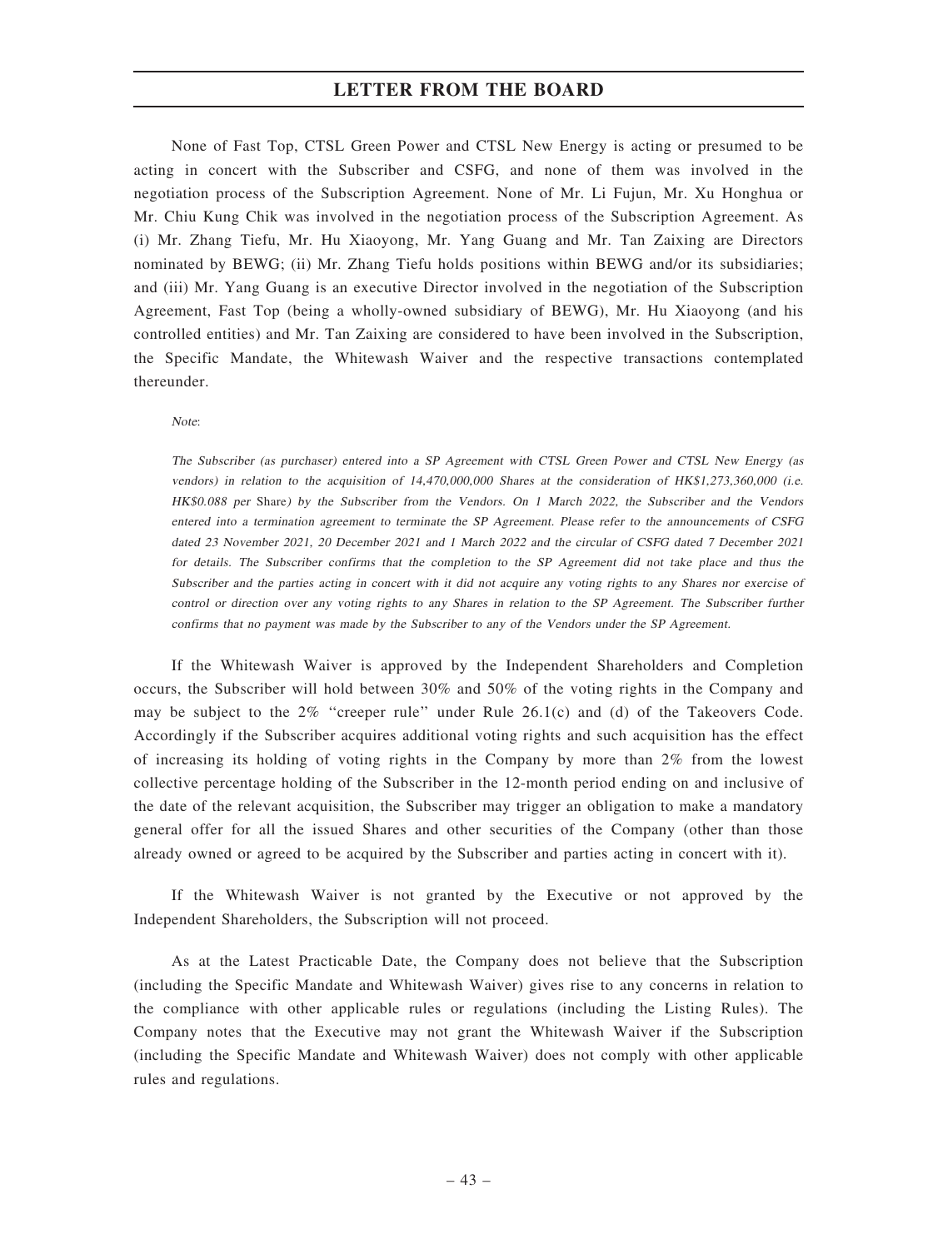None of Fast Top, CTSL Green Power and CTSL New Energy is acting or presumed to be acting in concert with the Subscriber and CSFG, and none of them was involved in the negotiation process of the Subscription Agreement. None of Mr. Li Fujun, Mr. Xu Honghua or Mr. Chiu Kung Chik was involved in the negotiation process of the Subscription Agreement. As (i) Mr. Zhang Tiefu, Mr. Hu Xiaoyong, Mr. Yang Guang and Mr. Tan Zaixing are Directors nominated by BEWG; (ii) Mr. Zhang Tiefu holds positions within BEWG and/or its subsidiaries; and (iii) Mr. Yang Guang is an executive Director involved in the negotiation of the Subscription Agreement, Fast Top (being a wholly-owned subsidiary of BEWG), Mr. Hu Xiaoyong (and his controlled entities) and Mr. Tan Zaixing are considered to have been involved in the Subscription, the Specific Mandate, the Whitewash Waiver and the respective transactions contemplated thereunder.

Note:

The Subscriber (as purchaser) entered into <sup>a</sup> SP Agreement with CTSL Green Power and CTSL New Energy (as vendors) in relation to the acquisition of 14,470,000,000 Shares at the consideration of HK\$1,273,360,000 (i.e. HK\$0.088 per Share) by the Subscriber from the Vendors. On <sup>1</sup> March 2022, the Subscriber and the Vendors entered into <sup>a</sup> termination agreement to terminate the SP Agreement. Please refer to the announcements of CSFG dated 23 November 2021, 20 December 2021 and 1 March 2022 and the circular of CSFG dated 7 December 2021 for details. The Subscriber confirms that the completion to the SP Agreement did not take place and thus the Subscriber and the parties acting in concert with it did not acquire any voting rights to any Shares nor exercise of control or direction over any voting rights to any Shares in relation to the SP Agreement. The Subscriber further confirms that no payment was made by the Subscriber to any of the Vendors under the SP Agreement.

If the Whitewash Waiver is approved by the Independent Shareholders and Completion occurs, the Subscriber will hold between 30% and 50% of the voting rights in the Company and may be subject to the  $2\%$  "creeper rule" under Rule 26.1(c) and (d) of the Takeovers Code. Accordingly if the Subscriber acquires additional voting rights and such acquisition has the effect of increasing its holding of voting rights in the Company by more than 2% from the lowest collective percentage holding of the Subscriber in the 12-month period ending on and inclusive of the date of the relevant acquisition, the Subscriber may trigger an obligation to make a mandatory general offer for all the issued Shares and other securities of the Company (other than those already owned or agreed to be acquired by the Subscriber and parties acting in concert with it).

If the Whitewash Waiver is not granted by the Executive or not approved by the Independent Shareholders, the Subscription will not proceed.

As at the Latest Practicable Date, the Company does not believe that the Subscription (including the Specific Mandate and Whitewash Waiver) gives rise to any concerns in relation to the compliance with other applicable rules or regulations (including the Listing Rules). The Company notes that the Executive may not grant the Whitewash Waiver if the Subscription (including the Specific Mandate and Whitewash Waiver) does not comply with other applicable rules and regulations.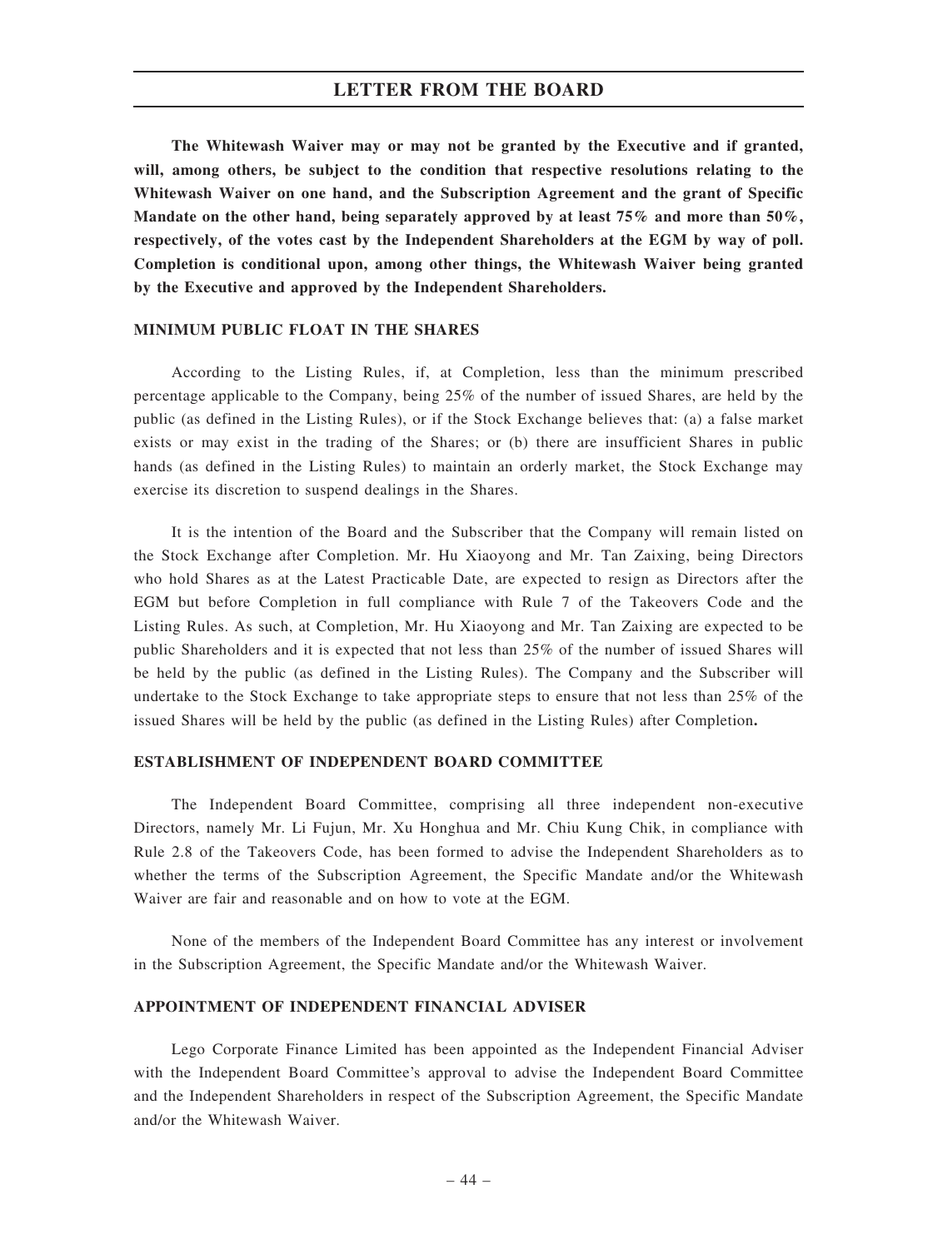The Whitewash Waiver may or may not be granted by the Executive and if granted, will, among others, be subject to the condition that respective resolutions relating to the Whitewash Waiver on one hand, and the Subscription Agreement and the grant of Specific Mandate on the other hand, being separately approved by at least 75% and more than 50%. respectively, of the votes cast by the Independent Shareholders at the EGM by way of poll. Completion is conditional upon, among other things, the Whitewash Waiver being granted by the Executive and approved by the Independent Shareholders.

### MINIMUM PUBLIC FLOAT IN THE SHARES

According to the Listing Rules, if, at Completion, less than the minimum prescribed percentage applicable to the Company, being 25% of the number of issued Shares, are held by the public (as defined in the Listing Rules), or if the Stock Exchange believes that: (a) a false market exists or may exist in the trading of the Shares; or (b) there are insufficient Shares in public hands (as defined in the Listing Rules) to maintain an orderly market, the Stock Exchange may exercise its discretion to suspend dealings in the Shares.

It is the intention of the Board and the Subscriber that the Company will remain listed on the Stock Exchange after Completion. Mr. Hu Xiaoyong and Mr. Tan Zaixing, being Directors who hold Shares as at the Latest Practicable Date, are expected to resign as Directors after the EGM but before Completion in full compliance with Rule 7 of the Takeovers Code and the Listing Rules. As such, at Completion, Mr. Hu Xiaoyong and Mr. Tan Zaixing are expected to be public Shareholders and it is expected that not less than 25% of the number of issued Shares will be held by the public (as defined in the Listing Rules). The Company and the Subscriber will undertake to the Stock Exchange to take appropriate steps to ensure that not less than 25% of the issued Shares will be held by the public (as defined in the Listing Rules) after Completion.

### ESTABLISHMENT OF INDEPENDENT BOARD COMMITTEE

The Independent Board Committee, comprising all three independent non-executive Directors, namely Mr. Li Fujun, Mr. Xu Honghua and Mr. Chiu Kung Chik, in compliance with Rule 2.8 of the Takeovers Code, has been formed to advise the Independent Shareholders as to whether the terms of the Subscription Agreement, the Specific Mandate and/or the Whitewash Waiver are fair and reasonable and on how to vote at the EGM.

None of the members of the Independent Board Committee has any interest or involvement in the Subscription Agreement, the Specific Mandate and/or the Whitewash Waiver.

#### APPOINTMENT OF INDEPENDENT FINANCIAL ADVISER

Lego Corporate Finance Limited has been appointed as the Independent Financial Adviser with the Independent Board Committee's approval to advise the Independent Board Committee and the Independent Shareholders in respect of the Subscription Agreement, the Specific Mandate and/or the Whitewash Waiver.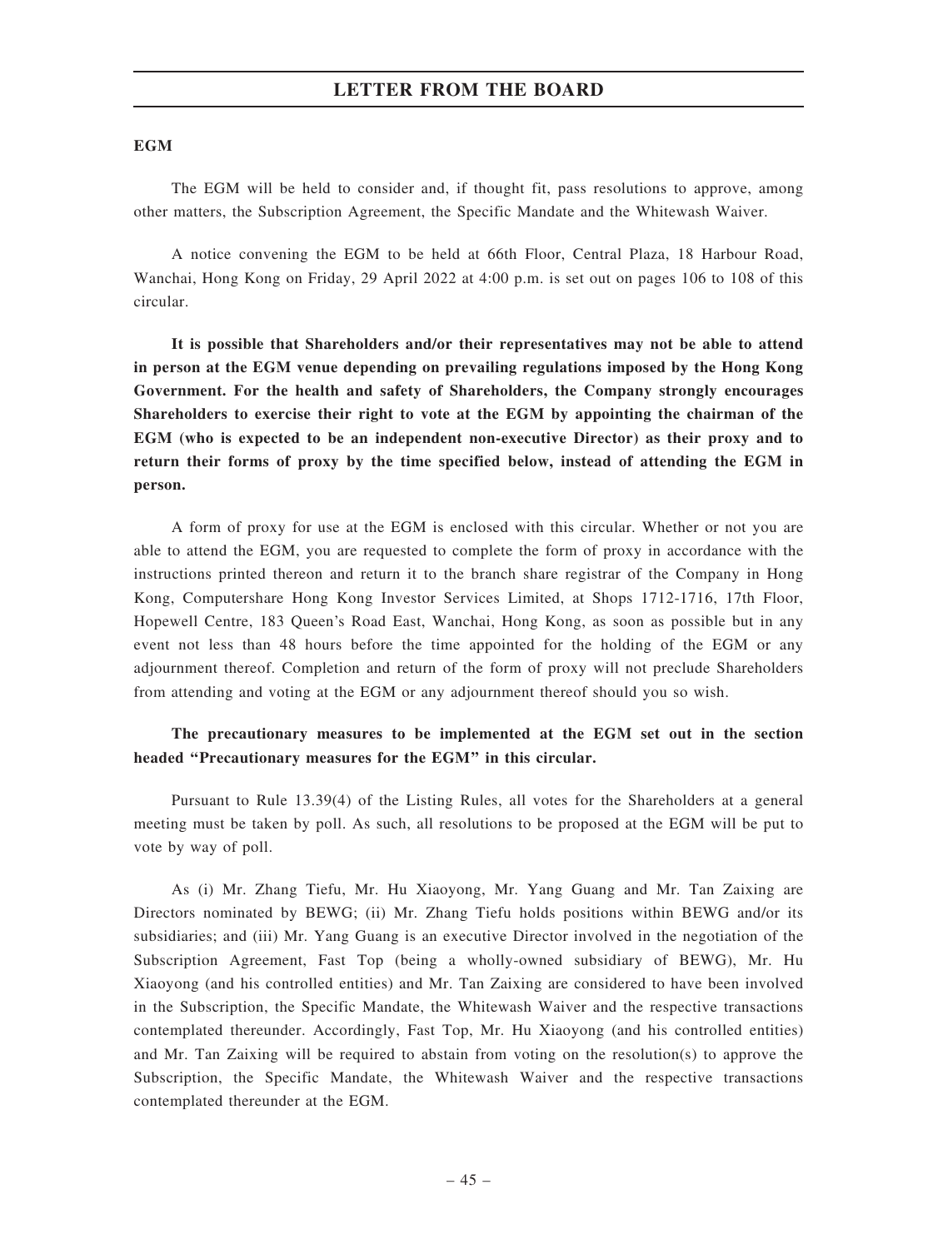#### **EGM**

The EGM will be held to consider and, if thought fit, pass resolutions to approve, among other matters, the Subscription Agreement, the Specific Mandate and the Whitewash Waiver.

A notice convening the EGM to be held at 66th Floor, Central Plaza, 18 Harbour Road, Wanchai, Hong Kong on Friday, 29 April 2022 at 4:00 p.m. is set out on pages 106 to 108 of this circular.

It is possible that Shareholders and/or their representatives may not be able to attend in person at the EGM venue depending on prevailing regulations imposed by the Hong Kong Government. For the health and safety of Shareholders, the Company strongly encourages Shareholders to exercise their right to vote at the EGM by appointing the chairman of the EGM (who is expected to be an independent non-executive Director) as their proxy and to return their forms of proxy by the time specified below, instead of attending the EGM in person.

A form of proxy for use at the EGM is enclosed with this circular. Whether or not you are able to attend the EGM, you are requested to complete the form of proxy in accordance with the instructions printed thereon and return it to the branch share registrar of the Company in Hong Kong, Computershare Hong Kong Investor Services Limited, at Shops 1712-1716, 17th Floor, Hopewell Centre, 183 Queen's Road East, Wanchai, Hong Kong, as soon as possible but in any event not less than 48 hours before the time appointed for the holding of the EGM or any adjournment thereof. Completion and return of the form of proxy will not preclude Shareholders from attending and voting at the EGM or any adjournment thereof should you so wish.

# The precautionary measures to be implemented at the EGM set out in the section headed ''Precautionary measures for the EGM'' in this circular.

Pursuant to Rule 13.39(4) of the Listing Rules, all votes for the Shareholders at a general meeting must be taken by poll. As such, all resolutions to be proposed at the EGM will be put to vote by way of poll.

As (i) Mr. Zhang Tiefu, Mr. Hu Xiaoyong, Mr. Yang Guang and Mr. Tan Zaixing are Directors nominated by BEWG; (ii) Mr. Zhang Tiefu holds positions within BEWG and/or its subsidiaries; and (iii) Mr. Yang Guang is an executive Director involved in the negotiation of the Subscription Agreement, Fast Top (being a wholly-owned subsidiary of BEWG), Mr. Hu Xiaoyong (and his controlled entities) and Mr. Tan Zaixing are considered to have been involved in the Subscription, the Specific Mandate, the Whitewash Waiver and the respective transactions contemplated thereunder. Accordingly, Fast Top, Mr. Hu Xiaoyong (and his controlled entities) and Mr. Tan Zaixing will be required to abstain from voting on the resolution(s) to approve the Subscription, the Specific Mandate, the Whitewash Waiver and the respective transactions contemplated thereunder at the EGM.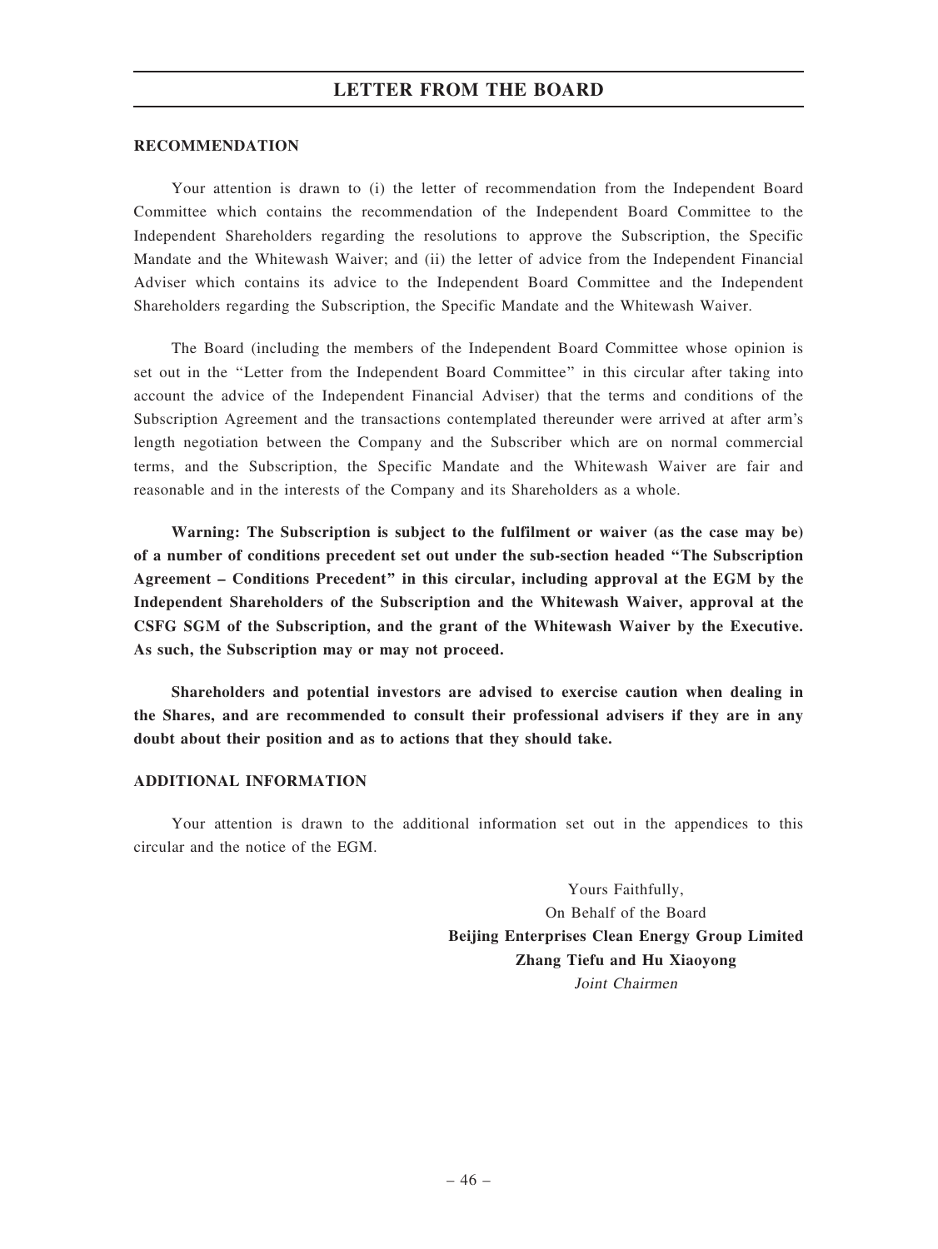#### RECOMMENDATION

Your attention is drawn to (i) the letter of recommendation from the Independent Board Committee which contains the recommendation of the Independent Board Committee to the Independent Shareholders regarding the resolutions to approve the Subscription, the Specific Mandate and the Whitewash Waiver; and (ii) the letter of advice from the Independent Financial Adviser which contains its advice to the Independent Board Committee and the Independent Shareholders regarding the Subscription, the Specific Mandate and the Whitewash Waiver.

The Board (including the members of the Independent Board Committee whose opinion is set out in the ''Letter from the Independent Board Committee'' in this circular after taking into account the advice of the Independent Financial Adviser) that the terms and conditions of the Subscription Agreement and the transactions contemplated thereunder were arrived at after arm's length negotiation between the Company and the Subscriber which are on normal commercial terms, and the Subscription, the Specific Mandate and the Whitewash Waiver are fair and reasonable and in the interests of the Company and its Shareholders as a whole.

Warning: The Subscription is subject to the fulfilment or waiver (as the case may be) of a number of conditions precedent set out under the sub-section headed ''The Subscription Agreement – Conditions Precedent'' in this circular, including approval at the EGM by the Independent Shareholders of the Subscription and the Whitewash Waiver, approval at the CSFG SGM of the Subscription, and the grant of the Whitewash Waiver by the Executive. As such, the Subscription may or may not proceed.

Shareholders and potential investors are advised to exercise caution when dealing in the Shares, and are recommended to consult their professional advisers if they are in any doubt about their position and as to actions that they should take.

### ADDITIONAL INFORMATION

Your attention is drawn to the additional information set out in the appendices to this circular and the notice of the EGM.

> Yours Faithfully, On Behalf of the Board Beijing Enterprises Clean Energy Group Limited Zhang Tiefu and Hu Xiaoyong Joint Chairmen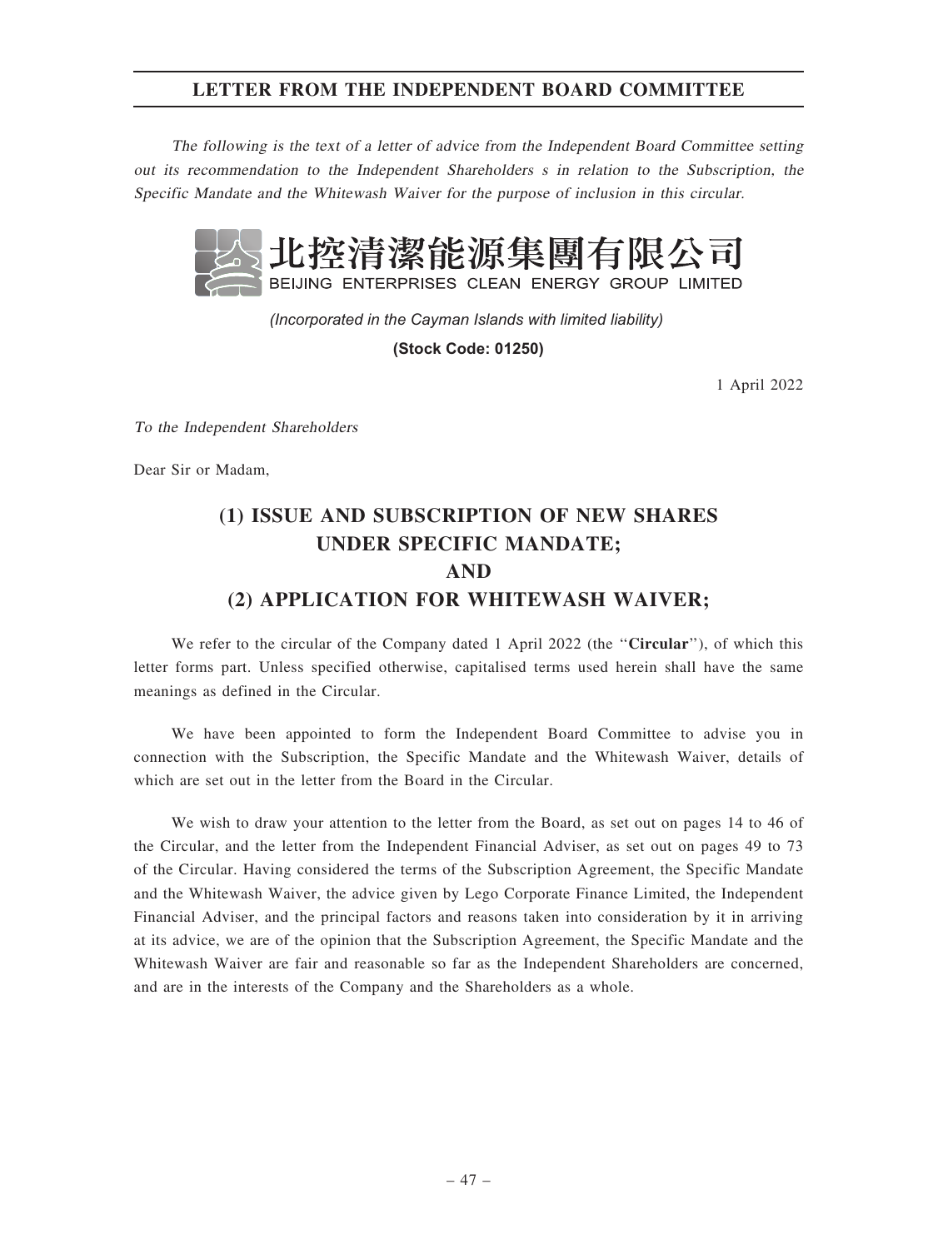# LETTER FROM THE INDEPENDENT BOARD COMMITTEE

The following is the text of <sup>a</sup> letter of advice from the Independent Board Committee setting out its recommendation to the Independent Shareholders <sup>s</sup> in relation to the Subscription, the Specific Mandate and the Whitewash Waiver for the purpose of inclusion in this circular.



*(Incorporated in the Cayman Islands with limited liability)* 

**(Stock Code: 01250)**

1 April 2022

To the Independent Shareholders

Dear Sir or Madam,

# (1) ISSUE AND SUBSCRIPTION OF NEW SHARES UNDER SPECIFIC MANDATE; AND (2) APPLICATION FOR WHITEWASH WAIVER;

We refer to the circular of the Company dated 1 April 2022 (the "Circular"), of which this letter forms part. Unless specified otherwise, capitalised terms used herein shall have the same meanings as defined in the Circular.

We have been appointed to form the Independent Board Committee to advise you in connection with the Subscription, the Specific Mandate and the Whitewash Waiver, details of which are set out in the letter from the Board in the Circular.

We wish to draw your attention to the letter from the Board, as set out on pages 14 to 46 of the Circular, and the letter from the Independent Financial Adviser, as set out on pages 49 to 73 of the Circular. Having considered the terms of the Subscription Agreement, the Specific Mandate and the Whitewash Waiver, the advice given by Lego Corporate Finance Limited, the Independent Financial Adviser, and the principal factors and reasons taken into consideration by it in arriving at its advice, we are of the opinion that the Subscription Agreement, the Specific Mandate and the Whitewash Waiver are fair and reasonable so far as the Independent Shareholders are concerned, and are in the interests of the Company and the Shareholders as a whole.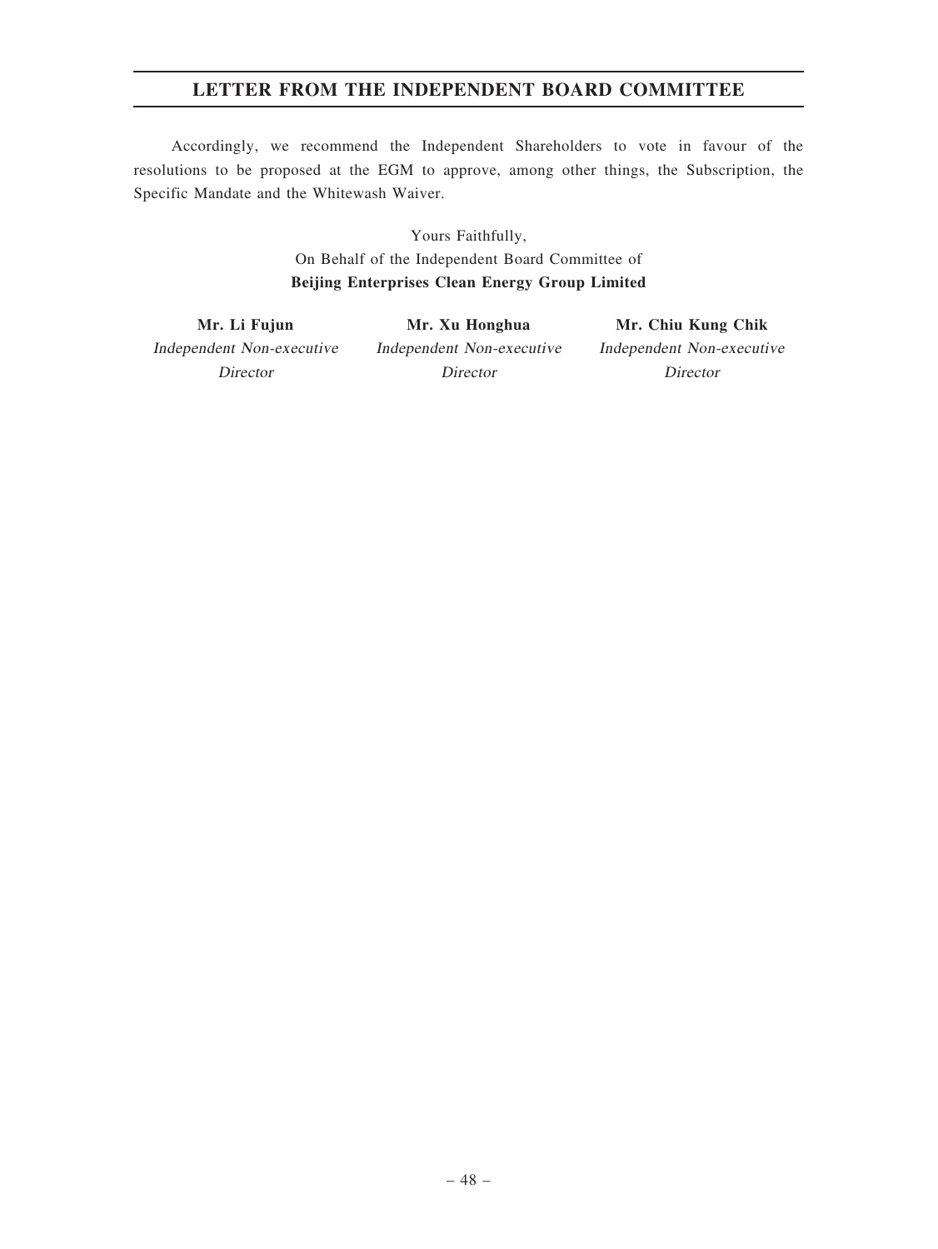# LETTER FROM THE INDEPENDENT BOARD COMMITTEE

Accordingly, we recommend the Independent Shareholders to vote in favour of the resolutions to be proposed at the EGM to approve, among other things, the Subscription, the Specific Mandate and the Whitewash Waiver.

> Yours Faithfully, On Behalf of the Independent Board Committee of Beijing Enterprises Clean Energy Group Limited

Mr. Li Fujun Independent Non-executive Director

Mr. Xu Honghua Independent Non-executive Director

Mr. Chiu Kung Chik Independent Non-executive Director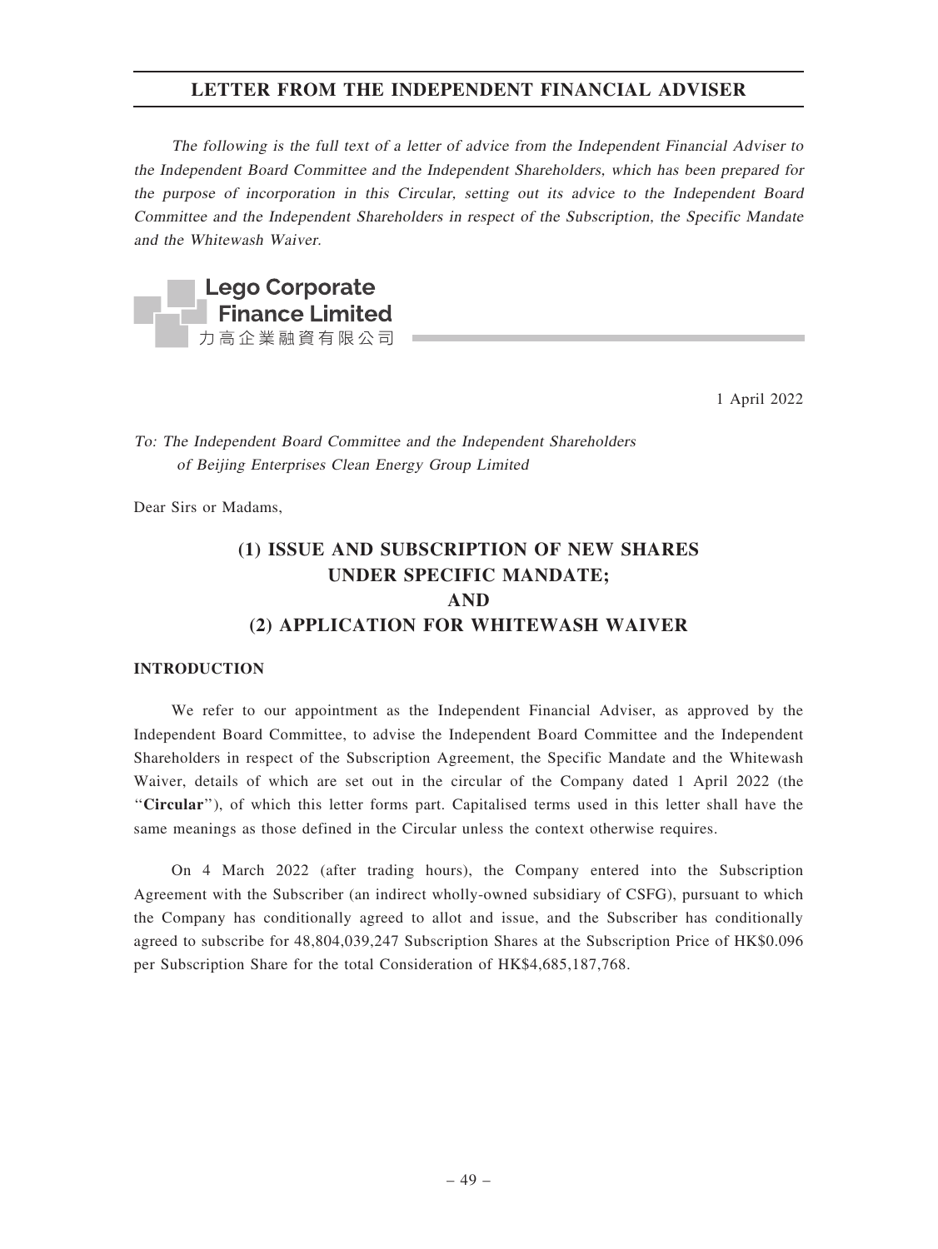The following is the full text of <sup>a</sup> letter of advice from the Independent Financial Adviser to the Independent Board Committee and the Independent Shareholders, which has been prepared for the purpose of incorporation in this Circular, setting out its advice to the Independent Board Committee and the Independent Shareholders in respect of the Subscription, the Specific Mandate and the Whitewash Waiver.



1 April 2022

To: The Independent Board Committee and the Independent Shareholders of Beijing Enterprises Clean Energy Group Limited

Dear Sirs or Madams,

# (1) ISSUE AND SUBSCRIPTION OF NEW SHARES UNDER SPECIFIC MANDATE; AND (2) APPLICATION FOR WHITEWASH WAIVER

### **INTRODUCTION**

We refer to our appointment as the Independent Financial Adviser, as approved by the Independent Board Committee, to advise the Independent Board Committee and the Independent Shareholders in respect of the Subscription Agreement, the Specific Mandate and the Whitewash Waiver, details of which are set out in the circular of the Company dated 1 April 2022 (the ''Circular''), of which this letter forms part. Capitalised terms used in this letter shall have the same meanings as those defined in the Circular unless the context otherwise requires.

On 4 March 2022 (after trading hours), the Company entered into the Subscription Agreement with the Subscriber (an indirect wholly-owned subsidiary of CSFG), pursuant to which the Company has conditionally agreed to allot and issue, and the Subscriber has conditionally agreed to subscribe for 48,804,039,247 Subscription Shares at the Subscription Price of HK\$0.096 per Subscription Share for the total Consideration of HK\$4,685,187,768.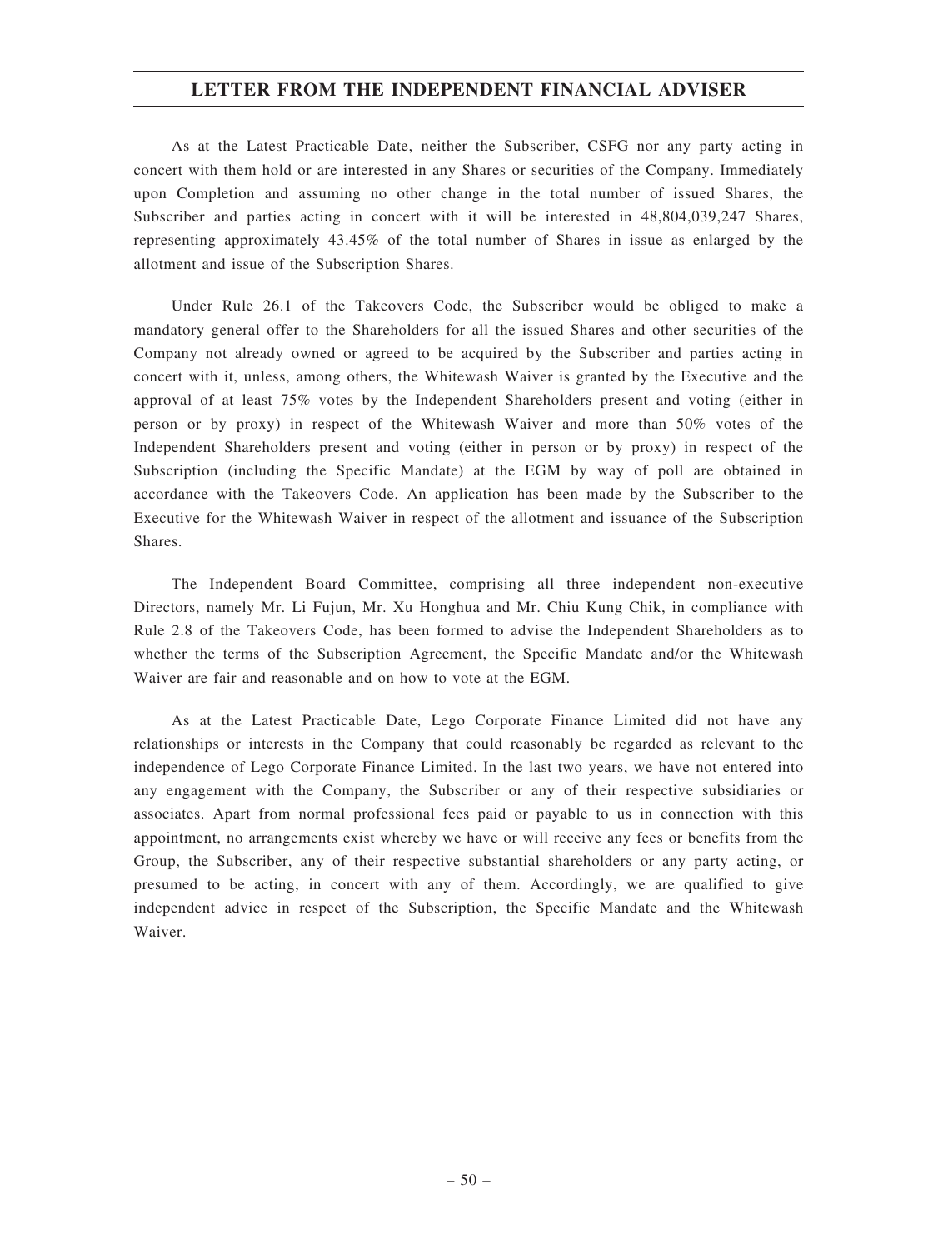As at the Latest Practicable Date, neither the Subscriber, CSFG nor any party acting in concert with them hold or are interested in any Shares or securities of the Company. Immediately upon Completion and assuming no other change in the total number of issued Shares, the Subscriber and parties acting in concert with it will be interested in 48,804,039,247 Shares, representing approximately 43.45% of the total number of Shares in issue as enlarged by the allotment and issue of the Subscription Shares.

Under Rule 26.1 of the Takeovers Code, the Subscriber would be obliged to make a mandatory general offer to the Shareholders for all the issued Shares and other securities of the Company not already owned or agreed to be acquired by the Subscriber and parties acting in concert with it, unless, among others, the Whitewash Waiver is granted by the Executive and the approval of at least 75% votes by the Independent Shareholders present and voting (either in person or by proxy) in respect of the Whitewash Waiver and more than 50% votes of the Independent Shareholders present and voting (either in person or by proxy) in respect of the Subscription (including the Specific Mandate) at the EGM by way of poll are obtained in accordance with the Takeovers Code. An application has been made by the Subscriber to the Executive for the Whitewash Waiver in respect of the allotment and issuance of the Subscription Shares.

The Independent Board Committee, comprising all three independent non-executive Directors, namely Mr. Li Fujun, Mr. Xu Honghua and Mr. Chiu Kung Chik, in compliance with Rule 2.8 of the Takeovers Code, has been formed to advise the Independent Shareholders as to whether the terms of the Subscription Agreement, the Specific Mandate and/or the Whitewash Waiver are fair and reasonable and on how to vote at the EGM.

As at the Latest Practicable Date, Lego Corporate Finance Limited did not have any relationships or interests in the Company that could reasonably be regarded as relevant to the independence of Lego Corporate Finance Limited. In the last two years, we have not entered into any engagement with the Company, the Subscriber or any of their respective subsidiaries or associates. Apart from normal professional fees paid or payable to us in connection with this appointment, no arrangements exist whereby we have or will receive any fees or benefits from the Group, the Subscriber, any of their respective substantial shareholders or any party acting, or presumed to be acting, in concert with any of them. Accordingly, we are qualified to give independent advice in respect of the Subscription, the Specific Mandate and the Whitewash Waiver.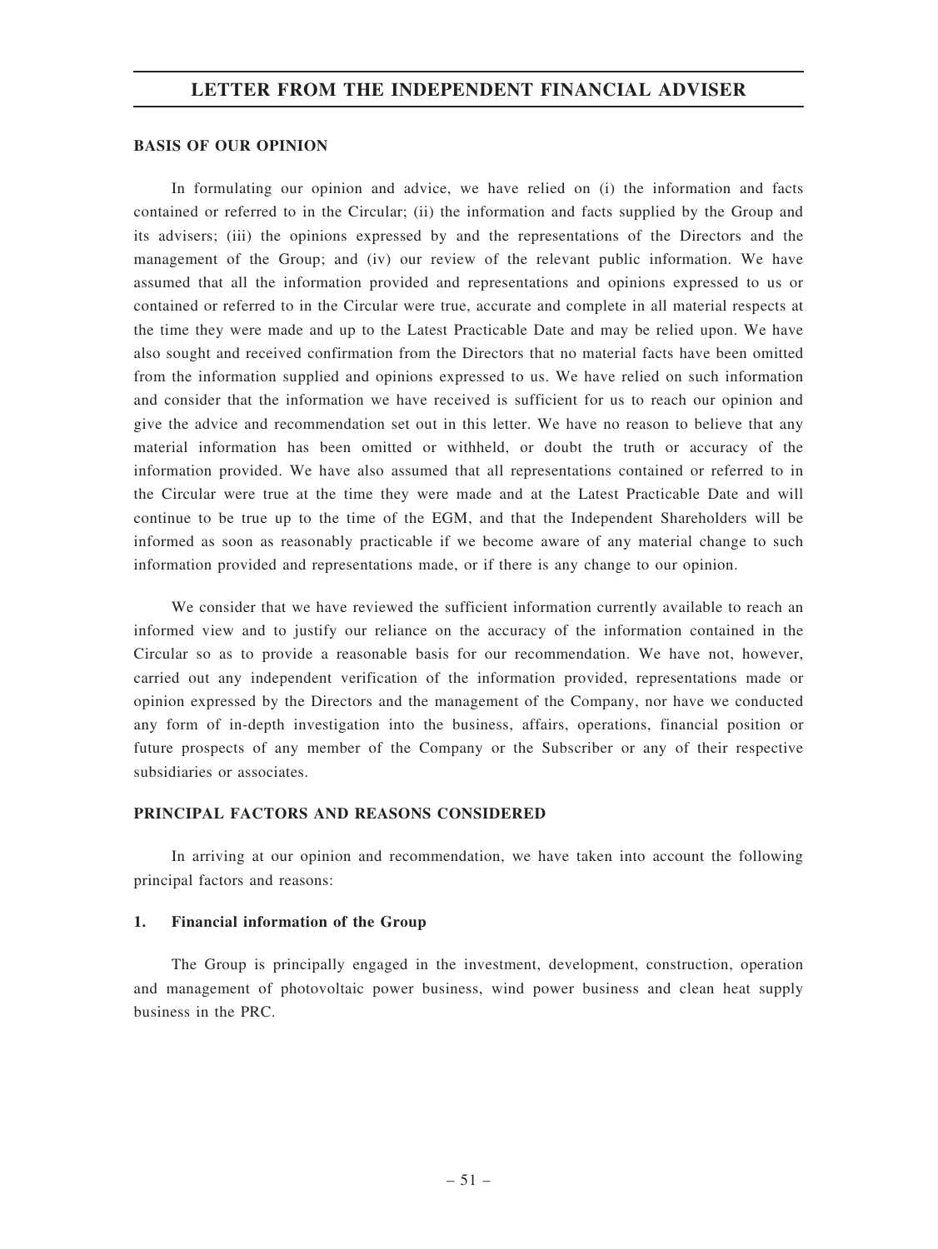#### BASIS OF OUR OPINION

In formulating our opinion and advice, we have relied on (i) the information and facts contained or referred to in the Circular; (ii) the information and facts supplied by the Group and its advisers; (iii) the opinions expressed by and the representations of the Directors and the management of the Group; and (iv) our review of the relevant public information. We have assumed that all the information provided and representations and opinions expressed to us or contained or referred to in the Circular were true, accurate and complete in all material respects at the time they were made and up to the Latest Practicable Date and may be relied upon. We have also sought and received confirmation from the Directors that no material facts have been omitted from the information supplied and opinions expressed to us. We have relied on such information and consider that the information we have received is sufficient for us to reach our opinion and give the advice and recommendation set out in this letter. We have no reason to believe that any material information has been omitted or withheld, or doubt the truth or accuracy of the information provided. We have also assumed that all representations contained or referred to in the Circular were true at the time they were made and at the Latest Practicable Date and will continue to be true up to the time of the EGM, and that the Independent Shareholders will be informed as soon as reasonably practicable if we become aware of any material change to such information provided and representations made, or if there is any change to our opinion.

We consider that we have reviewed the sufficient information currently available to reach an informed view and to justify our reliance on the accuracy of the information contained in the Circular so as to provide a reasonable basis for our recommendation. We have not, however, carried out any independent verification of the information provided, representations made or opinion expressed by the Directors and the management of the Company, nor have we conducted any form of in-depth investigation into the business, affairs, operations, financial position or future prospects of any member of the Company or the Subscriber or any of their respective subsidiaries or associates.

# PRINCIPAL FACTORS AND REASONS CONSIDERED

In arriving at our opinion and recommendation, we have taken into account the following principal factors and reasons:

#### 1. Financial information of the Group

The Group is principally engaged in the investment, development, construction, operation and management of photovoltaic power business, wind power business and clean heat supply business in the PRC.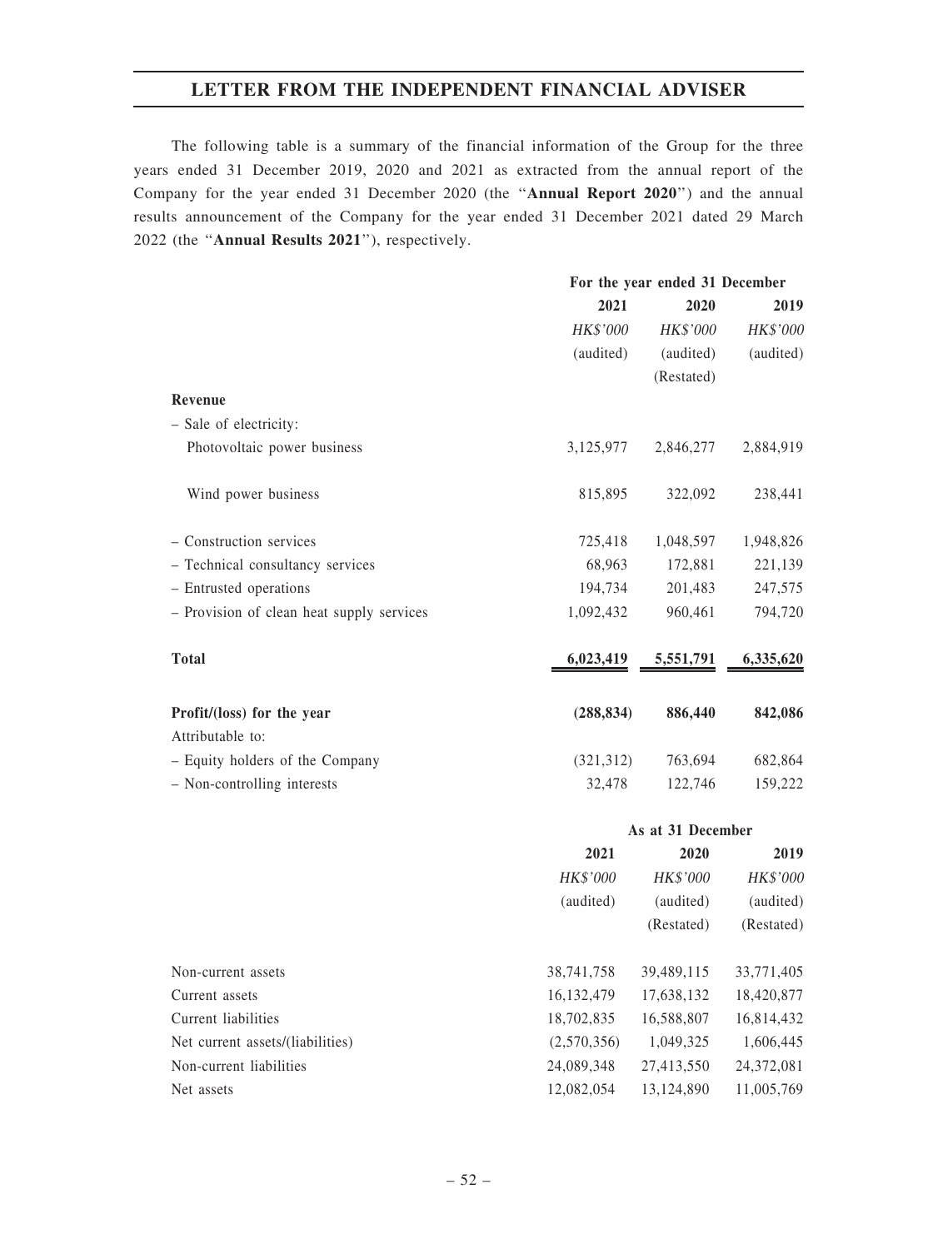The following table is a summary of the financial information of the Group for the three years ended 31 December 2019, 2020 and 2021 as extracted from the annual report of the Company for the year ended 31 December 2020 (the ''Annual Report 2020'') and the annual results announcement of the Company for the year ended 31 December 2021 dated 29 March 2022 (the ''Annual Results 2021''), respectively.

|                                                | For the year ended 31 December |                 |           |  |
|------------------------------------------------|--------------------------------|-----------------|-----------|--|
|                                                | 2021                           | 2020            | 2019      |  |
|                                                | HK\$'000                       | <b>HK\$'000</b> | HK\$'000  |  |
|                                                | (audited)                      | (audited)       | (audited) |  |
|                                                |                                | (Restated)      |           |  |
| Revenue                                        |                                |                 |           |  |
| - Sale of electricity:                         |                                |                 |           |  |
| Photovoltaic power business                    | 3,125,977                      | 2,846,277       | 2,884,919 |  |
| Wind power business                            | 815,895                        | 322,092         | 238,441   |  |
| - Construction services                        | 725,418                        | 1,048,597       | 1,948,826 |  |
| - Technical consultancy services               | 68,963                         | 172,881         | 221,139   |  |
| - Entrusted operations                         | 194,734                        | 201,483         | 247,575   |  |
| - Provision of clean heat supply services      | 1,092,432                      | 960,461         | 794,720   |  |
| <b>Total</b>                                   | 6,023,419                      | 5,551,791       | 6,335,620 |  |
| Profit/(loss) for the year<br>Attributable to: | (288, 834)                     | 886,440         | 842,086   |  |
| - Equity holders of the Company                | (321,312)                      | 763,694         | 682,864   |  |
| - Non-controlling interests                    | 32,478                         | 122,746         | 159,222   |  |

|                                  | As at 31 December |            |            |  |
|----------------------------------|-------------------|------------|------------|--|
|                                  | 2021              | 2019       |            |  |
|                                  | HK\$'000          | HK\$'000   | HK\$'000   |  |
|                                  | (audited)         | (audited)  | (audited)  |  |
|                                  |                   | (Restated) | (Restated) |  |
|                                  |                   |            |            |  |
| Non-current assets               | 38,741,758        | 39,489,115 | 33,771,405 |  |
| Current assets                   | 16, 132, 479      | 17,638,132 | 18,420,877 |  |
| Current liabilities              | 18,702,835        | 16,588,807 | 16,814,432 |  |
| Net current assets/(liabilities) | (2,570,356)       | 1,049,325  | 1,606,445  |  |
| Non-current liabilities          | 24,089,348        | 27,413,550 | 24,372,081 |  |
| Net assets                       | 12,082,054        | 13,124,890 | 11,005,769 |  |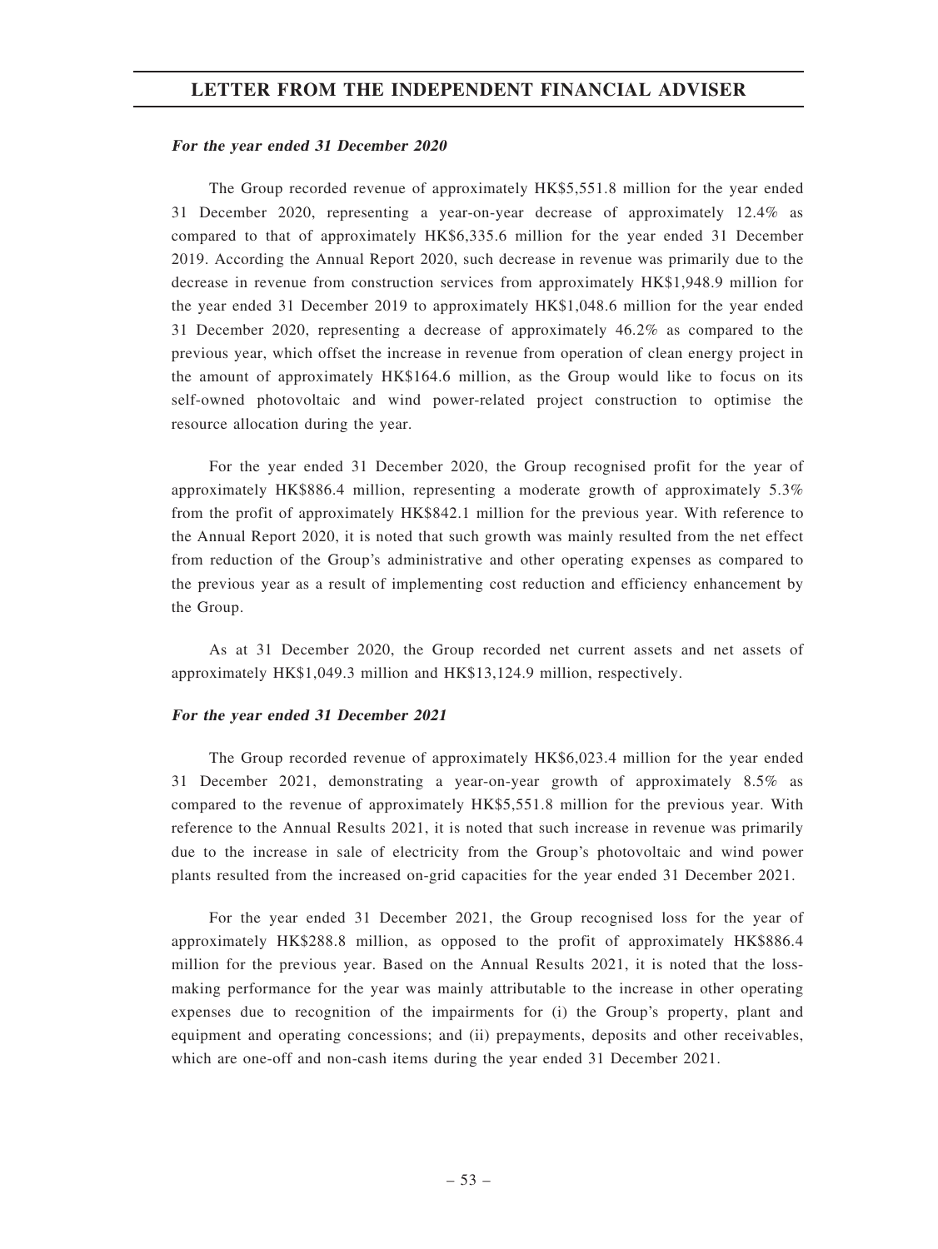#### For the year ended 31 December 2020

The Group recorded revenue of approximately HK\$5,551.8 million for the year ended 31 December 2020, representing a year-on-year decrease of approximately 12.4% as compared to that of approximately HK\$6,335.6 million for the year ended 31 December 2019. According the Annual Report 2020, such decrease in revenue was primarily due to the decrease in revenue from construction services from approximately HK\$1,948.9 million for the year ended 31 December 2019 to approximately HK\$1,048.6 million for the year ended 31 December 2020, representing a decrease of approximately 46.2% as compared to the previous year, which offset the increase in revenue from operation of clean energy project in the amount of approximately HK\$164.6 million, as the Group would like to focus on its self-owned photovoltaic and wind power-related project construction to optimise the resource allocation during the year.

For the year ended 31 December 2020, the Group recognised profit for the year of approximately HK\$886.4 million, representing a moderate growth of approximately 5.3% from the profit of approximately HK\$842.1 million for the previous year. With reference to the Annual Report 2020, it is noted that such growth was mainly resulted from the net effect from reduction of the Group's administrative and other operating expenses as compared to the previous year as a result of implementing cost reduction and efficiency enhancement by the Group.

As at 31 December 2020, the Group recorded net current assets and net assets of approximately HK\$1,049.3 million and HK\$13,124.9 million, respectively.

#### For the year ended 31 December 2021

The Group recorded revenue of approximately HK\$6,023.4 million for the year ended 31 December 2021, demonstrating a year-on-year growth of approximately 8.5% as compared to the revenue of approximately HK\$5,551.8 million for the previous year. With reference to the Annual Results 2021, it is noted that such increase in revenue was primarily due to the increase in sale of electricity from the Group's photovoltaic and wind power plants resulted from the increased on-grid capacities for the year ended 31 December 2021.

For the year ended 31 December 2021, the Group recognised loss for the year of approximately HK\$288.8 million, as opposed to the profit of approximately HK\$886.4 million for the previous year. Based on the Annual Results 2021, it is noted that the lossmaking performance for the year was mainly attributable to the increase in other operating expenses due to recognition of the impairments for (i) the Group's property, plant and equipment and operating concessions; and (ii) prepayments, deposits and other receivables, which are one-off and non-cash items during the year ended 31 December 2021.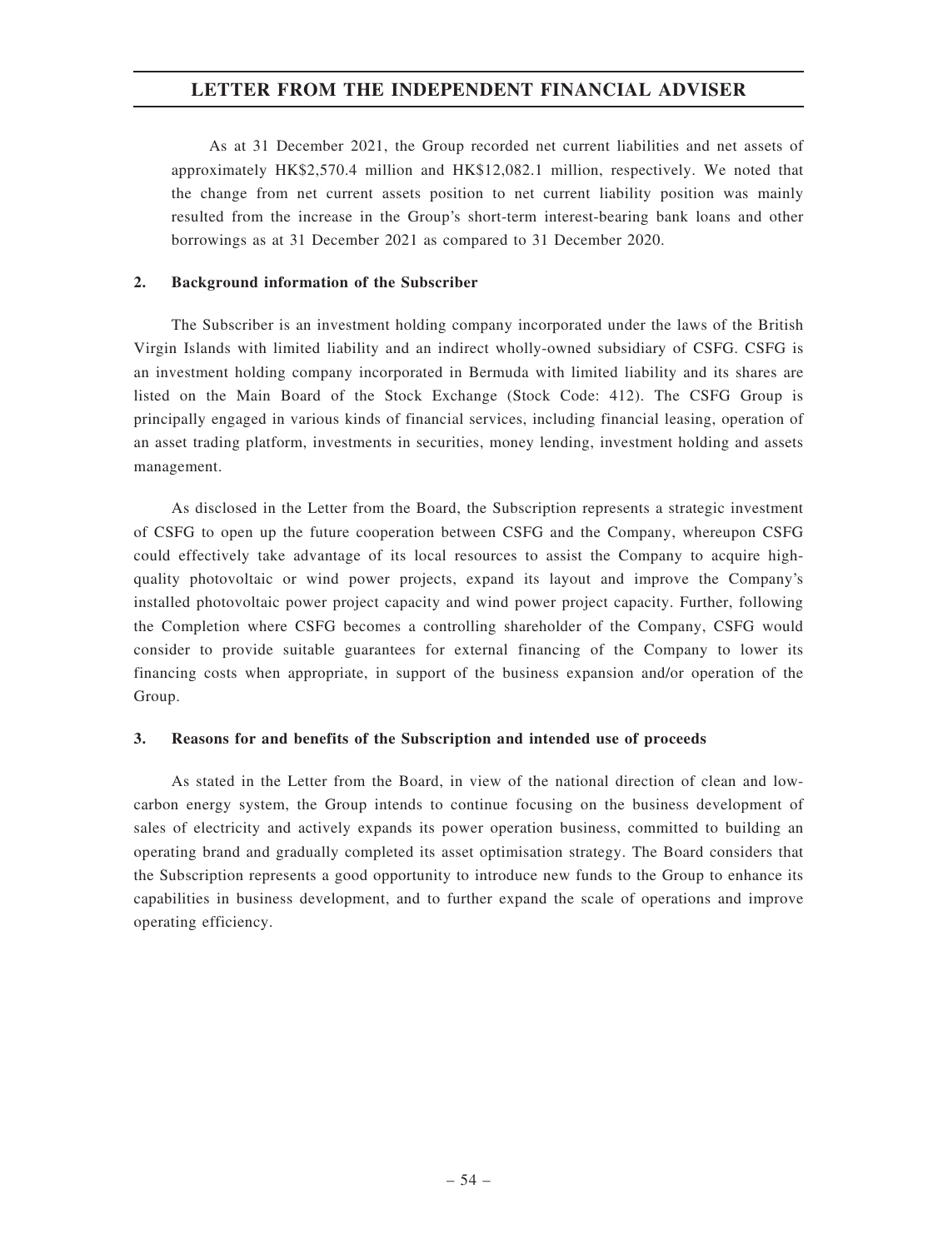As at 31 December 2021, the Group recorded net current liabilities and net assets of approximately HK\$2,570.4 million and HK\$12,082.1 million, respectively. We noted that the change from net current assets position to net current liability position was mainly resulted from the increase in the Group's short-term interest-bearing bank loans and other borrowings as at 31 December 2021 as compared to 31 December 2020.

### 2. Background information of the Subscriber

The Subscriber is an investment holding company incorporated under the laws of the British Virgin Islands with limited liability and an indirect wholly-owned subsidiary of CSFG. CSFG is an investment holding company incorporated in Bermuda with limited liability and its shares are listed on the Main Board of the Stock Exchange (Stock Code: 412). The CSFG Group is principally engaged in various kinds of financial services, including financial leasing, operation of an asset trading platform, investments in securities, money lending, investment holding and assets management.

As disclosed in the Letter from the Board, the Subscription represents a strategic investment of CSFG to open up the future cooperation between CSFG and the Company, whereupon CSFG could effectively take advantage of its local resources to assist the Company to acquire highquality photovoltaic or wind power projects, expand its layout and improve the Company's installed photovoltaic power project capacity and wind power project capacity. Further, following the Completion where CSFG becomes a controlling shareholder of the Company, CSFG would consider to provide suitable guarantees for external financing of the Company to lower its financing costs when appropriate, in support of the business expansion and/or operation of the Group.

### 3. Reasons for and benefits of the Subscription and intended use of proceeds

As stated in the Letter from the Board, in view of the national direction of clean and lowcarbon energy system, the Group intends to continue focusing on the business development of sales of electricity and actively expands its power operation business, committed to building an operating brand and gradually completed its asset optimisation strategy. The Board considers that the Subscription represents a good opportunity to introduce new funds to the Group to enhance its capabilities in business development, and to further expand the scale of operations and improve operating efficiency.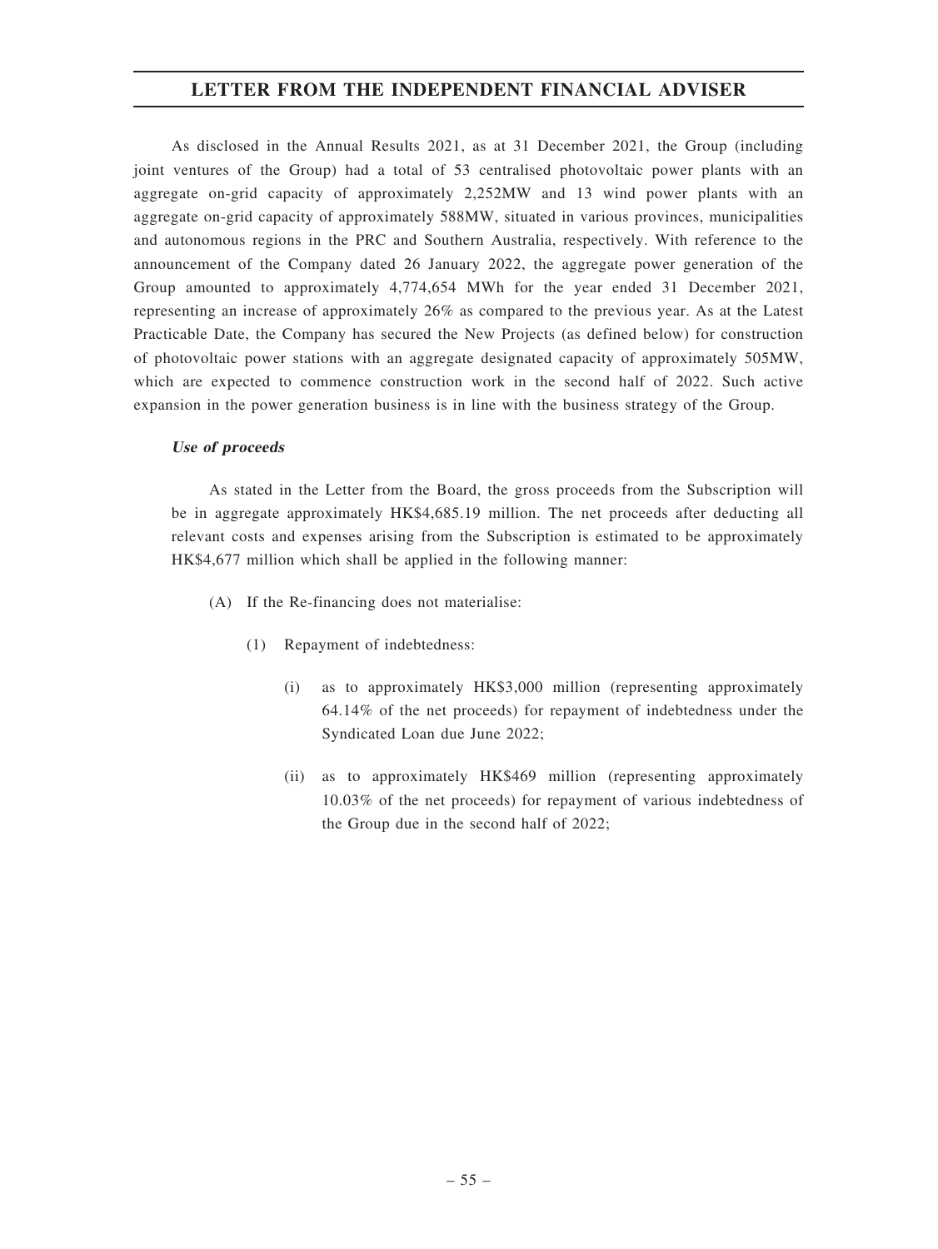As disclosed in the Annual Results 2021, as at 31 December 2021, the Group (including joint ventures of the Group) had a total of 53 centralised photovoltaic power plants with an aggregate on-grid capacity of approximately 2,252MW and 13 wind power plants with an aggregate on-grid capacity of approximately 588MW, situated in various provinces, municipalities and autonomous regions in the PRC and Southern Australia, respectively. With reference to the announcement of the Company dated 26 January 2022, the aggregate power generation of the Group amounted to approximately 4,774,654 MWh for the year ended 31 December 2021, representing an increase of approximately 26% as compared to the previous year. As at the Latest Practicable Date, the Company has secured the New Projects (as defined below) for construction of photovoltaic power stations with an aggregate designated capacity of approximately 505MW, which are expected to commence construction work in the second half of 2022. Such active expansion in the power generation business is in line with the business strategy of the Group.

### Use of proceeds

As stated in the Letter from the Board, the gross proceeds from the Subscription will be in aggregate approximately HK\$4,685.19 million. The net proceeds after deducting all relevant costs and expenses arising from the Subscription is estimated to be approximately HK\$4,677 million which shall be applied in the following manner:

- (A) If the Re-financing does not materialise:
	- (1) Repayment of indebtedness:
		- (i) as to approximately HK\$3,000 million (representing approximately 64.14% of the net proceeds) for repayment of indebtedness under the Syndicated Loan due June 2022;
		- (ii) as to approximately HK\$469 million (representing approximately 10.03% of the net proceeds) for repayment of various indebtedness of the Group due in the second half of 2022;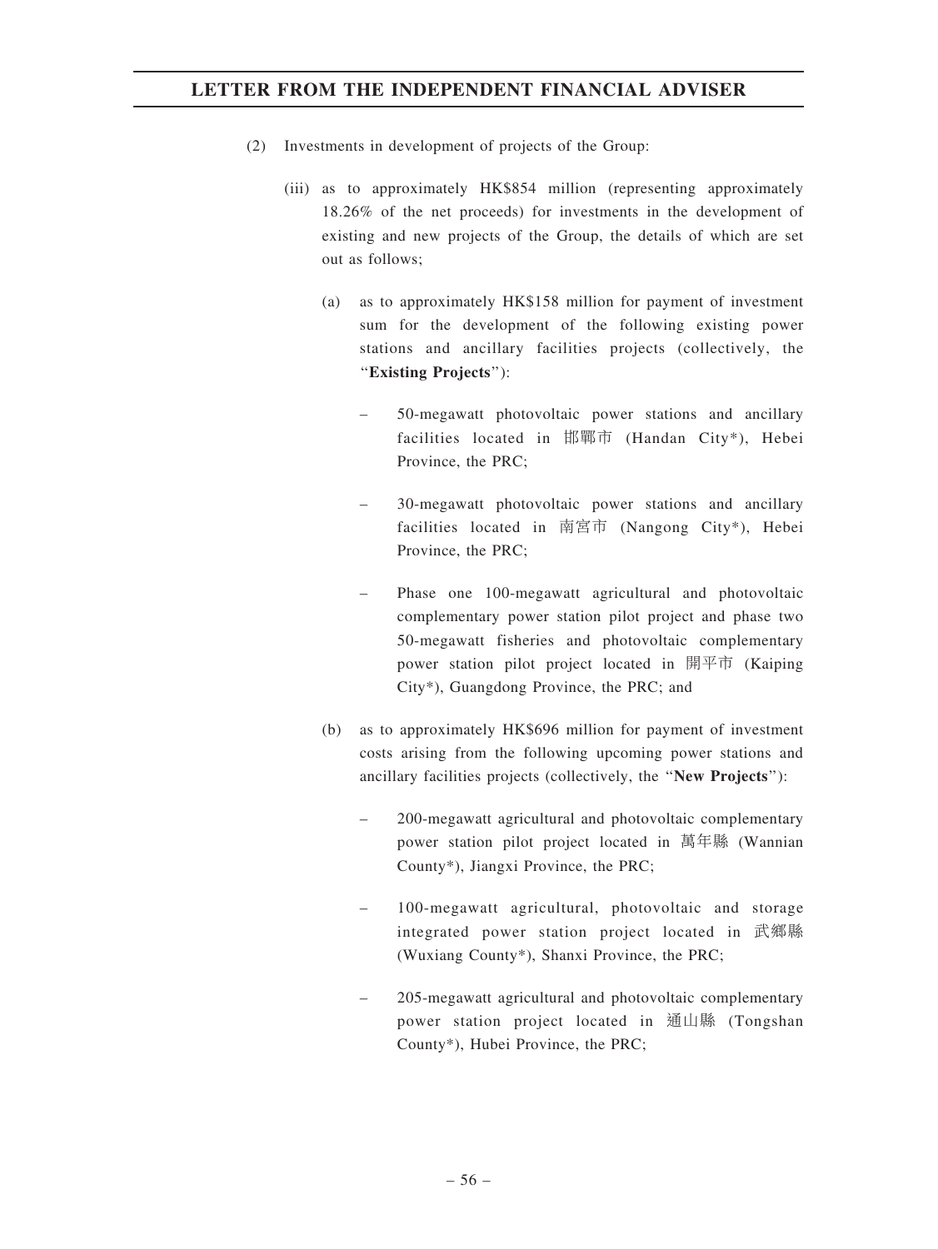- (2) Investments in development of projects of the Group:
	- (iii) as to approximately HK\$854 million (representing approximately 18.26% of the net proceeds) for investments in the development of existing and new projects of the Group, the details of which are set out as follows;
		- (a) as to approximately HK\$158 million for payment of investment sum for the development of the following existing power stations and ancillary facilities projects (collectively, the ''Existing Projects''):
			- 50-megawatt photovoltaic power stations and ancillary facilities located in 邯鄲市 (Handan City\*), Hebei Province, the PRC;
			- 30-megawatt photovoltaic power stations and ancillary facilities located in 南宮市 (Nangong City\*), Hebei Province, the PRC;
			- Phase one 100-megawatt agricultural and photovoltaic complementary power station pilot project and phase two 50-megawatt fisheries and photovoltaic complementary power station pilot project located in 開平市 (Kaiping City\*), Guangdong Province, the PRC; and
		- (b) as to approximately HK\$696 million for payment of investment costs arising from the following upcoming power stations and ancillary facilities projects (collectively, the ''New Projects''):
			- 200-megawatt agricultural and photovoltaic complementary power station pilot project located in 萬年縣 (Wannian County\*), Jiangxi Province, the PRC;
			- 100-megawatt agricultural, photovoltaic and storage integrated power station project located in 武鄉縣 (Wuxiang County\*), Shanxi Province, the PRC;
			- 205-megawatt agricultural and photovoltaic complementary power station project located in 通山縣 (Tongshan County\*), Hubei Province, the PRC;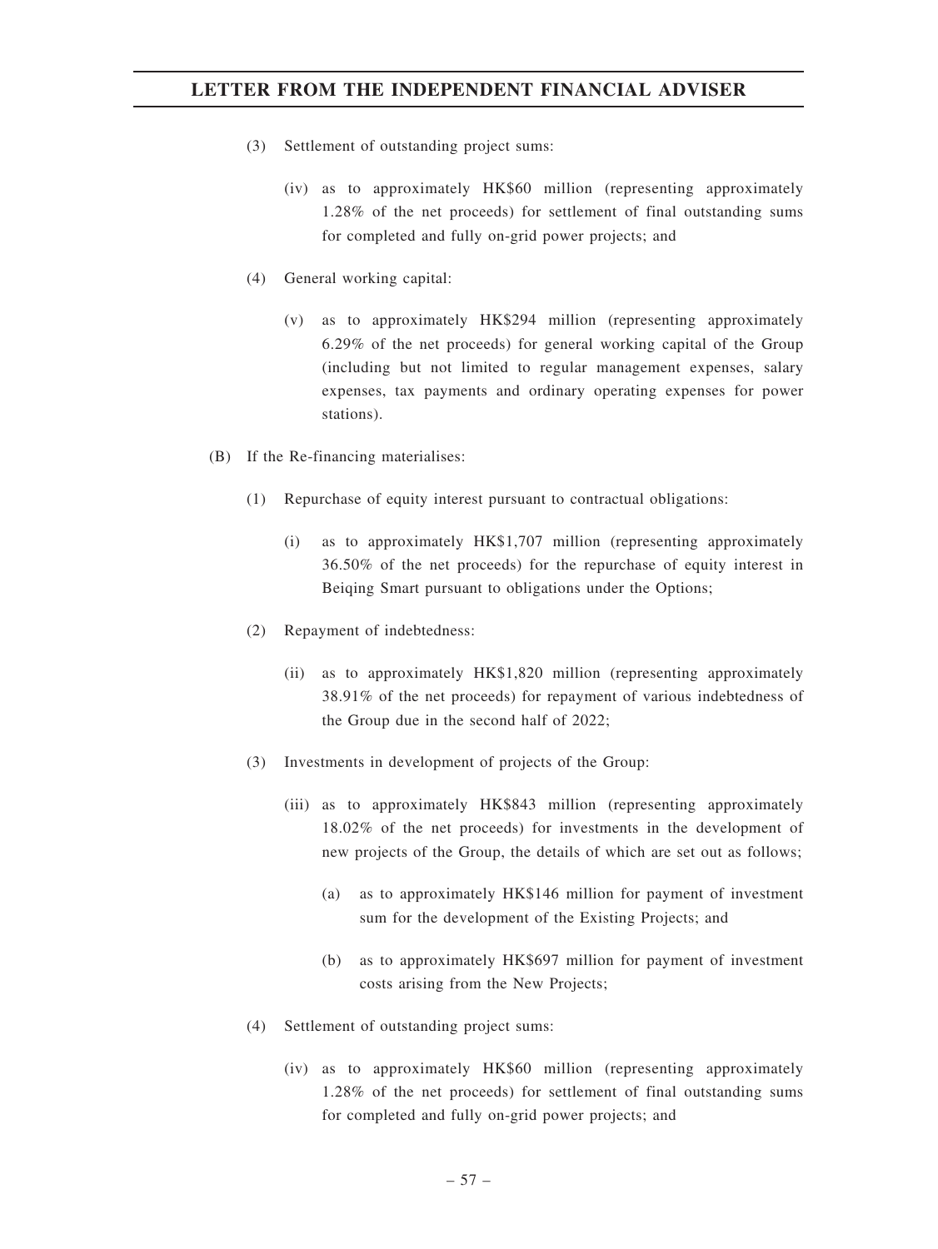- (3) Settlement of outstanding project sums:
	- (iv) as to approximately HK\$60 million (representing approximately 1.28% of the net proceeds) for settlement of final outstanding sums for completed and fully on-grid power projects; and
- (4) General working capital:
	- (v) as to approximately HK\$294 million (representing approximately 6.29% of the net proceeds) for general working capital of the Group (including but not limited to regular management expenses, salary expenses, tax payments and ordinary operating expenses for power stations).
- (B) If the Re-financing materialises:
	- (1) Repurchase of equity interest pursuant to contractual obligations:
		- (i) as to approximately HK\$1,707 million (representing approximately 36.50% of the net proceeds) for the repurchase of equity interest in Beiqing Smart pursuant to obligations under the Options;
	- (2) Repayment of indebtedness:
		- (ii) as to approximately HK\$1,820 million (representing approximately 38.91% of the net proceeds) for repayment of various indebtedness of the Group due in the second half of 2022;
	- (3) Investments in development of projects of the Group:
		- (iii) as to approximately HK\$843 million (representing approximately 18.02% of the net proceeds) for investments in the development of new projects of the Group, the details of which are set out as follows;
			- (a) as to approximately HK\$146 million for payment of investment sum for the development of the Existing Projects; and
			- (b) as to approximately HK\$697 million for payment of investment costs arising from the New Projects;
	- (4) Settlement of outstanding project sums:
		- (iv) as to approximately HK\$60 million (representing approximately 1.28% of the net proceeds) for settlement of final outstanding sums for completed and fully on-grid power projects; and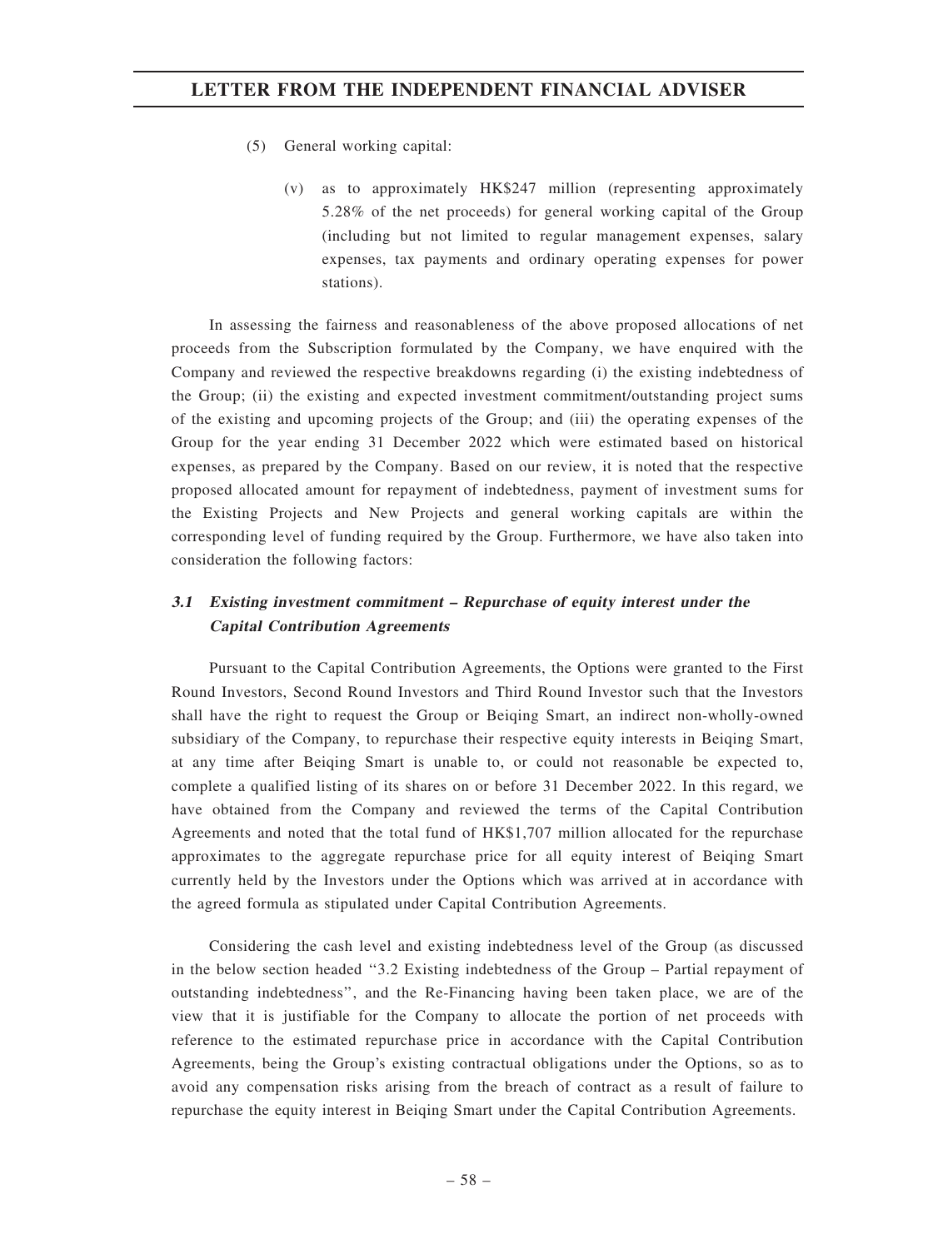- (5) General working capital:
	- (v) as to approximately HK\$247 million (representing approximately 5.28% of the net proceeds) for general working capital of the Group (including but not limited to regular management expenses, salary expenses, tax payments and ordinary operating expenses for power stations).

In assessing the fairness and reasonableness of the above proposed allocations of net proceeds from the Subscription formulated by the Company, we have enquired with the Company and reviewed the respective breakdowns regarding (i) the existing indebtedness of the Group; (ii) the existing and expected investment commitment/outstanding project sums of the existing and upcoming projects of the Group; and (iii) the operating expenses of the Group for the year ending 31 December 2022 which were estimated based on historical expenses, as prepared by the Company. Based on our review, it is noted that the respective proposed allocated amount for repayment of indebtedness, payment of investment sums for the Existing Projects and New Projects and general working capitals are within the corresponding level of funding required by the Group. Furthermore, we have also taken into consideration the following factors:

# 3.1 Existing investment commitment – Repurchase of equity interest under the Capital Contribution Agreements

Pursuant to the Capital Contribution Agreements, the Options were granted to the First Round Investors, Second Round Investors and Third Round Investor such that the Investors shall have the right to request the Group or Beiqing Smart, an indirect non-wholly-owned subsidiary of the Company, to repurchase their respective equity interests in Beiqing Smart, at any time after Beiqing Smart is unable to, or could not reasonable be expected to, complete a qualified listing of its shares on or before 31 December 2022. In this regard, we have obtained from the Company and reviewed the terms of the Capital Contribution Agreements and noted that the total fund of HK\$1,707 million allocated for the repurchase approximates to the aggregate repurchase price for all equity interest of Beiqing Smart currently held by the Investors under the Options which was arrived at in accordance with the agreed formula as stipulated under Capital Contribution Agreements.

Considering the cash level and existing indebtedness level of the Group (as discussed in the below section headed ''3.2 Existing indebtedness of the Group – Partial repayment of outstanding indebtedness'', and the Re-Financing having been taken place, we are of the view that it is justifiable for the Company to allocate the portion of net proceeds with reference to the estimated repurchase price in accordance with the Capital Contribution Agreements, being the Group's existing contractual obligations under the Options, so as to avoid any compensation risks arising from the breach of contract as a result of failure to repurchase the equity interest in Beiqing Smart under the Capital Contribution Agreements.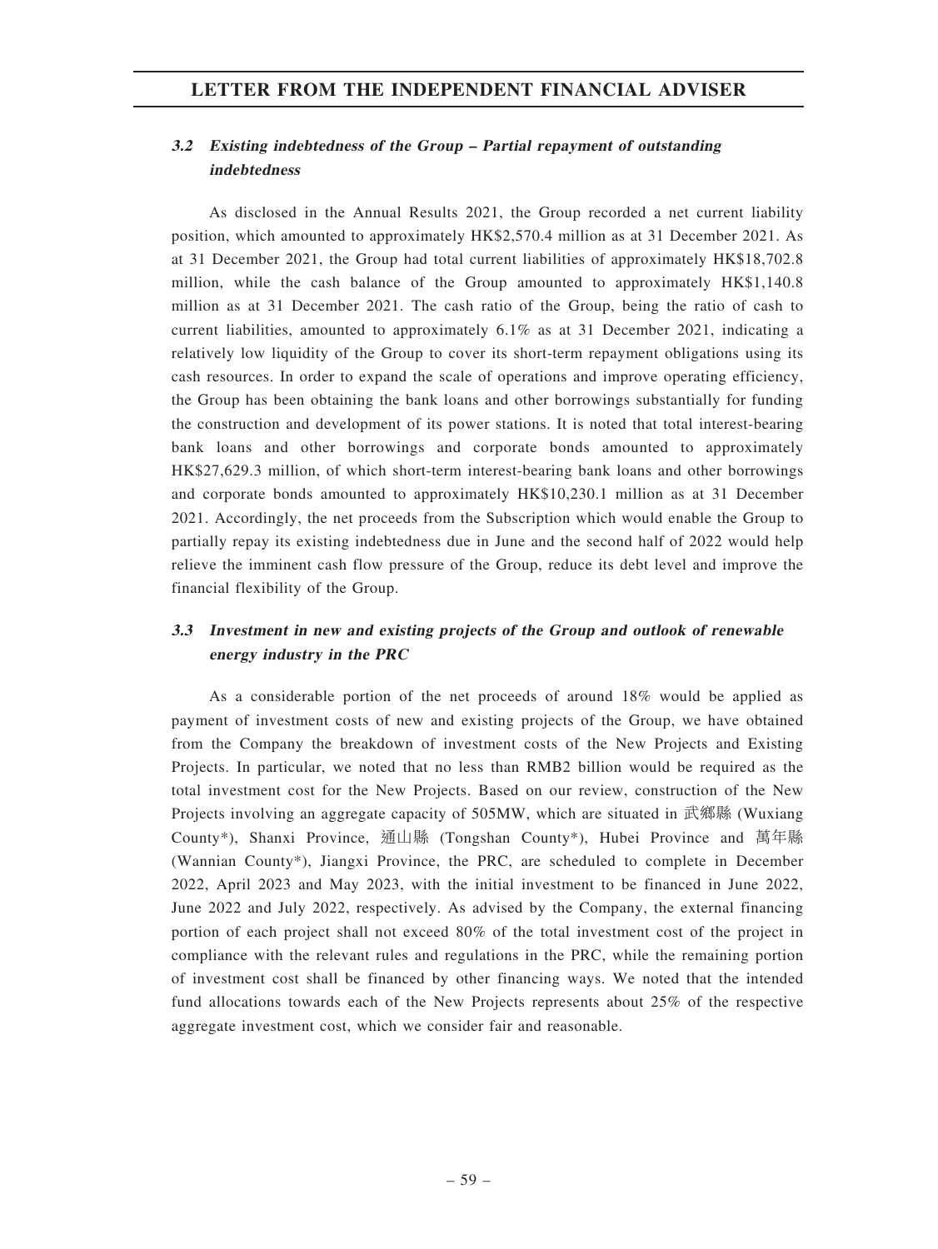# 3.2 Existing indebtedness of the Group – Partial repayment of outstanding indebtedness

As disclosed in the Annual Results 2021, the Group recorded a net current liability position, which amounted to approximately HK\$2,570.4 million as at 31 December 2021. As at 31 December 2021, the Group had total current liabilities of approximately HK\$18,702.8 million, while the cash balance of the Group amounted to approximately HK\$1,140.8 million as at 31 December 2021. The cash ratio of the Group, being the ratio of cash to current liabilities, amounted to approximately 6.1% as at 31 December 2021, indicating a relatively low liquidity of the Group to cover its short-term repayment obligations using its cash resources. In order to expand the scale of operations and improve operating efficiency, the Group has been obtaining the bank loans and other borrowings substantially for funding the construction and development of its power stations. It is noted that total interest-bearing bank loans and other borrowings and corporate bonds amounted to approximately HK\$27,629.3 million, of which short-term interest-bearing bank loans and other borrowings and corporate bonds amounted to approximately HK\$10,230.1 million as at 31 December 2021. Accordingly, the net proceeds from the Subscription which would enable the Group to partially repay its existing indebtedness due in June and the second half of 2022 would help relieve the imminent cash flow pressure of the Group, reduce its debt level and improve the financial flexibility of the Group.

# 3.3 Investment in new and existing projects of the Group and outlook of renewable energy industry in the PRC

As a considerable portion of the net proceeds of around 18% would be applied as payment of investment costs of new and existing projects of the Group, we have obtained from the Company the breakdown of investment costs of the New Projects and Existing Projects. In particular, we noted that no less than RMB2 billion would be required as the total investment cost for the New Projects. Based on our review, construction of the New Projects involving an aggregate capacity of 505MW, which are situated in 武鄉縣 (Wuxiang County\*), Shanxi Province, 通山縣 (Tongshan County\*), Hubei Province and 萬年縣 (Wannian County\*), Jiangxi Province, the PRC, are scheduled to complete in December 2022, April 2023 and May 2023, with the initial investment to be financed in June 2022, June 2022 and July 2022, respectively. As advised by the Company, the external financing portion of each project shall not exceed 80% of the total investment cost of the project in compliance with the relevant rules and regulations in the PRC, while the remaining portion of investment cost shall be financed by other financing ways. We noted that the intended fund allocations towards each of the New Projects represents about 25% of the respective aggregate investment cost, which we consider fair and reasonable.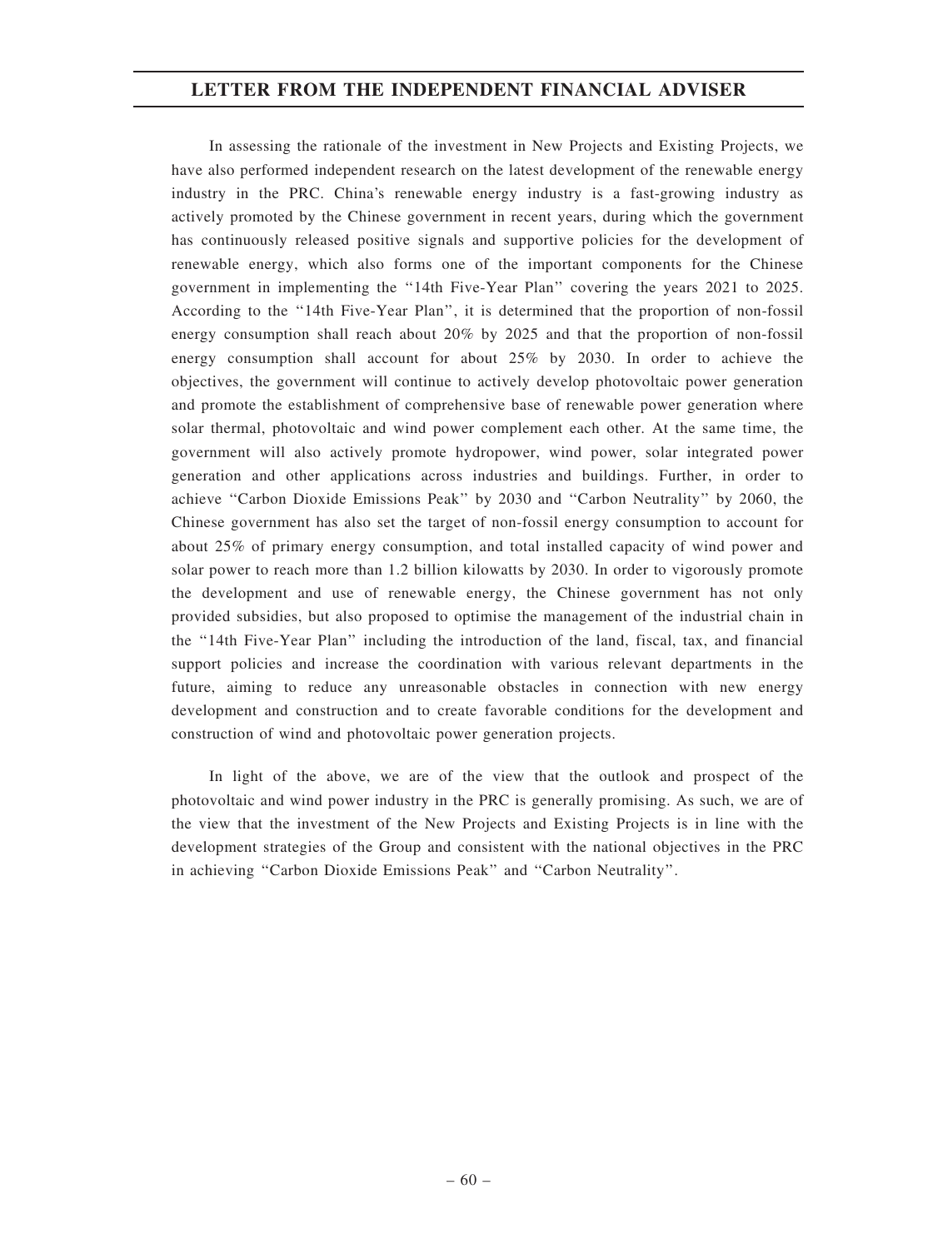In assessing the rationale of the investment in New Projects and Existing Projects, we have also performed independent research on the latest development of the renewable energy industry in the PRC. China's renewable energy industry is a fast-growing industry as actively promoted by the Chinese government in recent years, during which the government has continuously released positive signals and supportive policies for the development of renewable energy, which also forms one of the important components for the Chinese government in implementing the ''14th Five-Year Plan'' covering the years 2021 to 2025. According to the ''14th Five-Year Plan'', it is determined that the proportion of non-fossil energy consumption shall reach about 20% by 2025 and that the proportion of non-fossil energy consumption shall account for about 25% by 2030. In order to achieve the objectives, the government will continue to actively develop photovoltaic power generation and promote the establishment of comprehensive base of renewable power generation where solar thermal, photovoltaic and wind power complement each other. At the same time, the government will also actively promote hydropower, wind power, solar integrated power generation and other applications across industries and buildings. Further, in order to achieve "Carbon Dioxide Emissions Peak" by 2030 and "Carbon Neutrality" by 2060, the Chinese government has also set the target of non-fossil energy consumption to account for about 25% of primary energy consumption, and total installed capacity of wind power and solar power to reach more than 1.2 billion kilowatts by 2030. In order to vigorously promote the development and use of renewable energy, the Chinese government has not only provided subsidies, but also proposed to optimise the management of the industrial chain in the ''14th Five-Year Plan'' including the introduction of the land, fiscal, tax, and financial support policies and increase the coordination with various relevant departments in the future, aiming to reduce any unreasonable obstacles in connection with new energy development and construction and to create favorable conditions for the development and construction of wind and photovoltaic power generation projects.

In light of the above, we are of the view that the outlook and prospect of the photovoltaic and wind power industry in the PRC is generally promising. As such, we are of the view that the investment of the New Projects and Existing Projects is in line with the development strategies of the Group and consistent with the national objectives in the PRC in achieving ''Carbon Dioxide Emissions Peak'' and ''Carbon Neutrality''.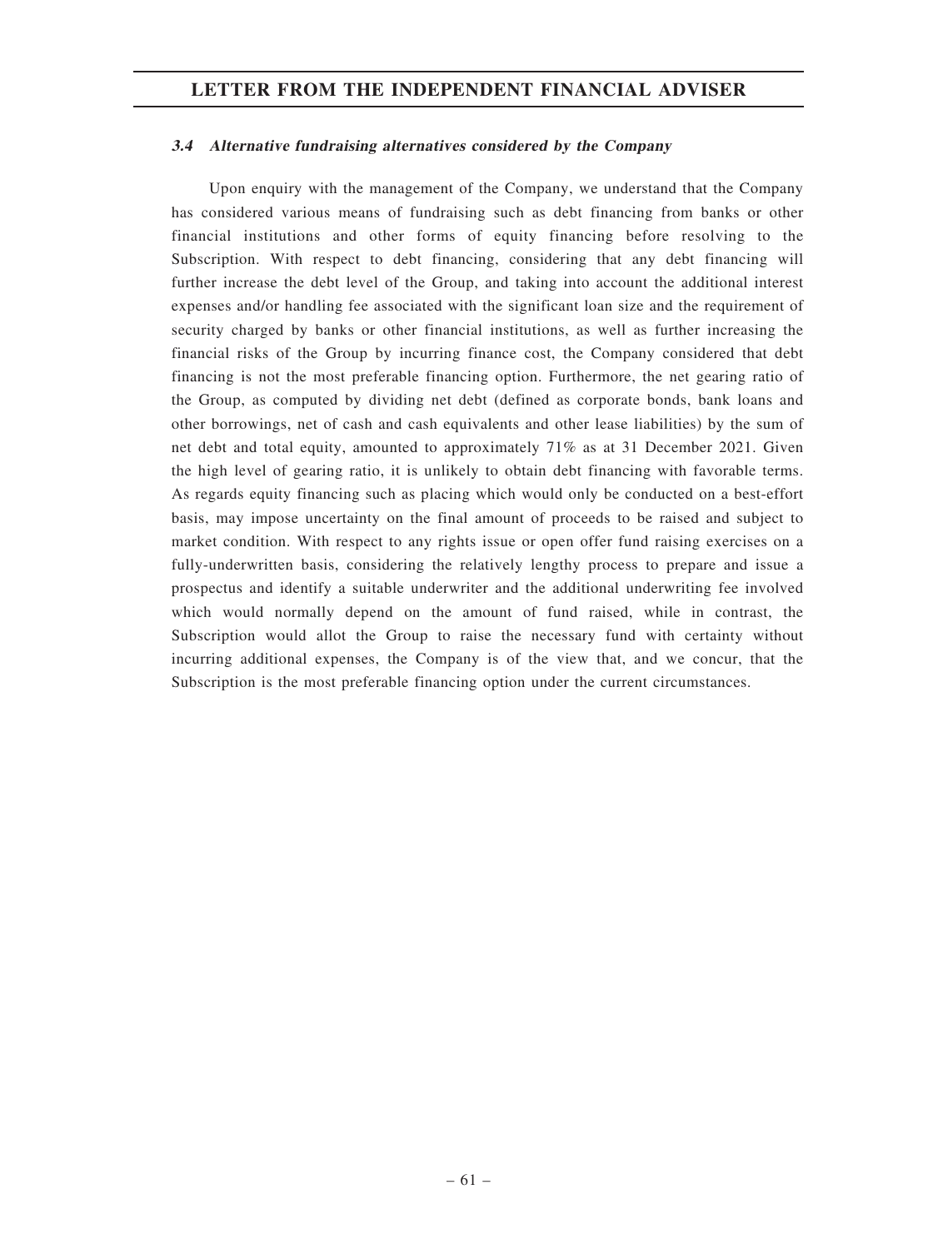### 3.4 Alternative fundraising alternatives considered by the Company

Upon enquiry with the management of the Company, we understand that the Company has considered various means of fundraising such as debt financing from banks or other financial institutions and other forms of equity financing before resolving to the Subscription. With respect to debt financing, considering that any debt financing will further increase the debt level of the Group, and taking into account the additional interest expenses and/or handling fee associated with the significant loan size and the requirement of security charged by banks or other financial institutions, as well as further increasing the financial risks of the Group by incurring finance cost, the Company considered that debt financing is not the most preferable financing option. Furthermore, the net gearing ratio of the Group, as computed by dividing net debt (defined as corporate bonds, bank loans and other borrowings, net of cash and cash equivalents and other lease liabilities) by the sum of net debt and total equity, amounted to approximately 71% as at 31 December 2021. Given the high level of gearing ratio, it is unlikely to obtain debt financing with favorable terms. As regards equity financing such as placing which would only be conducted on a best-effort basis, may impose uncertainty on the final amount of proceeds to be raised and subject to market condition. With respect to any rights issue or open offer fund raising exercises on a fully-underwritten basis, considering the relatively lengthy process to prepare and issue a prospectus and identify a suitable underwriter and the additional underwriting fee involved which would normally depend on the amount of fund raised, while in contrast, the Subscription would allot the Group to raise the necessary fund with certainty without incurring additional expenses, the Company is of the view that, and we concur, that the Subscription is the most preferable financing option under the current circumstances.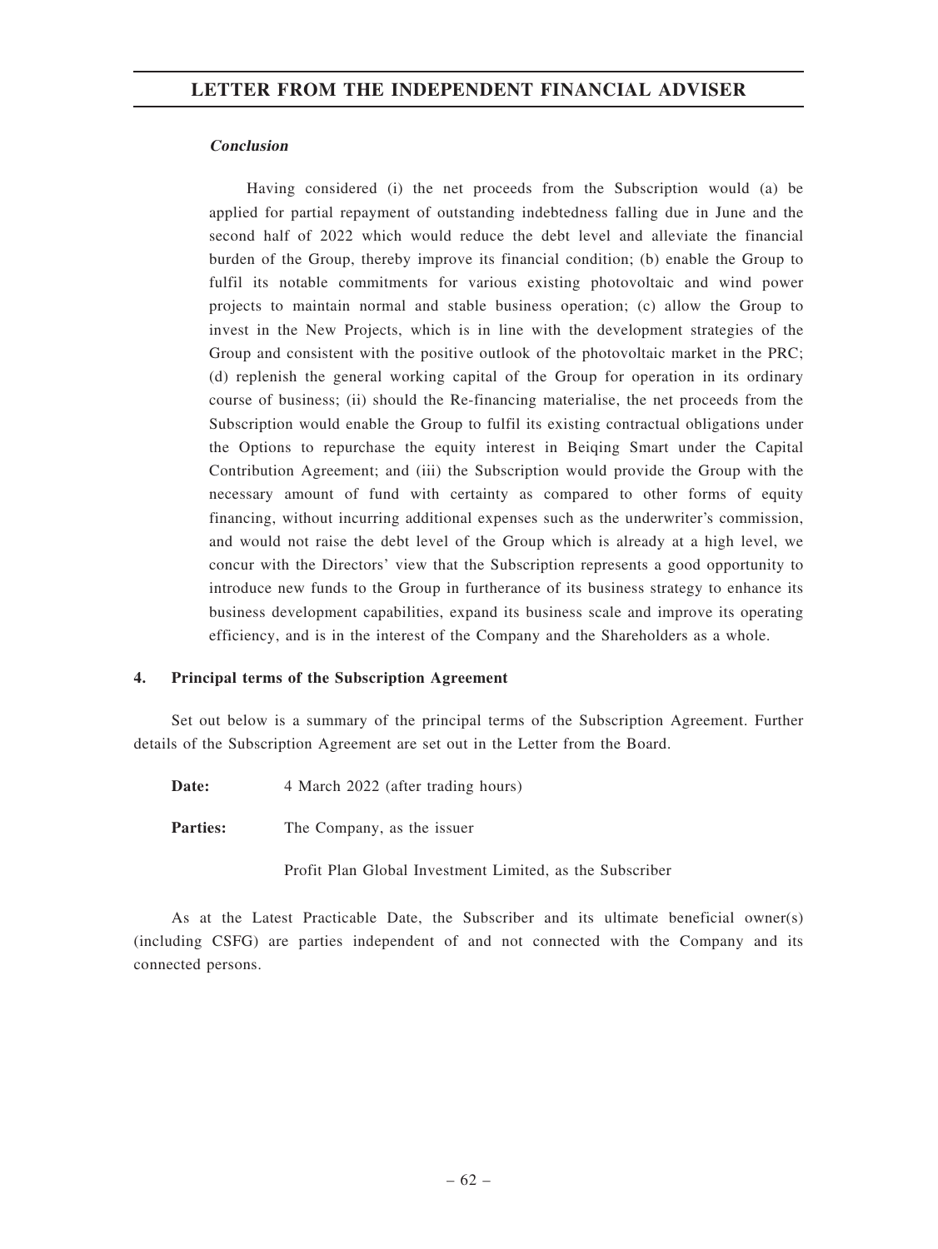### Conclusion

Having considered (i) the net proceeds from the Subscription would (a) be applied for partial repayment of outstanding indebtedness falling due in June and the second half of 2022 which would reduce the debt level and alleviate the financial burden of the Group, thereby improve its financial condition; (b) enable the Group to fulfil its notable commitments for various existing photovoltaic and wind power projects to maintain normal and stable business operation; (c) allow the Group to invest in the New Projects, which is in line with the development strategies of the Group and consistent with the positive outlook of the photovoltaic market in the PRC; (d) replenish the general working capital of the Group for operation in its ordinary course of business; (ii) should the Re-financing materialise, the net proceeds from the Subscription would enable the Group to fulfil its existing contractual obligations under the Options to repurchase the equity interest in Beiqing Smart under the Capital Contribution Agreement; and (iii) the Subscription would provide the Group with the necessary amount of fund with certainty as compared to other forms of equity financing, without incurring additional expenses such as the underwriter's commission, and would not raise the debt level of the Group which is already at a high level, we concur with the Directors' view that the Subscription represents a good opportunity to introduce new funds to the Group in furtherance of its business strategy to enhance its business development capabilities, expand its business scale and improve its operating efficiency, and is in the interest of the Company and the Shareholders as a whole.

### 4. Principal terms of the Subscription Agreement

Set out below is a summary of the principal terms of the Subscription Agreement. Further details of the Subscription Agreement are set out in the Letter from the Board.

Date: 4 March 2022 (after trading hours)

**Parties:** The Company, as the issuer

Profit Plan Global Investment Limited, as the Subscriber

As at the Latest Practicable Date, the Subscriber and its ultimate beneficial owner(s) (including CSFG) are parties independent of and not connected with the Company and its connected persons.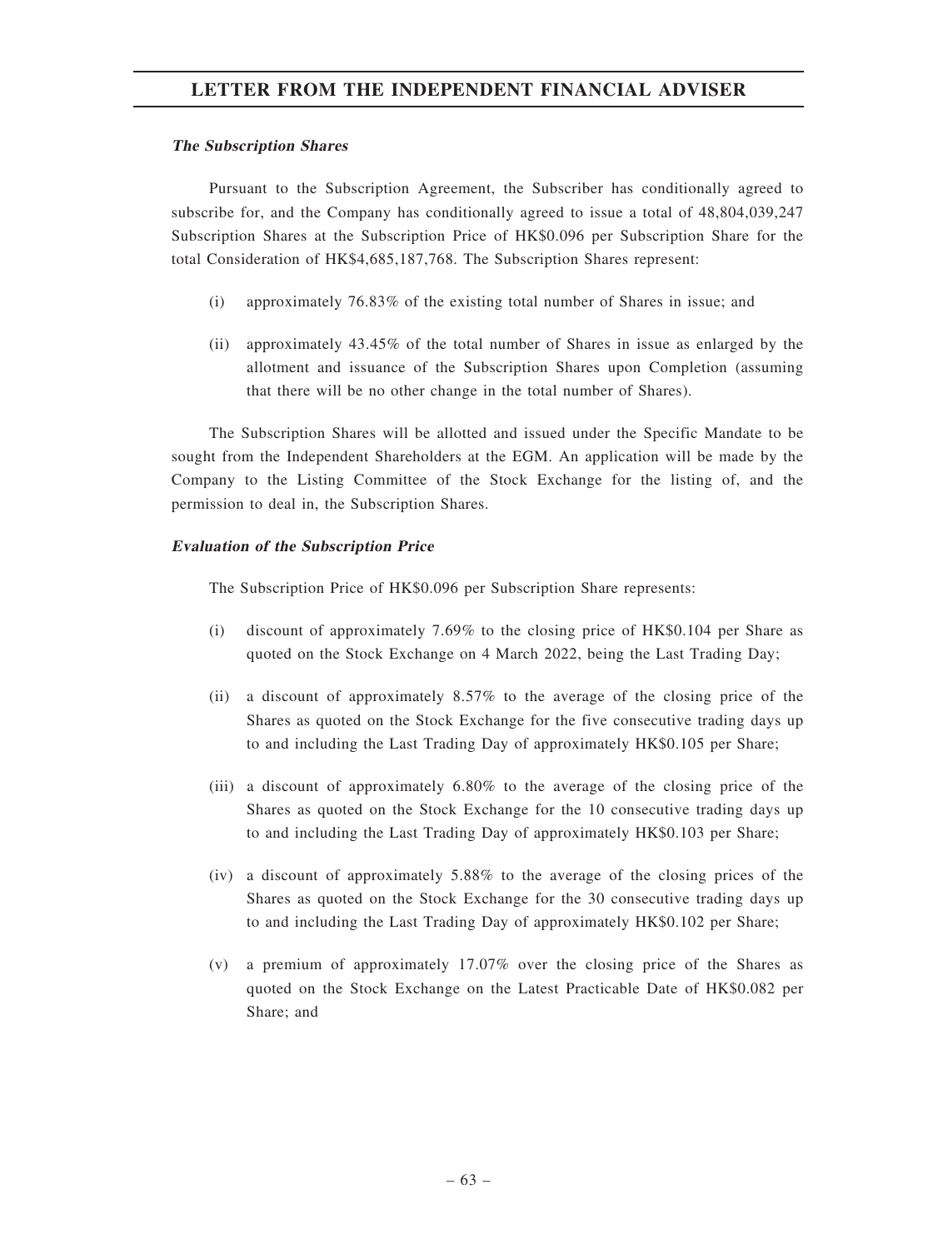### The Subscription Shares

Pursuant to the Subscription Agreement, the Subscriber has conditionally agreed to subscribe for, and the Company has conditionally agreed to issue a total of 48,804,039,247 Subscription Shares at the Subscription Price of HK\$0.096 per Subscription Share for the total Consideration of HK\$4,685,187,768. The Subscription Shares represent:

- (i) approximately 76.83% of the existing total number of Shares in issue; and
- (ii) approximately 43.45% of the total number of Shares in issue as enlarged by the allotment and issuance of the Subscription Shares upon Completion (assuming that there will be no other change in the total number of Shares).

The Subscription Shares will be allotted and issued under the Specific Mandate to be sought from the Independent Shareholders at the EGM. An application will be made by the Company to the Listing Committee of the Stock Exchange for the listing of, and the permission to deal in, the Subscription Shares.

### Evaluation of the Subscription Price

The Subscription Price of HK\$0.096 per Subscription Share represents:

- (i) discount of approximately 7.69% to the closing price of HK\$0.104 per Share as quoted on the Stock Exchange on 4 March 2022, being the Last Trading Day;
- (ii) a discount of approximately 8.57% to the average of the closing price of the Shares as quoted on the Stock Exchange for the five consecutive trading days up to and including the Last Trading Day of approximately HK\$0.105 per Share;
- (iii) a discount of approximately 6.80% to the average of the closing price of the Shares as quoted on the Stock Exchange for the 10 consecutive trading days up to and including the Last Trading Day of approximately HK\$0.103 per Share;
- (iv) a discount of approximately 5.88% to the average of the closing prices of the Shares as quoted on the Stock Exchange for the 30 consecutive trading days up to and including the Last Trading Day of approximately HK\$0.102 per Share;
- (v) a premium of approximately 17.07% over the closing price of the Shares as quoted on the Stock Exchange on the Latest Practicable Date of HK\$0.082 per Share; and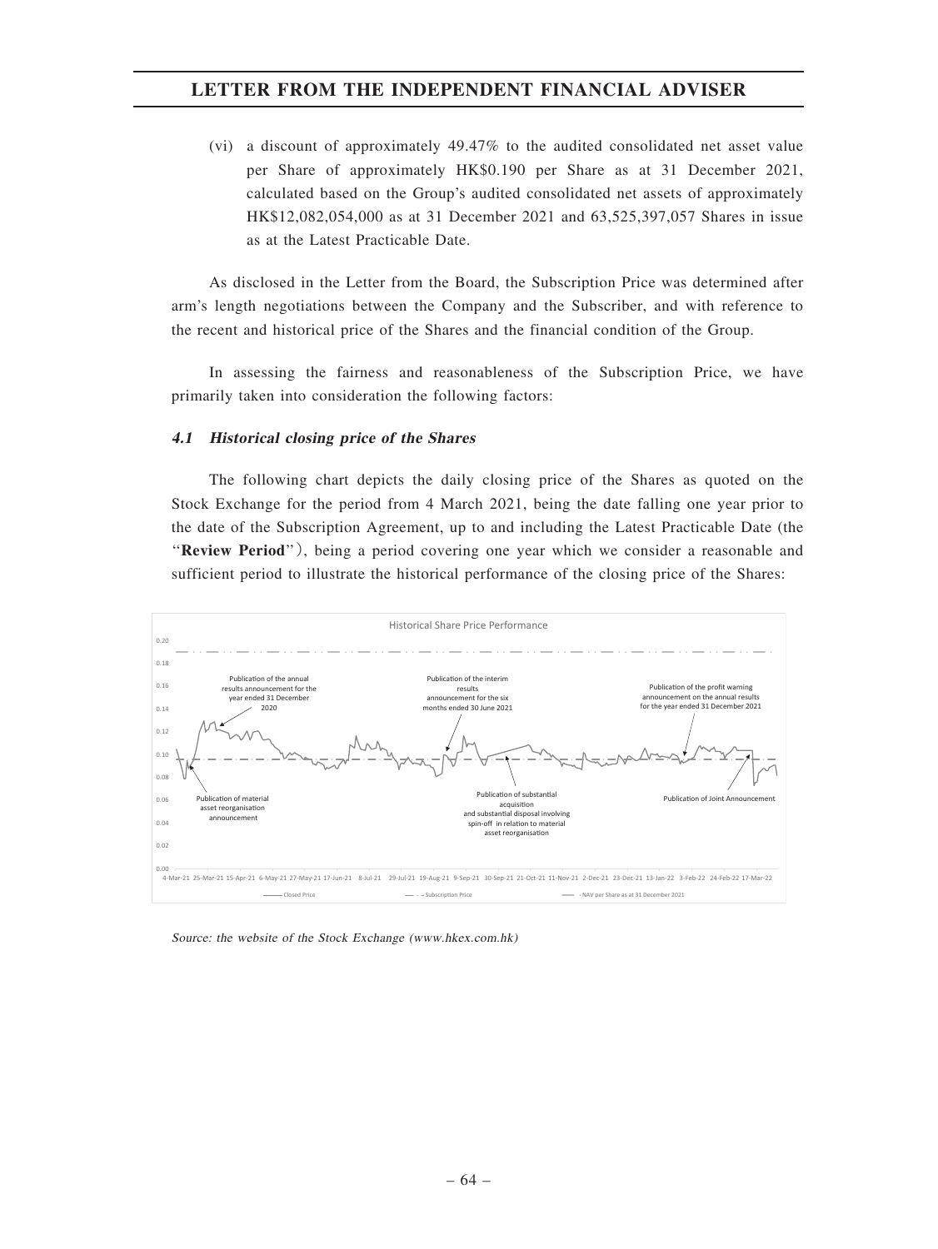(vi) a discount of approximately 49.47% to the audited consolidated net asset value per Share of approximately HK\$0.190 per Share as at 31 December 2021, calculated based on the Group's audited consolidated net assets of approximately HK\$12,082,054,000 as at 31 December 2021 and 63,525,397,057 Shares in issue as at the Latest Practicable Date.

As disclosed in the Letter from the Board, the Subscription Price was determined after arm's length negotiations between the Company and the Subscriber, and with reference to the recent and historical price of the Shares and the financial condition of the Group.

In assessing the fairness and reasonableness of the Subscription Price, we have primarily taken into consideration the following factors:

#### 4.1 Historical closing price of the Shares

The following chart depicts the daily closing price of the Shares as quoted on the Stock Exchange for the period from 4 March 2021, being the date falling one year prior to the date of the Subscription Agreement, up to and including the Latest Practicable Date (the ''Review Period''), being a period covering one year which we consider a reasonable and sufficient period to illustrate the historical performance of the closing price of the Shares:



Source: the website of the Stock Exchange (www.hkex.com.hk)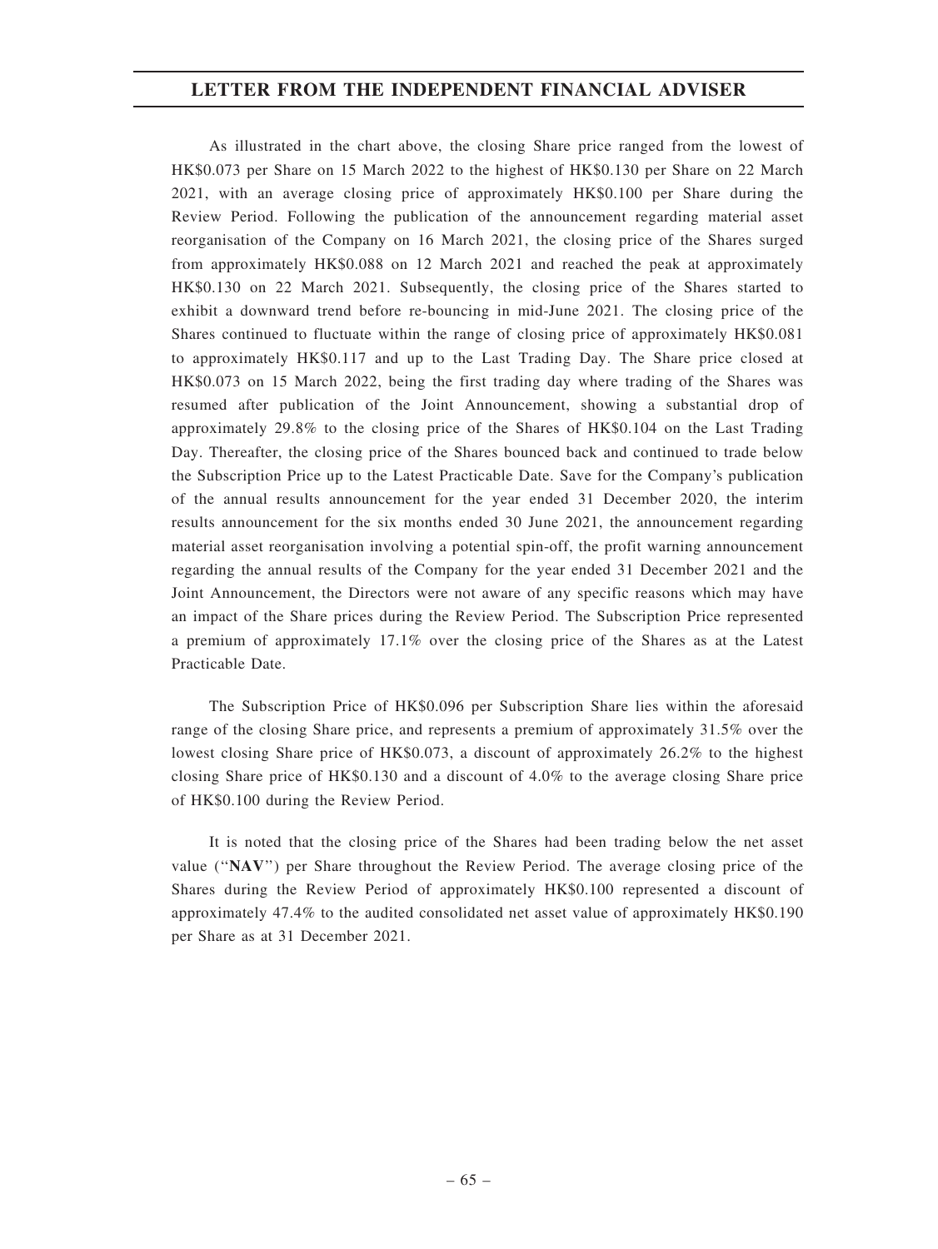As illustrated in the chart above, the closing Share price ranged from the lowest of HK\$0.073 per Share on 15 March 2022 to the highest of HK\$0.130 per Share on 22 March 2021, with an average closing price of approximately HK\$0.100 per Share during the Review Period. Following the publication of the announcement regarding material asset reorganisation of the Company on 16 March 2021, the closing price of the Shares surged from approximately HK\$0.088 on 12 March 2021 and reached the peak at approximately HK\$0.130 on 22 March 2021. Subsequently, the closing price of the Shares started to exhibit a downward trend before re-bouncing in mid-June 2021. The closing price of the Shares continued to fluctuate within the range of closing price of approximately HK\$0.081 to approximately HK\$0.117 and up to the Last Trading Day. The Share price closed at HK\$0.073 on 15 March 2022, being the first trading day where trading of the Shares was resumed after publication of the Joint Announcement, showing a substantial drop of approximately 29.8% to the closing price of the Shares of HK\$0.104 on the Last Trading Day. Thereafter, the closing price of the Shares bounced back and continued to trade below the Subscription Price up to the Latest Practicable Date. Save for the Company's publication of the annual results announcement for the year ended 31 December 2020, the interim results announcement for the six months ended 30 June 2021, the announcement regarding material asset reorganisation involving a potential spin-off, the profit warning announcement regarding the annual results of the Company for the year ended 31 December 2021 and the Joint Announcement, the Directors were not aware of any specific reasons which may have an impact of the Share prices during the Review Period. The Subscription Price represented a premium of approximately 17.1% over the closing price of the Shares as at the Latest Practicable Date.

The Subscription Price of HK\$0.096 per Subscription Share lies within the aforesaid range of the closing Share price, and represents a premium of approximately 31.5% over the lowest closing Share price of HK\$0.073, a discount of approximately 26.2% to the highest closing Share price of HK\$0.130 and a discount of 4.0% to the average closing Share price of HK\$0.100 during the Review Period.

It is noted that the closing price of the Shares had been trading below the net asset value (''NAV'') per Share throughout the Review Period. The average closing price of the Shares during the Review Period of approximately HK\$0.100 represented a discount of approximately 47.4% to the audited consolidated net asset value of approximately HK\$0.190 per Share as at 31 December 2021.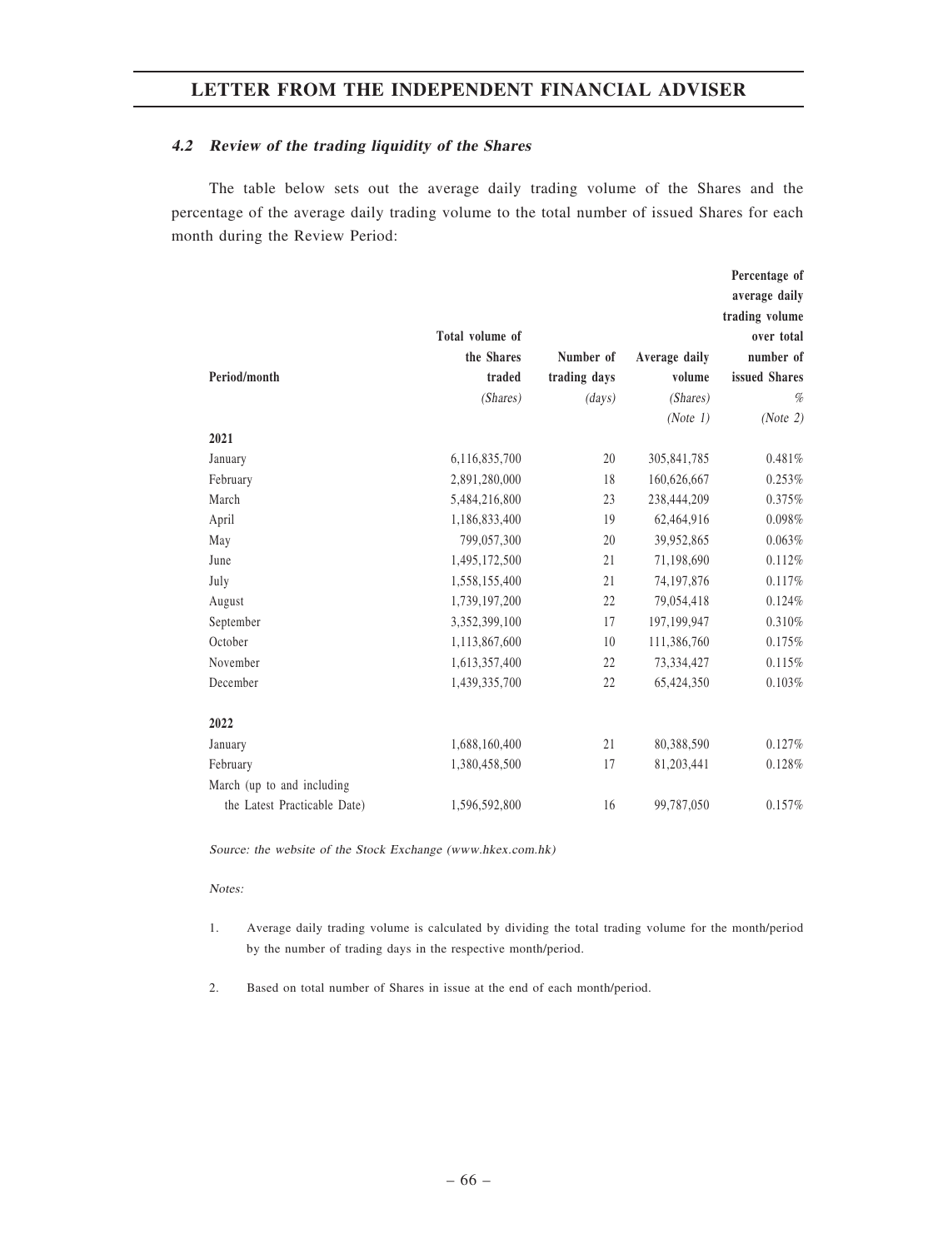### 4.2 Review of the trading liquidity of the Shares

The table below sets out the average daily trading volume of the Shares and the percentage of the average daily trading volume to the total number of issued Shares for each month during the Review Period:

 $\overline{a}$ 

|                              |                 |              |               | Percentage of  |
|------------------------------|-----------------|--------------|---------------|----------------|
|                              |                 |              |               | average daily  |
|                              |                 |              |               | trading volume |
|                              | Total volume of |              |               | over total     |
|                              | the Shares      | Number of    | Average daily | number of      |
| Period/month                 | traded          | trading days | volume        | issued Shares  |
|                              | (Shares)        | (days)       | (Shares)      | %              |
|                              |                 |              | (Note 1)      | (Note 2)       |
| 2021                         |                 |              |               |                |
| January                      | 6,116,835,700   | 20           | 305,841,785   | 0.481%         |
| February                     | 2,891,280,000   | 18           | 160,626,667   | 0.253%         |
| March                        | 5,484,216,800   | 23           | 238,444,209   | 0.375%         |
| April                        | 1,186,833,400   | 19           | 62,464,916    | 0.098%         |
| May                          | 799,057,300     | 20           | 39,952,865    | 0.063%         |
| June                         | 1,495,172,500   | 21           | 71,198,690    | 0.112%         |
| July                         | 1,558,155,400   | 21           | 74,197,876    | 0.117%         |
| August                       | 1,739,197,200   | 22           | 79,054,418    | 0.124%         |
| September                    | 3,352,399,100   | 17           | 197,199,947   | 0.310%         |
| October                      | 1,113,867,600   | 10           | 111,386,760   | 0.175%         |
| November                     | 1,613,357,400   | 22           | 73,334,427    | 0.115%         |
| December                     | 1,439,335,700   | 22           | 65,424,350    | 0.103%         |
|                              |                 |              |               |                |
| 2022                         |                 |              |               |                |
| January                      | 1,688,160,400   | 21           | 80,388,590    | 0.127%         |
| February                     | 1,380,458,500   | 17           | 81,203,441    | 0.128%         |
| March (up to and including   |                 |              |               |                |
| the Latest Practicable Date) | 1,596,592,800   | 16           | 99,787,050    | 0.157%         |

Source: the website of the Stock Exchange (www.hkex.com.hk)

#### Notes:

- 1. Average daily trading volume is calculated by dividing the total trading volume for the month/period by the number of trading days in the respective month/period.
- 2. Based on total number of Shares in issue at the end of each month/period.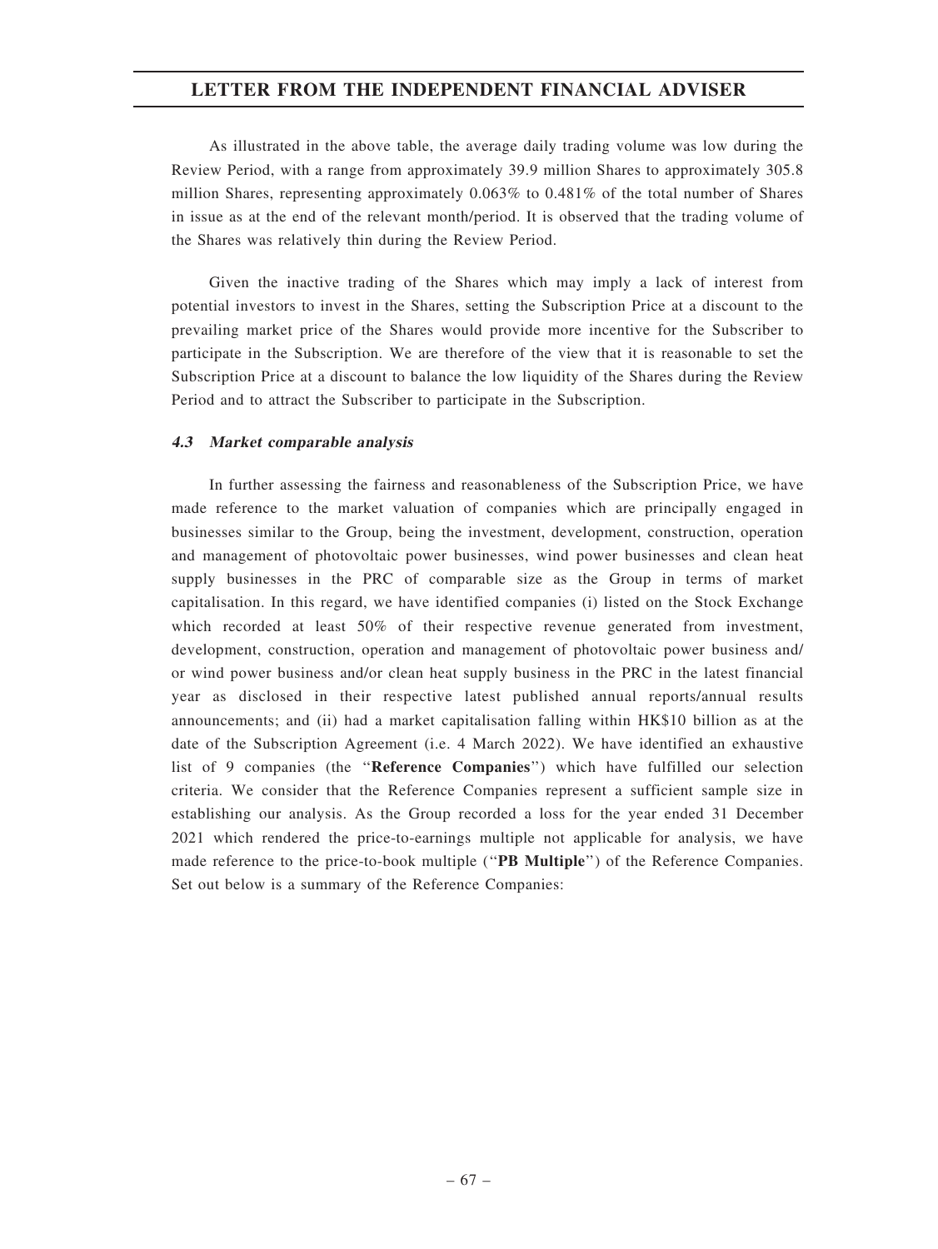As illustrated in the above table, the average daily trading volume was low during the Review Period, with a range from approximately 39.9 million Shares to approximately 305.8 million Shares, representing approximately 0.063% to 0.481% of the total number of Shares in issue as at the end of the relevant month/period. It is observed that the trading volume of the Shares was relatively thin during the Review Period.

Given the inactive trading of the Shares which may imply a lack of interest from potential investors to invest in the Shares, setting the Subscription Price at a discount to the prevailing market price of the Shares would provide more incentive for the Subscriber to participate in the Subscription. We are therefore of the view that it is reasonable to set the Subscription Price at a discount to balance the low liquidity of the Shares during the Review Period and to attract the Subscriber to participate in the Subscription.

### 4.3 Market comparable analysis

In further assessing the fairness and reasonableness of the Subscription Price, we have made reference to the market valuation of companies which are principally engaged in businesses similar to the Group, being the investment, development, construction, operation and management of photovoltaic power businesses, wind power businesses and clean heat supply businesses in the PRC of comparable size as the Group in terms of market capitalisation. In this regard, we have identified companies (i) listed on the Stock Exchange which recorded at least 50% of their respective revenue generated from investment, development, construction, operation and management of photovoltaic power business and/ or wind power business and/or clean heat supply business in the PRC in the latest financial year as disclosed in their respective latest published annual reports/annual results announcements; and (ii) had a market capitalisation falling within HK\$10 billion as at the date of the Subscription Agreement (i.e. 4 March 2022). We have identified an exhaustive list of 9 companies (the ''Reference Companies'') which have fulfilled our selection criteria. We consider that the Reference Companies represent a sufficient sample size in establishing our analysis. As the Group recorded a loss for the year ended 31 December 2021 which rendered the price-to-earnings multiple not applicable for analysis, we have made reference to the price-to-book multiple ("PB Multiple") of the Reference Companies. Set out below is a summary of the Reference Companies: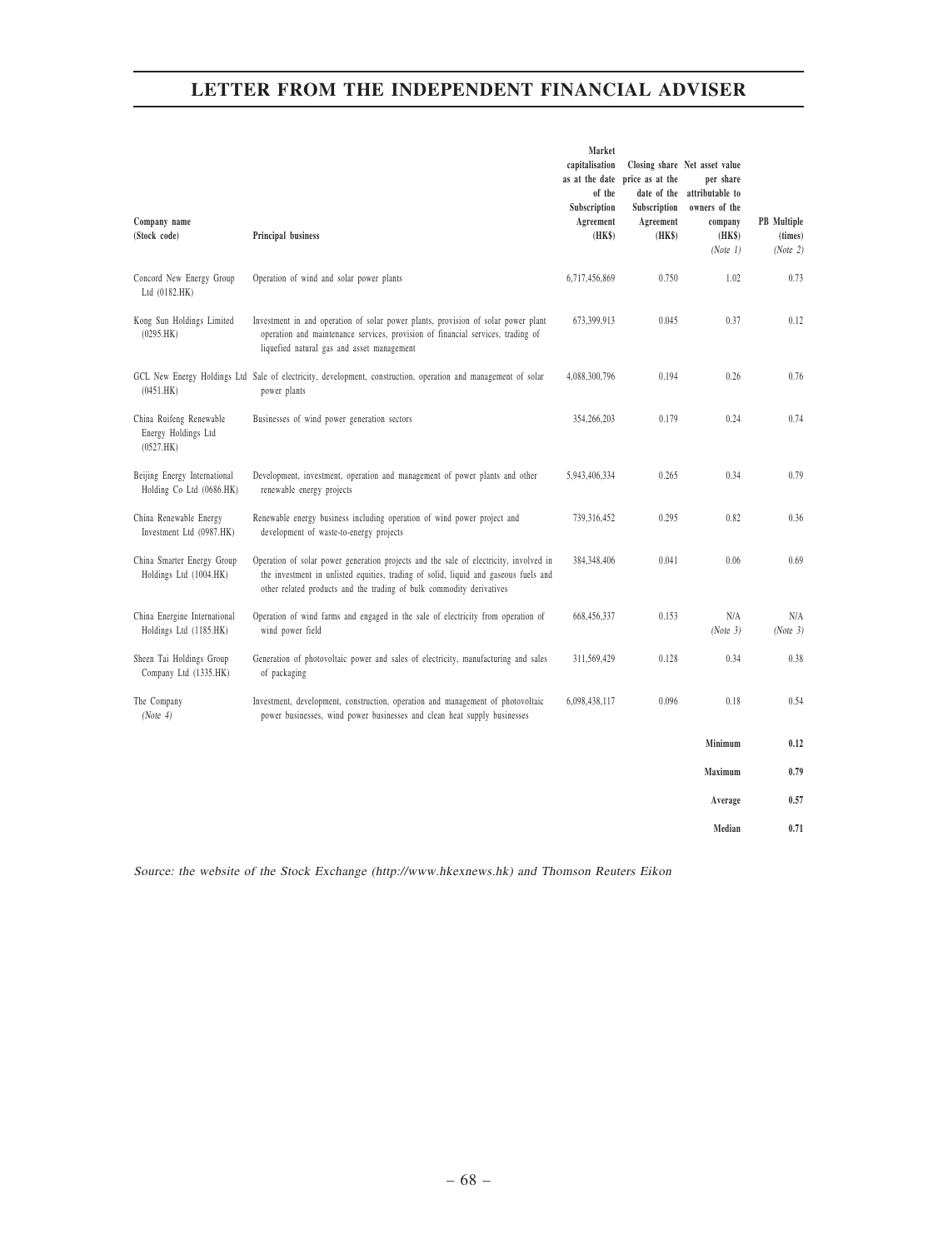|                                                             |                                                                                                                                                                                                                                                      | Market<br>capitalisation<br>as at the date<br>of the | price as at the<br>date of the      | Closing share Net asset value<br>per share<br>attributable to |                                           |
|-------------------------------------------------------------|------------------------------------------------------------------------------------------------------------------------------------------------------------------------------------------------------------------------------------------------------|------------------------------------------------------|-------------------------------------|---------------------------------------------------------------|-------------------------------------------|
| Company name<br>(Stock code)                                | Principal business                                                                                                                                                                                                                                   | Subscription<br>Agreement<br>(HK\$)                  | Subscription<br>Agreement<br>(HK\$) | owners of the<br>company<br>(HK\$)<br>(Note 1)                | <b>PB</b> Multiple<br>(times)<br>(Note 2) |
| Concord New Energy Group<br>Ltd (0182.HK)                   | Operation of wind and solar power plants                                                                                                                                                                                                             | 6.717.456.869                                        | 0.750                               | 1.02                                                          | 0.73                                      |
| Kong Sun Holdings Limited<br>(0295.HK)                      | Investment in and operation of solar power plants, provision of solar power plant<br>operation and maintenance services, provision of financial services, trading of<br>liquefied natural gas and asset management                                   | 673,399,913                                          | 0.045                               | 0.37                                                          | 0.12                                      |
| (0451.HK)                                                   | GCL New Energy Holdings Ltd Sale of electricity, development, construction, operation and management of solar<br>power plants                                                                                                                        | 4,088,300,796                                        | 0.194                               | 0.26                                                          | 0.76                                      |
| China Ruifeng Renewable<br>Energy Holdings Ltd<br>(0527.HK) | Businesses of wind power generation sectors                                                                                                                                                                                                          | 354,266,203                                          | 0.179                               | 0.24                                                          | 0.74                                      |
| Beijing Energy International<br>Holding Co Ltd (0686.HK)    | Development, investment, operation and management of power plants and other<br>renewable energy projects                                                                                                                                             | 5,943,406,334                                        | 0.265                               | 0.34                                                          | 0.79                                      |
| China Renewable Energy<br>Investment Ltd (0987.HK)          | Renewable energy business including operation of wind power project and<br>development of waste-to-energy projects                                                                                                                                   | 739,316,452                                          | 0.295                               | 0.82                                                          | 0.36                                      |
| China Smarter Energy Group<br>Holdings Ltd (1004.HK)        | Operation of solar power generation projects and the sale of electricity, involved in<br>the investment in unlisted equities, trading of solid, liquid and gaseous fuels and<br>other related products and the trading of bulk commodity derivatives | 384, 348, 406                                        | 0.041                               | 0.06                                                          | 0.69                                      |
| China Energine International<br>Holdings Ltd (1185.HK)      | Operation of wind farms and engaged in the sale of electricity from operation of<br>wind power field                                                                                                                                                 | 668,456,337                                          | 0.153                               | N/A<br>(Note 3)                                               | N/A<br>(Note 3)                           |
| Sheen Tai Holdings Group<br>Company Ltd (1335.HK)           | Generation of photovoltaic power and sales of electricity, manufacturing and sales<br>of packaging                                                                                                                                                   | 311,569,429                                          | 0.128                               | 0.34                                                          | 0.38                                      |
| The Company<br>(Note 4)                                     | Investment, development, construction, operation and management of photovoltaic<br>power businesses, wind power businesses and clean heat supply businesses                                                                                          | 6,098,438,117                                        | 0.096                               | 0.18                                                          | 0.54                                      |
|                                                             |                                                                                                                                                                                                                                                      |                                                      |                                     | Minimum                                                       | 0.12                                      |
|                                                             |                                                                                                                                                                                                                                                      |                                                      |                                     | Maximum                                                       | 0.79                                      |
|                                                             |                                                                                                                                                                                                                                                      |                                                      |                                     | Average                                                       | 0.57                                      |
|                                                             |                                                                                                                                                                                                                                                      |                                                      |                                     | Median                                                        | 0.71                                      |

Source: the website of the Stock Exchange (http://www.hkexnews.hk) and Thomson Reuters Eikon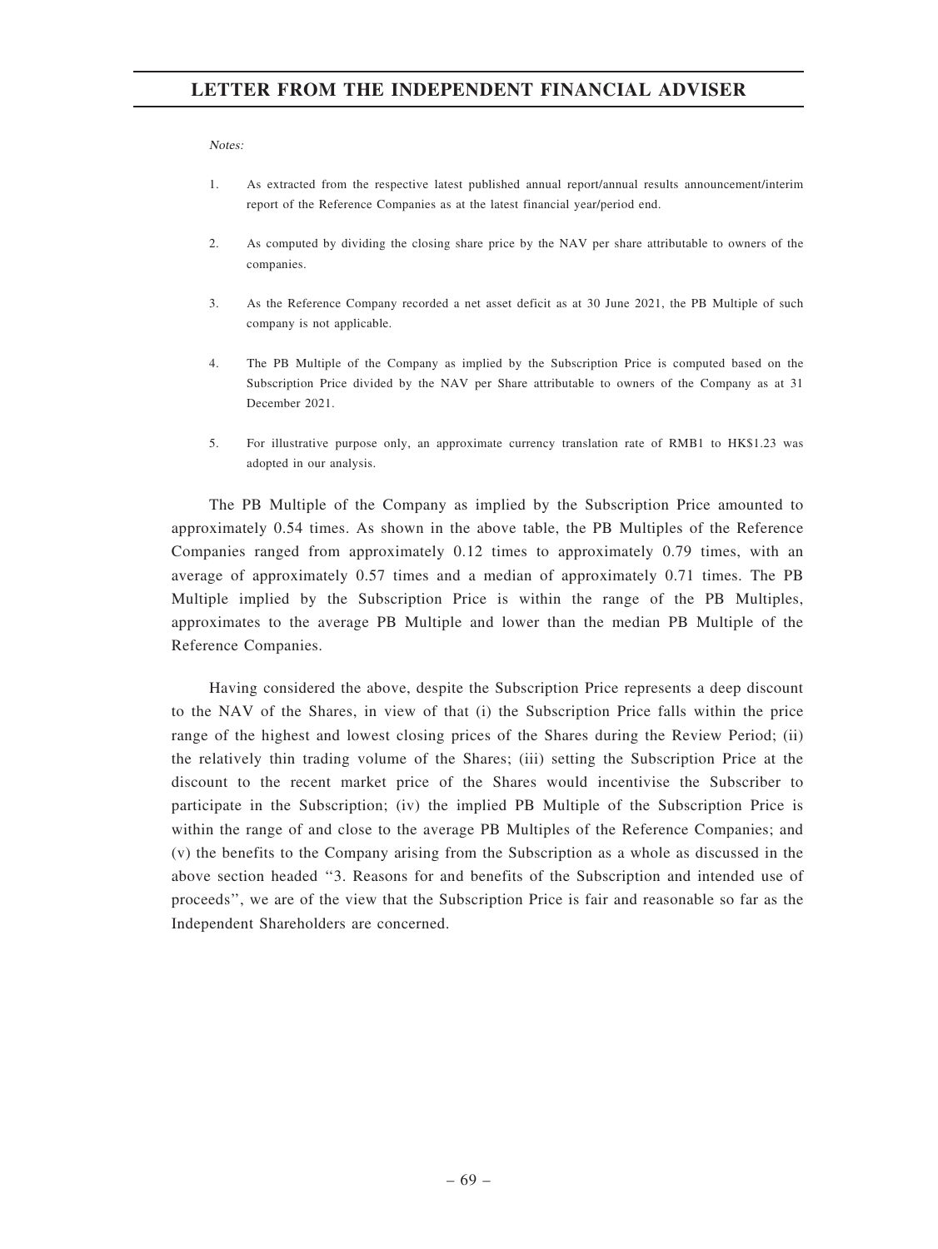Notes:

- 1. As extracted from the respective latest published annual report/annual results announcement/interim report of the Reference Companies as at the latest financial year/period end.
- 2. As computed by dividing the closing share price by the NAV per share attributable to owners of the companies.
- 3. As the Reference Company recorded a net asset deficit as at 30 June 2021, the PB Multiple of such company is not applicable.
- 4. The PB Multiple of the Company as implied by the Subscription Price is computed based on the Subscription Price divided by the NAV per Share attributable to owners of the Company as at 31 December 2021.
- 5. For illustrative purpose only, an approximate currency translation rate of RMB1 to HK\$1.23 was adopted in our analysis.

The PB Multiple of the Company as implied by the Subscription Price amounted to approximately 0.54 times. As shown in the above table, the PB Multiples of the Reference Companies ranged from approximately 0.12 times to approximately 0.79 times, with an average of approximately 0.57 times and a median of approximately 0.71 times. The PB Multiple implied by the Subscription Price is within the range of the PB Multiples, approximates to the average PB Multiple and lower than the median PB Multiple of the Reference Companies.

Having considered the above, despite the Subscription Price represents a deep discount to the NAV of the Shares, in view of that (i) the Subscription Price falls within the price range of the highest and lowest closing prices of the Shares during the Review Period; (ii) the relatively thin trading volume of the Shares; (iii) setting the Subscription Price at the discount to the recent market price of the Shares would incentivise the Subscriber to participate in the Subscription; (iv) the implied PB Multiple of the Subscription Price is within the range of and close to the average PB Multiples of the Reference Companies; and (v) the benefits to the Company arising from the Subscription as a whole as discussed in the above section headed ''3. Reasons for and benefits of the Subscription and intended use of proceeds'', we are of the view that the Subscription Price is fair and reasonable so far as the Independent Shareholders are concerned.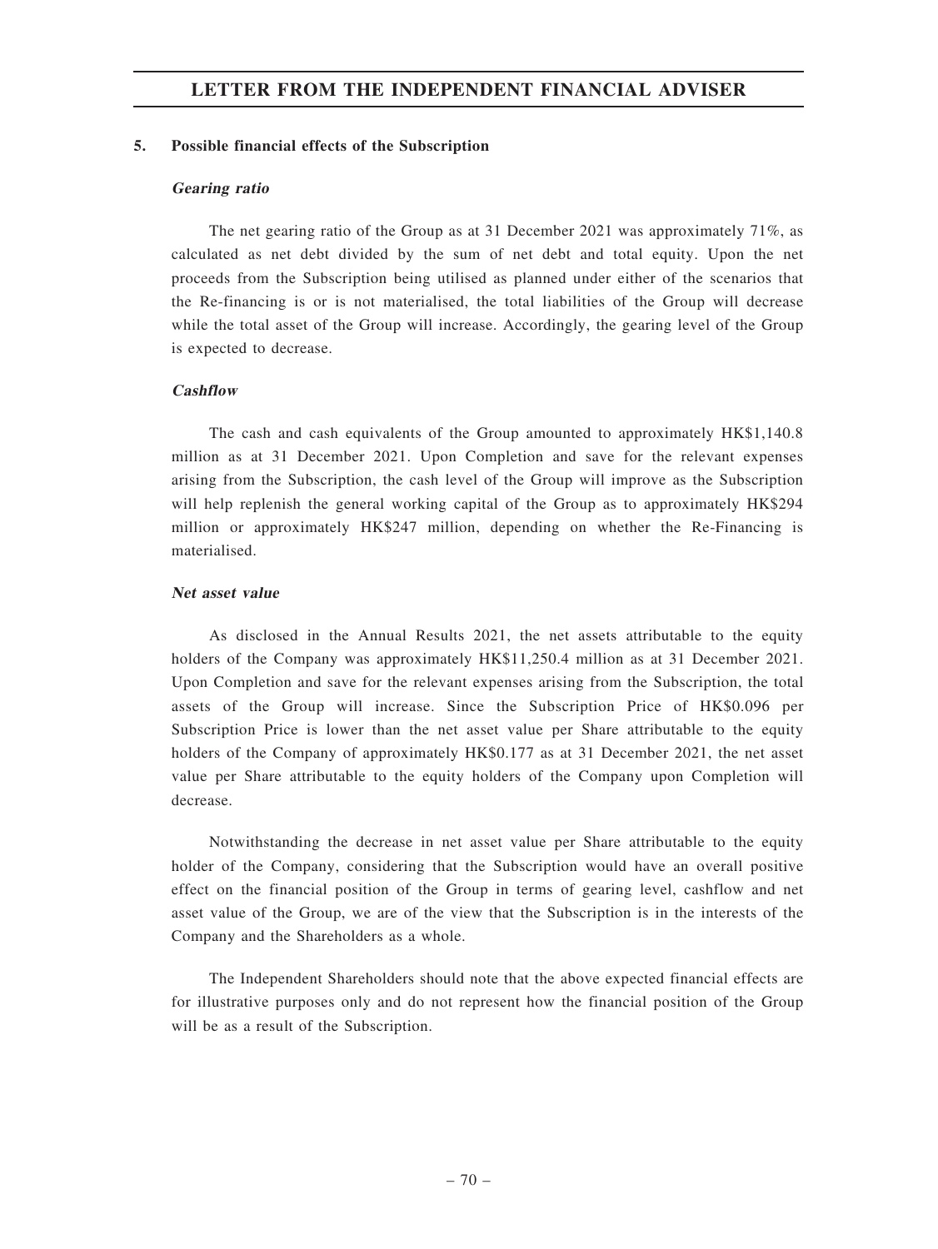### 5. Possible financial effects of the Subscription

#### Gearing ratio

The net gearing ratio of the Group as at 31 December 2021 was approximately 71%, as calculated as net debt divided by the sum of net debt and total equity. Upon the net proceeds from the Subscription being utilised as planned under either of the scenarios that the Re-financing is or is not materialised, the total liabilities of the Group will decrease while the total asset of the Group will increase. Accordingly, the gearing level of the Group is expected to decrease.

#### **Cashflow**

The cash and cash equivalents of the Group amounted to approximately HK\$1,140.8 million as at 31 December 2021. Upon Completion and save for the relevant expenses arising from the Subscription, the cash level of the Group will improve as the Subscription will help replenish the general working capital of the Group as to approximately HK\$294 million or approximately HK\$247 million, depending on whether the Re-Financing is materialised.

### Net asset value

As disclosed in the Annual Results 2021, the net assets attributable to the equity holders of the Company was approximately HK\$11,250.4 million as at 31 December 2021. Upon Completion and save for the relevant expenses arising from the Subscription, the total assets of the Group will increase. Since the Subscription Price of HK\$0.096 per Subscription Price is lower than the net asset value per Share attributable to the equity holders of the Company of approximately HK\$0.177 as at 31 December 2021, the net asset value per Share attributable to the equity holders of the Company upon Completion will decrease.

Notwithstanding the decrease in net asset value per Share attributable to the equity holder of the Company, considering that the Subscription would have an overall positive effect on the financial position of the Group in terms of gearing level, cashflow and net asset value of the Group, we are of the view that the Subscription is in the interests of the Company and the Shareholders as a whole.

The Independent Shareholders should note that the above expected financial effects are for illustrative purposes only and do not represent how the financial position of the Group will be as a result of the Subscription.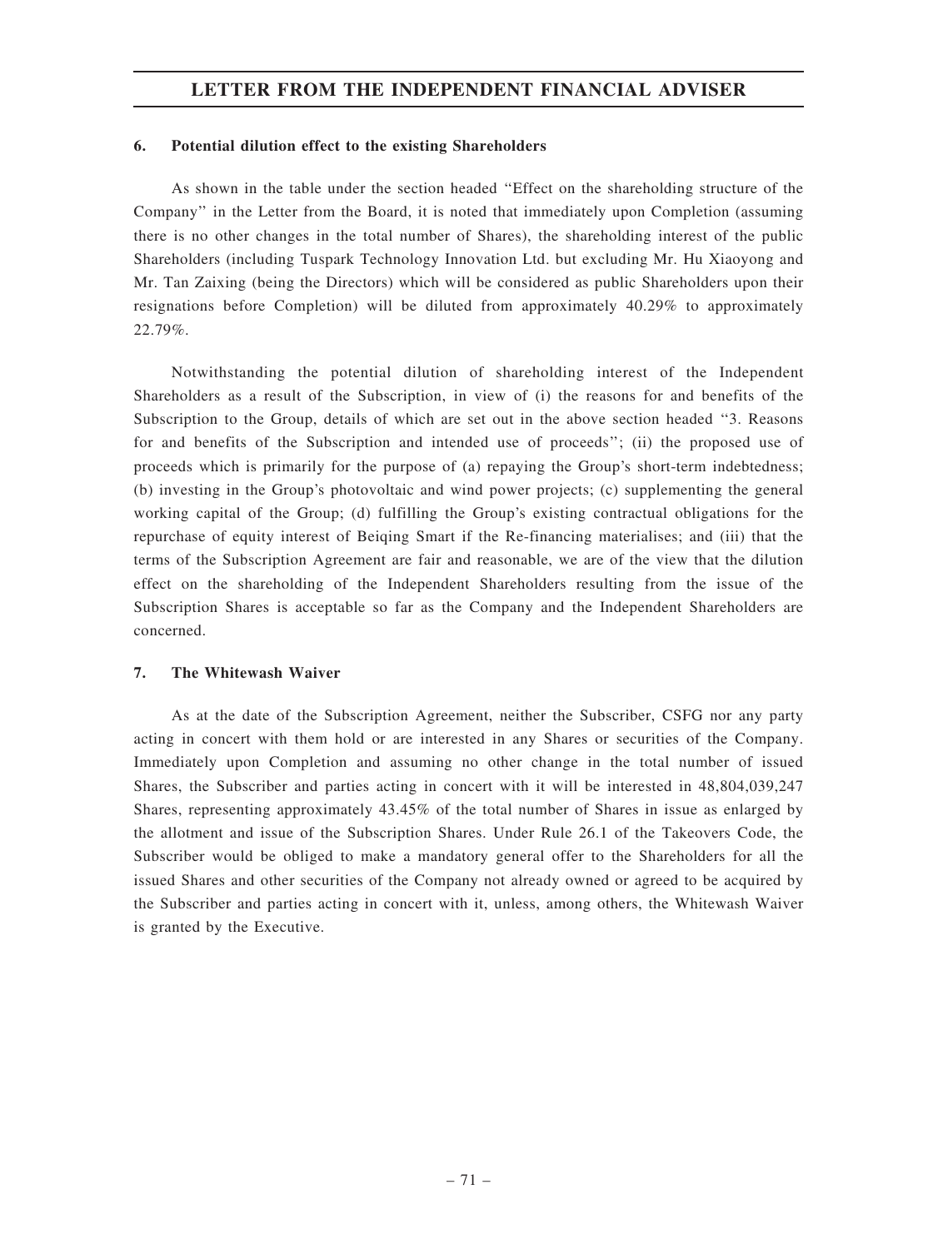# LETTER FROM THE INDEPENDENT FINANCIAL ADVISER

### 6. Potential dilution effect to the existing Shareholders

As shown in the table under the section headed ''Effect on the shareholding structure of the Company'' in the Letter from the Board, it is noted that immediately upon Completion (assuming there is no other changes in the total number of Shares), the shareholding interest of the public Shareholders (including Tuspark Technology Innovation Ltd. but excluding Mr. Hu Xiaoyong and Mr. Tan Zaixing (being the Directors) which will be considered as public Shareholders upon their resignations before Completion) will be diluted from approximately 40.29% to approximately 22.79%.

Notwithstanding the potential dilution of shareholding interest of the Independent Shareholders as a result of the Subscription, in view of (i) the reasons for and benefits of the Subscription to the Group, details of which are set out in the above section headed ''3. Reasons for and benefits of the Subscription and intended use of proceeds''; (ii) the proposed use of proceeds which is primarily for the purpose of (a) repaying the Group's short-term indebtedness; (b) investing in the Group's photovoltaic and wind power projects; (c) supplementing the general working capital of the Group; (d) fulfilling the Group's existing contractual obligations for the repurchase of equity interest of Beiqing Smart if the Re-financing materialises; and (iii) that the terms of the Subscription Agreement are fair and reasonable, we are of the view that the dilution effect on the shareholding of the Independent Shareholders resulting from the issue of the Subscription Shares is acceptable so far as the Company and the Independent Shareholders are concerned.

## 7. The Whitewash Waiver

As at the date of the Subscription Agreement, neither the Subscriber, CSFG nor any party acting in concert with them hold or are interested in any Shares or securities of the Company. Immediately upon Completion and assuming no other change in the total number of issued Shares, the Subscriber and parties acting in concert with it will be interested in 48,804,039,247 Shares, representing approximately 43.45% of the total number of Shares in issue as enlarged by the allotment and issue of the Subscription Shares. Under Rule 26.1 of the Takeovers Code, the Subscriber would be obliged to make a mandatory general offer to the Shareholders for all the issued Shares and other securities of the Company not already owned or agreed to be acquired by the Subscriber and parties acting in concert with it, unless, among others, the Whitewash Waiver is granted by the Executive.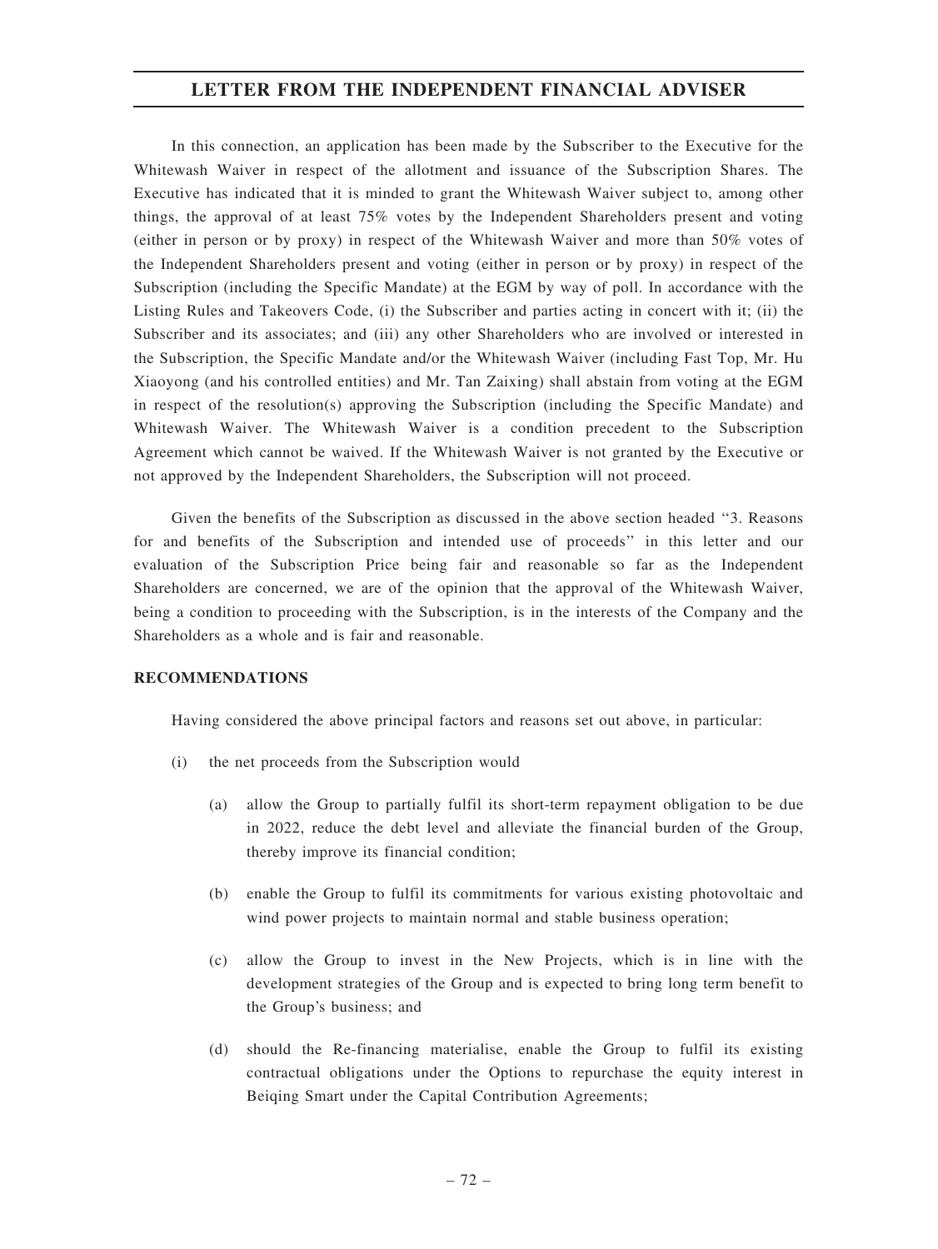# LETTER FROM THE INDEPENDENT FINANCIAL ADVISER

In this connection, an application has been made by the Subscriber to the Executive for the Whitewash Waiver in respect of the allotment and issuance of the Subscription Shares. The Executive has indicated that it is minded to grant the Whitewash Waiver subject to, among other things, the approval of at least 75% votes by the Independent Shareholders present and voting (either in person or by proxy) in respect of the Whitewash Waiver and more than 50% votes of the Independent Shareholders present and voting (either in person or by proxy) in respect of the Subscription (including the Specific Mandate) at the EGM by way of poll. In accordance with the Listing Rules and Takeovers Code, (i) the Subscriber and parties acting in concert with it; (ii) the Subscriber and its associates; and (iii) any other Shareholders who are involved or interested in the Subscription, the Specific Mandate and/or the Whitewash Waiver (including Fast Top, Mr. Hu Xiaoyong (and his controlled entities) and Mr. Tan Zaixing) shall abstain from voting at the EGM in respect of the resolution(s) approving the Subscription (including the Specific Mandate) and Whitewash Waiver. The Whitewash Waiver is a condition precedent to the Subscription Agreement which cannot be waived. If the Whitewash Waiver is not granted by the Executive or not approved by the Independent Shareholders, the Subscription will not proceed.

Given the benefits of the Subscription as discussed in the above section headed ''3. Reasons for and benefits of the Subscription and intended use of proceeds'' in this letter and our evaluation of the Subscription Price being fair and reasonable so far as the Independent Shareholders are concerned, we are of the opinion that the approval of the Whitewash Waiver, being a condition to proceeding with the Subscription, is in the interests of the Company and the Shareholders as a whole and is fair and reasonable.

# RECOMMENDATIONS

Having considered the above principal factors and reasons set out above, in particular:

- (i) the net proceeds from the Subscription would
	- (a) allow the Group to partially fulfil its short-term repayment obligation to be due in 2022, reduce the debt level and alleviate the financial burden of the Group, thereby improve its financial condition;
	- (b) enable the Group to fulfil its commitments for various existing photovoltaic and wind power projects to maintain normal and stable business operation;
	- (c) allow the Group to invest in the New Projects, which is in line with the development strategies of the Group and is expected to bring long term benefit to the Group's business; and
	- (d) should the Re-financing materialise, enable the Group to fulfil its existing contractual obligations under the Options to repurchase the equity interest in Beiqing Smart under the Capital Contribution Agreements;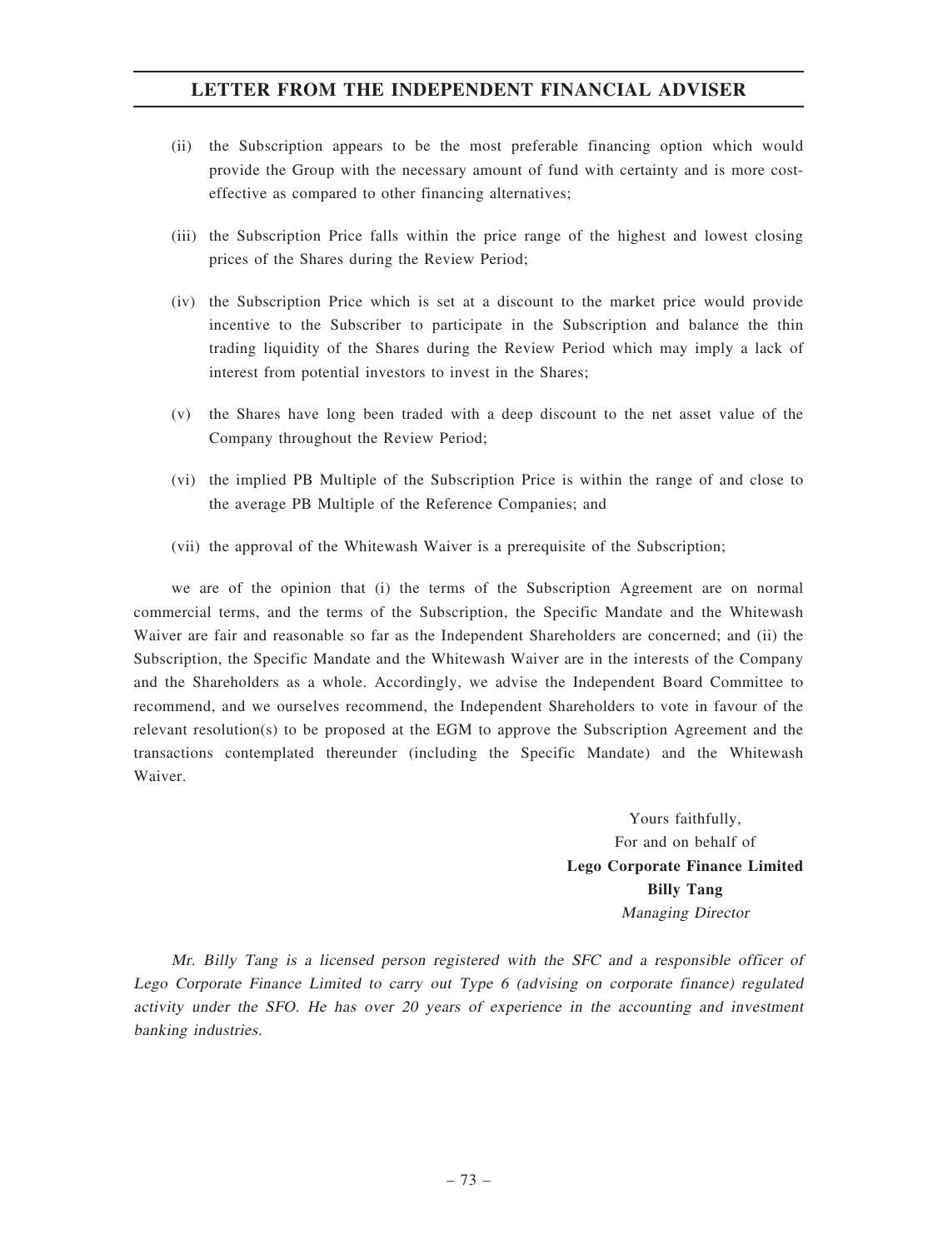# LETTER FROM THE INDEPENDENT FINANCIAL ADVISER

- (ii) the Subscription appears to be the most preferable financing option which would provide the Group with the necessary amount of fund with certainty and is more costeffective as compared to other financing alternatives;
- (iii) the Subscription Price falls within the price range of the highest and lowest closing prices of the Shares during the Review Period;
- (iv) the Subscription Price which is set at a discount to the market price would provide incentive to the Subscriber to participate in the Subscription and balance the thin trading liquidity of the Shares during the Review Period which may imply a lack of interest from potential investors to invest in the Shares;
- (v) the Shares have long been traded with a deep discount to the net asset value of the Company throughout the Review Period;
- (vi) the implied PB Multiple of the Subscription Price is within the range of and close to the average PB Multiple of the Reference Companies; and
- (vii) the approval of the Whitewash Waiver is a prerequisite of the Subscription;

we are of the opinion that (i) the terms of the Subscription Agreement are on normal commercial terms, and the terms of the Subscription, the Specific Mandate and the Whitewash Waiver are fair and reasonable so far as the Independent Shareholders are concerned; and (ii) the Subscription, the Specific Mandate and the Whitewash Waiver are in the interests of the Company and the Shareholders as a whole. Accordingly, we advise the Independent Board Committee to recommend, and we ourselves recommend, the Independent Shareholders to vote in favour of the relevant resolution(s) to be proposed at the EGM to approve the Subscription Agreement and the transactions contemplated thereunder (including the Specific Mandate) and the Whitewash Waiver.

> Yours faithfully, For and on behalf of Lego Corporate Finance Limited Billy Tang Managing Director

Mr. Billy Tang is <sup>a</sup> licensed person registered with the SFC and <sup>a</sup> responsible officer of Lego Corporate Finance Limited to carry out Type 6 (advising on corporate finance) regulated activity under the SFO. He has over 20 years of experience in the accounting and investment banking industries.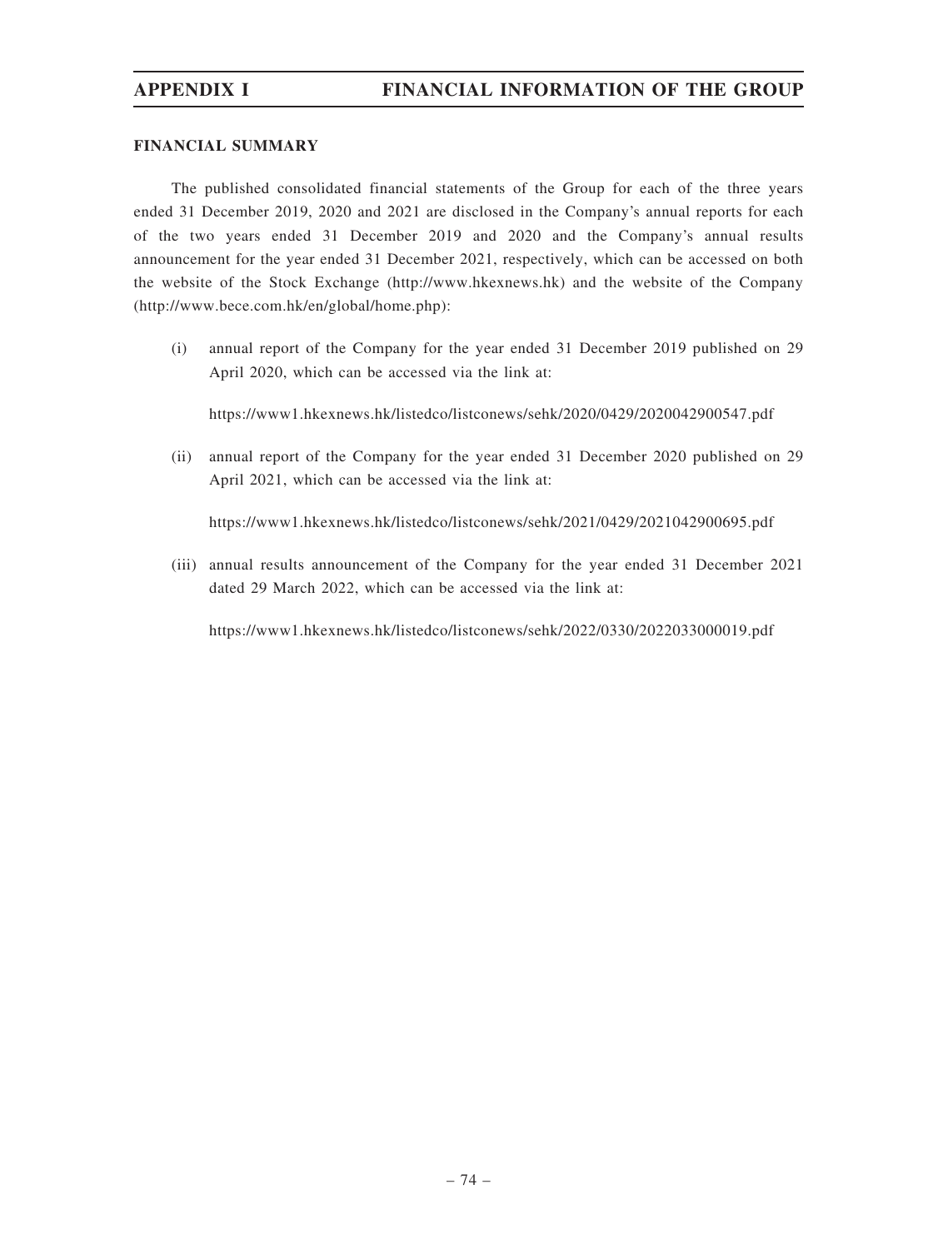## FINANCIAL SUMMARY

The published consolidated financial statements of the Group for each of the three years ended 31 December 2019, 2020 and 2021 are disclosed in the Company's annual reports for each of the two years ended 31 December 2019 and 2020 and the Company's annual results announcement for the year ended 31 December 2021, respectively, which can be accessed on both the website of the Stock Exchange (http://www.hkexnews.hk) and the website of the Company (http://www.bece.com.hk/en/global/home.php):

(i) annual report of the Company for the year ended 31 December 2019 published on 29 April 2020, which can be accessed via the link at:

https://www1.hkexnews.hk/listedco/listconews/sehk/2020/0429/2020042900547.pdf

(ii) annual report of the Company for the year ended 31 December 2020 published on 29 April 2021, which can be accessed via the link at:

https://www1.hkexnews.hk/listedco/listconews/sehk/2021/0429/2021042900695.pdf

(iii) annual results announcement of the Company for the year ended 31 December 2021 dated 29 March 2022, which can be accessed via the link at:

https://www1.hkexnews.hk/listedco/listconews/sehk/2022/0330/2022033000019.pdf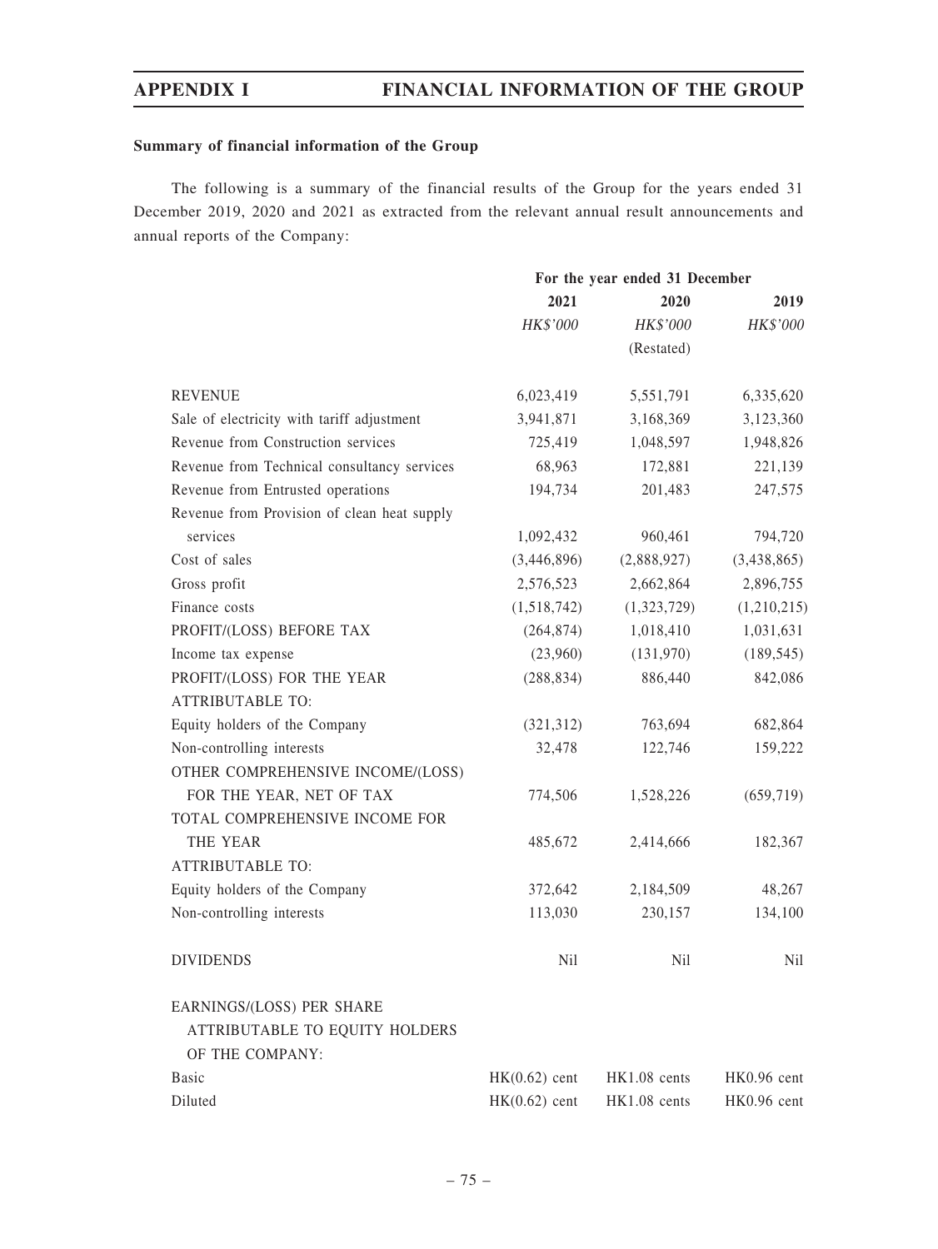# Summary of financial information of the Group

The following is a summary of the financial results of the Group for the years ended 31 December 2019, 2020 and 2021 as extracted from the relevant annual result announcements and annual reports of the Company:

|                                             |                 | For the year ended 31 December |                 |
|---------------------------------------------|-----------------|--------------------------------|-----------------|
|                                             | 2021            | 2020                           | 2019            |
|                                             | HK\$'000        | HK\$'000                       | HK\$'000        |
|                                             |                 | (Restated)                     |                 |
| <b>REVENUE</b>                              | 6,023,419       | 5,551,791                      | 6,335,620       |
| Sale of electricity with tariff adjustment  | 3,941,871       | 3,168,369                      | 3,123,360       |
| Revenue from Construction services          | 725,419         | 1,048,597                      | 1,948,826       |
| Revenue from Technical consultancy services | 68,963          | 172,881                        | 221,139         |
| Revenue from Entrusted operations           | 194,734         | 201,483                        | 247,575         |
| Revenue from Provision of clean heat supply |                 |                                |                 |
| services                                    | 1,092,432       | 960,461                        | 794,720         |
| Cost of sales                               | (3,446,896)     | (2,888,927)                    | (3,438,865)     |
| Gross profit                                | 2,576,523       | 2,662,864                      | 2,896,755       |
| Finance costs                               | (1,518,742)     | (1,323,729)                    | (1,210,215)     |
| PROFIT/(LOSS) BEFORE TAX                    | (264, 874)      | 1,018,410                      | 1,031,631       |
| Income tax expense                          | (23,960)        | (131,970)                      | (189, 545)      |
| PROFIT/(LOSS) FOR THE YEAR                  | (288, 834)      | 886,440                        | 842,086         |
| <b>ATTRIBUTABLE TO:</b>                     |                 |                                |                 |
| Equity holders of the Company               | (321, 312)      | 763,694                        | 682,864         |
| Non-controlling interests                   | 32,478          | 122,746                        | 159,222         |
| OTHER COMPREHENSIVE INCOME/(LOSS)           |                 |                                |                 |
| FOR THE YEAR, NET OF TAX                    | 774,506         | 1,528,226                      | (659, 719)      |
| TOTAL COMPREHENSIVE INCOME FOR              |                 |                                |                 |
| THE YEAR                                    | 485,672         | 2,414,666                      | 182,367         |
| <b>ATTRIBUTABLE TO:</b>                     |                 |                                |                 |
| Equity holders of the Company               | 372,642         | 2,184,509                      | 48,267          |
| Non-controlling interests                   | 113,030         | 230,157                        | 134,100         |
| <b>DIVIDENDS</b>                            | N <sub>il</sub> | N <sub>il</sub>                | N <sub>il</sub> |
| EARNINGS/(LOSS) PER SHARE                   |                 |                                |                 |
| ATTRIBUTABLE TO EQUITY HOLDERS              |                 |                                |                 |
| OF THE COMPANY:                             |                 |                                |                 |
| <b>Basic</b>                                | $HK(0.62)$ cent | HK1.08 cents                   | HK0.96 cent     |
| Diluted                                     | $HK(0.62)$ cent | HK1.08 cents                   | HK0.96 cent     |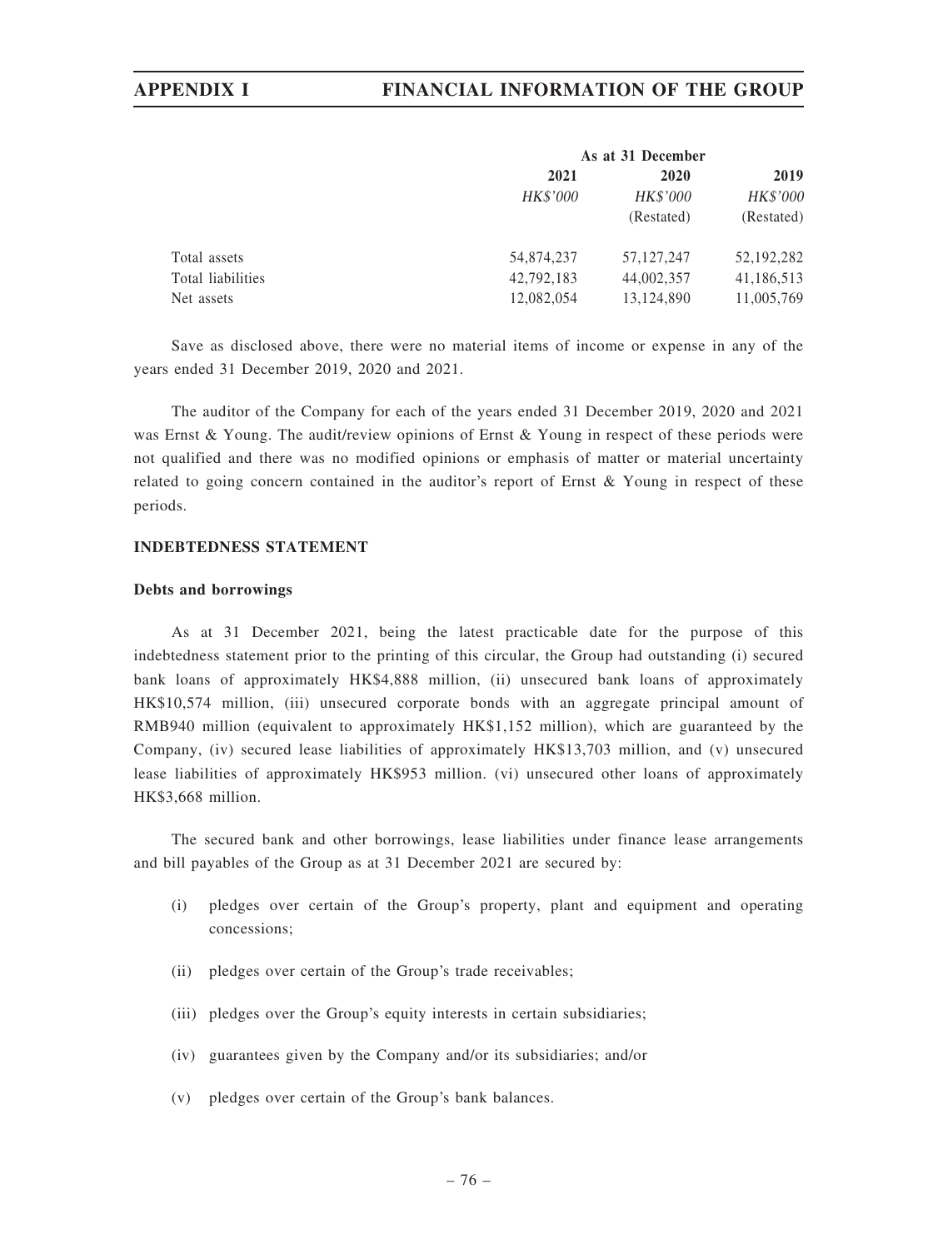# APPENDIX I FINANCIAL INFORMATION OF THE GROUP

| As at 31 December |              |            |
|-------------------|--------------|------------|
| 2021              | 2020         | 2019       |
| <b>HK\$'000</b>   | HK\$'000     | HK\$'000   |
|                   | (Restated)   | (Restated) |
| 54,874,237        | 57, 127, 247 | 52,192,282 |
| 42,792,183        | 44,002,357   | 41,186,513 |
| 12,082,054        | 13,124,890   | 11,005,769 |
|                   |              |            |

Save as disclosed above, there were no material items of income or expense in any of the years ended 31 December 2019, 2020 and 2021.

The auditor of the Company for each of the years ended 31 December 2019, 2020 and 2021 was Ernst & Young. The audit/review opinions of Ernst & Young in respect of these periods were not qualified and there was no modified opinions or emphasis of matter or material uncertainty related to going concern contained in the auditor's report of Ernst & Young in respect of these periods.

### INDEBTEDNESS STATEMENT

### Debts and borrowings

As at 31 December 2021, being the latest practicable date for the purpose of this indebtedness statement prior to the printing of this circular, the Group had outstanding (i) secured bank loans of approximately HK\$4,888 million, (ii) unsecured bank loans of approximately HK\$10,574 million, (iii) unsecured corporate bonds with an aggregate principal amount of RMB940 million (equivalent to approximately HK\$1,152 million), which are guaranteed by the Company, (iv) secured lease liabilities of approximately HK\$13,703 million, and (v) unsecured lease liabilities of approximately HK\$953 million. (vi) unsecured other loans of approximately HK\$3,668 million.

The secured bank and other borrowings, lease liabilities under finance lease arrangements and bill payables of the Group as at 31 December 2021 are secured by:

- (i) pledges over certain of the Group's property, plant and equipment and operating concessions;
- (ii) pledges over certain of the Group's trade receivables;
- (iii) pledges over the Group's equity interests in certain subsidiaries;
- (iv) guarantees given by the Company and/or its subsidiaries; and/or
- (v) pledges over certain of the Group's bank balances.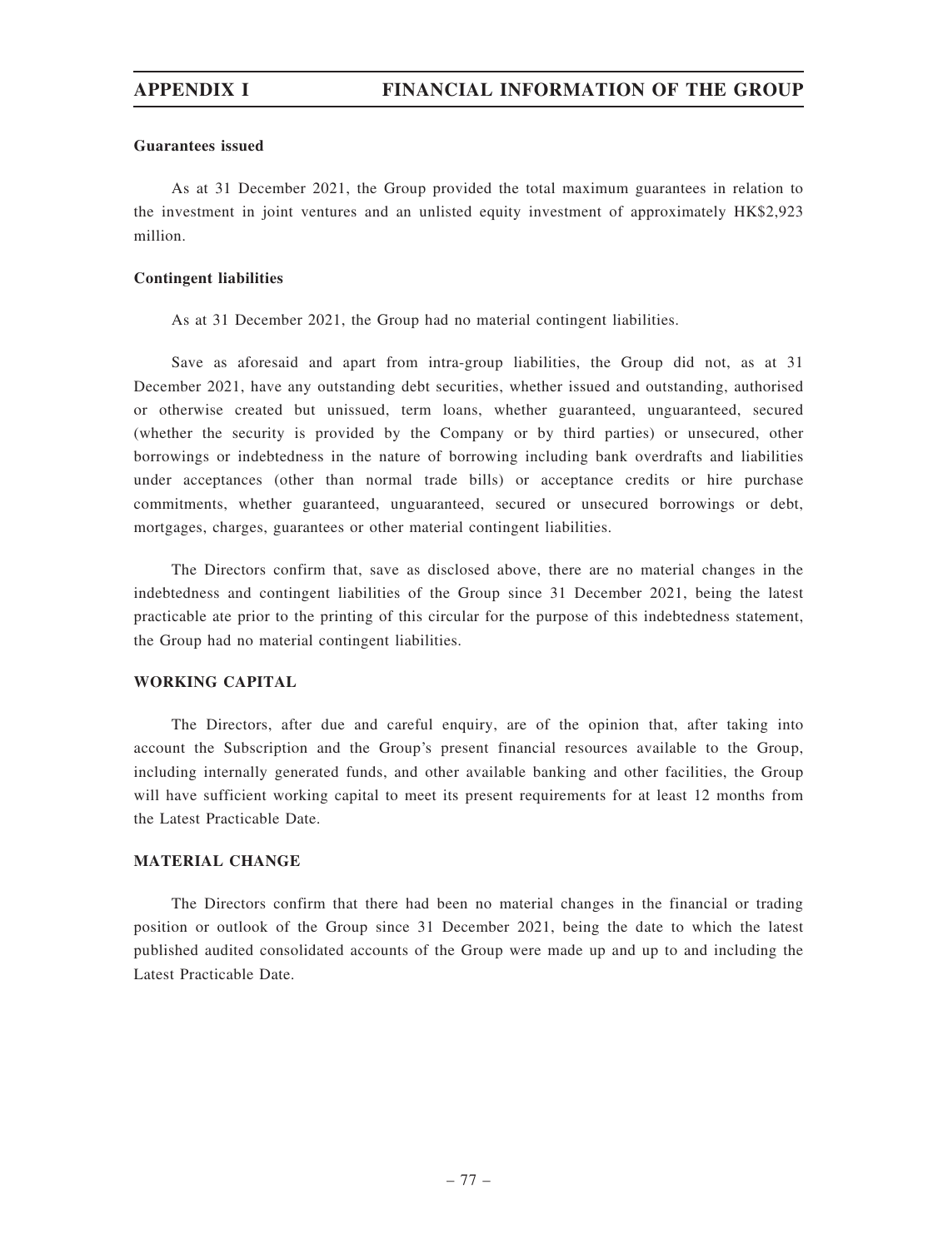### Guarantees issued

As at 31 December 2021, the Group provided the total maximum guarantees in relation to the investment in joint ventures and an unlisted equity investment of approximately HK\$2,923 million.

### Contingent liabilities

As at 31 December 2021, the Group had no material contingent liabilities.

Save as aforesaid and apart from intra-group liabilities, the Group did not, as at 31 December 2021, have any outstanding debt securities, whether issued and outstanding, authorised or otherwise created but unissued, term loans, whether guaranteed, unguaranteed, secured (whether the security is provided by the Company or by third parties) or unsecured, other borrowings or indebtedness in the nature of borrowing including bank overdrafts and liabilities under acceptances (other than normal trade bills) or acceptance credits or hire purchase commitments, whether guaranteed, unguaranteed, secured or unsecured borrowings or debt, mortgages, charges, guarantees or other material contingent liabilities.

The Directors confirm that, save as disclosed above, there are no material changes in the indebtedness and contingent liabilities of the Group since 31 December 2021, being the latest practicable ate prior to the printing of this circular for the purpose of this indebtedness statement, the Group had no material contingent liabilities.

## WORKING CAPITAL

The Directors, after due and careful enquiry, are of the opinion that, after taking into account the Subscription and the Group's present financial resources available to the Group, including internally generated funds, and other available banking and other facilities, the Group will have sufficient working capital to meet its present requirements for at least 12 months from the Latest Practicable Date.

## MATERIAL CHANGE

The Directors confirm that there had been no material changes in the financial or trading position or outlook of the Group since 31 December 2021, being the date to which the latest published audited consolidated accounts of the Group were made up and up to and including the Latest Practicable Date.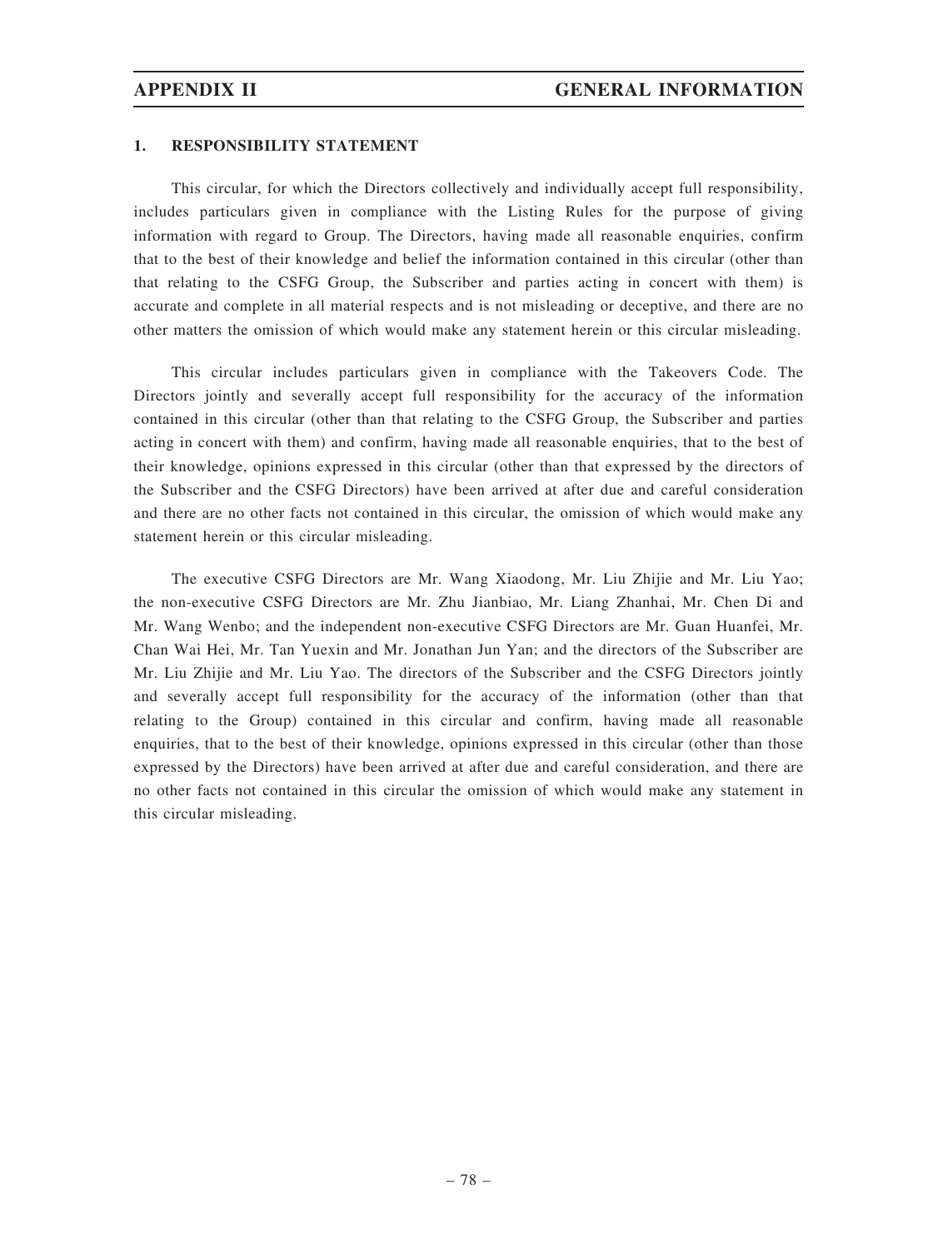### 1. RESPONSIBILITY STATEMENT

This circular, for which the Directors collectively and individually accept full responsibility, includes particulars given in compliance with the Listing Rules for the purpose of giving information with regard to Group. The Directors, having made all reasonable enquiries, confirm that to the best of their knowledge and belief the information contained in this circular (other than that relating to the CSFG Group, the Subscriber and parties acting in concert with them) is accurate and complete in all material respects and is not misleading or deceptive, and there are no other matters the omission of which would make any statement herein or this circular misleading.

This circular includes particulars given in compliance with the Takeovers Code. The Directors jointly and severally accept full responsibility for the accuracy of the information contained in this circular (other than that relating to the CSFG Group, the Subscriber and parties acting in concert with them) and confirm, having made all reasonable enquiries, that to the best of their knowledge, opinions expressed in this circular (other than that expressed by the directors of the Subscriber and the CSFG Directors) have been arrived at after due and careful consideration and there are no other facts not contained in this circular, the omission of which would make any statement herein or this circular misleading.

The executive CSFG Directors are Mr. Wang Xiaodong, Mr. Liu Zhijie and Mr. Liu Yao; the non-executive CSFG Directors are Mr. Zhu Jianbiao, Mr. Liang Zhanhai, Mr. Chen Di and Mr. Wang Wenbo; and the independent non-executive CSFG Directors are Mr. Guan Huanfei, Mr. Chan Wai Hei, Mr. Tan Yuexin and Mr. Jonathan Jun Yan; and the directors of the Subscriber are Mr. Liu Zhijie and Mr. Liu Yao. The directors of the Subscriber and the CSFG Directors jointly and severally accept full responsibility for the accuracy of the information (other than that relating to the Group) contained in this circular and confirm, having made all reasonable enquiries, that to the best of their knowledge, opinions expressed in this circular (other than those expressed by the Directors) have been arrived at after due and careful consideration, and there are no other facts not contained in this circular the omission of which would make any statement in this circular misleading.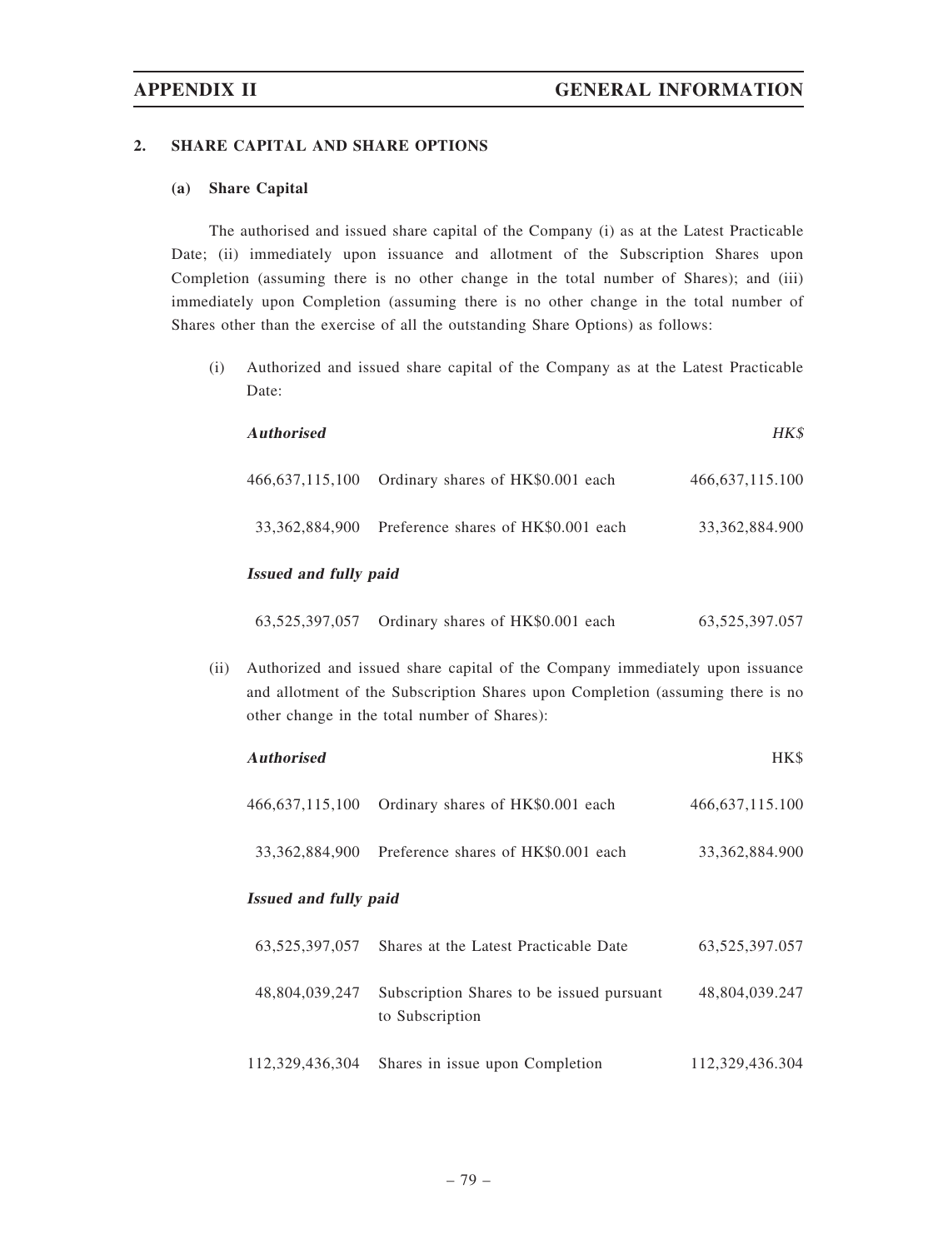### 2. SHARE CAPITAL AND SHARE OPTIONS

## (a) Share Capital

The authorised and issued share capital of the Company (i) as at the Latest Practicable Date; (ii) immediately upon issuance and allotment of the Subscription Shares upon Completion (assuming there is no other change in the total number of Shares); and (iii) immediately upon Completion (assuming there is no other change in the total number of Shares other than the exercise of all the outstanding Share Options) as follows:

(i) Authorized and issued share capital of the Company as at the Latest Practicable Date:

| <b>Authorised</b>     |                                                    | HK\$               |  |  |
|-----------------------|----------------------------------------------------|--------------------|--|--|
|                       | 466,637,115,100 Ordinary shares of HK\$0.001 each  | 466, 637, 115, 100 |  |  |
|                       | 33,362,884,900 Preference shares of HK\$0.001 each | 33, 362, 884. 900  |  |  |
| Issued and fully paid |                                                    |                    |  |  |

### ssued and fully paid

|  | 63,525,397,057 Ordinary shares of HK\$0.001 each | 63, 525, 397. 057 |
|--|--------------------------------------------------|-------------------|
|--|--------------------------------------------------|-------------------|

(ii) Authorized and issued share capital of the Company immediately upon issuance and allotment of the Subscription Shares upon Completion (assuming there is no other change in the total number of Shares):

| <b>Authorised</b>            |                                                              | HK\$               |
|------------------------------|--------------------------------------------------------------|--------------------|
| 466, 637, 115, 100           | Ordinary shares of HK\$0.001 each                            | 466, 637, 115. 100 |
| 33.362.884.900               | Preference shares of HK\$0.001 each                          | 33, 362, 884, 900  |
| <b>Issued and fully paid</b> |                                                              |                    |
| 63, 525, 397, 057            | Shares at the Latest Practicable Date                        | 63,525,397.057     |
| 48,804,039,247               | Subscription Shares to be issued pursuant<br>to Subscription | 48,804,039.247     |
| 112,329,436,304              | Shares in issue upon Completion                              | 112,329,436.304    |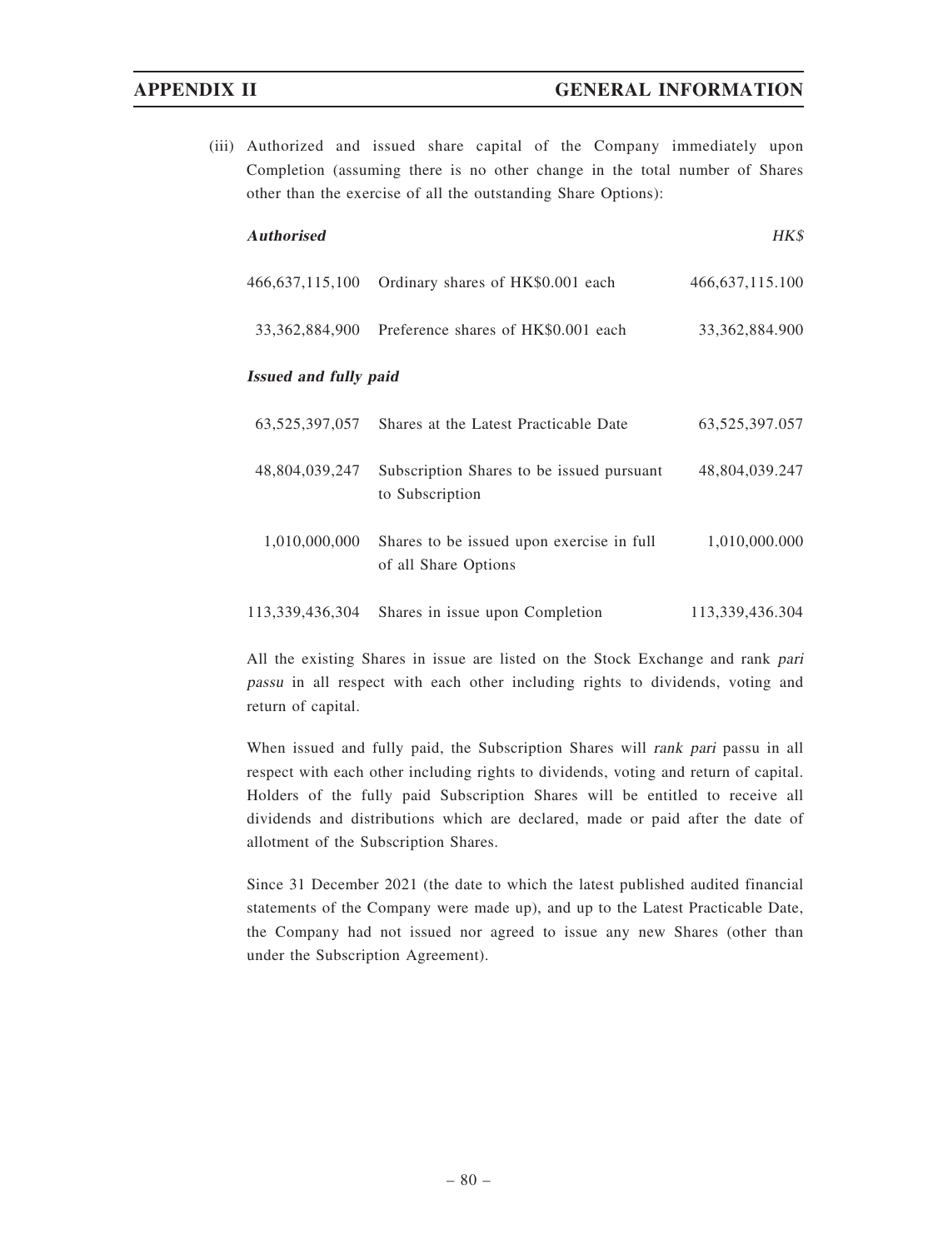(iii) Authorized and issued share capital of the Company immediately upon Completion (assuming there is no other change in the total number of Shares other than the exercise of all the outstanding Share Options):

| <b>Authorised</b>            |                                                                   | HK\$               |
|------------------------------|-------------------------------------------------------------------|--------------------|
| 466, 637, 115, 100           | Ordinary shares of HK\$0.001 each                                 | 466, 637, 115. 100 |
| 33, 362, 884, 900            | Preference shares of HK\$0.001 each                               | 33, 362, 884. 900  |
| <b>Issued and fully paid</b> |                                                                   |                    |
| 63,525,397,057               | Shares at the Latest Practicable Date                             | 63,525,397.057     |
| 48,804,039,247               | Subscription Shares to be issued pursuant<br>to Subscription      | 48,804,039.247     |
| 1,010,000,000                | Shares to be issued upon exercise in full<br>of all Share Options | 1,010,000.000      |
| 113,339,436,304              | Shares in issue upon Completion                                   | 113,339,436.304    |

All the existing Shares in issue are listed on the Stock Exchange and rank pari passu in all respect with each other including rights to dividends, voting and return of capital.

When issued and fully paid, the Subscription Shares will rank pari passu in all respect with each other including rights to dividends, voting and return of capital. Holders of the fully paid Subscription Shares will be entitled to receive all dividends and distributions which are declared, made or paid after the date of allotment of the Subscription Shares.

Since 31 December 2021 (the date to which the latest published audited financial statements of the Company were made up), and up to the Latest Practicable Date, the Company had not issued nor agreed to issue any new Shares (other than under the Subscription Agreement).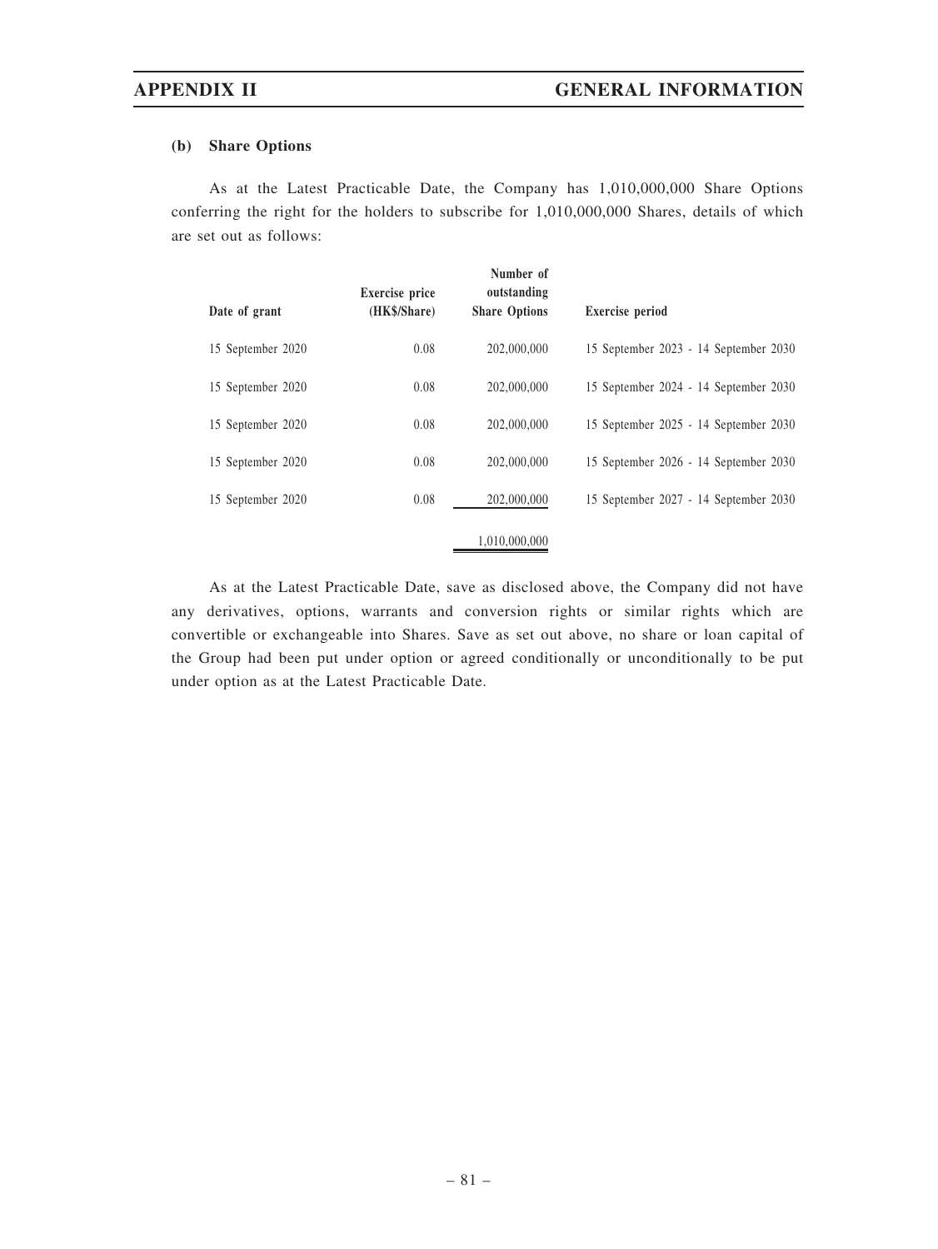## (b) Share Options

As at the Latest Practicable Date, the Company has 1,010,000,000 Share Options conferring the right for the holders to subscribe for 1,010,000,000 Shares, details of which are set out as follows:

| Date of grant     | <b>Exercise</b> price<br>(HK\$/Share) | Number of<br>outstanding<br><b>Share Options</b> | <b>Exercise</b> period                |
|-------------------|---------------------------------------|--------------------------------------------------|---------------------------------------|
| 15 September 2020 | 0.08                                  | 202,000,000                                      | 15 September 2023 - 14 September 2030 |
| 15 September 2020 | 0.08                                  | 202,000,000                                      | 15 September 2024 - 14 September 2030 |
| 15 September 2020 | 0.08                                  | 202,000,000                                      | 15 September 2025 - 14 September 2030 |
| 15 September 2020 | 0.08                                  | 202,000,000                                      | 15 September 2026 - 14 September 2030 |
| 15 September 2020 | 0.08                                  | 202,000,000                                      | 15 September 2027 - 14 September 2030 |
|                   |                                       | 1,010,000,000                                    |                                       |

As at the Latest Practicable Date, save as disclosed above, the Company did not have any derivatives, options, warrants and conversion rights or similar rights which are convertible or exchangeable into Shares. Save as set out above, no share or loan capital of the Group had been put under option or agreed conditionally or unconditionally to be put under option as at the Latest Practicable Date.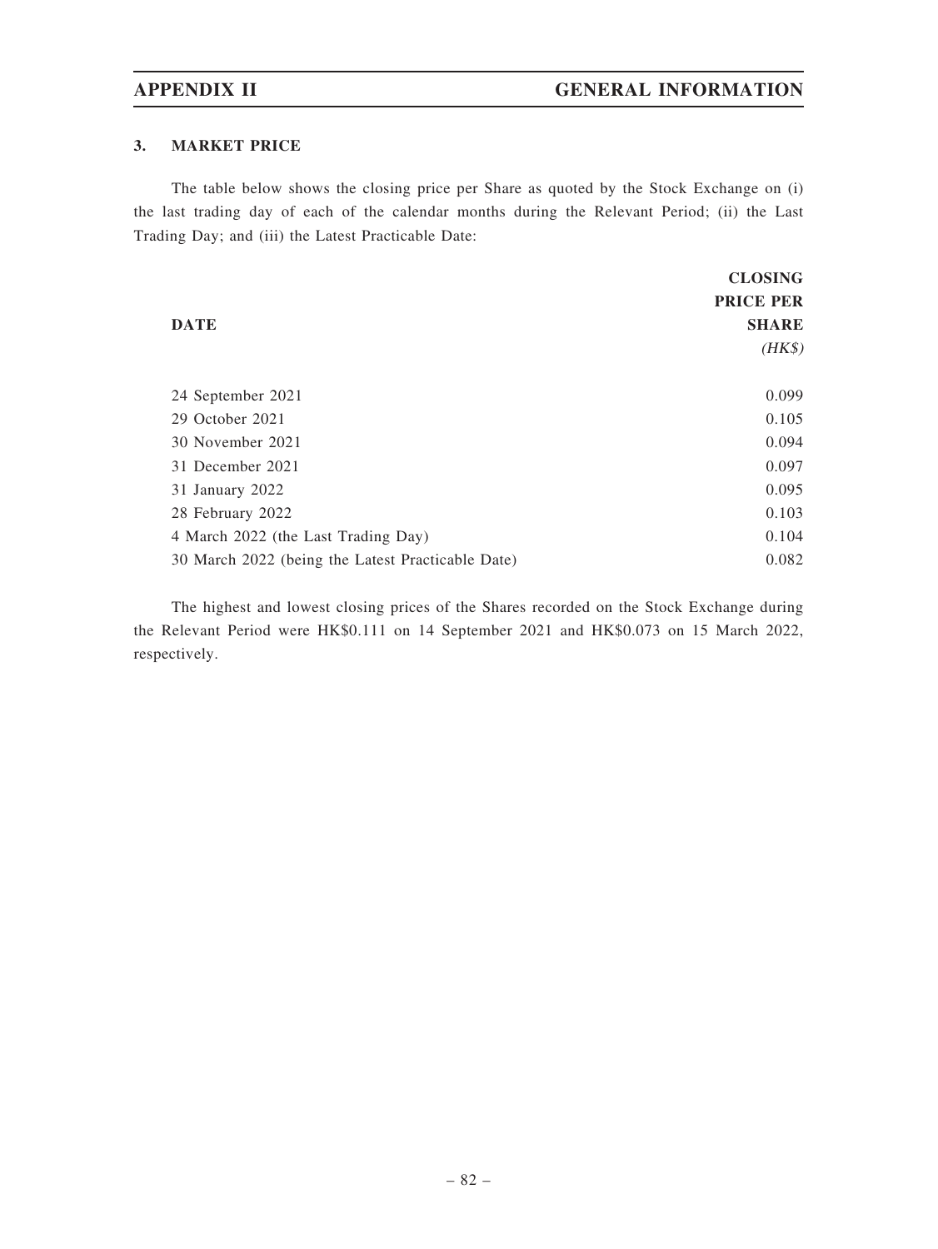## 3. MARKET PRICE

The table below shows the closing price per Share as quoted by the Stock Exchange on (i) the last trading day of each of the calendar months during the Relevant Period; (ii) the Last Trading Day; and (iii) the Latest Practicable Date:

|                                                   | <b>CLOSING</b>   |
|---------------------------------------------------|------------------|
|                                                   | <b>PRICE PER</b> |
| <b>DATE</b>                                       | <b>SHARE</b>     |
|                                                   | $(HK\$           |
|                                                   |                  |
| 24 September 2021                                 | 0.099            |
| 29 October 2021                                   | 0.105            |
| 30 November 2021                                  | 0.094            |
| 31 December 2021                                  | 0.097            |
| 31 January 2022                                   | 0.095            |
| 28 February 2022                                  | 0.103            |
| 4 March 2022 (the Last Trading Day)               | 0.104            |
| 30 March 2022 (being the Latest Practicable Date) | 0.082            |

The highest and lowest closing prices of the Shares recorded on the Stock Exchange during the Relevant Period were HK\$0.111 on 14 September 2021 and HK\$0.073 on 15 March 2022, respectively.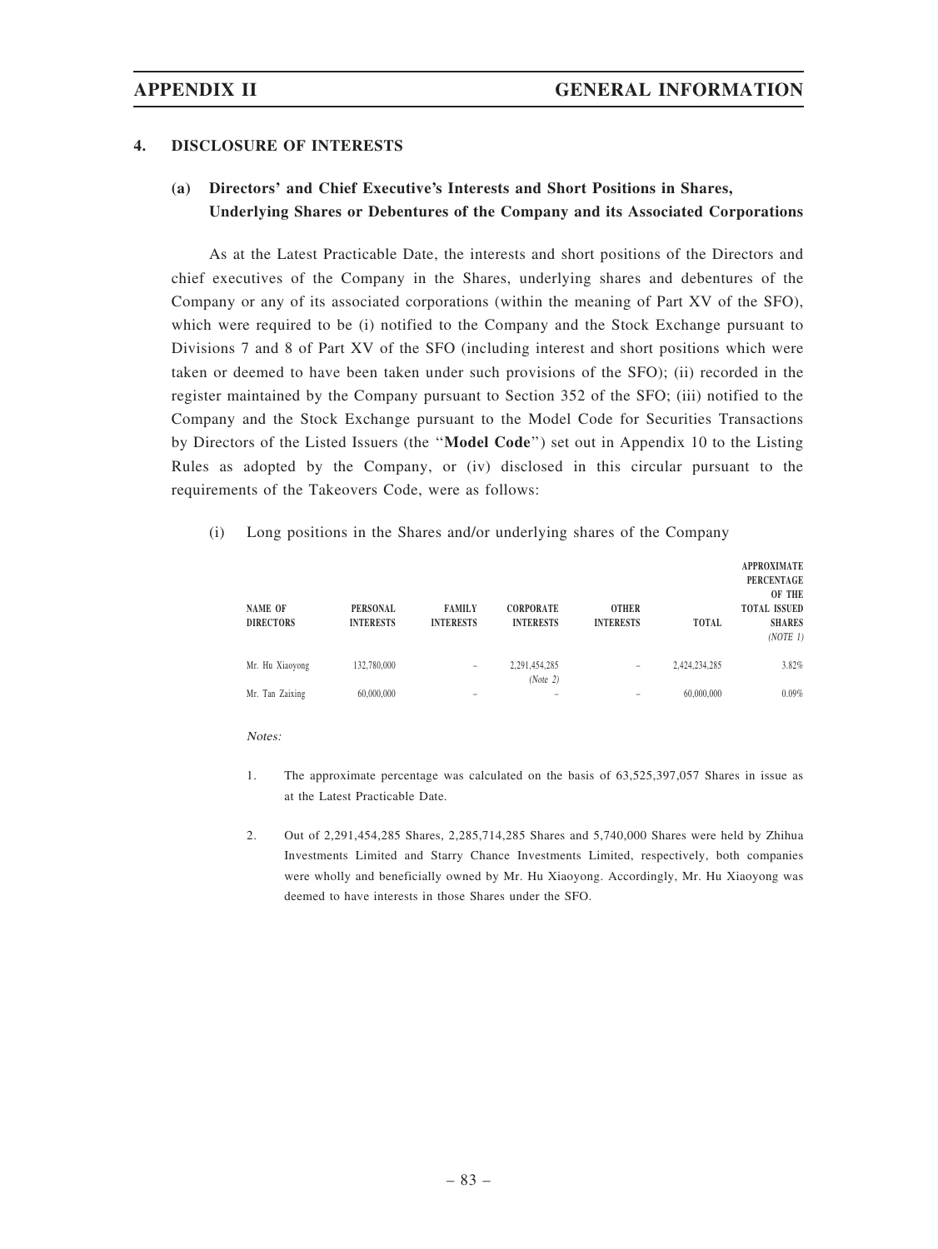## 4. DISCLOSURE OF INTERESTS

# (a) Directors' and Chief Executive's Interests and Short Positions in Shares, Underlying Shares or Debentures of the Company and its Associated Corporations

As at the Latest Practicable Date, the interests and short positions of the Directors and chief executives of the Company in the Shares, underlying shares and debentures of the Company or any of its associated corporations (within the meaning of Part XV of the SFO), which were required to be (i) notified to the Company and the Stock Exchange pursuant to Divisions 7 and 8 of Part XV of the SFO (including interest and short positions which were taken or deemed to have been taken under such provisions of the SFO); (ii) recorded in the register maintained by the Company pursuant to Section 352 of the SFO; (iii) notified to the Company and the Stock Exchange pursuant to the Model Code for Securities Transactions by Directors of the Listed Issuers (the ''Model Code'') set out in Appendix 10 to the Listing Rules as adopted by the Company, or (iv) disclosed in this circular pursuant to the requirements of the Takeovers Code, were as follows:

### (i) Long positions in the Shares and/or underlying shares of the Company

| <b>NAME OF</b><br><b>DIRECTORS</b> | <b>PERSONAL</b><br><b>INTERESTS</b> | <b>FAMILY</b><br><b>INTERESTS</b> | <b>CORPORATE</b><br><b>INTERESTS</b> | <b>OTHER</b><br><b>INTERESTS</b> | TOTAL         | <b>APPROXIMATE</b><br><b>PERCENTAGE</b><br>OF THE<br><b>TOTAL ISSUED</b><br><b>SHARES</b><br>(NOTE 1) |
|------------------------------------|-------------------------------------|-----------------------------------|--------------------------------------|----------------------------------|---------------|-------------------------------------------------------------------------------------------------------|
| Mr. Hu Xiaoyong                    | 132,780,000                         | -                                 | 2,291,454,285<br>(Note 2)            | $\qquad \qquad$                  | 2,424,234,285 | 3.82%                                                                                                 |
| Mr. Tan Zaixing                    | 60,000,000                          | -                                 | -                                    | -                                | 60,000,000    | 0.09%                                                                                                 |

Notes:

- 1. The approximate percentage was calculated on the basis of 63,525,397,057 Shares in issue as at the Latest Practicable Date.
- 2. Out of 2,291,454,285 Shares, 2,285,714,285 Shares and 5,740,000 Shares were held by Zhihua Investments Limited and Starry Chance Investments Limited, respectively, both companies were wholly and beneficially owned by Mr. Hu Xiaoyong. Accordingly, Mr. Hu Xiaoyong was deemed to have interests in those Shares under the SFO.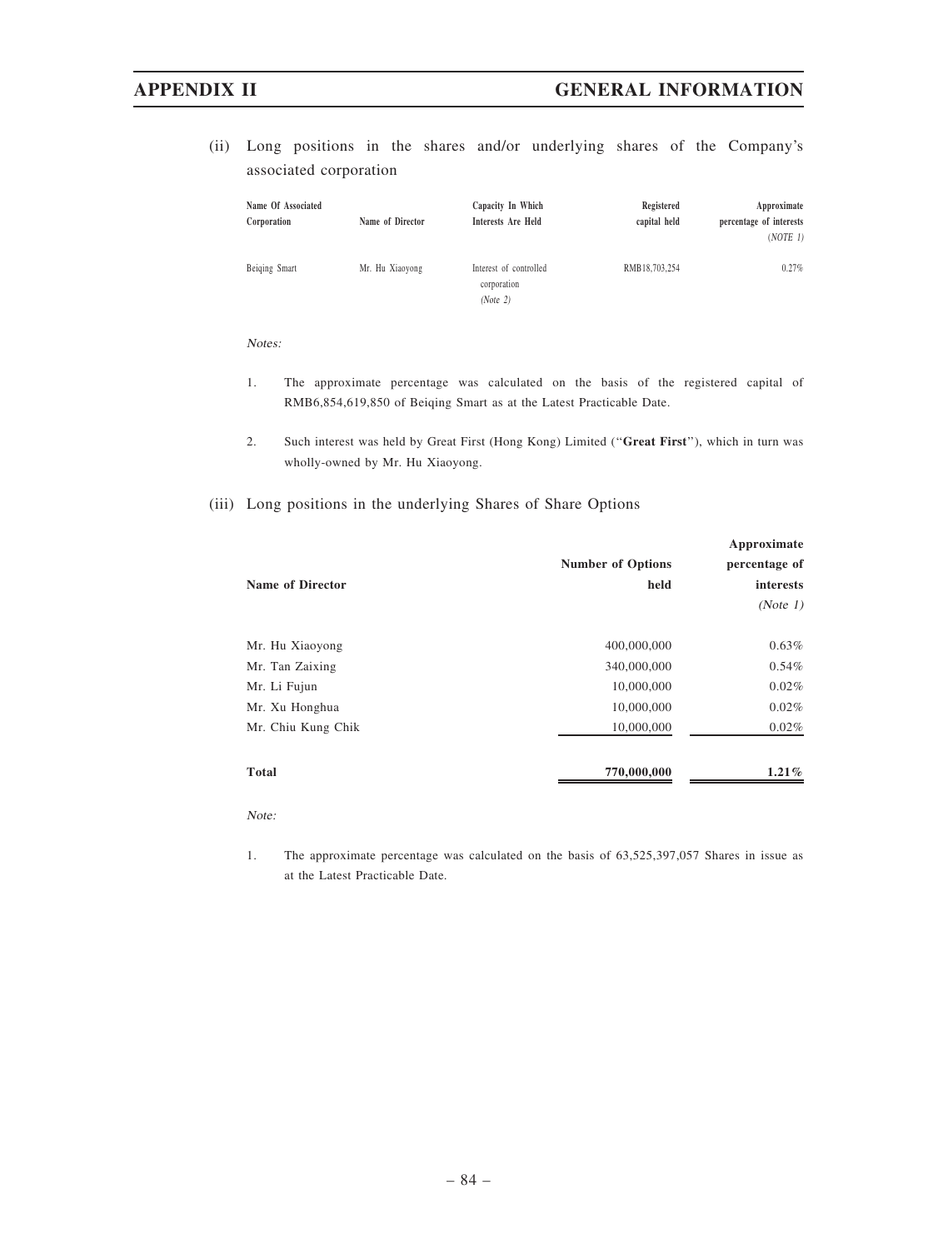(ii) Long positions in the shares and/or underlying shares of the Company's associated corporation

| Name Of Associated<br>Corporation | Name of Director | Capacity In Which<br>Interests Are Held           | Registered<br>capital held | Approximate<br>percentage of interests<br>(NOTE 1) |
|-----------------------------------|------------------|---------------------------------------------------|----------------------------|----------------------------------------------------|
| Beiging Smart                     | Mr. Hu Xiaoyong  | Interest of controlled<br>corporation<br>(Note 2) | RMB18,703,254              | $0.27\%$                                           |

### Notes:

- 1. The approximate percentage was calculated on the basis of the registered capital of RMB6,854,619,850 of Beiqing Smart as at the Latest Practicable Date.
- 2. Such interest was held by Great First (Hong Kong) Limited (''Great First''), which in turn was wholly-owned by Mr. Hu Xiaoyong.
- (iii) Long positions in the underlying Shares of Share Options

|                         |                          | Approximate   |
|-------------------------|--------------------------|---------------|
|                         | <b>Number of Options</b> | percentage of |
| <b>Name of Director</b> | held                     | interests     |
|                         |                          | (Note 1)      |
|                         |                          |               |
| Mr. Hu Xiaoyong         | 400,000,000              | 0.63%         |
| Mr. Tan Zaixing         | 340,000,000              | $0.54\%$      |
| Mr. Li Fujun            | 10,000,000               | 0.02%         |
| Mr. Xu Honghua          | 10,000,000               | 0.02%         |
| Mr. Chiu Kung Chik      | 10,000,000               | 0.02%         |
| <b>Total</b>            | 770,000,000              | $1.21\%$      |

Note:

1. The approximate percentage was calculated on the basis of 63,525,397,057 Shares in issue as at the Latest Practicable Date.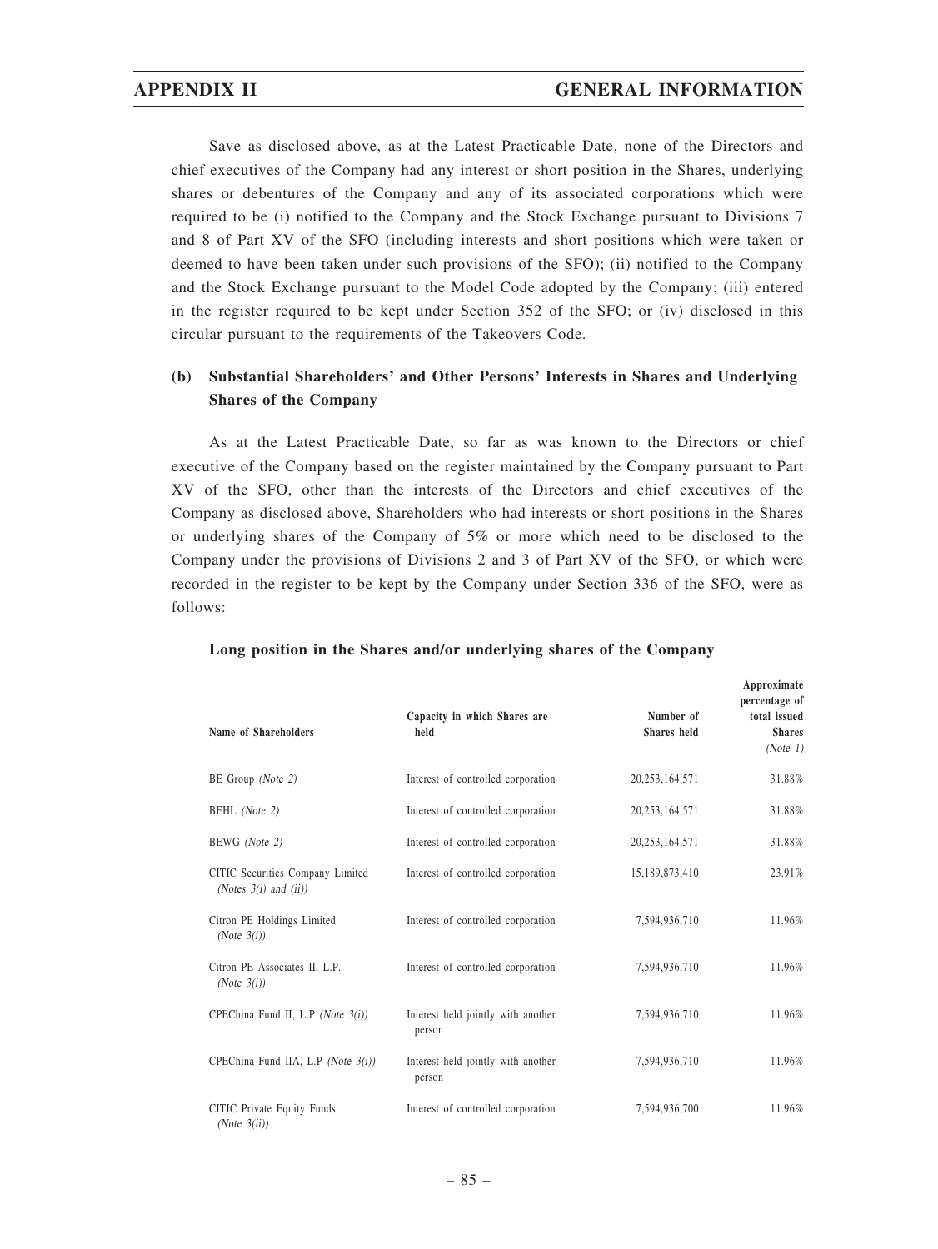Save as disclosed above, as at the Latest Practicable Date, none of the Directors and chief executives of the Company had any interest or short position in the Shares, underlying shares or debentures of the Company and any of its associated corporations which were required to be (i) notified to the Company and the Stock Exchange pursuant to Divisions 7 and 8 of Part XV of the SFO (including interests and short positions which were taken or deemed to have been taken under such provisions of the SFO); (ii) notified to the Company and the Stock Exchange pursuant to the Model Code adopted by the Company; (iii) entered in the register required to be kept under Section 352 of the SFO; or (iv) disclosed in this circular pursuant to the requirements of the Takeovers Code.

# (b) Substantial Shareholders' and Other Persons' Interests in Shares and Underlying Shares of the Company

As at the Latest Practicable Date, so far as was known to the Directors or chief executive of the Company based on the register maintained by the Company pursuant to Part XV of the SFO, other than the interests of the Directors and chief executives of the Company as disclosed above, Shareholders who had interests or short positions in the Shares or underlying shares of the Company of 5% or more which need to be disclosed to the Company under the provisions of Divisions 2 and 3 of Part XV of the SFO, or which were recorded in the register to be kept by the Company under Section 336 of the SFO, were as follows:

| Name of Shareholders                                           | Capacity in which Shares are<br>held         | Number of<br>Shares held | Approximate<br>percentage of<br>total issued<br><b>Shares</b><br>(Note 1) |
|----------------------------------------------------------------|----------------------------------------------|--------------------------|---------------------------------------------------------------------------|
| BE Group (Note 2)                                              | Interest of controlled corporation           | 20, 253, 164, 571        | 31.88%                                                                    |
| BEHL (Note 2)                                                  | Interest of controlled corporation           | 20, 253, 164, 571        | 31.88%                                                                    |
| BEWG (Note 2)                                                  | Interest of controlled corporation           | 20, 253, 164, 571        | 31.88%                                                                    |
| CITIC Securities Company Limited<br>(Notes $3(i)$ and $(ii)$ ) | Interest of controlled corporation           | 15,189,873,410           | 23.91%                                                                    |
| Citron PE Holdings Limited<br>(Note $3(i)$ )                   | Interest of controlled corporation           | 7,594,936,710            | 11.96%                                                                    |
| Citron PE Associates II, L.P.<br>(Note $3(i)$ )                | Interest of controlled corporation           | 7,594,936,710            | 11.96%                                                                    |
| CPEChina Fund II, L.P (Note 3(i))                              | Interest held jointly with another<br>person | 7,594,936,710            | 11.96%                                                                    |
| CPEChina Fund IIA, L.P (Note 3(i))                             | Interest held jointly with another<br>person | 7,594,936,710            | 11.96%                                                                    |
| CITIC Private Equity Funds<br>(Note $3(ii)$ )                  | Interest of controlled corporation           | 7,594,936,700            | 11.96%                                                                    |

### Long position in the Shares and/or underlying shares of the Company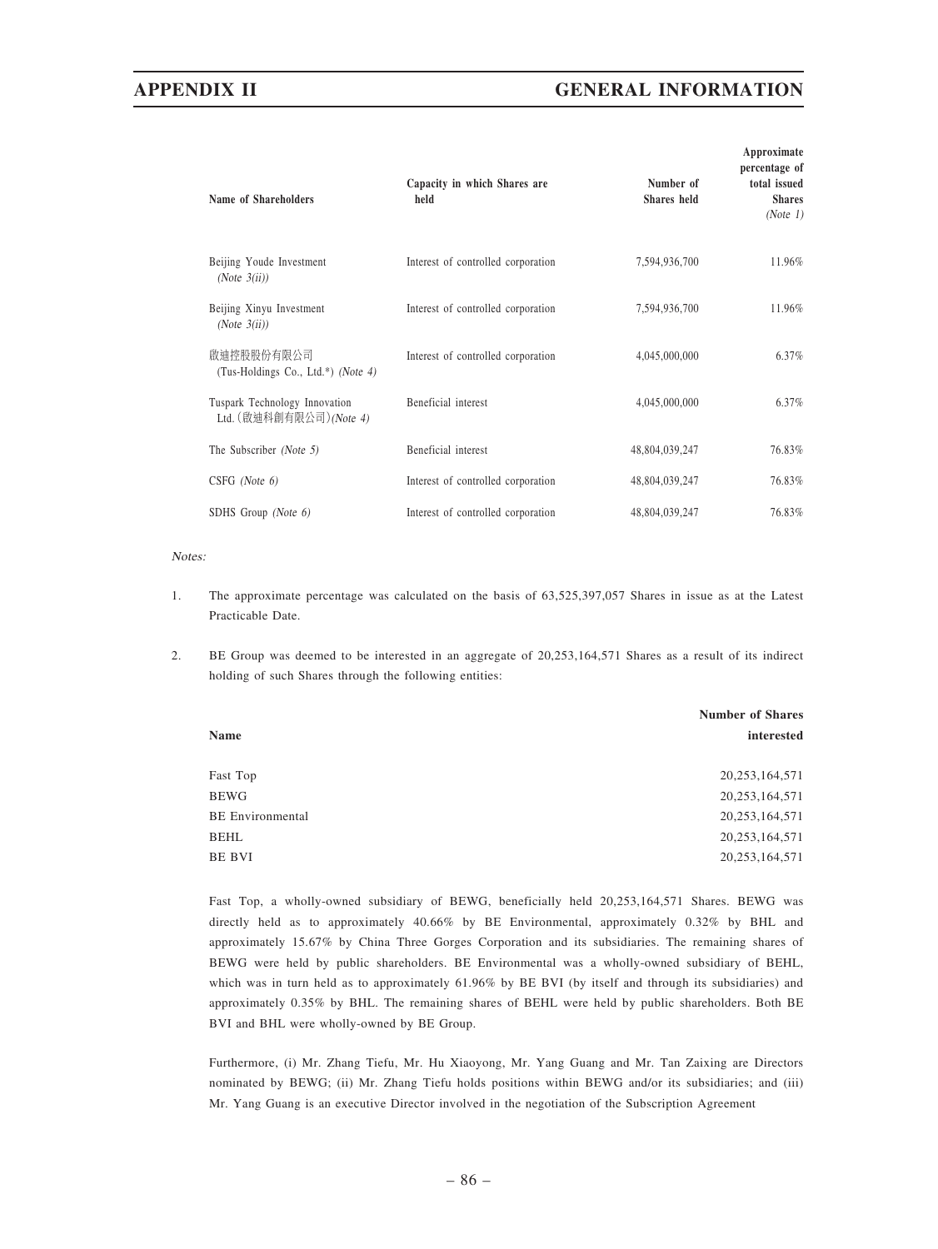# APPENDIX II GENERAL INFORMATION

| Capacity in which Shares are<br>held | Number of<br>Shares held | percentage of<br>total issued<br><b>Shares</b><br>(Note 1) |
|--------------------------------------|--------------------------|------------------------------------------------------------|
| Interest of controlled corporation   | 7,594,936,700            | 11.96%                                                     |
| Interest of controlled corporation   | 7,594,936,700            | 11.96%                                                     |
| Interest of controlled corporation   | 4,045,000,000            | 6.37%                                                      |
| Beneficial interest                  | 4,045,000,000            | 6.37%                                                      |
| Beneficial interest                  | 48,804,039,247           | 76.83%                                                     |
| Interest of controlled corporation   | 48,804,039,247           | 76.83%                                                     |
| Interest of controlled corporation   | 48,804,039,247           | 76.83%                                                     |
|                                      |                          |                                                            |

### Notes:

- 1. The approximate percentage was calculated on the basis of 63,525,397,057 Shares in issue as at the Latest Practicable Date.
- 2. BE Group was deemed to be interested in an aggregate of 20,253,164,571 Shares as a result of its indirect holding of such Shares through the following entities:

|                         | <b>Number of Shares</b> |
|-------------------------|-------------------------|
| Name                    | interested              |
| Fast Top                | 20, 253, 164, 571       |
| <b>BEWG</b>             | 20, 253, 164, 571       |
| <b>BE</b> Environmental | 20, 253, 164, 571       |
| <b>BEHL</b>             | 20, 253, 164, 571       |
| BE BVI                  | 20, 253, 164, 571       |

Fast Top, a wholly-owned subsidiary of BEWG, beneficially held 20,253,164,571 Shares. BEWG was directly held as to approximately 40.66% by BE Environmental, approximately 0.32% by BHL and approximately 15.67% by China Three Gorges Corporation and its subsidiaries. The remaining shares of BEWG were held by public shareholders. BE Environmental was a wholly-owned subsidiary of BEHL, which was in turn held as to approximately 61.96% by BE BVI (by itself and through its subsidiaries) and approximately 0.35% by BHL. The remaining shares of BEHL were held by public shareholders. Both BE BVI and BHL were wholly-owned by BE Group.

Furthermore, (i) Mr. Zhang Tiefu, Mr. Hu Xiaoyong, Mr. Yang Guang and Mr. Tan Zaixing are Directors nominated by BEWG; (ii) Mr. Zhang Tiefu holds positions within BEWG and/or its subsidiaries; and (iii) Mr. Yang Guang is an executive Director involved in the negotiation of the Subscription Agreement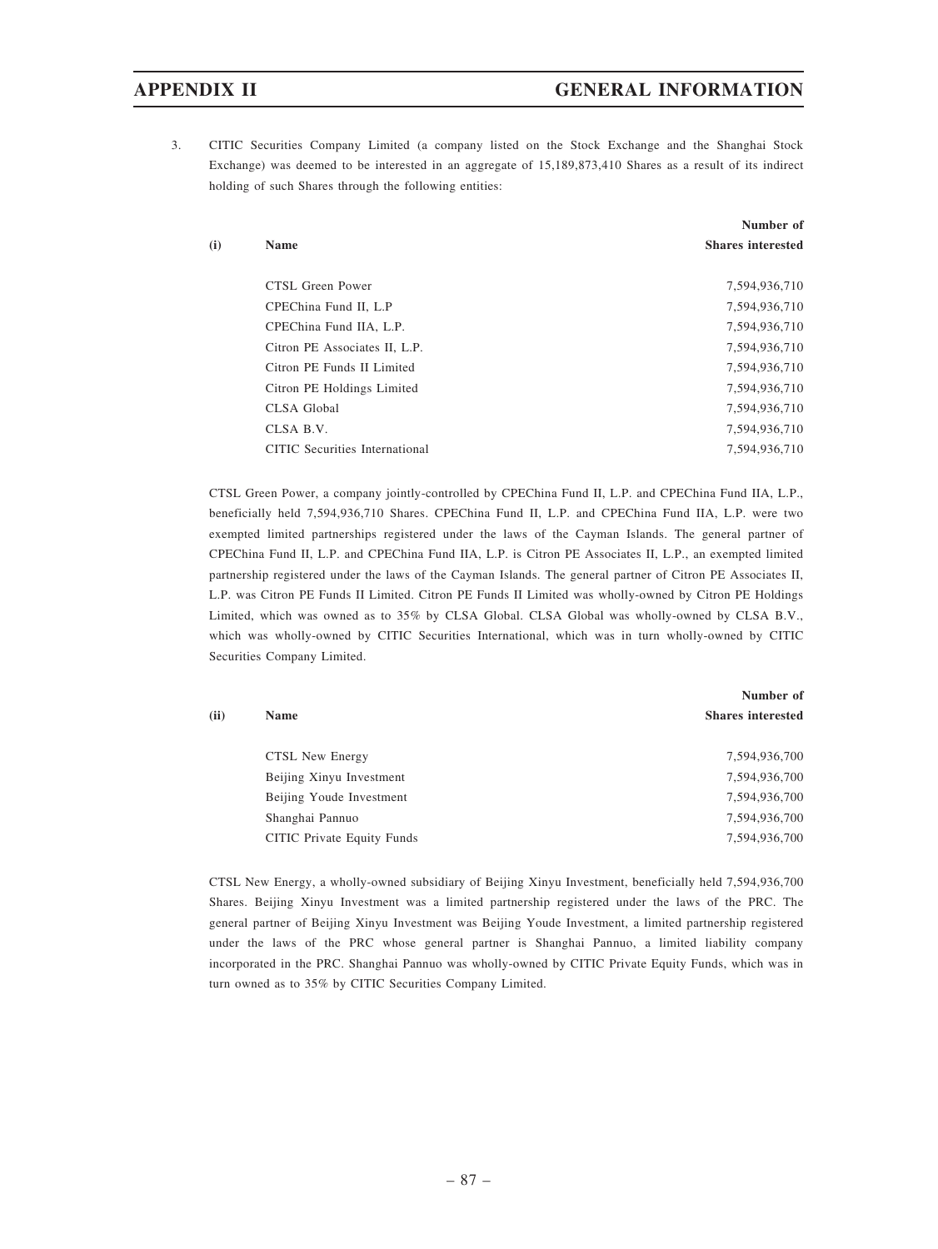# APPENDIX II GENERAL INFORMATION

3. CITIC Securities Company Limited (a company listed on the Stock Exchange and the Shanghai Stock Exchange) was deemed to be interested in an aggregate of 15,189,873,410 Shares as a result of its indirect holding of such Shares through the following entities:

|     |                                | Number of                |
|-----|--------------------------------|--------------------------|
| (i) | <b>Name</b>                    | <b>Shares interested</b> |
|     | CTSL Green Power               | 7,594,936,710            |
|     | CPEChina Fund II, L.P          | 7,594,936,710            |
|     | CPEChina Fund IIA, L.P.        | 7,594,936,710            |
|     | Citron PE Associates II, L.P.  | 7,594,936,710            |
|     | Citron PE Funds II Limited     | 7,594,936,710            |
|     | Citron PE Holdings Limited     | 7,594,936,710            |
|     | <b>CLSA</b> Global             | 7,594,936,710            |
|     | CLSA B.V.                      | 7,594,936,710            |
|     | CITIC Securities International | 7,594,936,710            |

CTSL Green Power, a company jointly-controlled by CPEChina Fund II, L.P. and CPEChina Fund IIA, L.P., beneficially held 7,594,936,710 Shares. CPEChina Fund II, L.P. and CPEChina Fund IIA, L.P. were two exempted limited partnerships registered under the laws of the Cayman Islands. The general partner of CPEChina Fund II, L.P. and CPEChina Fund IIA, L.P. is Citron PE Associates II, L.P., an exempted limited partnership registered under the laws of the Cayman Islands. The general partner of Citron PE Associates II, L.P. was Citron PE Funds II Limited. Citron PE Funds II Limited was wholly-owned by Citron PE Holdings Limited, which was owned as to 35% by CLSA Global. CLSA Global was wholly-owned by CLSA B.V., which was wholly-owned by CITIC Securities International, which was in turn wholly-owned by CITIC Securities Company Limited.

|      |                            | Number of                |
|------|----------------------------|--------------------------|
| (ii) | <b>Name</b>                | <b>Shares interested</b> |
|      | CTSL New Energy            | 7,594,936,700            |
|      | Beijing Xinyu Investment   | 7,594,936,700            |
|      | Beijing Youde Investment   | 7,594,936,700            |
|      | Shanghai Pannuo            | 7,594,936,700            |
|      | CITIC Private Equity Funds | 7,594,936,700            |

CTSL New Energy, a wholly-owned subsidiary of Beijing Xinyu Investment, beneficially held 7,594,936,700 Shares. Beijing Xinyu Investment was a limited partnership registered under the laws of the PRC. The general partner of Beijing Xinyu Investment was Beijing Youde Investment, a limited partnership registered under the laws of the PRC whose general partner is Shanghai Pannuo, a limited liability company incorporated in the PRC. Shanghai Pannuo was wholly-owned by CITIC Private Equity Funds, which was in turn owned as to 35% by CITIC Securities Company Limited.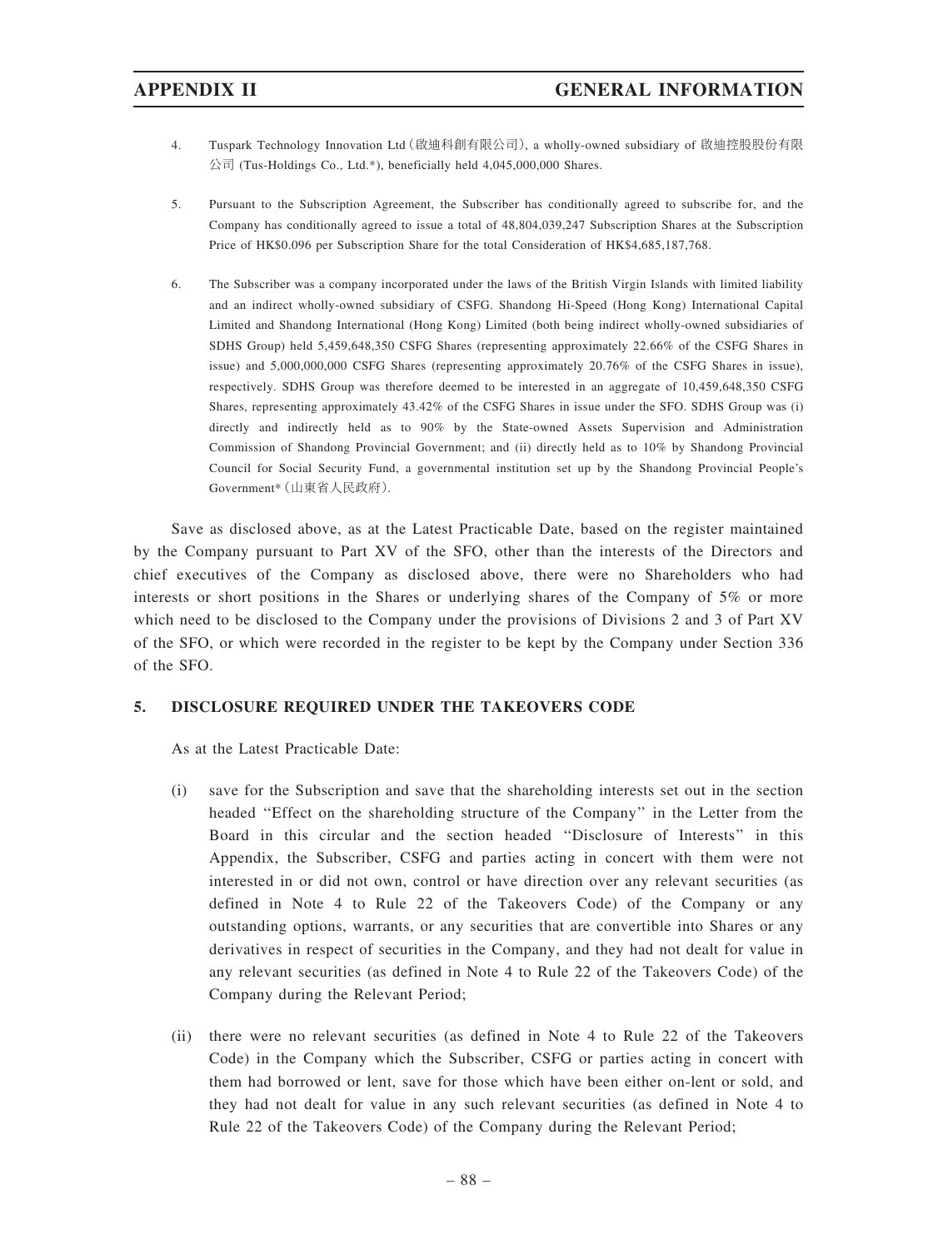- 4. Tuspark Technology Innovation Ltd(啟迪科創有限公司), a wholly-owned subsidiary of 啟迪控股股份有限 公司 (Tus-Holdings Co., Ltd.\*), beneficially held 4,045,000,000 Shares.
- 5. Pursuant to the Subscription Agreement, the Subscriber has conditionally agreed to subscribe for, and the Company has conditionally agreed to issue a total of 48,804,039,247 Subscription Shares at the Subscription Price of HK\$0.096 per Subscription Share for the total Consideration of HK\$4,685,187,768.
- 6. The Subscriber was a company incorporated under the laws of the British Virgin Islands with limited liability and an indirect wholly-owned subsidiary of CSFG. Shandong Hi-Speed (Hong Kong) International Capital Limited and Shandong International (Hong Kong) Limited (both being indirect wholly-owned subsidiaries of SDHS Group) held 5,459,648,350 CSFG Shares (representing approximately 22.66% of the CSFG Shares in issue) and 5,000,000,000 CSFG Shares (representing approximately 20.76% of the CSFG Shares in issue), respectively. SDHS Group was therefore deemed to be interested in an aggregate of 10,459,648,350 CSFG Shares, representing approximately 43.42% of the CSFG Shares in issue under the SFO. SDHS Group was (i) directly and indirectly held as to 90% by the State-owned Assets Supervision and Administration Commission of Shandong Provincial Government; and (ii) directly held as to 10% by Shandong Provincial Council for Social Security Fund, a governmental institution set up by the Shandong Provincial People's Government\*(山東省人民政府).

Save as disclosed above, as at the Latest Practicable Date, based on the register maintained by the Company pursuant to Part XV of the SFO, other than the interests of the Directors and chief executives of the Company as disclosed above, there were no Shareholders who had interests or short positions in the Shares or underlying shares of the Company of 5% or more which need to be disclosed to the Company under the provisions of Divisions 2 and 3 of Part XV of the SFO, or which were recorded in the register to be kept by the Company under Section 336 of the SFO.

# 5. DISCLOSURE REQUIRED UNDER THE TAKEOVERS CODE

As at the Latest Practicable Date:

- (i) save for the Subscription and save that the shareholding interests set out in the section headed ''Effect on the shareholding structure of the Company'' in the Letter from the Board in this circular and the section headed ''Disclosure of Interests'' in this Appendix, the Subscriber, CSFG and parties acting in concert with them were not interested in or did not own, control or have direction over any relevant securities (as defined in Note 4 to Rule 22 of the Takeovers Code) of the Company or any outstanding options, warrants, or any securities that are convertible into Shares or any derivatives in respect of securities in the Company, and they had not dealt for value in any relevant securities (as defined in Note 4 to Rule 22 of the Takeovers Code) of the Company during the Relevant Period;
- (ii) there were no relevant securities (as defined in Note 4 to Rule 22 of the Takeovers Code) in the Company which the Subscriber, CSFG or parties acting in concert with them had borrowed or lent, save for those which have been either on-lent or sold, and they had not dealt for value in any such relevant securities (as defined in Note 4 to Rule 22 of the Takeovers Code) of the Company during the Relevant Period;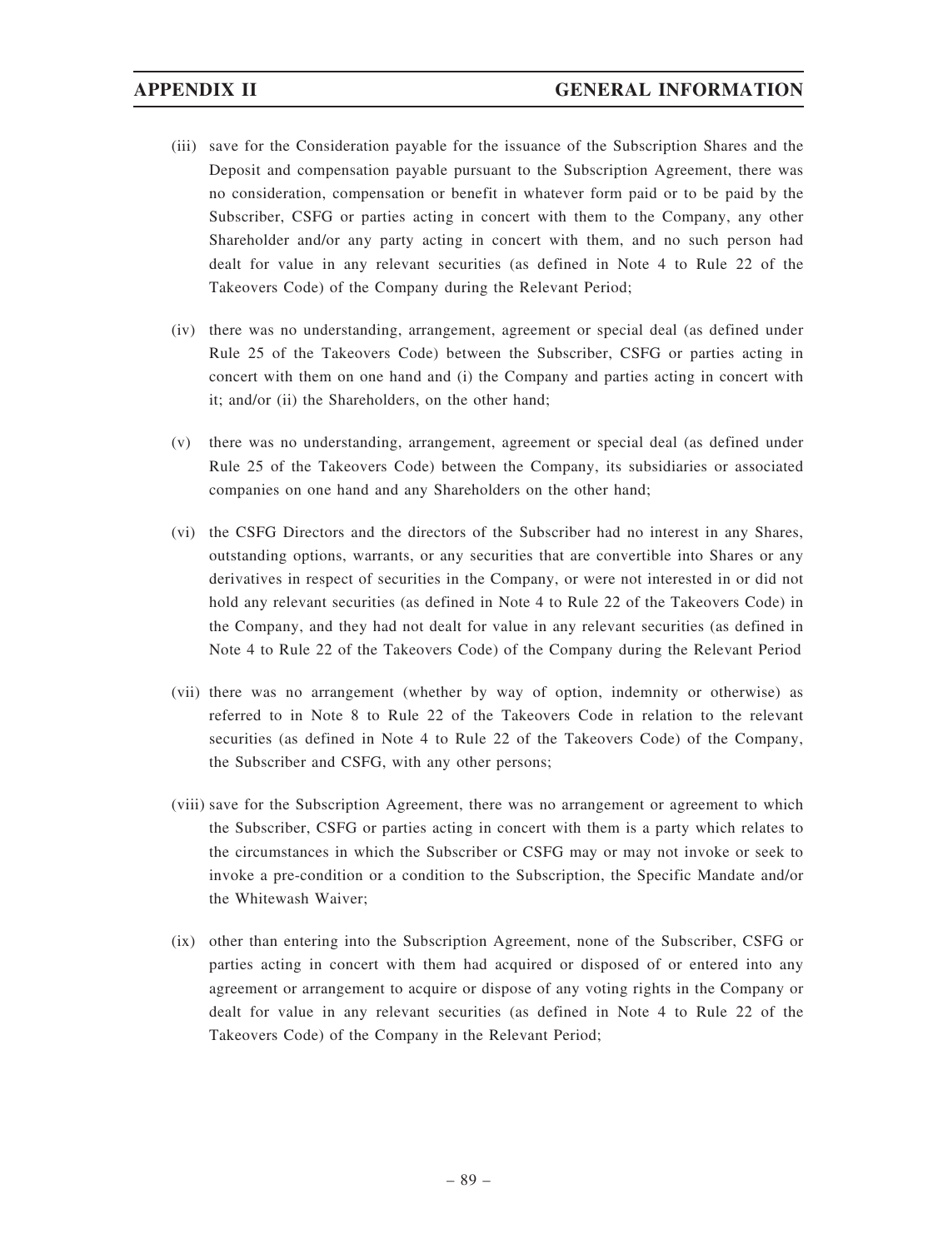- (iii) save for the Consideration payable for the issuance of the Subscription Shares and the Deposit and compensation payable pursuant to the Subscription Agreement, there was no consideration, compensation or benefit in whatever form paid or to be paid by the Subscriber, CSFG or parties acting in concert with them to the Company, any other Shareholder and/or any party acting in concert with them, and no such person had dealt for value in any relevant securities (as defined in Note 4 to Rule 22 of the Takeovers Code) of the Company during the Relevant Period;
- (iv) there was no understanding, arrangement, agreement or special deal (as defined under Rule 25 of the Takeovers Code) between the Subscriber, CSFG or parties acting in concert with them on one hand and (i) the Company and parties acting in concert with it; and/or (ii) the Shareholders, on the other hand;
- (v) there was no understanding, arrangement, agreement or special deal (as defined under Rule 25 of the Takeovers Code) between the Company, its subsidiaries or associated companies on one hand and any Shareholders on the other hand;
- (vi) the CSFG Directors and the directors of the Subscriber had no interest in any Shares, outstanding options, warrants, or any securities that are convertible into Shares or any derivatives in respect of securities in the Company, or were not interested in or did not hold any relevant securities (as defined in Note 4 to Rule 22 of the Takeovers Code) in the Company, and they had not dealt for value in any relevant securities (as defined in Note 4 to Rule 22 of the Takeovers Code) of the Company during the Relevant Period
- (vii) there was no arrangement (whether by way of option, indemnity or otherwise) as referred to in Note 8 to Rule 22 of the Takeovers Code in relation to the relevant securities (as defined in Note 4 to Rule 22 of the Takeovers Code) of the Company, the Subscriber and CSFG, with any other persons;
- (viii) save for the Subscription Agreement, there was no arrangement or agreement to which the Subscriber, CSFG or parties acting in concert with them is a party which relates to the circumstances in which the Subscriber or CSFG may or may not invoke or seek to invoke a pre-condition or a condition to the Subscription, the Specific Mandate and/or the Whitewash Waiver;
- (ix) other than entering into the Subscription Agreement, none of the Subscriber, CSFG or parties acting in concert with them had acquired or disposed of or entered into any agreement or arrangement to acquire or dispose of any voting rights in the Company or dealt for value in any relevant securities (as defined in Note 4 to Rule 22 of the Takeovers Code) of the Company in the Relevant Period;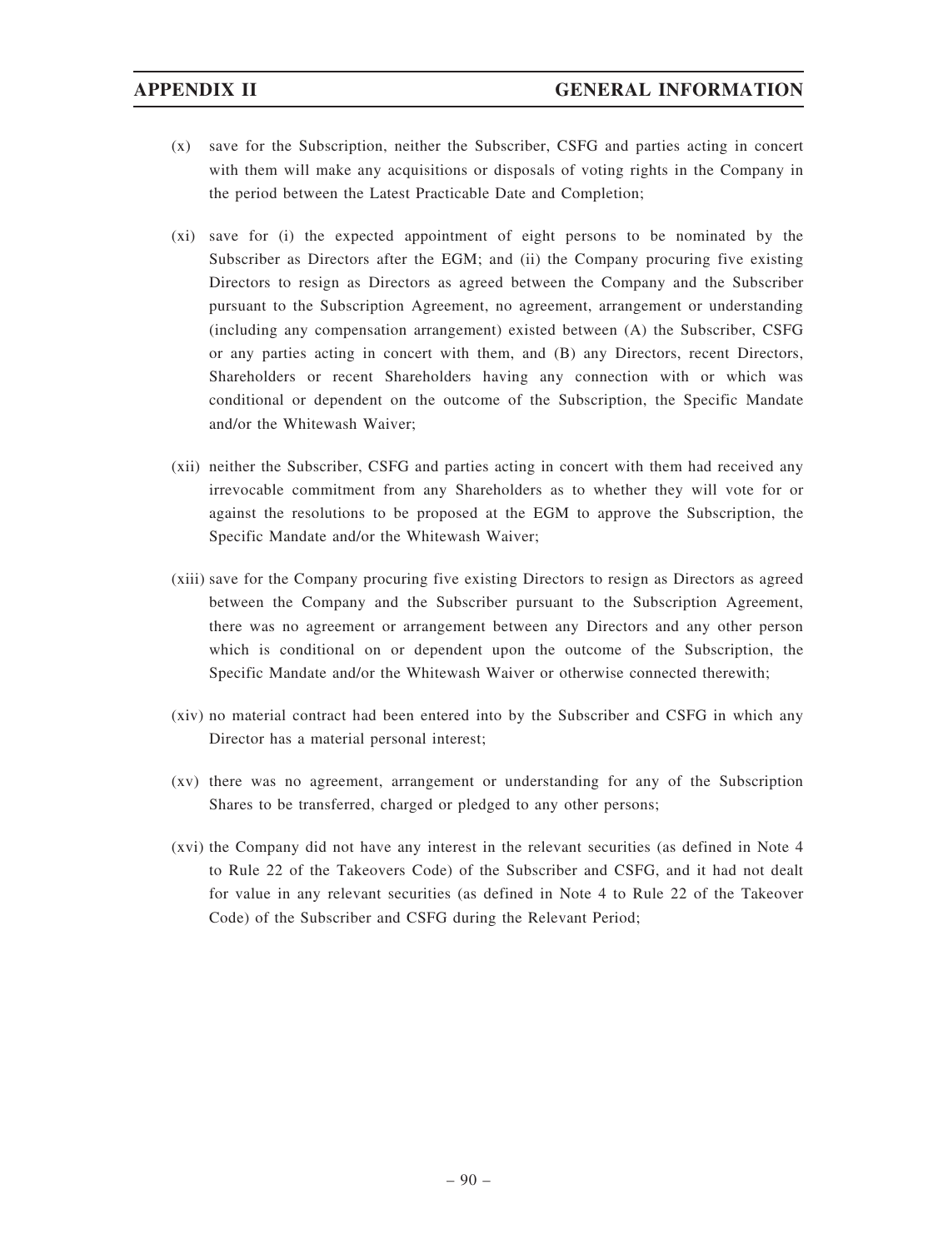- (x) save for the Subscription, neither the Subscriber, CSFG and parties acting in concert with them will make any acquisitions or disposals of voting rights in the Company in the period between the Latest Practicable Date and Completion;
- (xi) save for (i) the expected appointment of eight persons to be nominated by the Subscriber as Directors after the EGM; and (ii) the Company procuring five existing Directors to resign as Directors as agreed between the Company and the Subscriber pursuant to the Subscription Agreement, no agreement, arrangement or understanding (including any compensation arrangement) existed between (A) the Subscriber, CSFG or any parties acting in concert with them, and (B) any Directors, recent Directors, Shareholders or recent Shareholders having any connection with or which was conditional or dependent on the outcome of the Subscription, the Specific Mandate and/or the Whitewash Waiver;
- (xii) neither the Subscriber, CSFG and parties acting in concert with them had received any irrevocable commitment from any Shareholders as to whether they will vote for or against the resolutions to be proposed at the EGM to approve the Subscription, the Specific Mandate and/or the Whitewash Waiver;
- (xiii) save for the Company procuring five existing Directors to resign as Directors as agreed between the Company and the Subscriber pursuant to the Subscription Agreement, there was no agreement or arrangement between any Directors and any other person which is conditional on or dependent upon the outcome of the Subscription, the Specific Mandate and/or the Whitewash Waiver or otherwise connected therewith;
- (xiv) no material contract had been entered into by the Subscriber and CSFG in which any Director has a material personal interest;
- (xv) there was no agreement, arrangement or understanding for any of the Subscription Shares to be transferred, charged or pledged to any other persons;
- (xvi) the Company did not have any interest in the relevant securities (as defined in Note 4 to Rule 22 of the Takeovers Code) of the Subscriber and CSFG, and it had not dealt for value in any relevant securities (as defined in Note 4 to Rule 22 of the Takeover Code) of the Subscriber and CSFG during the Relevant Period;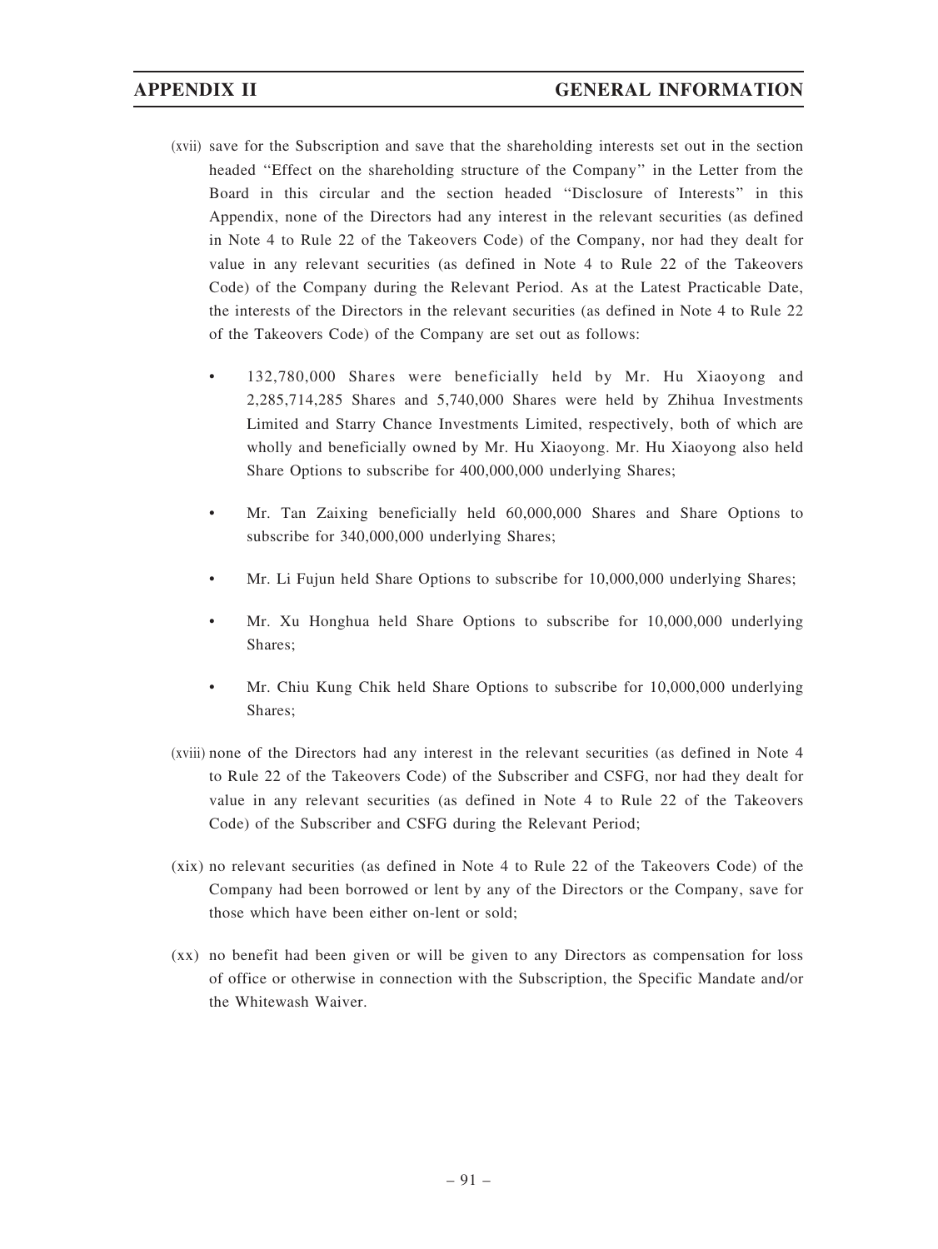- (xvii) save for the Subscription and save that the shareholding interests set out in the section headed ''Effect on the shareholding structure of the Company'' in the Letter from the Board in this circular and the section headed ''Disclosure of Interests'' in this Appendix, none of the Directors had any interest in the relevant securities (as defined in Note 4 to Rule 22 of the Takeovers Code) of the Company, nor had they dealt for value in any relevant securities (as defined in Note 4 to Rule 22 of the Takeovers Code) of the Company during the Relevant Period. As at the Latest Practicable Date, the interests of the Directors in the relevant securities (as defined in Note 4 to Rule 22 of the Takeovers Code) of the Company are set out as follows:
	- 132,780,000 Shares were beneficially held by Mr. Hu Xiaoyong and 2,285,714,285 Shares and 5,740,000 Shares were held by Zhihua Investments Limited and Starry Chance Investments Limited, respectively, both of which are wholly and beneficially owned by Mr. Hu Xiaoyong. Mr. Hu Xiaoyong also held Share Options to subscribe for 400,000,000 underlying Shares;
	- Mr. Tan Zaixing beneficially held 60,000,000 Shares and Share Options to subscribe for 340,000,000 underlying Shares;
	- Mr. Li Fujun held Share Options to subscribe for 10,000,000 underlying Shares;
	- Mr. Xu Honghua held Share Options to subscribe for 10,000,000 underlying Shares;
	- Mr. Chiu Kung Chik held Share Options to subscribe for 10,000,000 underlying Shares;
- (xviii) none of the Directors had any interest in the relevant securities (as defined in Note 4 to Rule 22 of the Takeovers Code) of the Subscriber and CSFG, nor had they dealt for value in any relevant securities (as defined in Note 4 to Rule 22 of the Takeovers Code) of the Subscriber and CSFG during the Relevant Period;
- (xix) no relevant securities (as defined in Note 4 to Rule 22 of the Takeovers Code) of the Company had been borrowed or lent by any of the Directors or the Company, save for those which have been either on-lent or sold;
- (xx) no benefit had been given or will be given to any Directors as compensation for loss of office or otherwise in connection with the Subscription, the Specific Mandate and/or the Whitewash Waiver.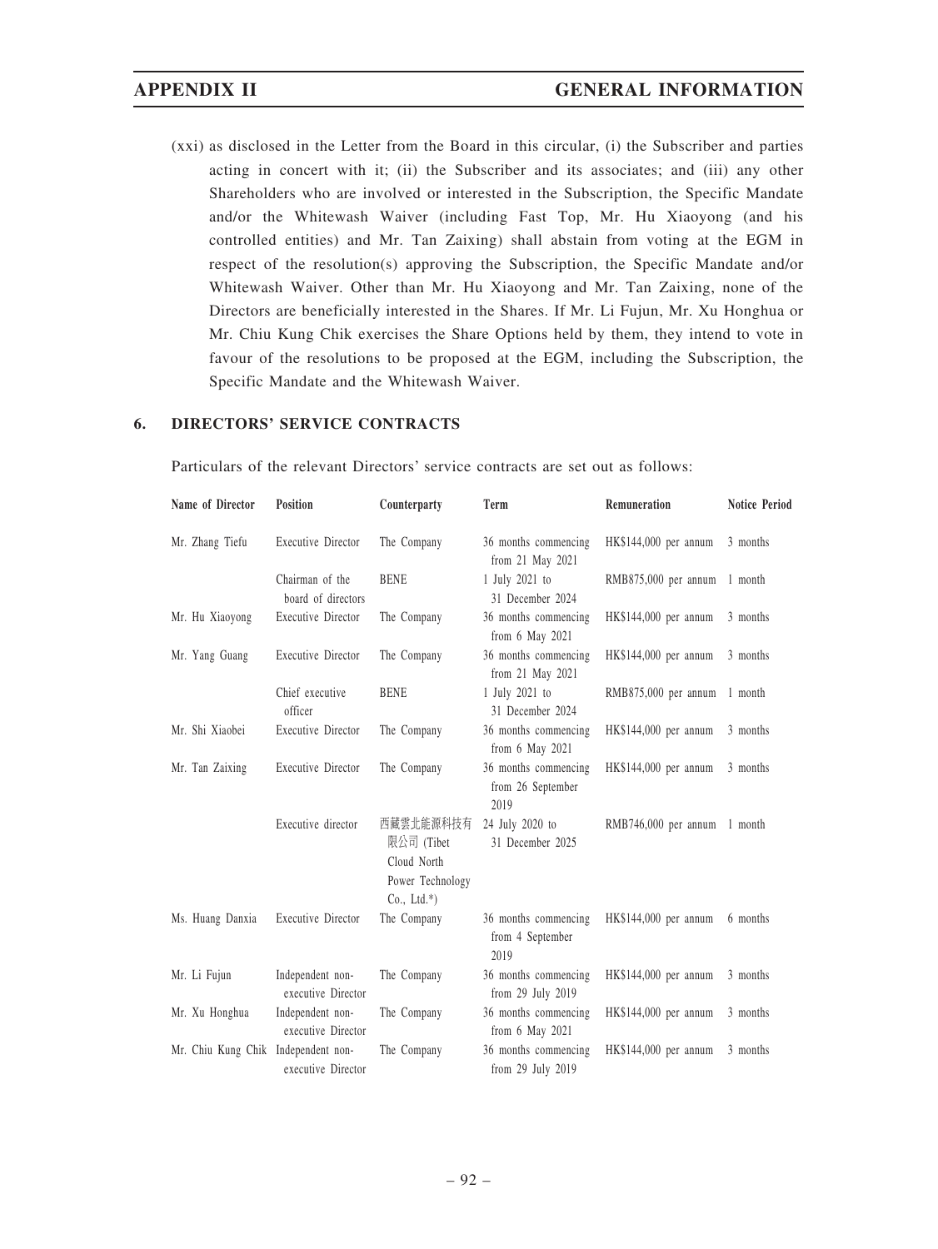(xxi) as disclosed in the Letter from the Board in this circular, (i) the Subscriber and parties acting in concert with it; (ii) the Subscriber and its associates; and (iii) any other Shareholders who are involved or interested in the Subscription, the Specific Mandate and/or the Whitewash Waiver (including Fast Top, Mr. Hu Xiaoyong (and his controlled entities) and Mr. Tan Zaixing) shall abstain from voting at the EGM in respect of the resolution(s) approving the Subscription, the Specific Mandate and/or Whitewash Waiver. Other than Mr. Hu Xiaoyong and Mr. Tan Zaixing, none of the Directors are beneficially interested in the Shares. If Mr. Li Fujun, Mr. Xu Honghua or Mr. Chiu Kung Chik exercises the Share Options held by them, they intend to vote in favour of the resolutions to be proposed at the EGM, including the Subscription, the Specific Mandate and the Whitewash Waiver.

## 6. DIRECTORS' SERVICE CONTRACTS

Particulars of the relevant Directors' service contracts are set out as follows:

| Name of Director                    | Position                               | Counterparty                                                                | Term                                              | Remuneration          | <b>Notice Period</b> |
|-------------------------------------|----------------------------------------|-----------------------------------------------------------------------------|---------------------------------------------------|-----------------------|----------------------|
| Mr. Zhang Tiefu                     | <b>Executive Director</b>              | The Company                                                                 | 36 months commencing<br>from 21 May 2021          | HK\$144,000 per annum | 3 months             |
|                                     | Chairman of the<br>board of directors  | <b>BENE</b>                                                                 | 1 July 2021 to<br>31 December 2024                | RMB875,000 per annum  | 1 month              |
| Mr. Hu Xiaoyong                     | <b>Executive Director</b>              | The Company                                                                 | 36 months commencing<br>from 6 May 2021           | HK\$144,000 per annum | 3 months             |
| Mr. Yang Guang                      | <b>Executive Director</b>              | The Company                                                                 | 36 months commencing<br>from 21 May 2021          | HK\$144,000 per annum | 3 months             |
|                                     | Chief executive<br>officer             | <b>BENE</b>                                                                 | 1 July 2021 to<br>31 December 2024                | RMB875,000 per annum  | 1 month              |
| Mr. Shi Xiaobei                     | <b>Executive Director</b>              | The Company                                                                 | 36 months commencing<br>from 6 May 2021           | HK\$144,000 per annum | 3 months             |
| Mr. Tan Zaixing                     | <b>Executive Director</b>              | The Company                                                                 | 36 months commencing<br>from 26 September<br>2019 | HK\$144,000 per annum | 3 months             |
|                                     | Executive director                     | 西藏雲北能源科技有<br>限公司 (Tibet<br>Cloud North<br>Power Technology<br>$Co., Ltd.*)$ | 24 July 2020 to<br>31 December 2025               | RMB746,000 per annum  | 1 month              |
| Ms. Huang Danxia                    | <b>Executive Director</b>              | The Company                                                                 | 36 months commencing<br>from 4 September<br>2019  | HK\$144,000 per annum | 6 months             |
| Mr. Li Fujun                        | Independent non-<br>executive Director | The Company                                                                 | 36 months commencing<br>from 29 July 2019         | HK\$144,000 per annum | 3 months             |
| Mr. Xu Honghua                      | Independent non-<br>executive Director | The Company                                                                 | 36 months commencing<br>from 6 May 2021           | HK\$144,000 per annum | 3 months             |
| Mr. Chiu Kung Chik Independent non- | executive Director                     | The Company                                                                 | 36 months commencing<br>from 29 July 2019         | HK\$144,000 per annum | 3 months             |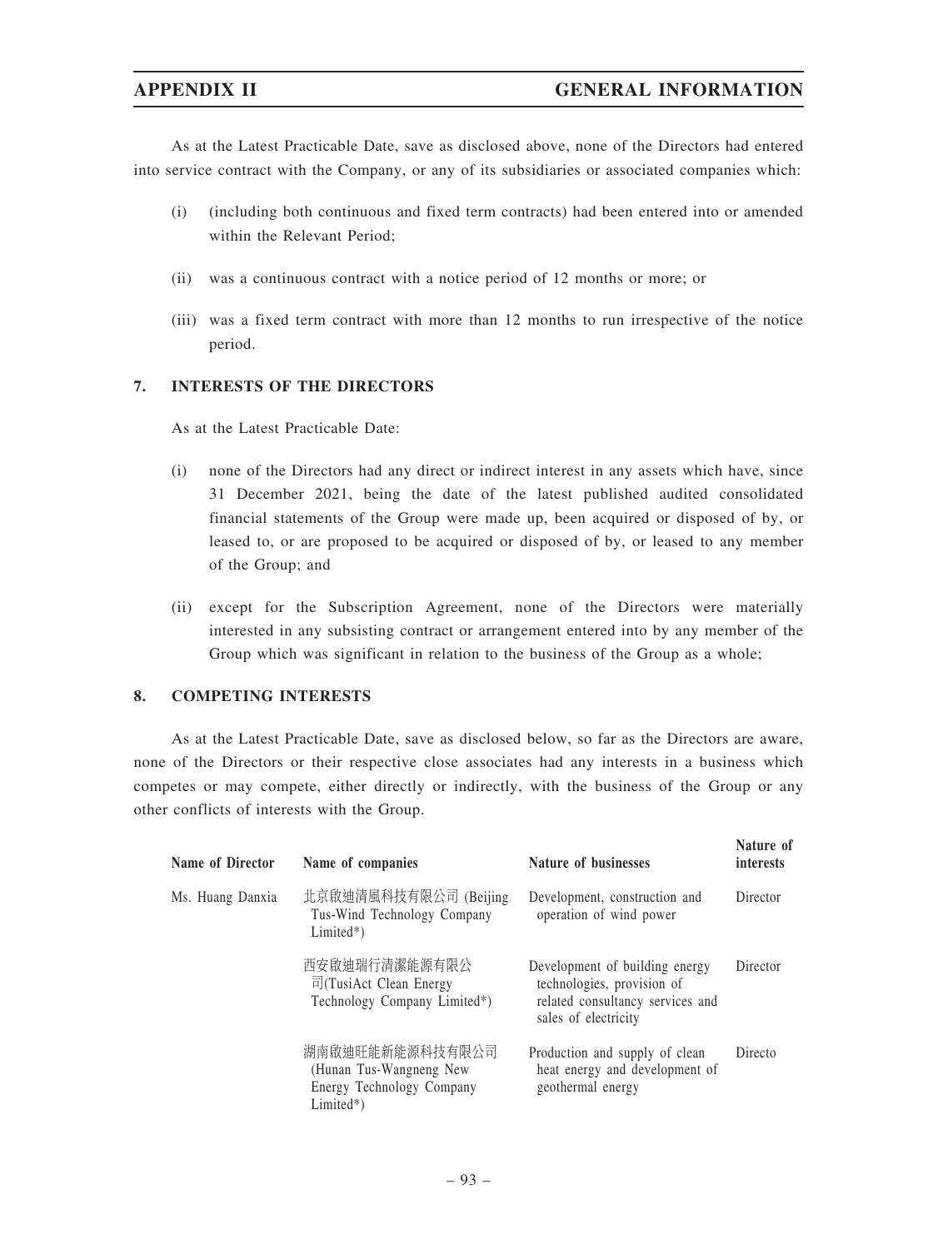As at the Latest Practicable Date, save as disclosed above, none of the Directors had entered into service contract with the Company, or any of its subsidiaries or associated companies which:

- (i) (including both continuous and fixed term contracts) had been entered into or amended within the Relevant Period;
- (ii) was a continuous contract with a notice period of 12 months or more; or
- (iii) was a fixed term contract with more than 12 months to run irrespective of the notice period.

# 7. INTERESTS OF THE DIRECTORS

As at the Latest Practicable Date:

- (i) none of the Directors had any direct or indirect interest in any assets which have, since 31 December 2021, being the date of the latest published audited consolidated financial statements of the Group were made up, been acquired or disposed of by, or leased to, or are proposed to be acquired or disposed of by, or leased to any member of the Group; and
- (ii) except for the Subscription Agreement, none of the Directors were materially interested in any subsisting contract or arrangement entered into by any member of the Group which was significant in relation to the business of the Group as a whole;

# 8. COMPETING INTERESTS

As at the Latest Practicable Date, save as disclosed below, so far as the Directors are aware, none of the Directors or their respective close associates had any interests in a business which competes or may compete, either directly or indirectly, with the business of the Group or any other conflicts of interests with the Group.

| Name of Director | Name of companies                                                                      | <b>Nature of businesses</b>                                                                                              | Nature of<br><i>interests</i> |
|------------------|----------------------------------------------------------------------------------------|--------------------------------------------------------------------------------------------------------------------------|-------------------------------|
| Ms. Huang Danxia | 北京啟迪清風科技有限公司 (Beijing<br>Tus-Wind Technology Company<br>$Limited*)$                    | Development, construction and<br>operation of wind power                                                                 | Director                      |
|                  | 西安啟迪瑞行清潔能源有限公<br>$\overline{r}$ (TusiAct Clean Energy<br>Technology Company Limited*)  | Development of building energy<br>technologies, provision of<br>related consultancy services and<br>sales of electricity | Director                      |
|                  | 湖南啟迪旺能新能源科技有限公司<br>(Hunan Tus-Wangneng New<br>Energy Technology Company<br>$Limited*)$ | Production and supply of clean<br>heat energy and development of<br>geothermal energy                                    | Directo                       |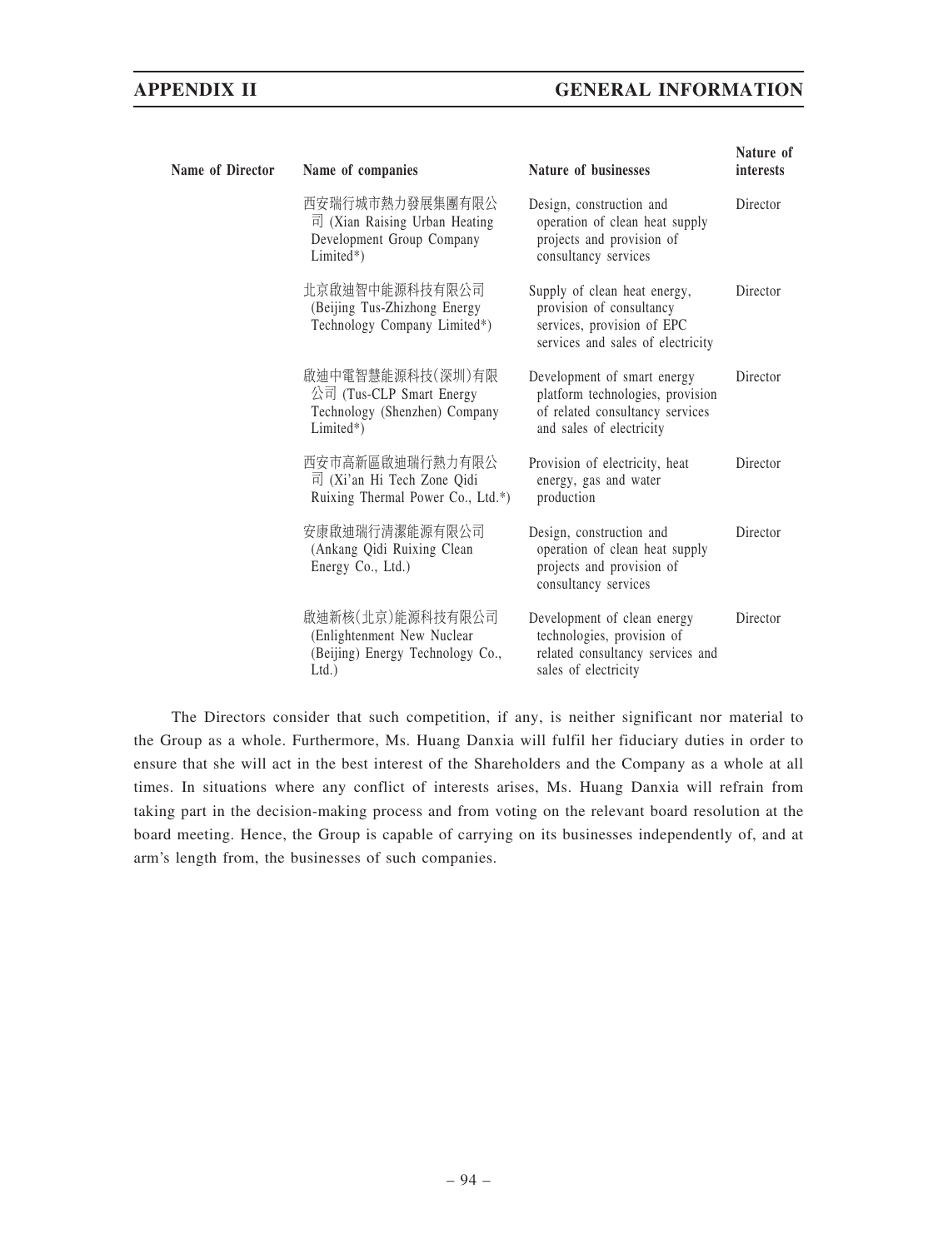| Name of Director | Name of companies                                                                                               | Nature of businesses                                                                                                           | Nature of<br><i>interests</i> |
|------------------|-----------------------------------------------------------------------------------------------------------------|--------------------------------------------------------------------------------------------------------------------------------|-------------------------------|
|                  | 西安瑞行城市熱力發展集團有限公<br>$\overrightarrow{p}$ (Xian Raising Urban Heating<br>Development Group Company<br>$Limited*)$ | Design, construction and<br>operation of clean heat supply<br>projects and provision of<br>consultancy services                | Director                      |
|                  | 北京啟迪智中能源科技有限公司<br>(Beijing Tus-Zhizhong Energy<br>Technology Company Limited*)                                  | Supply of clean heat energy,<br>provision of consultancy<br>services, provision of EPC<br>services and sales of electricity    | Director                      |
|                  | 啟迪中電智慧能源科技(深圳)有限<br>公司 (Tus-CLP Smart Energy<br>Technology (Shenzhen) Company<br>$Limited*)$                    | Development of smart energy<br>platform technologies, provision<br>of related consultancy services<br>and sales of electricity | Director                      |
|                  | 西安市高新區啟迪瑞行熱力有限公<br>$\overline{p}$ (Xi'an Hi Tech Zone Qidi<br>Ruixing Thermal Power Co., Ltd.*)                 | Provision of electricity, heat<br>energy, gas and water<br>production                                                          | Director                      |
|                  | 安康啟迪瑞行清潔能源有限公司<br>(Ankang Qidi Ruixing Clean<br>Energy Co., Ltd.)                                               | Design, construction and<br>operation of clean heat supply<br>projects and provision of<br>consultancy services                | Director                      |
|                  | 啟迪新核(北京)能源科技有限公司<br>(Enlightenment New Nuclear<br>(Beijing) Energy Technology Co.,<br>$Ltd.$ )                  | Development of clean energy<br>technologies, provision of<br>related consultancy services and<br>sales of electricity          | Director                      |

The Directors consider that such competition, if any, is neither significant nor material to the Group as a whole. Furthermore, Ms. Huang Danxia will fulfil her fiduciary duties in order to ensure that she will act in the best interest of the Shareholders and the Company as a whole at all times. In situations where any conflict of interests arises, Ms. Huang Danxia will refrain from taking part in the decision-making process and from voting on the relevant board resolution at the board meeting. Hence, the Group is capable of carrying on its businesses independently of, and at arm's length from, the businesses of such companies.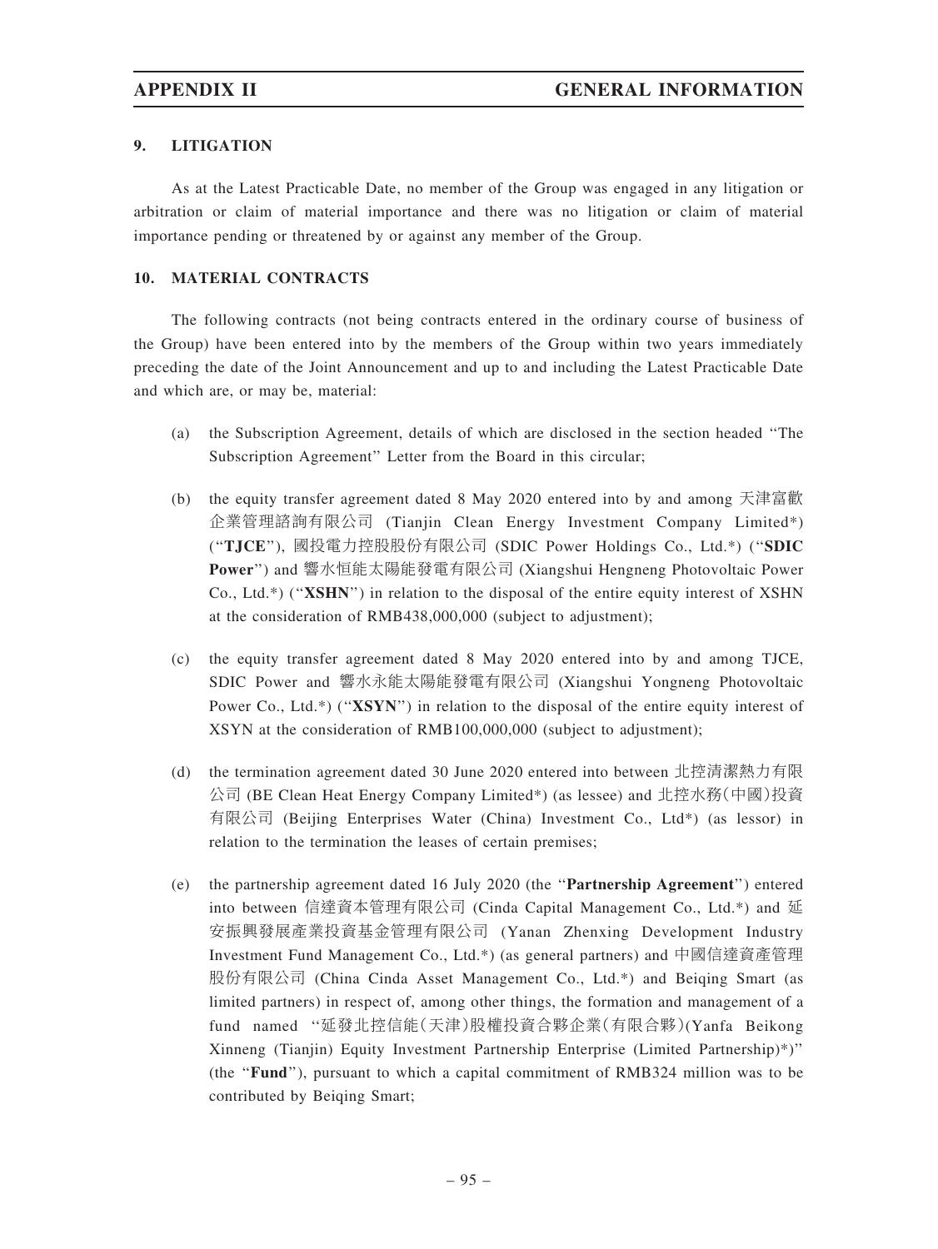# 9. LITIGATION

As at the Latest Practicable Date, no member of the Group was engaged in any litigation or arbitration or claim of material importance and there was no litigation or claim of material importance pending or threatened by or against any member of the Group.

# 10. MATERIAL CONTRACTS

The following contracts (not being contracts entered in the ordinary course of business of the Group) have been entered into by the members of the Group within two years immediately preceding the date of the Joint Announcement and up to and including the Latest Practicable Date and which are, or may be, material:

- (a) the Subscription Agreement, details of which are disclosed in the section headed ''The Subscription Agreement'' Letter from the Board in this circular;
- (b) the equity transfer agreement dated 8 May 2020 entered into by and among 天津富歡 企業管理諮詢有限公司 (Tianjin Clean Energy Investment Company Limited\*) (''TJCE''), 國投電力控股股份有限公司 (SDIC Power Holdings Co., Ltd.\*) (''SDIC Power'') and 響水恒能太陽能發電有限公司 (Xiangshui Hengneng Photovoltaic Power Co., Ltd.\*) (''XSHN'') in relation to the disposal of the entire equity interest of XSHN at the consideration of RMB438,000,000 (subject to adjustment);
- (c) the equity transfer agreement dated 8 May 2020 entered into by and among TJCE, SDIC Power and 響水永能太陽能發電有限公司 (Xiangshui Yongneng Photovoltaic Power Co., Ltd.\*) ("XSYN") in relation to the disposal of the entire equity interest of XSYN at the consideration of RMB100,000,000 (subject to adjustment);
- (d) the termination agreement dated 30 June 2020 entered into between 北控清潔熱力有限 公司 (BE Clean Heat Energy Company Limited\*) (as lessee) and 北控水務(中國)投資 有限公司 (Beijing Enterprises Water (China) Investment Co., Ltd\*) (as lessor) in relation to the termination the leases of certain premises;
- (e) the partnership agreement dated 16 July 2020 (the ''Partnership Agreement'') entered into between 信達資本管理有限公司 (Cinda Capital Management Co., Ltd.\*) and 延 安振興發展產業投資基金管理有限公司 (Yanan Zhenxing Development Industry Investment Fund Management Co., Ltd.\*) (as general partners) and 中國信達資產管理 股份有限公司 (China Cinda Asset Management Co., Ltd.\*) and Beiqing Smart (as limited partners) in respect of, among other things, the formation and management of a fund named ''延發北控信能(天津)股權投資合夥企業(有限合夥)(Yanfa Beikong Xinneng (Tianjin) Equity Investment Partnership Enterprise (Limited Partnership)\*)'' (the ''Fund''), pursuant to which a capital commitment of RMB324 million was to be contributed by Beiqing Smart;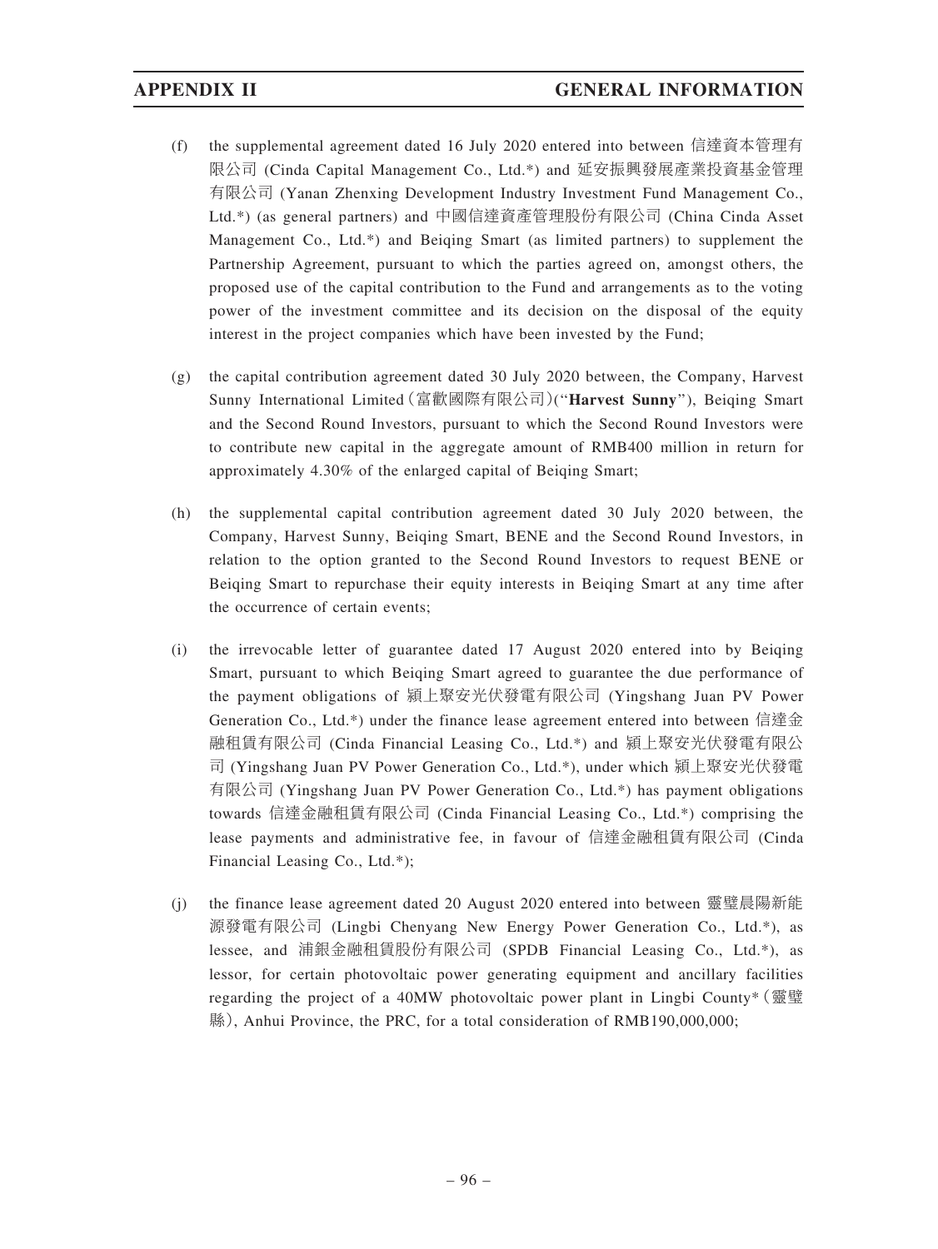- (f) the supplemental agreement dated 16 July 2020 entered into between 信達資本管理有 限公司 (Cinda Capital Management Co., Ltd.\*) and 延安振興發展產業投資基金管理 有限公司 (Yanan Zhenxing Development Industry Investment Fund Management Co., Ltd.\*) (as general partners) and 中國信達資產管理股份有限公司 (China Cinda Asset Management Co., Ltd.\*) and Beiqing Smart (as limited partners) to supplement the Partnership Agreement, pursuant to which the parties agreed on, amongst others, the proposed use of the capital contribution to the Fund and arrangements as to the voting power of the investment committee and its decision on the disposal of the equity interest in the project companies which have been invested by the Fund;
- (g) the capital contribution agreement dated 30 July 2020 between, the Company, Harvest Sunny International Limited(富歡國際有限公司)(''Harvest Sunny''), Beiqing Smart and the Second Round Investors, pursuant to which the Second Round Investors were to contribute new capital in the aggregate amount of RMB400 million in return for approximately 4.30% of the enlarged capital of Beiqing Smart;
- (h) the supplemental capital contribution agreement dated 30 July 2020 between, the Company, Harvest Sunny, Beiqing Smart, BENE and the Second Round Investors, in relation to the option granted to the Second Round Investors to request BENE or Beiqing Smart to repurchase their equity interests in Beiqing Smart at any time after the occurrence of certain events;
- (i) the irrevocable letter of guarantee dated 17 August 2020 entered into by Beiqing Smart, pursuant to which Beiqing Smart agreed to guarantee the due performance of the payment obligations of 潁上聚安光伏發電有限公司 (Yingshang Juan PV Power Generation Co., Ltd.\*) under the finance lease agreement entered into between 信達金 融租賃有限公司 (Cinda Financial Leasing Co., Ltd.\*) and 潁上聚安光伏發電有限公 司 (Yingshang Juan PV Power Generation Co., Ltd.\*), under which 潁上聚安光伏發電 有限公司 (Yingshang Juan PV Power Generation Co., Ltd.\*) has payment obligations towards 信達金融租賃有限公司 (Cinda Financial Leasing Co., Ltd.\*) comprising the lease payments and administrative fee, in favour of 信達金融租賃有限公司 (Cinda Financial Leasing Co., Ltd.\*);
- (j) the finance lease agreement dated 20 August 2020 entered into between 靈璧晨陽新能 源發電有限公司 (Lingbi Chenyang New Energy Power Generation Co., Ltd.\*), as lessee, and 浦銀金融租賃股份有限公司 (SPDB Financial Leasing Co., Ltd.\*), as lessor, for certain photovoltaic power generating equipment and ancillary facilities regarding the project of a 40MW photovoltaic power plant in Lingbi County\*(靈璧 縣), Anhui Province, the PRC, for a total consideration of RMB190,000,000;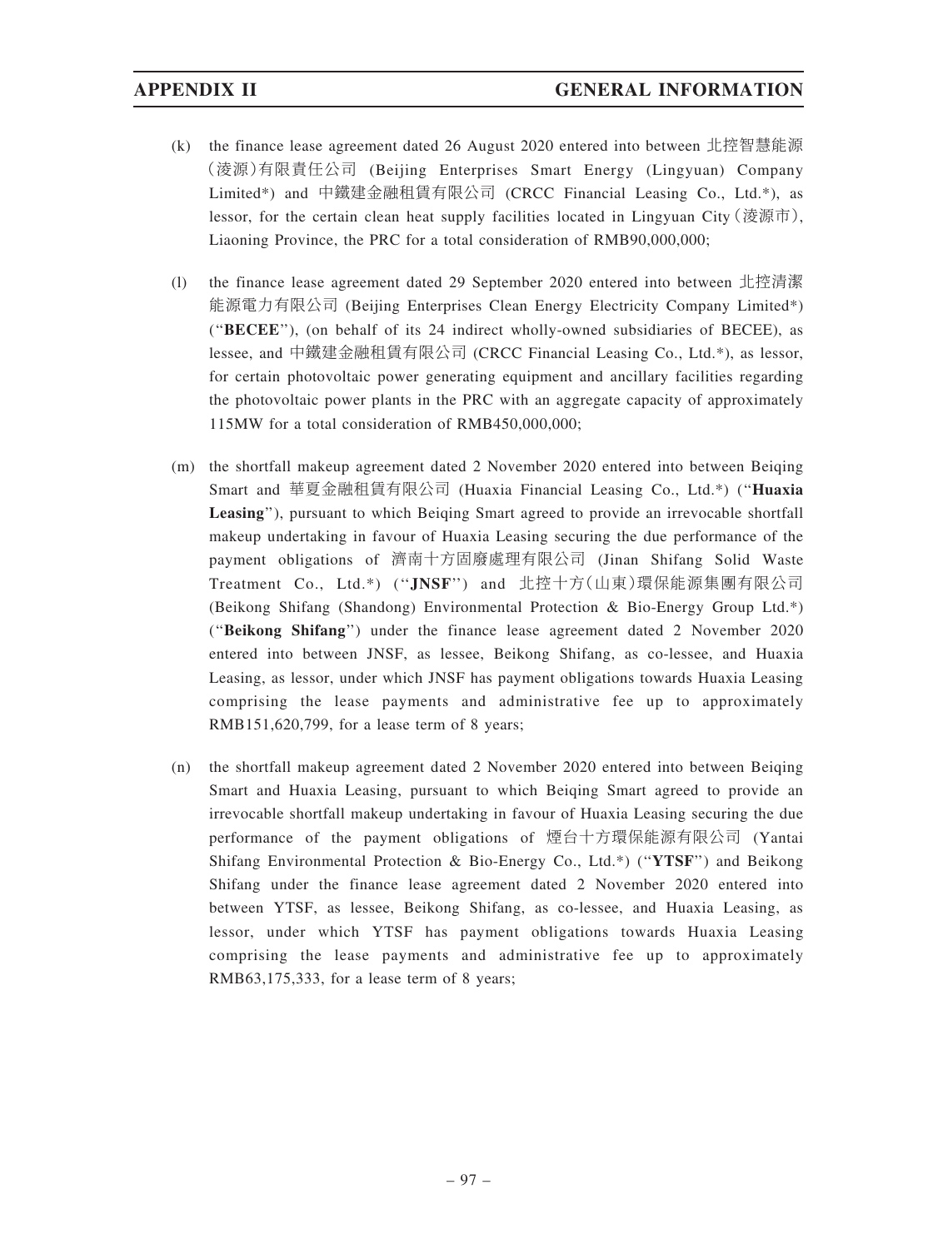- (k) the finance lease agreement dated 26 August 2020 entered into between 北控智慧能源 (淩源)有限責任公司 (Beijing Enterprises Smart Energy (Lingyuan) Company Limited\*) and 中鐵建金融租賃有限公司 (CRCC Financial Leasing Co., Ltd.\*), as lessor, for the certain clean heat supply facilities located in Lingyuan City (淩源市), Liaoning Province, the PRC for a total consideration of RMB90,000,000;
- (l) the finance lease agreement dated 29 September 2020 entered into between 北控清潔 能源電力有限公司 (Beijing Enterprises Clean Energy Electricity Company Limited\*) (''BECEE''), (on behalf of its 24 indirect wholly-owned subsidiaries of BECEE), as lessee, and 中鐵建金融租賃有限公司 (CRCC Financial Leasing Co., Ltd.\*), as lessor, for certain photovoltaic power generating equipment and ancillary facilities regarding the photovoltaic power plants in the PRC with an aggregate capacity of approximately 115MW for a total consideration of RMB450,000,000;
- (m) the shortfall makeup agreement dated 2 November 2020 entered into between Beiqing Smart and 華夏金融租賃有限公司 (Huaxia Financial Leasing Co., Ltd.\*) (''Huaxia Leasing"), pursuant to which Beiging Smart agreed to provide an irrevocable shortfall makeup undertaking in favour of Huaxia Leasing securing the due performance of the payment obligations of 濟南十方固廢處理有限公司 (Jinan Shifang Solid Waste Treatment Co., Ltd.\*) (''JNSF'') and 北控十方(山東)環保能源集團有限公司 (Beikong Shifang (Shandong) Environmental Protection & Bio-Energy Group Ltd.\*) (''Beikong Shifang'') under the finance lease agreement dated 2 November 2020 entered into between JNSF, as lessee, Beikong Shifang, as co-lessee, and Huaxia Leasing, as lessor, under which JNSF has payment obligations towards Huaxia Leasing comprising the lease payments and administrative fee up to approximately RMB151,620,799, for a lease term of 8 years;
- (n) the shortfall makeup agreement dated 2 November 2020 entered into between Beiqing Smart and Huaxia Leasing, pursuant to which Beiqing Smart agreed to provide an irrevocable shortfall makeup undertaking in favour of Huaxia Leasing securing the due performance of the payment obligations of 煙台十方環保能源有限公司 (Yantai Shifang Environmental Protection & Bio-Energy Co., Ltd.\*) ("YTSF") and Beikong Shifang under the finance lease agreement dated 2 November 2020 entered into between YTSF, as lessee, Beikong Shifang, as co-lessee, and Huaxia Leasing, as lessor, under which YTSF has payment obligations towards Huaxia Leasing comprising the lease payments and administrative fee up to approximately RMB63,175,333, for a lease term of 8 years;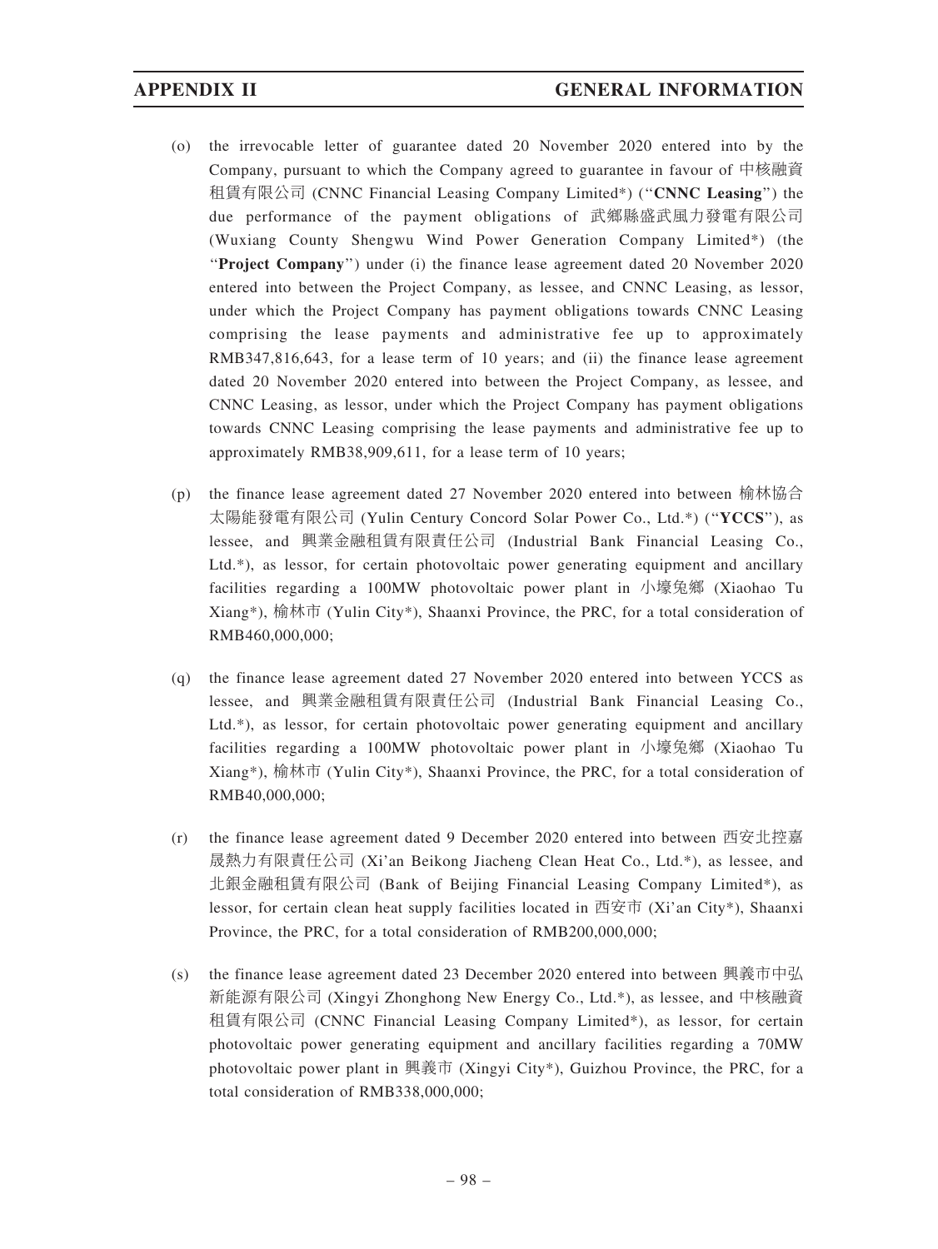- (o) the irrevocable letter of guarantee dated 20 November 2020 entered into by the Company, pursuant to which the Company agreed to guarantee in favour of 中核融資 租賃有限公司 (CNNC Financial Leasing Company Limited\*) ("CNNC Leasing") the due performance of the payment obligations of 武鄉縣盛武風力發電有限公司 (Wuxiang County Shengwu Wind Power Generation Company Limited\*) (the ''Project Company'') under (i) the finance lease agreement dated 20 November 2020 entered into between the Project Company, as lessee, and CNNC Leasing, as lessor, under which the Project Company has payment obligations towards CNNC Leasing comprising the lease payments and administrative fee up to approximately RMB347,816,643, for a lease term of 10 years; and (ii) the finance lease agreement dated 20 November 2020 entered into between the Project Company, as lessee, and CNNC Leasing, as lessor, under which the Project Company has payment obligations towards CNNC Leasing comprising the lease payments and administrative fee up to approximately RMB38,909,611, for a lease term of 10 years;
- (p) the finance lease agreement dated 27 November 2020 entered into between 榆林協合 太陽能發電有限公司 (Yulin Century Concord Solar Power Co., Ltd.\*) ("YCCS"), as lessee, and 興業金融租賃有限責任公司 (Industrial Bank Financial Leasing Co., Ltd.\*), as lessor, for certain photovoltaic power generating equipment and ancillary facilities regarding a 100MW photovoltaic power plant in 小壕兔鄉 (Xiaohao Tu Xiang\*), 榆林市 (Yulin City\*), Shaanxi Province, the PRC, for a total consideration of RMB460,000,000;
- (q) the finance lease agreement dated 27 November 2020 entered into between YCCS as lessee, and 興業金融租賃有限責任公司 (Industrial Bank Financial Leasing Co., Ltd.\*), as lessor, for certain photovoltaic power generating equipment and ancillary facilities regarding a 100MW photovoltaic power plant in 小壕兔鄉 (Xiaohao Tu Xiang\*), 榆林市 (Yulin City\*), Shaanxi Province, the PRC, for a total consideration of RMB40,000,000;
- (r) the finance lease agreement dated 9 December 2020 entered into between 西安北控嘉 晟熱力有限責任公司 (Xi'an Beikong Jiacheng Clean Heat Co., Ltd.\*), as lessee, and 北銀金融租賃有限公司 (Bank of Beijing Financial Leasing Company Limited\*), as lessor, for certain clean heat supply facilities located in 西安市 (Xi'an City\*), Shaanxi Province, the PRC, for a total consideration of RMB200,000,000;
- (s) the finance lease agreement dated 23 December 2020 entered into between 興義市中弘 新能源有限公司 (Xingyi Zhonghong New Energy Co., Ltd.\*), as lessee, and 中核融資 租賃有限公司 (CNNC Financial Leasing Company Limited\*), as lessor, for certain photovoltaic power generating equipment and ancillary facilities regarding a 70MW photovoltaic power plant in 興義市 (Xingyi City\*), Guizhou Province, the PRC, for a total consideration of RMB338,000,000;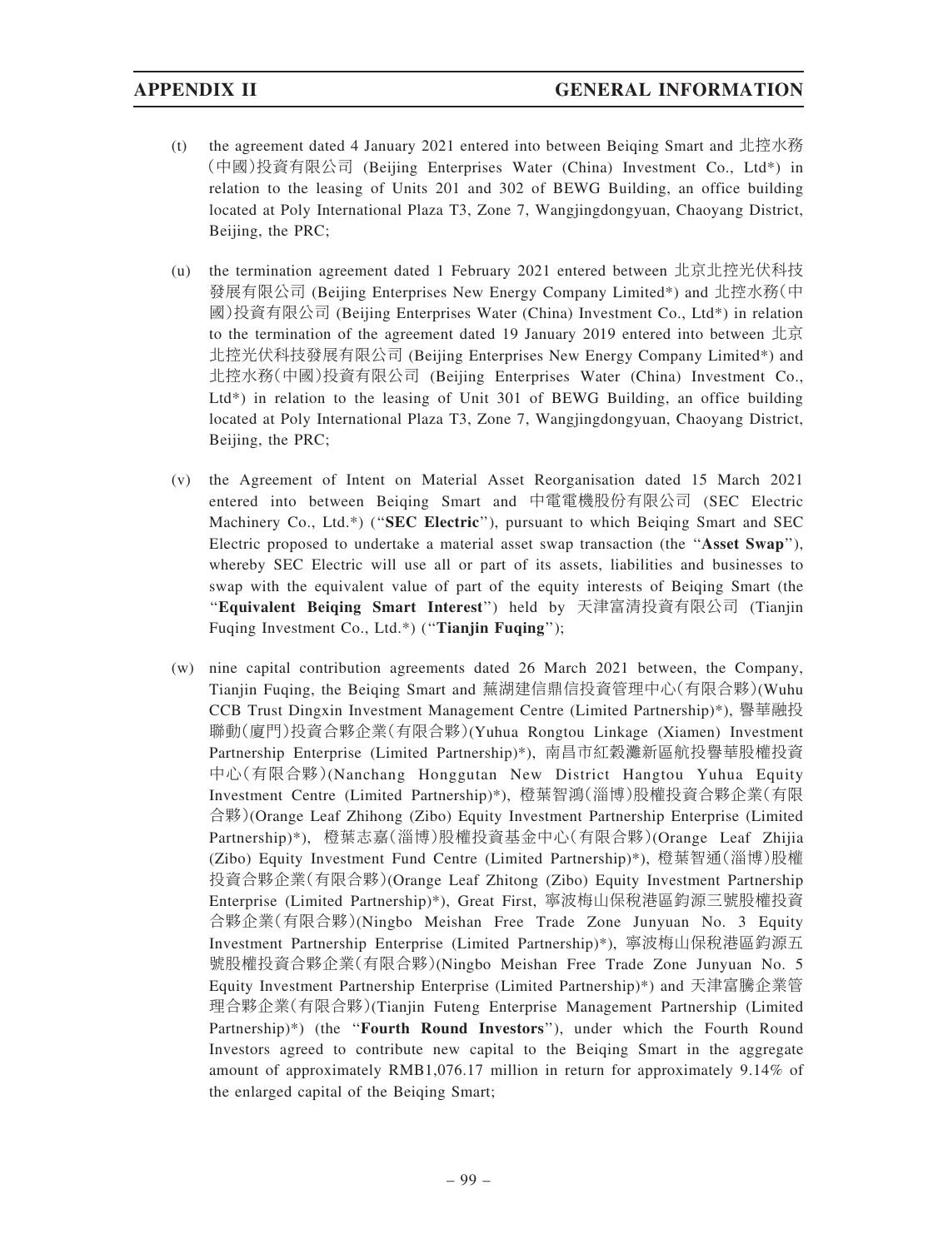- (t) the agreement dated 4 January 2021 entered into between Beiging Smart and 北控水務 (中國)投資有限公司 (Beijing Enterprises Water (China) Investment Co., Ltd\*) in relation to the leasing of Units 201 and 302 of BEWG Building, an office building located at Poly International Plaza T3, Zone 7, Wangjingdongyuan, Chaoyang District, Beijing, the PRC;
- (u) the termination agreement dated 1 February 2021 entered between 北京北控光伏科技 發展有限公司 (Beijing Enterprises New Energy Company Limited\*) and 北控水務(中 國)投資有限公司 (Beijing Enterprises Water (China) Investment Co., Ltd\*) in relation to the termination of the agreement dated 19 January 2019 entered into between 北京 北控光伏科技發展有限公司 (Beijing Enterprises New Energy Company Limited\*) and 北控水務(中國)投資有限公司 (Beijing Enterprises Water (China) Investment Co., Ltd\*) in relation to the leasing of Unit 301 of BEWG Building, an office building located at Poly International Plaza T3, Zone 7, Wangjingdongyuan, Chaoyang District, Beijing, the PRC;
- (v) the Agreement of Intent on Material Asset Reorganisation dated 15 March 2021 entered into between Beiqing Smart and 中電電機股份有限公司 (SEC Electric Machinery Co., Ltd.\*) ("SEC Electric"), pursuant to which Beiqing Smart and SEC Electric proposed to undertake a material asset swap transaction (the ''Asset Swap''), whereby SEC Electric will use all or part of its assets, liabilities and businesses to swap with the equivalent value of part of the equity interests of Beiqing Smart (the ''Equivalent Beiqing Smart Interest'') held by 天津富清投資有限公司 (Tianjin Fuqing Investment Co., Ltd.\*) ("Tianjin Fuqing");
- (w) nine capital contribution agreements dated 26 March 2021 between, the Company, Tianjin Fuqing, the Beiqing Smart and 蕪湖建信鼎信投資管理中心(有限合夥)(Wuhu CCB Trust Dingxin Investment Management Centre (Limited Partnership)\*), 譽華融投 聯動(廈門)投資合夥企業(有限合夥)(Yuhua Rongtou Linkage (Xiamen) Investment Partnership Enterprise (Limited Partnership)\*), 南昌市紅穀灘新區航投譽華股權投資 中心(有限合夥)(Nanchang Honggutan New District Hangtou Yuhua Equity Investment Centre (Limited Partnership)\*), 橙葉智鴻(淄博)股權投資合夥企業(有限 合夥)(Orange Leaf Zhihong (Zibo) Equity Investment Partnership Enterprise (Limited Partnership)\*), 橙葉志嘉(淄博)股權投資基金中心(有限合夥)(Orange Leaf Zhijia (Zibo) Equity Investment Fund Centre (Limited Partnership)\*), 橙葉智通(淄博)股權 投資合夥企業(有限合夥)(Orange Leaf Zhitong (Zibo) Equity Investment Partnership Enterprise (Limited Partnership)\*), Great First, 寧波梅山保稅港區鈞源三號股權投資 合夥企業(有限合夥)(Ningbo Meishan Free Trade Zone Junyuan No. 3 Equity Investment Partnership Enterprise (Limited Partnership)\*), 寧波梅山保稅港區鈞源五 號股權投資合夥企業(有限合夥)(Ningbo Meishan Free Trade Zone Junyuan No. 5 Equity Investment Partnership Enterprise (Limited Partnership)\*) and 天津富騰企業管 理合夥企業(有限合夥)(Tianjin Futeng Enterprise Management Partnership (Limited Partnership)\*) (the "Fourth Round Investors"), under which the Fourth Round Investors agreed to contribute new capital to the Beiqing Smart in the aggregate amount of approximately RMB1,076.17 million in return for approximately 9.14% of the enlarged capital of the Beiqing Smart;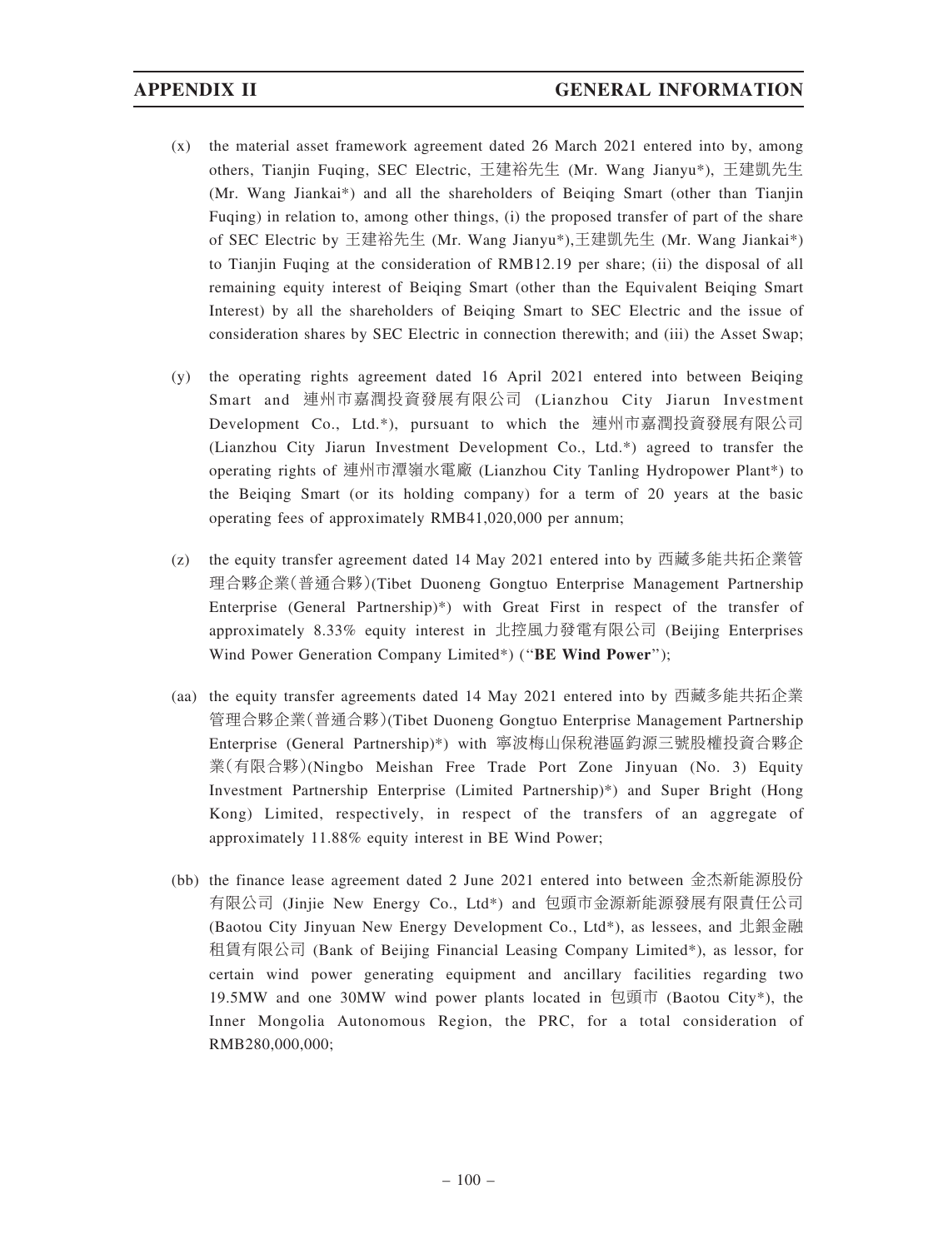- (x) the material asset framework agreement dated 26 March 2021 entered into by, among others, Tianjin Fuqing, SEC Electric, 王建裕先生 (Mr. Wang Jianyu\*), 王建凱先生 (Mr. Wang Jiankai\*) and all the shareholders of Beiqing Smart (other than Tianjin Fuqing) in relation to, among other things, (i) the proposed transfer of part of the share of SEC Electric by 王建裕先生 (Mr. Wang Jianyu\*),王建凱先生 (Mr. Wang Jiankai\*) to Tianjin Fuqing at the consideration of RMB12.19 per share; (ii) the disposal of all remaining equity interest of Beiqing Smart (other than the Equivalent Beiqing Smart Interest) by all the shareholders of Beiqing Smart to SEC Electric and the issue of consideration shares by SEC Electric in connection therewith; and (iii) the Asset Swap;
- (y) the operating rights agreement dated 16 April 2021 entered into between Beiqing Smart and 連州市嘉潤投資發展有限公司 (Lianzhou City Jiarun Investment Development Co., Ltd.\*), pursuant to which the 連州市嘉潤投資發展有限公司 (Lianzhou City Jiarun Investment Development Co., Ltd.\*) agreed to transfer the operating rights of 連州市潭嶺水電廠 (Lianzhou City Tanling Hydropower Plant\*) to the Beiqing Smart (or its holding company) for a term of 20 years at the basic operating fees of approximately RMB41,020,000 per annum;
- (z) the equity transfer agreement dated 14 May 2021 entered into by 西藏多能共拓企業管 理合夥企業(普通合夥)(Tibet Duoneng Gongtuo Enterprise Management Partnership Enterprise (General Partnership)\*) with Great First in respect of the transfer of approximately 8.33% equity interest in 北控風力發電有限公司 (Beijing Enterprises Wind Power Generation Company Limited\*) ("BE Wind Power");
- (aa) the equity transfer agreements dated 14 May 2021 entered into by 西藏多能共拓企業 管理合夥企業(普通合夥)(Tibet Duoneng Gongtuo Enterprise Management Partnership Enterprise (General Partnership)\*) with 寧波梅山保稅港區鈞源三號股權投資合夥企 業(有限合夥)(Ningbo Meishan Free Trade Port Zone Jinyuan (No. 3) Equity Investment Partnership Enterprise (Limited Partnership)\*) and Super Bright (Hong Kong) Limited, respectively, in respect of the transfers of an aggregate of approximately 11.88% equity interest in BE Wind Power;
- (bb) the finance lease agreement dated 2 June 2021 entered into between 金杰新能源股份 有限公司 (Jinjie New Energy Co., Ltd\*) and 包頭市金源新能源發展有限責任公司 (Baotou City Jinyuan New Energy Development Co., Ltd\*), as lessees, and 北銀金融 租賃有限公司 (Bank of Beijing Financial Leasing Company Limited\*), as lessor, for certain wind power generating equipment and ancillary facilities regarding two 19.5MW and one 30MW wind power plants located in 包頭市 (Baotou City\*), the Inner Mongolia Autonomous Region, the PRC, for a total consideration of RMB280,000,000;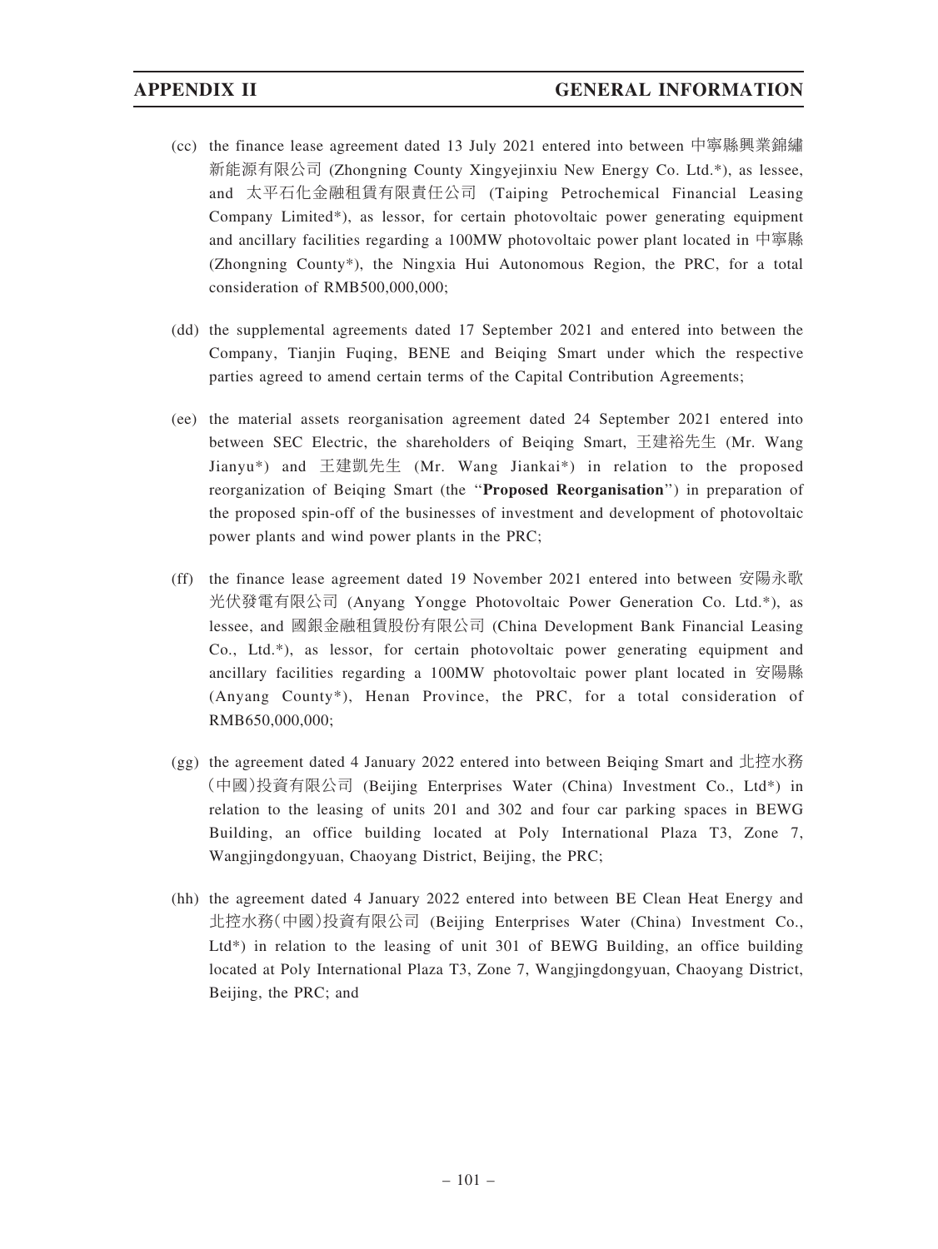- (cc) the finance lease agreement dated 13 July 2021 entered into between 中寧縣興業錦繡 新能源有限公司 (Zhongning County Xingyejinxiu New Energy Co. Ltd.\*), as lessee, and 太平石化金融租賃有限責任公司 (Taiping Petrochemical Financial Leasing Company Limited\*), as lessor, for certain photovoltaic power generating equipment and ancillary facilities regarding a 100MW photovoltaic power plant located in 中寧縣 (Zhongning County\*), the Ningxia Hui Autonomous Region, the PRC, for a total consideration of RMB500,000,000;
- (dd) the supplemental agreements dated 17 September 2021 and entered into between the Company, Tianjin Fuqing, BENE and Beiqing Smart under which the respective parties agreed to amend certain terms of the Capital Contribution Agreements;
- (ee) the material assets reorganisation agreement dated 24 September 2021 entered into between SEC Electric, the shareholders of Beiqing Smart, 王建裕先生 (Mr. Wang Jianyu\*) and 王建凱先生 (Mr. Wang Jiankai\*) in relation to the proposed reorganization of Beiqing Smart (the ''Proposed Reorganisation'') in preparation of the proposed spin-off of the businesses of investment and development of photovoltaic power plants and wind power plants in the PRC;
- (ff) the finance lease agreement dated 19 November 2021 entered into between 安陽永歌 光伏發電有限公司 (Anyang Yongge Photovoltaic Power Generation Co. Ltd.\*), as lessee, and 國銀金融租賃股份有限公司 (China Development Bank Financial Leasing Co., Ltd.\*), as lessor, for certain photovoltaic power generating equipment and ancillary facilities regarding a 100MW photovoltaic power plant located in 安陽縣 (Anyang County\*), Henan Province, the PRC, for a total consideration of RMB650,000,000;
- (gg) the agreement dated 4 January 2022 entered into between Beiqing Smart and 北控水務 (中國)投資有限公司 (Beijing Enterprises Water (China) Investment Co., Ltd\*) in relation to the leasing of units 201 and 302 and four car parking spaces in BEWG Building, an office building located at Poly International Plaza T3, Zone 7, Wangjingdongyuan, Chaoyang District, Beijing, the PRC;
- (hh) the agreement dated 4 January 2022 entered into between BE Clean Heat Energy and 北控水務(中國)投資有限公司 (Beijing Enterprises Water (China) Investment Co., Ltd\*) in relation to the leasing of unit 301 of BEWG Building, an office building located at Poly International Plaza T3, Zone 7, Wangjingdongyuan, Chaoyang District, Beijing, the PRC; and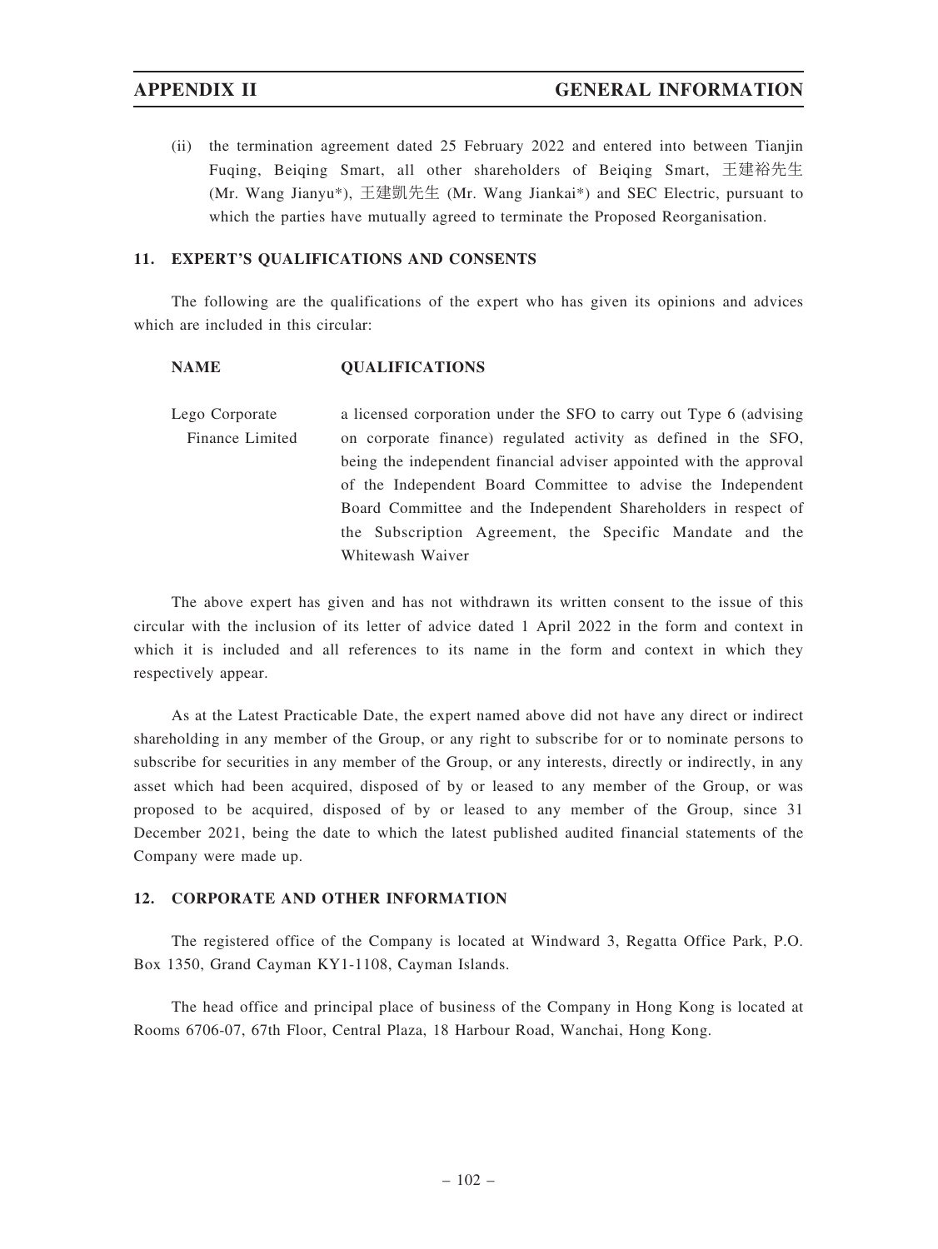(ii) the termination agreement dated 25 February 2022 and entered into between Tianjin Fuqing, Beiqing Smart, all other shareholders of Beiqing Smart, 王建裕先生 (Mr. Wang Jianyu\*), 王建凱先生 (Mr. Wang Jiankai\*) and SEC Electric, pursuant to which the parties have mutually agreed to terminate the Proposed Reorganisation.

# 11. EXPERT'S QUALIFICATIONS AND CONSENTS

The following are the qualifications of the expert who has given its opinions and advices which are included in this circular:

### NAME QUALIFICATIONS

Lego Corporate Finance Limited a licensed corporation under the SFO to carry out Type 6 (advising on corporate finance) regulated activity as defined in the SFO, being the independent financial adviser appointed with the approval of the Independent Board Committee to advise the Independent Board Committee and the Independent Shareholders in respect of the Subscription Agreement, the Specific Mandate and the Whitewash Waiver

The above expert has given and has not withdrawn its written consent to the issue of this circular with the inclusion of its letter of advice dated 1 April 2022 in the form and context in which it is included and all references to its name in the form and context in which they respectively appear.

As at the Latest Practicable Date, the expert named above did not have any direct or indirect shareholding in any member of the Group, or any right to subscribe for or to nominate persons to subscribe for securities in any member of the Group, or any interests, directly or indirectly, in any asset which had been acquired, disposed of by or leased to any member of the Group, or was proposed to be acquired, disposed of by or leased to any member of the Group, since 31 December 2021, being the date to which the latest published audited financial statements of the Company were made up.

### 12. CORPORATE AND OTHER INFORMATION

The registered office of the Company is located at Windward 3, Regatta Office Park, P.O. Box 1350, Grand Cayman KY1-1108, Cayman Islands.

The head office and principal place of business of the Company in Hong Kong is located at Rooms 6706-07, 67th Floor, Central Plaza, 18 Harbour Road, Wanchai, Hong Kong.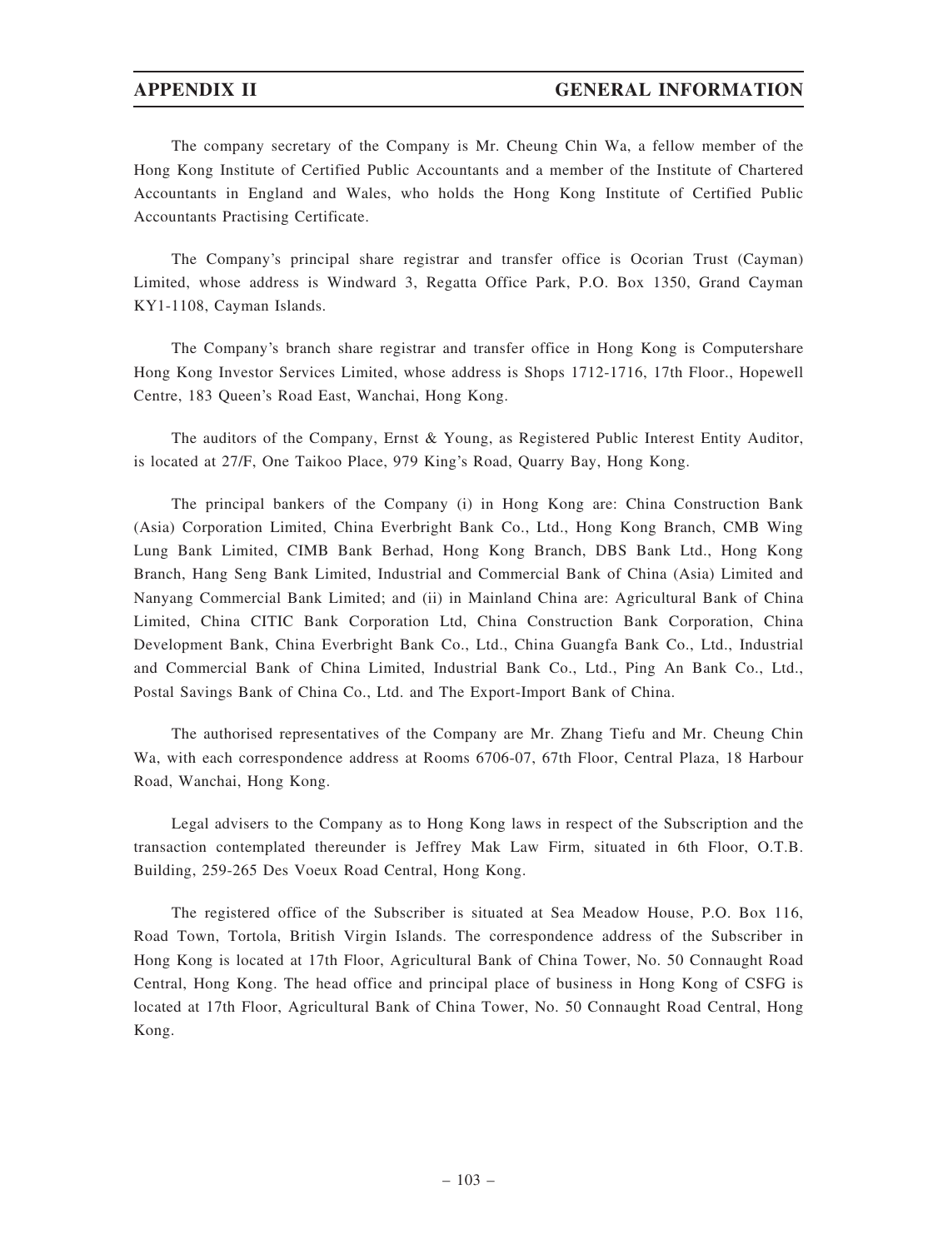The company secretary of the Company is Mr. Cheung Chin Wa, a fellow member of the Hong Kong Institute of Certified Public Accountants and a member of the Institute of Chartered Accountants in England and Wales, who holds the Hong Kong Institute of Certified Public Accountants Practising Certificate.

The Company's principal share registrar and transfer office is Ocorian Trust (Cayman) Limited, whose address is Windward 3, Regatta Office Park, P.O. Box 1350, Grand Cayman KY1-1108, Cayman Islands.

The Company's branch share registrar and transfer office in Hong Kong is Computershare Hong Kong Investor Services Limited, whose address is Shops 1712-1716, 17th Floor., Hopewell Centre, 183 Queen's Road East, Wanchai, Hong Kong.

The auditors of the Company, Ernst & Young, as Registered Public Interest Entity Auditor, is located at 27/F, One Taikoo Place, 979 King's Road, Quarry Bay, Hong Kong.

The principal bankers of the Company (i) in Hong Kong are: China Construction Bank (Asia) Corporation Limited, China Everbright Bank Co., Ltd., Hong Kong Branch, CMB Wing Lung Bank Limited, CIMB Bank Berhad, Hong Kong Branch, DBS Bank Ltd., Hong Kong Branch, Hang Seng Bank Limited, Industrial and Commercial Bank of China (Asia) Limited and Nanyang Commercial Bank Limited; and (ii) in Mainland China are: Agricultural Bank of China Limited, China CITIC Bank Corporation Ltd, China Construction Bank Corporation, China Development Bank, China Everbright Bank Co., Ltd., China Guangfa Bank Co., Ltd., Industrial and Commercial Bank of China Limited, Industrial Bank Co., Ltd., Ping An Bank Co., Ltd., Postal Savings Bank of China Co., Ltd. and The Export-Import Bank of China.

The authorised representatives of the Company are Mr. Zhang Tiefu and Mr. Cheung Chin Wa, with each correspondence address at Rooms 6706-07, 67th Floor, Central Plaza, 18 Harbour Road, Wanchai, Hong Kong.

Legal advisers to the Company as to Hong Kong laws in respect of the Subscription and the transaction contemplated thereunder is Jeffrey Mak Law Firm, situated in 6th Floor, O.T.B. Building, 259-265 Des Voeux Road Central, Hong Kong.

The registered office of the Subscriber is situated at Sea Meadow House, P.O. Box 116, Road Town, Tortola, British Virgin Islands. The correspondence address of the Subscriber in Hong Kong is located at 17th Floor, Agricultural Bank of China Tower, No. 50 Connaught Road Central, Hong Kong. The head office and principal place of business in Hong Kong of CSFG is located at 17th Floor, Agricultural Bank of China Tower, No. 50 Connaught Road Central, Hong Kong.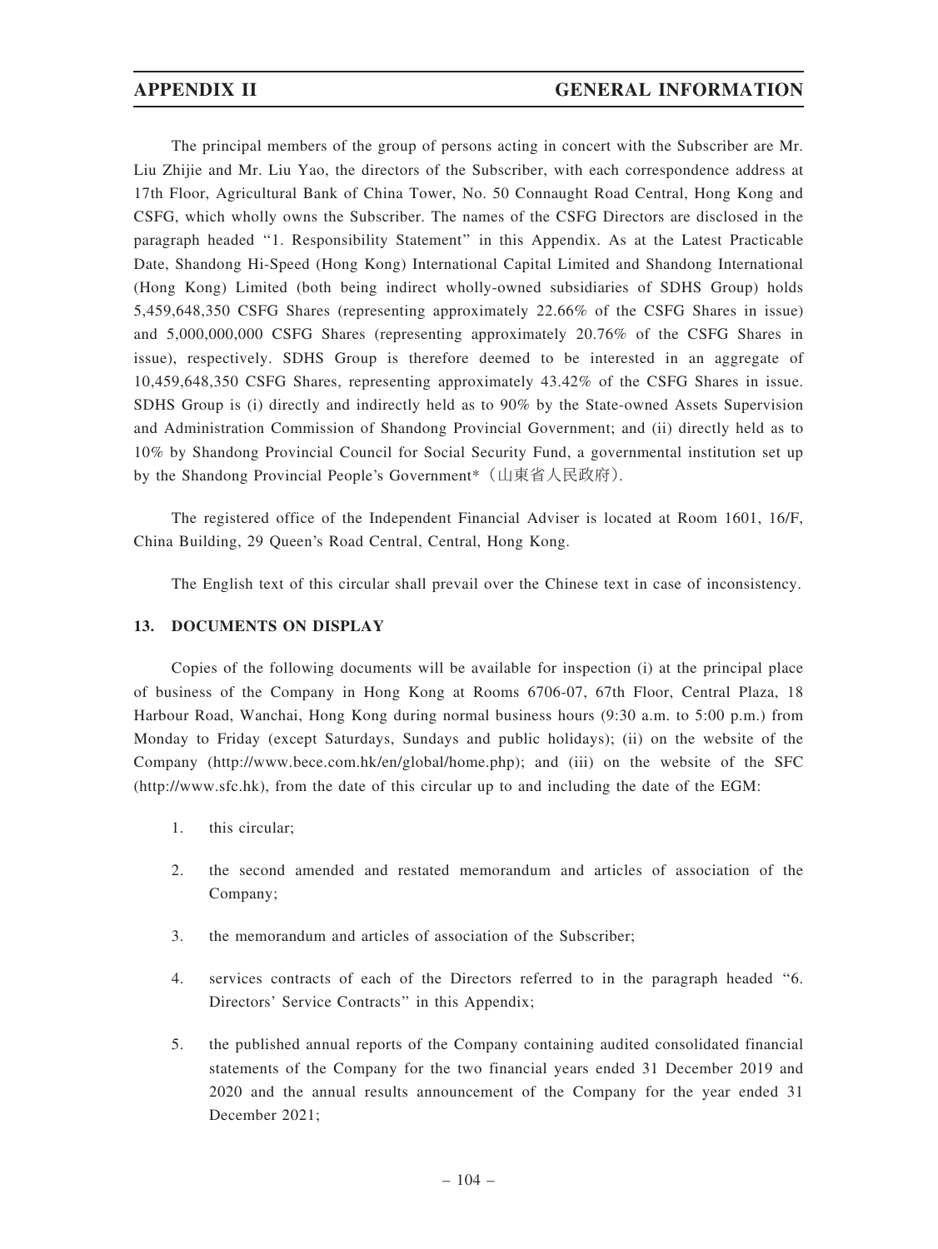The principal members of the group of persons acting in concert with the Subscriber are Mr. Liu Zhijie and Mr. Liu Yao, the directors of the Subscriber, with each correspondence address at 17th Floor, Agricultural Bank of China Tower, No. 50 Connaught Road Central, Hong Kong and CSFG, which wholly owns the Subscriber. The names of the CSFG Directors are disclosed in the paragraph headed ''1. Responsibility Statement'' in this Appendix. As at the Latest Practicable Date, Shandong Hi-Speed (Hong Kong) International Capital Limited and Shandong International (Hong Kong) Limited (both being indirect wholly-owned subsidiaries of SDHS Group) holds 5,459,648,350 CSFG Shares (representing approximately 22.66% of the CSFG Shares in issue) and 5,000,000,000 CSFG Shares (representing approximately 20.76% of the CSFG Shares in issue), respectively. SDHS Group is therefore deemed to be interested in an aggregate of 10,459,648,350 CSFG Shares, representing approximately 43.42% of the CSFG Shares in issue. SDHS Group is (i) directly and indirectly held as to 90% by the State-owned Assets Supervision and Administration Commission of Shandong Provincial Government; and (ii) directly held as to 10% by Shandong Provincial Council for Social Security Fund, a governmental institution set up by the Shandong Provincial People's Government\*(山東省人民政府).

The registered office of the Independent Financial Adviser is located at Room 1601, 16/F, China Building, 29 Queen's Road Central, Central, Hong Kong.

The English text of this circular shall prevail over the Chinese text in case of inconsistency.

### 13. DOCUMENTS ON DISPLAY

Copies of the following documents will be available for inspection (i) at the principal place of business of the Company in Hong Kong at Rooms 6706-07, 67th Floor, Central Plaza, 18 Harbour Road, Wanchai, Hong Kong during normal business hours (9:30 a.m. to 5:00 p.m.) from Monday to Friday (except Saturdays, Sundays and public holidays); (ii) on the website of the Company (http://www.bece.com.hk/en/global/home.php); and (iii) on the website of the SFC (http://www.sfc.hk), from the date of this circular up to and including the date of the EGM:

- 1. this circular;
- 2. the second amended and restated memorandum and articles of association of the Company;
- 3. the memorandum and articles of association of the Subscriber;
- 4. services contracts of each of the Directors referred to in the paragraph headed ''6. Directors' Service Contracts'' in this Appendix;
- 5. the published annual reports of the Company containing audited consolidated financial statements of the Company for the two financial years ended 31 December 2019 and 2020 and the annual results announcement of the Company for the year ended 31 December 2021;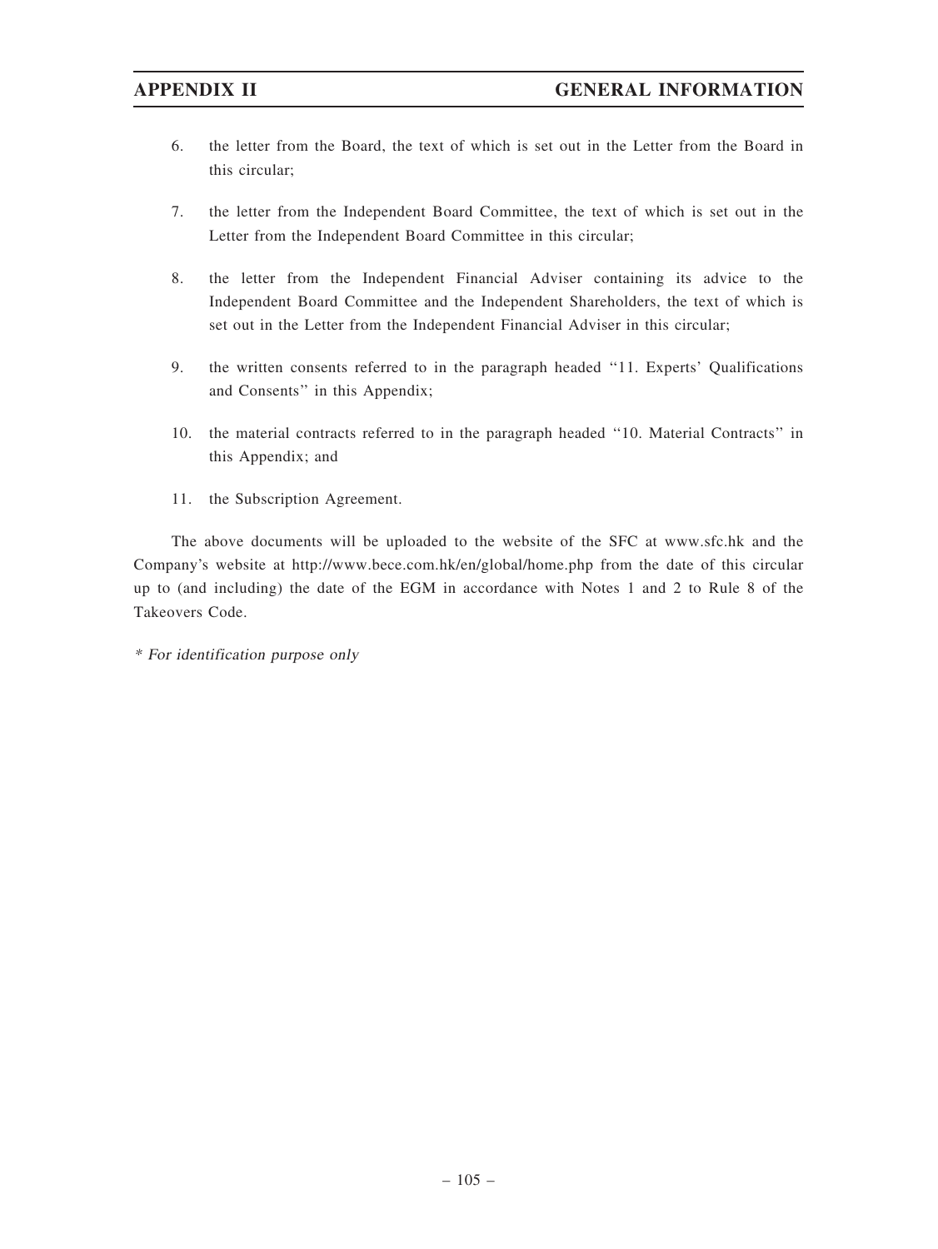- 6. the letter from the Board, the text of which is set out in the Letter from the Board in this circular;
- 7. the letter from the Independent Board Committee, the text of which is set out in the Letter from the Independent Board Committee in this circular;
- 8. the letter from the Independent Financial Adviser containing its advice to the Independent Board Committee and the Independent Shareholders, the text of which is set out in the Letter from the Independent Financial Adviser in this circular;
- 9. the written consents referred to in the paragraph headed ''11. Experts' Qualifications and Consents'' in this Appendix;
- 10. the material contracts referred to in the paragraph headed ''10. Material Contracts'' in this Appendix; and
- 11. the Subscription Agreement.

The above documents will be uploaded to the website of the SFC at www.sfc.hk and the Company's website at http://www.bece.com.hk/en/global/home.php from the date of this circular up to (and including) the date of the EGM in accordance with Notes 1 and 2 to Rule 8 of the Takeovers Code.

\* For identification purpose only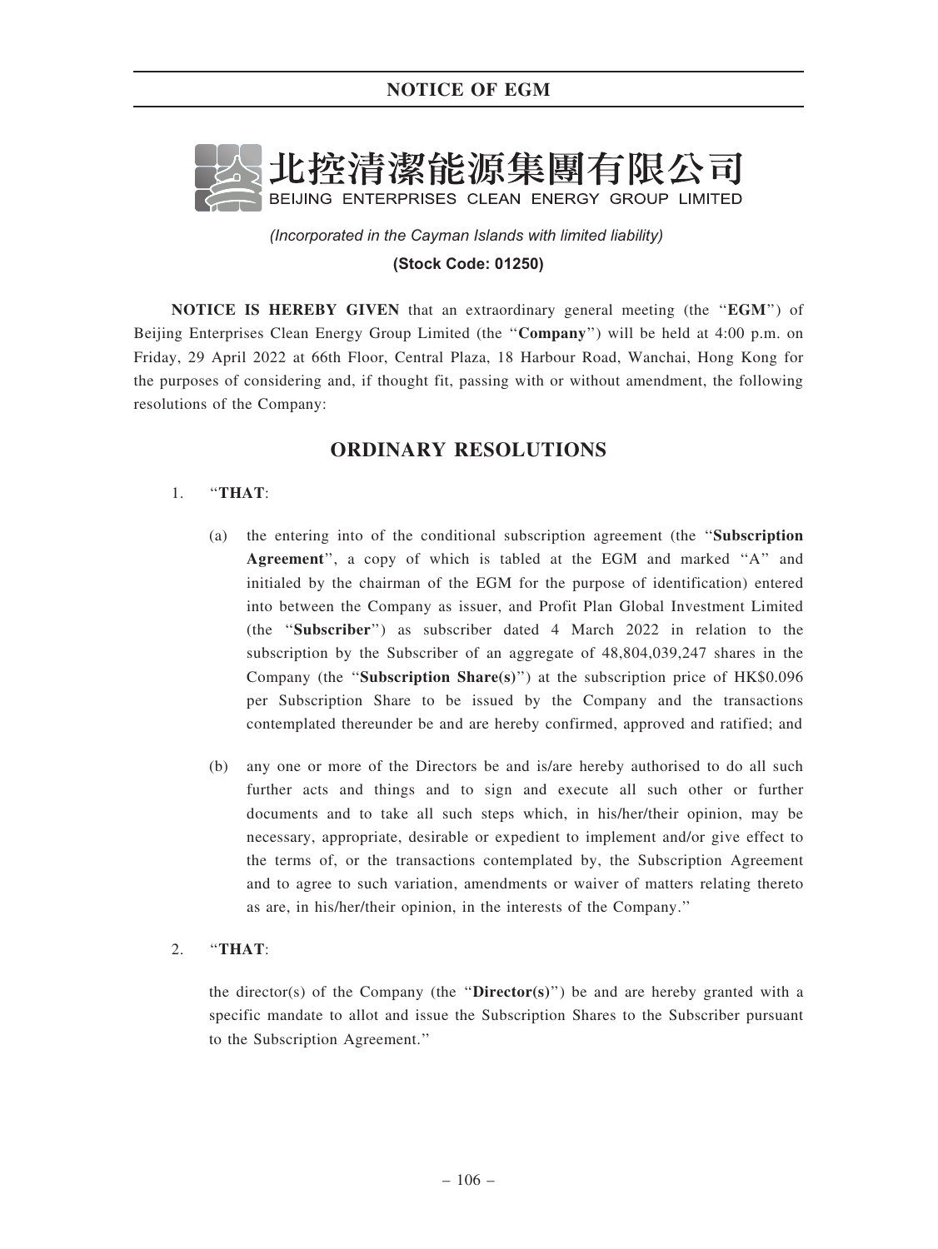

*(Incorporated in the Cayman Islands with limited liability)*  **(Stock Code: 01250)**

NOTICE IS HEREBY GIVEN that an extraordinary general meeting (the "EGM") of Beijing Enterprises Clean Energy Group Limited (the "Company") will be held at 4:00 p.m. on Friday, 29 April 2022 at 66th Floor, Central Plaza, 18 Harbour Road, Wanchai, Hong Kong for the purposes of considering and, if thought fit, passing with or without amendment, the following resolutions of the Company:

# ORDINARY RESOLUTIONS

# 1. ''THAT:

- (a) the entering into of the conditional subscription agreement (the ''Subscription Agreement'', a copy of which is tabled at the EGM and marked ''A'' and initialed by the chairman of the EGM for the purpose of identification) entered into between the Company as issuer, and Profit Plan Global Investment Limited (the ''Subscriber'') as subscriber dated 4 March 2022 in relation to the subscription by the Subscriber of an aggregate of 48,804,039,247 shares in the Company (the "Subscription Share(s)") at the subscription price of HK\$0.096 per Subscription Share to be issued by the Company and the transactions contemplated thereunder be and are hereby confirmed, approved and ratified; and
- (b) any one or more of the Directors be and is/are hereby authorised to do all such further acts and things and to sign and execute all such other or further documents and to take all such steps which, in his/her/their opinion, may be necessary, appropriate, desirable or expedient to implement and/or give effect to the terms of, or the transactions contemplated by, the Subscription Agreement and to agree to such variation, amendments or waiver of matters relating thereto as are, in his/her/their opinion, in the interests of the Company.''

# 2. ''THAT:

the director(s) of the Company (the "Director(s)") be and are hereby granted with a specific mandate to allot and issue the Subscription Shares to the Subscriber pursuant to the Subscription Agreement.''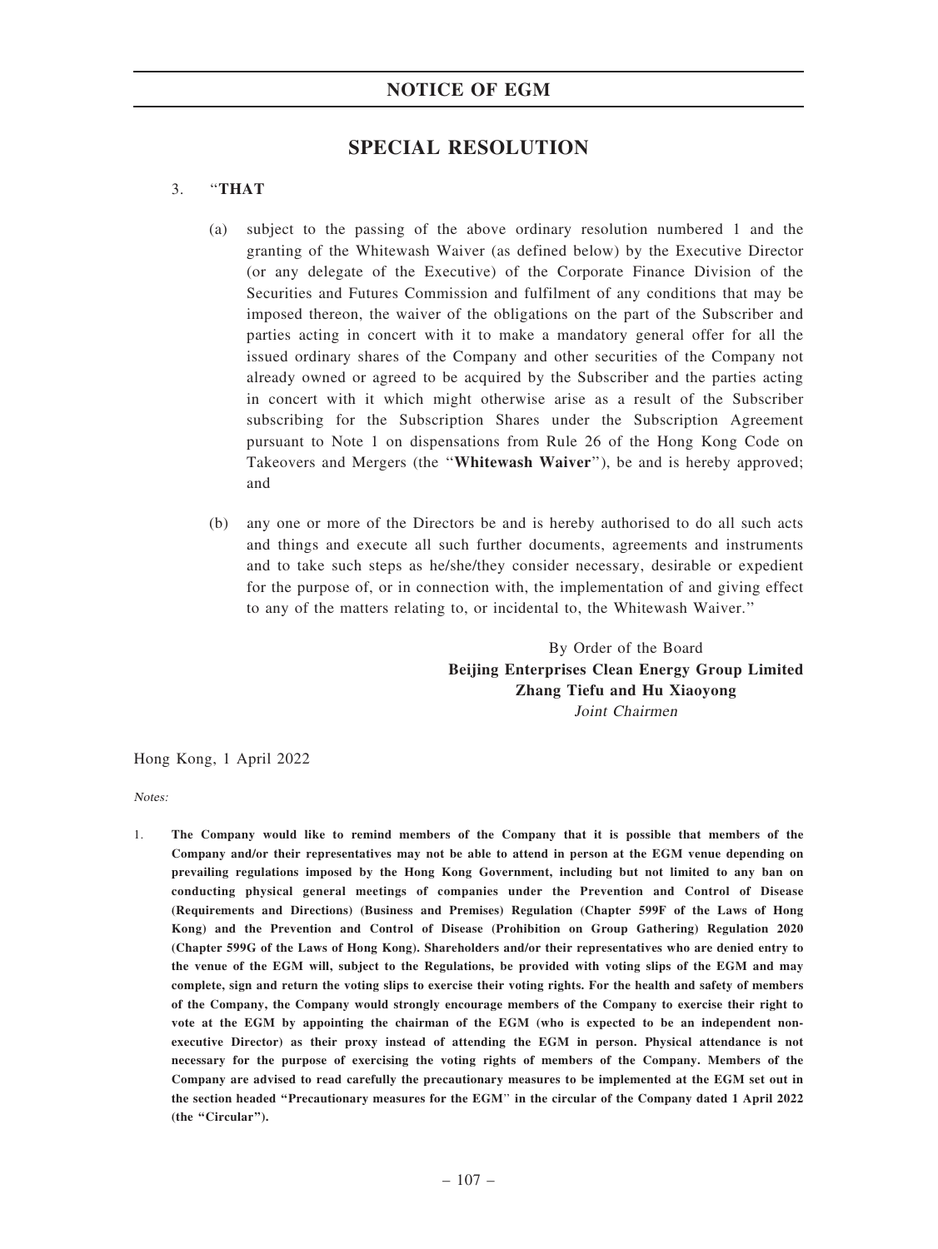## NOTICE OF EGM

## SPECIAL RESOLUTION

## 3. ''THAT

- (a) subject to the passing of the above ordinary resolution numbered 1 and the granting of the Whitewash Waiver (as defined below) by the Executive Director (or any delegate of the Executive) of the Corporate Finance Division of the Securities and Futures Commission and fulfilment of any conditions that may be imposed thereon, the waiver of the obligations on the part of the Subscriber and parties acting in concert with it to make a mandatory general offer for all the issued ordinary shares of the Company and other securities of the Company not already owned or agreed to be acquired by the Subscriber and the parties acting in concert with it which might otherwise arise as a result of the Subscriber subscribing for the Subscription Shares under the Subscription Agreement pursuant to Note 1 on dispensations from Rule 26 of the Hong Kong Code on Takeovers and Mergers (the "Whitewash Waiver"), be and is hereby approved; and
- (b) any one or more of the Directors be and is hereby authorised to do all such acts and things and execute all such further documents, agreements and instruments and to take such steps as he/she/they consider necessary, desirable or expedient for the purpose of, or in connection with, the implementation of and giving effect to any of the matters relating to, or incidental to, the Whitewash Waiver.''

By Order of the Board Beijing Enterprises Clean Energy Group Limited Zhang Tiefu and Hu Xiaoyong Joint Chairmen

Hong Kong, 1 April 2022

Notes:

1. The Company would like to remind members of the Company that it is possible that members of the Company and/or their representatives may not be able to attend in person at the EGM venue depending on prevailing regulations imposed by the Hong Kong Government, including but not limited to any ban on conducting physical general meetings of companies under the Prevention and Control of Disease (Requirements and Directions) (Business and Premises) Regulation (Chapter 599F of the Laws of Hong Kong) and the Prevention and Control of Disease (Prohibition on Group Gathering) Regulation 2020 (Chapter 599G of the Laws of Hong Kong). Shareholders and/or their representatives who are denied entry to the venue of the EGM will, subject to the Regulations, be provided with voting slips of the EGM and may complete, sign and return the voting slips to exercise their voting rights. For the health and safety of members of the Company, the Company would strongly encourage members of the Company to exercise their right to vote at the EGM by appointing the chairman of the EGM (who is expected to be an independent nonexecutive Director) as their proxy instead of attending the EGM in person. Physical attendance is not necessary for the purpose of exercising the voting rights of members of the Company. Members of the Company are advised to read carefully the precautionary measures to be implemented at the EGM set out in the section headed ''Precautionary measures for the EGM'' in the circular of the Company dated 1 April 2022 (the "Circular").